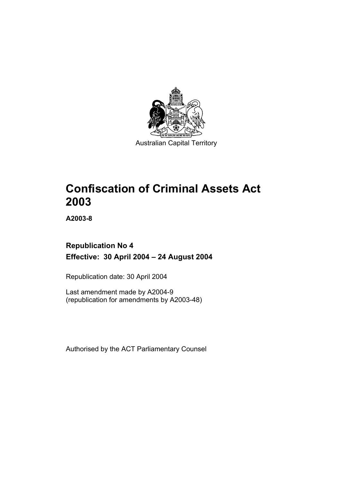

Australian Capital Territory

# **Confiscation of Criminal Assets Act 2003**

**A2003-8** 

## **Republication No 4 Effective: 30 April 2004 – 24 August 2004**

Republication date: 30 April 2004

Last amendment made by A2004-9 (republication for amendments by A2003-48)

Authorised by the ACT Parliamentary Counsel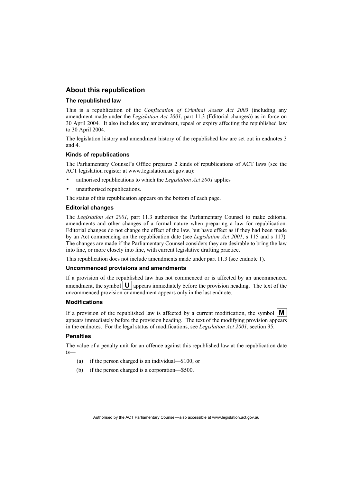## **About this republication**

### **The republished law**

This is a republication of the *Confiscation of Criminal Assets Act 2003* (including any amendment made under the *Legislation Act 2001*, part 11.3 (Editorial changes)) as in force on 30 April 2004*.* It also includes any amendment, repeal or expiry affecting the republished law to 30 April 2004.

The legislation history and amendment history of the republished law are set out in endnotes 3 and 4.

### **Kinds of republications**

The Parliamentary Counsel's Office prepares 2 kinds of republications of ACT laws (see the ACT legislation register at www.legislation.act.gov.au):

- authorised republications to which the *Legislation Act 2001* applies
- unauthorised republications.

The status of this republication appears on the bottom of each page.

### **Editorial changes**

The *Legislation Act 2001*, part 11.3 authorises the Parliamentary Counsel to make editorial amendments and other changes of a formal nature when preparing a law for republication. Editorial changes do not change the effect of the law, but have effect as if they had been made by an Act commencing on the republication date (see *Legislation Act 2001*, s 115 and s 117). The changes are made if the Parliamentary Counsel considers they are desirable to bring the law into line, or more closely into line, with current legislative drafting practice.

This republication does not include amendments made under part 11.3 (see endnote 1).

### **Uncommenced provisions and amendments**

If a provision of the republished law has not commenced or is affected by an uncommenced amendment, the symbol  $\mathbf{U}$  appears immediately before the provision heading. The text of the uncommenced provision or amendment appears only in the last endnote.

### **Modifications**

If a provision of the republished law is affected by a current modification, the symbol  $\mathbf{M}$ appears immediately before the provision heading. The text of the modifying provision appears in the endnotes. For the legal status of modifications, see *Legislation Act 2001*, section 95.

### **Penalties**

The value of a penalty unit for an offence against this republished law at the republication date is—

- (a) if the person charged is an individual—\$100; or
- (b) if the person charged is a corporation—\$500.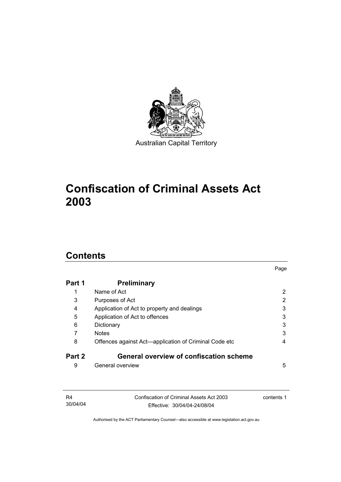

# **Confiscation of Criminal Assets Act 2003**

## **Contents**

| Part 1 | <b>Preliminary</b>                                    |   |
|--------|-------------------------------------------------------|---|
|        | Name of Act                                           | 2 |
| 3      | Purposes of Act                                       | 2 |
| 4      | Application of Act to property and dealings           | 3 |
| 5      | Application of Act to offences                        | 3 |
| 6      | Dictionary                                            | 3 |
|        | <b>Notes</b>                                          | 3 |
| 8      | Offences against Act—application of Criminal Code etc | 4 |
| Part 2 | <b>General overview of confiscation scheme</b>        |   |
| 9      | General overview                                      | 5 |

Page

| R4       | Confiscation of Criminal Assets Act 2003 | contents 1 |
|----------|------------------------------------------|------------|
| 30/04/04 | Effective: 30/04/04-24/08/04             |            |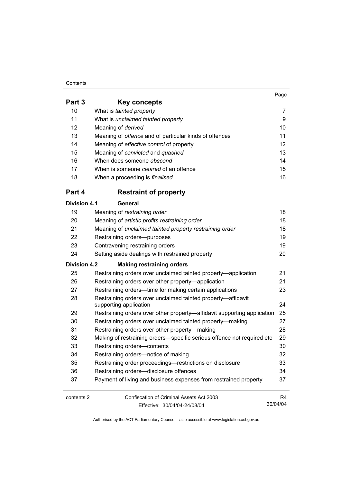### **Contents**

|                     |                                                                                        | Page            |
|---------------------|----------------------------------------------------------------------------------------|-----------------|
| Part 3              | <b>Key concepts</b>                                                                    |                 |
| 10                  | What is tainted property                                                               | 7               |
| 11                  | What is unclaimed tainted property                                                     | 9               |
| 12                  | Meaning of derived                                                                     | 10 <sup>1</sup> |
| 13                  | Meaning of <i>offence</i> and of particular kinds of offences                          | 11              |
| 14                  | Meaning of effective control of property                                               | 12              |
| 15                  | Meaning of convicted and quashed                                                       | 13              |
| 16                  | When does someone abscond                                                              | 14              |
| 17                  | When is someone <i>cleared</i> of an offence                                           | 15              |
| 18                  | When a proceeding is finalised                                                         | 16              |
| Part 4              | <b>Restraint of property</b>                                                           |                 |
| <b>Division 4.1</b> | General                                                                                |                 |
| 19                  | Meaning of restraining order                                                           | 18              |
| 20                  | Meaning of artistic profits restraining order                                          | 18              |
| 21                  | Meaning of unclaimed tainted property restraining order                                | 18              |
| 22                  | Restraining orders--purposes                                                           | 19              |
| 23                  | Contravening restraining orders                                                        | 19              |
| 24                  | Setting aside dealings with restrained property                                        | 20              |
| <b>Division 4.2</b> | <b>Making restraining orders</b>                                                       |                 |
| 25                  | Restraining orders over unclaimed tainted property—application                         | 21              |
| 26                  | Restraining orders over other property-application                                     | 21              |
| 27                  | Restraining orders-time for making certain applications                                | 23              |
| 28                  | Restraining orders over unclaimed tainted property-affidavit<br>supporting application | 24              |
| 29                  | Restraining orders over other property—affidavit supporting application                | 25              |
| 30                  | Restraining orders over unclaimed tainted property-making                              | 27              |
| 31                  | Restraining orders over other property—making                                          | 28              |
| 32                  | Making of restraining orders—specific serious offence not required etc                 | 29              |
| 33                  | Restraining orders-contents                                                            | 30              |
| 34                  | Restraining orders-notice of making                                                    | 32              |

 Restraining order proceedings—restrictions on disclosure 33 Restraining orders—disclosure offences 34 Payment of living and business expenses from restrained property 37

| contents 2 | Confiscation of Criminal Assets Act 2003 | R4       |
|------------|------------------------------------------|----------|
|            | Effective: 30/04/04-24/08/04             | 30/04/04 |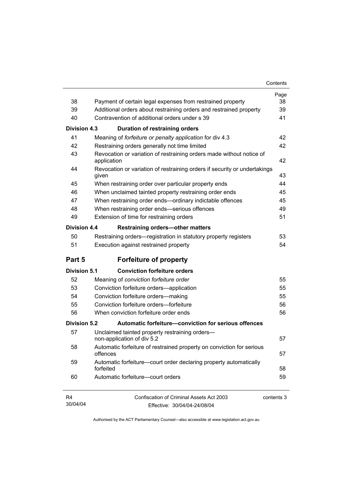| 38                  | Payment of certain legal expenses from restrained property                          | Page<br>38 |
|---------------------|-------------------------------------------------------------------------------------|------------|
| 39                  | Additional orders about restraining orders and restrained property                  | 39         |
| 40                  | Contravention of additional orders under s 39                                       | 41         |
| Division 4.3        |                                                                                     |            |
| 41                  | <b>Duration of restraining orders</b>                                               | 42         |
| 42                  | Meaning of forfeiture or penalty application for div 4.3                            | 42         |
| 43                  | Restraining orders generally not time limited                                       |            |
|                     | Revocation or variation of restraining orders made without notice of<br>application | 42         |
| 44                  | Revocation or variation of restraining orders if security or undertakings<br>given  | 43         |
| 45                  | When restraining order over particular property ends                                | 44         |
| 46                  | When unclaimed tainted property restraining order ends                              | 45         |
| 47                  | When restraining order ends-ordinary indictable offences                            | 45         |
| 48                  | When restraining order ends-serious offences                                        | 49         |
| 49                  | Extension of time for restraining orders                                            | 51         |
| <b>Division 4.4</b> | Restraining orders-other matters                                                    |            |
| 50                  | Restraining orders—registration in statutory property registers                     | 53         |
| 51                  | Execution against restrained property                                               | 54         |
| Part 5              | <b>Forfeiture of property</b>                                                       |            |
| <b>Division 5.1</b> | <b>Conviction forfeiture orders</b>                                                 |            |
| 52                  | Meaning of conviction forfeiture order                                              | 55         |
| 53                  | Conviction forfeiture orders-application                                            | 55         |
| 54                  | Conviction forfeiture orders-making                                                 | 55         |
| 55                  | Conviction forfeiture orders-forfeiture                                             | 56         |
| 56                  | When conviction forfeiture order ends                                               | 56         |
| Division 5.2        | Automatic forfeiture-conviction for serious offences                                |            |
| 57                  | Unclaimed tainted property restraining orders-<br>non-application of div 5.2        | 57         |
| 58                  | Automatic forfeiture of restrained property on conviction for serious<br>offences   | 57         |
| 59                  |                                                                                     |            |
|                     | Automatic forfeiture-court order declaring property automatically<br>forfeited      | 58         |
| 60                  | Automatic forfeiture-court orders                                                   | 59         |
| R4                  | Confiscation of Criminal Assets Act 2003                                            | contents 3 |
| 30/04/04            | Fffective: 30/04/04-24/08/04                                                        |            |

Effective: 30/04/04-24/08/04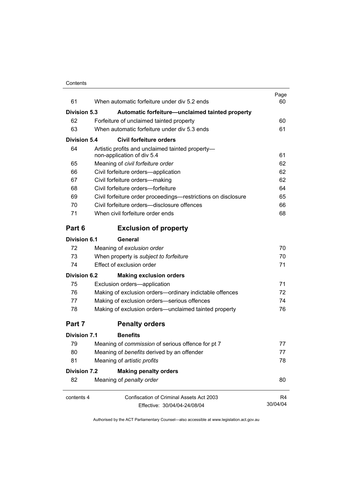| 61                  | When automatic forfeiture under div 5.2 ends                                   | Page<br>60 |
|---------------------|--------------------------------------------------------------------------------|------------|
| <b>Division 5.3</b> | Automatic forfeiture-unclaimed tainted property                                |            |
| 62                  | Forfeiture of unclaimed tainted property                                       | 60         |
| 63                  | When automatic forfeiture under div 5.3 ends                                   | 61         |
| Division 5.4        | <b>Civil forfeiture orders</b>                                                 |            |
| 64                  | Artistic profits and unclaimed tainted property-<br>non-application of div 5.4 | 61         |
| 65                  | Meaning of civil forfeiture order                                              | 62         |
| 66                  | Civil forfeiture orders-application                                            | 62         |
| 67                  | Civil forfeiture orders-making                                                 | 62         |
| 68                  | Civil forfeiture orders-forfeiture                                             | 64         |
| 69                  | Civil forfeiture order proceedings—restrictions on disclosure                  | 65         |
| 70                  | Civil forfeiture orders—disclosure offences                                    | 66         |
| 71                  | When civil forfeiture order ends                                               | 68         |
| Part 6              | <b>Exclusion of property</b>                                                   |            |
| Division 6.1        | General                                                                        |            |
| 72                  | Meaning of exclusion order                                                     | 70         |
| 73                  | When property is subject to forfeiture                                         | 70         |
| 74                  | Effect of exclusion order                                                      | 71         |
| <b>Division 6.2</b> | <b>Making exclusion orders</b>                                                 |            |
| 75                  | Exclusion orders-application                                                   | 71         |
| 76                  | Making of exclusion orders-ordinary indictable offences                        | 72         |
| 77                  | Making of exclusion orders-serious offences                                    | 74         |
| 78                  | Making of exclusion orders-unclaimed tainted property                          | 76         |
| Part 7              | <b>Penalty orders</b>                                                          |            |
| Division 7.1        | <b>Benefits</b>                                                                |            |
| 79                  | Meaning of commission of serious offence for pt 7                              | 77         |
| 80                  | Meaning of benefits derived by an offender                                     | 77         |
| 81                  | Meaning of artistic profits                                                    | 78         |
| <b>Division 7.2</b> | <b>Making penalty orders</b>                                                   |            |
| 82                  | Meaning of penalty order                                                       | 80         |
| contents 4          | <b>Confiscation of Criminal Assets Act 2003</b>                                | R4         |
|                     | Effective: 30/04/04-24/08/04                                                   | 30/04/04   |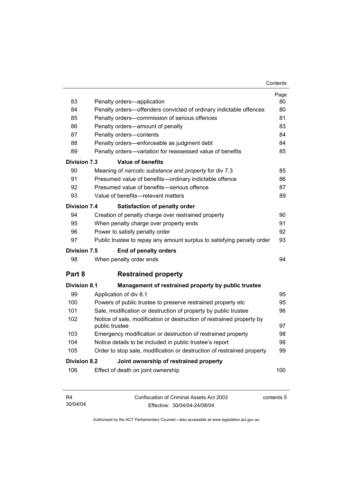| 83                                                     | Penalty orders-application                                                              | Page<br>80 |  |
|--------------------------------------------------------|-----------------------------------------------------------------------------------------|------------|--|
| 84                                                     | Penalty orders-offenders convicted of ordinary indictable offences                      | 80         |  |
| 85                                                     | Penalty orders-commission of serious offences                                           | 81         |  |
| 86                                                     | Penalty orders—amount of penalty                                                        | 83         |  |
| 87                                                     | Penalty orders-contents                                                                 | 84         |  |
| 88                                                     | Penalty orders—enforceable as judgment debt                                             | 84         |  |
| 89                                                     | Penalty orders-variation for reassessed value of benefits                               | 85         |  |
| <b>Division 7.3</b>                                    | <b>Value of benefits</b>                                                                |            |  |
| 90                                                     | Meaning of narcotic substance and property for div 7.3                                  | 85         |  |
| 91                                                     | Presumed value of benefits-ordinary indictable offence                                  | 86         |  |
| 92                                                     | Presumed value of benefits-serious offence                                              | 87         |  |
| 93                                                     | Value of benefits-relevant matters                                                      | 89         |  |
| <b>Division 7.4</b>                                    | <b>Satisfaction of penalty order</b>                                                    |            |  |
| 94                                                     | Creation of penalty charge over restrained property                                     | 90         |  |
| 95                                                     | When penalty charge over property ends                                                  | 91         |  |
| 96                                                     | Power to satisfy penalty order                                                          | 92         |  |
| 97                                                     | Public trustee to repay any amount surplus to satisfying penalty order                  | 93         |  |
| <b>Division 7.5</b>                                    | End of penalty orders                                                                   |            |  |
| 98                                                     | When penalty order ends                                                                 | 94         |  |
| Part 8                                                 | <b>Restrained property</b>                                                              |            |  |
| <b>Division 8.1</b>                                    | Management of restrained property by public trustee                                     |            |  |
| 99                                                     | Application of div 8.1                                                                  | 95         |  |
| 100                                                    | Powers of public trustee to preserve restrained property etc                            | 95         |  |
| 101                                                    | Sale, modification or destruction of property by public trustee                         | 96         |  |
| 102                                                    | Notice of sale, modification or destruction of restrained property by<br>public trustee | 97         |  |
| 103                                                    | Emergency modification or destruction of restrained property                            | 98         |  |
| 104                                                    | Notice details to be included in public trustee's report                                | 98         |  |
| 105                                                    | Order to stop sale, modification or destruction of restrained property                  | 99         |  |
| Division 8.2<br>Joint ownership of restrained property |                                                                                         |            |  |
| 106                                                    | Effect of death on joint ownership                                                      | 100        |  |

| R4       | Confiscation of Criminal Assets Act 2003 | contents 5 |
|----------|------------------------------------------|------------|
| 30/04/04 | Effective: 30/04/04-24/08/04             |            |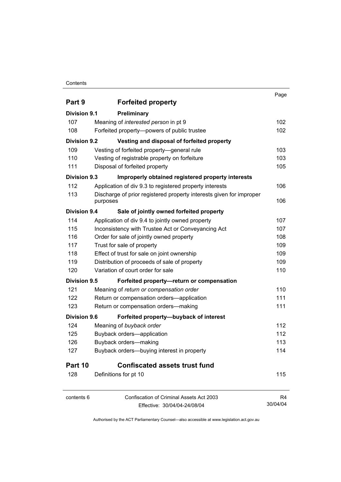## **Contents**

|                     |                                                                     | Page     |
|---------------------|---------------------------------------------------------------------|----------|
| Part 9              | <b>Forfeited property</b>                                           |          |
| Division 9.1        | Preliminary                                                         |          |
| 107                 | Meaning of interested person in pt 9                                | 102      |
| 108                 | Forfeited property--powers of public trustee                        | 102      |
| <b>Division 9.2</b> | Vesting and disposal of forfeited property                          |          |
| 109                 | Vesting of forfeited property-general rule                          | 103      |
| 110                 | Vesting of registrable property on forfeiture                       | 103      |
| 111                 | Disposal of forfeited property                                      | 105      |
| Division 9.3        | Improperly obtained registered property interests                   |          |
| 112                 | Application of div 9.3 to registered property interests             | 106      |
| 113                 | Discharge of prior registered property interests given for improper |          |
|                     | purposes                                                            | 106      |
| Division 9.4        | Sale of jointly owned forfeited property                            |          |
| 114                 | Application of div 9.4 to jointly owned property                    | 107      |
| 115                 | Inconsistency with Trustee Act or Conveyancing Act                  | 107      |
| 116                 | Order for sale of jointly owned property                            | 108      |
| 117                 | Trust for sale of property                                          | 109      |
| 118                 | Effect of trust for sale on joint ownership                         | 109      |
| 119                 | Distribution of proceeds of sale of property                        | 109      |
| 120                 | Variation of court order for sale                                   | 110      |
| Division 9.5        | Forfeited property-return or compensation                           |          |
| 121                 | Meaning of return or compensation order                             | 110      |
| 122                 | Return or compensation orders-application                           | 111      |
| 123                 | Return or compensation orders-making                                | 111      |
| Division 9.6        | Forfeited property-buyback of interest                              |          |
| 124                 | Meaning of buyback order                                            | 112      |
| 125                 | Buyback orders-application                                          | 112      |
| 126                 | Buyback orders-making                                               | 113      |
| 127                 | Buyback orders-buying interest in property                          | 114      |
| Part 10             | <b>Confiscated assets trust fund</b>                                |          |
| 128                 | Definitions for pt 10                                               | 115      |
| contents 6          | Confiscation of Criminal Assets Act 2003                            | R4       |
|                     | Effective: 30/04/04-24/08/04                                        | 30/04/04 |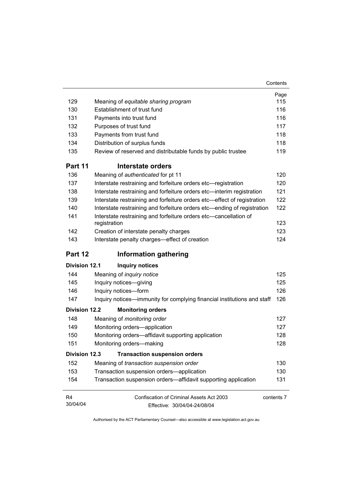|                      |                                                                                  | Page       |
|----------------------|----------------------------------------------------------------------------------|------------|
| 129                  | Meaning of equitable sharing program                                             | 115        |
| 130                  | Establishment of trust fund                                                      | 116        |
| 131                  | Payments into trust fund                                                         | 116        |
| 132                  | Purposes of trust fund                                                           | 117        |
| 133                  | Payments from trust fund                                                         | 118        |
| 134                  | Distribution of surplus funds                                                    | 118        |
| 135                  | Review of reserved and distributable funds by public trustee                     | 119        |
| Part 11              | Interstate orders                                                                |            |
| 136                  | Meaning of authenticated for pt 11                                               | 120        |
| 137                  | Interstate restraining and forfeiture orders etc-registration                    | 120        |
| 138                  | Interstate restraining and forfeiture orders etc-interim registration            | 121        |
| 139                  | Interstate restraining and forfeiture orders etc-effect of registration          | 122        |
| 140                  | Interstate restraining and forfeiture orders etc—ending of registration          | 122        |
| 141                  | Interstate restraining and forfeiture orders etc-cancellation of<br>registration | 123        |
| 142                  | Creation of interstate penalty charges                                           | 123        |
| 143                  | Interstate penalty charges-effect of creation                                    | 124        |
| Part 12              | <b>Information gathering</b>                                                     |            |
| <b>Division 12.1</b> | <b>Inquiry notices</b>                                                           |            |
| 144                  | Meaning of inquiry notice                                                        | 125        |
| 145                  | Inquiry notices-giving                                                           | 125        |
| 146                  | Inquiry notices-form                                                             | 126        |
| 147                  | Inquiry notices—immunity for complying financial institutions and staff          | 126        |
| <b>Division 12.2</b> | <b>Monitoring orders</b>                                                         |            |
| 148                  | Meaning of monitoring order                                                      | 127        |
| 149                  | Monitoring orders-application                                                    | 127        |
| 150                  | Monitoring orders-affidavit supporting application                               | 128        |
| 151                  | Monitoring orders-making                                                         | 128        |
| <b>Division 12.3</b> | <b>Transaction suspension orders</b>                                             |            |
| 152                  | Meaning of transaction suspension order                                          | 130        |
| 153                  | Transaction suspension orders-application                                        | 130        |
| 154                  | Transaction suspension orders—affidavit supporting application                   | 131        |
| R <sub>4</sub>       | Confiscation of Criminal Assets Act 2003                                         | contents 7 |
| 30/04/04             | Effective: 30/04/04-24/08/04                                                     |            |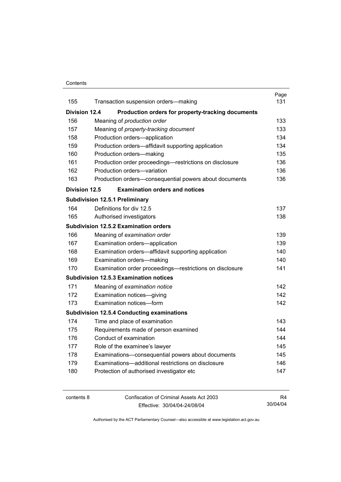### **Contents**

|                      |                                                                 | Page |  |
|----------------------|-----------------------------------------------------------------|------|--|
| 155                  | Transaction suspension orders-making                            | 131  |  |
| <b>Division 12.4</b> | Production orders for property-tracking documents               |      |  |
| 156                  | Meaning of production order                                     | 133  |  |
| 157                  | Meaning of property-tracking document                           | 133  |  |
| 158                  | Production orders-application                                   | 134  |  |
| 159                  | Production orders-affidavit supporting application              | 134  |  |
| 160                  | Production orders-making                                        | 135  |  |
| 161                  | Production order proceedings-restrictions on disclosure         | 136  |  |
| 162                  | Production orders-variation                                     | 136  |  |
| 163                  | Production orders-consequential powers about documents          | 136  |  |
| Division 12.5        | <b>Examination orders and notices</b>                           |      |  |
|                      | <b>Subdivision 12.5.1 Preliminary</b>                           |      |  |
| 164                  | Definitions for div 12.5                                        | 137  |  |
| 165                  | Authorised investigators                                        | 138  |  |
|                      | <b>Subdivision 12.5.2 Examination orders</b>                    |      |  |
| 166                  | Meaning of examination order                                    | 139  |  |
| 167                  | Examination orders-application                                  | 139  |  |
| 168                  | Examination orders-affidavit supporting application             | 140  |  |
| 169                  | 140<br>Examination orders-making                                |      |  |
| 170                  | 141<br>Examination order proceedings-restrictions on disclosure |      |  |
|                      | <b>Subdivision 12.5.3 Examination notices</b>                   |      |  |
| 171                  | Meaning of examination notice                                   | 142  |  |
| 172                  | Examination notices-giving                                      | 142  |  |
| 173                  | Examination notices-form                                        | 142  |  |
|                      | <b>Subdivision 12.5.4 Conducting examinations</b>               |      |  |
| 174                  | Time and place of examination                                   | 143  |  |
| 175                  | Requirements made of person examined                            | 144  |  |
| 176                  | Conduct of examination                                          | 144  |  |
| 177                  | Role of the examinee's lawyer                                   | 145  |  |
| 178                  | Examinations-consequential powers about documents               | 145  |  |
| 179                  | Examinations-additional restrictions on disclosure              | 146  |  |
| 180                  | Protection of authorised investigator etc                       | 147  |  |
|                      |                                                                 |      |  |

contents 8 Confiscation of Criminal Assets Act 2003 Effective: 30/04/04-24/08/04 R4 30/04/04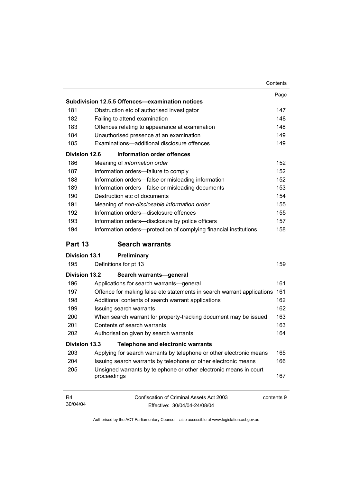|                            |                                                                                        | Contents |
|----------------------------|----------------------------------------------------------------------------------------|----------|
|                            |                                                                                        | Page     |
|                            | Subdivision 12.5.5 Offences-examination notices                                        |          |
| 181                        | Obstruction etc of authorised investigator                                             | 147      |
| 182                        | Failing to attend examination                                                          | 148      |
| 183                        | Offences relating to appearance at examination                                         | 148      |
| 184                        | Unauthorised presence at an examination                                                | 149      |
| 185                        | Examinations-additional disclosure offences                                            | 149      |
| Division 12.6              | Information order offences                                                             |          |
| 186                        | Meaning of information order                                                           | 152      |
| 187                        | Information orders-failure to comply                                                   | 152      |
| 188                        | Information orders-false or misleading information                                     | 152      |
| 189                        | Information orders-false or misleading documents                                       | 153      |
| 190                        | Destruction etc of documents                                                           | 154      |
| 191                        | Meaning of non-disclosable information order                                           | 155      |
| 192                        | Information orders-disclosure offences                                                 | 155      |
| 193                        | Information orders-disclosure by police officers                                       | 157      |
| 194                        | Information orders-protection of complying financial institutions                      | 158      |
| Part 13                    | <b>Search warrants</b>                                                                 |          |
| <b>Division 13.1</b>       | Preliminary                                                                            |          |
| 195                        | Definitions for pt 13                                                                  | 159      |
| <b>Division 13.2</b>       | Search warrants-general                                                                |          |
| 196                        | Applications for search warrants—general                                               | 161      |
| 197                        | Offence for making false etc statements in search warrant applications                 | 161      |
| 198                        | Additional contents of search warrant applications                                     | 162      |
| 199                        | Issuing search warrants                                                                | 162      |
| 200                        | When search warrant for property-tracking document may be issued                       | 163      |
| 201                        | Contents of search warrants                                                            | 163      |
| 202                        | Authorisation given by search warrants                                                 | 164      |
| Division 13.3              | <b>Telephone and electronic warrants</b>                                               |          |
| 203                        | Applying for search warrants by telephone or other electronic means                    | 165      |
| 204                        | Issuing search warrants by telephone or other electronic means                         | 166      |
| 205                        | Unsigned warrants by telephone or other electronic means in court<br>proceedings       | 167      |
| R <sub>4</sub><br>30/04/04 | Confiscation of Criminal Assets Act 2003<br>contents 9<br>Effective: 30/04/04-24/08/04 |          |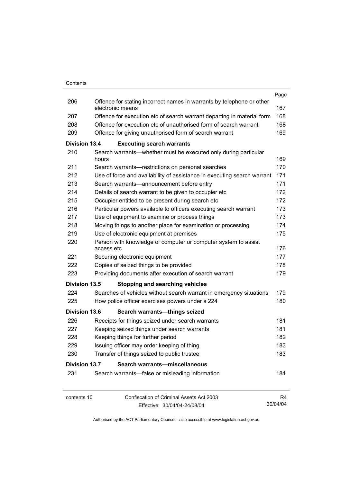|                      |            |                                                                                           | Page     |
|----------------------|------------|-------------------------------------------------------------------------------------------|----------|
| 206                  |            | Offence for stating incorrect names in warrants by telephone or other<br>electronic means | 167      |
| 207                  |            | Offence for execution etc of search warrant departing in material form                    | 168      |
| 208                  |            | Offence for execution etc of unauthorised form of search warrant                          | 168      |
| 209                  |            | Offence for giving unauthorised form of search warrant                                    | 169      |
| Division 13.4        |            | <b>Executing search warrants</b>                                                          |          |
| 210                  | hours      | Search warrants—whether must be executed only during particular                           | 169      |
| 211                  |            | Search warrants-restrictions on personal searches                                         | 170      |
| 212                  |            | Use of force and availability of assistance in executing search warrant                   | 171      |
| 213                  |            | Search warrants-announcement before entry                                                 | 171      |
| 214                  |            | Details of search warrant to be given to occupier etc                                     | 172      |
| 215                  |            | Occupier entitled to be present during search etc                                         | 172      |
| 216                  |            | Particular powers available to officers executing search warrant                          | 173      |
| 217                  |            | Use of equipment to examine or process things                                             | 173      |
| 218                  |            | Moving things to another place for examination or processing                              | 174      |
| 219                  |            | Use of electronic equipment at premises                                                   | 175      |
| 220                  |            | Person with knowledge of computer or computer system to assist                            |          |
|                      | access etc |                                                                                           | 176      |
| 221                  |            | Securing electronic equipment                                                             | 177      |
| 222                  |            | Copies of seized things to be provided                                                    | 178      |
| 223                  |            | Providing documents after execution of search warrant                                     | 179      |
| Division 13.5        |            | <b>Stopping and searching vehicles</b>                                                    |          |
| 224                  |            | Searches of vehicles without search warrant in emergency situations                       | 179      |
| 225                  |            | How police officer exercises powers under s 224                                           | 180      |
| <b>Division 13.6</b> |            | Search warrants-things seized                                                             |          |
| 226                  |            | Receipts for things seized under search warrants                                          | 181      |
| 227                  |            | Keeping seized things under search warrants                                               | 181      |
| 228                  |            | Keeping things for further period                                                         | 182      |
| 229                  |            | Issuing officer may order keeping of thing                                                | 183      |
| 230                  |            | Transfer of things seized to public trustee                                               | 183      |
| <b>Division 13.7</b> |            | Search warrants-miscellaneous                                                             |          |
| 231                  |            | Search warrants—false or misleading information                                           | 184      |
| contents 10          |            | <b>Confiscation of Criminal Assets Act 2003</b>                                           | R4       |
|                      |            | Effective: 30/04/04-24/08/04                                                              | 30/04/04 |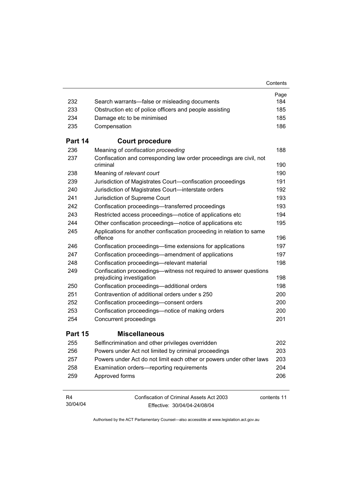|                            |                                                                                                | Contents    |
|----------------------------|------------------------------------------------------------------------------------------------|-------------|
|                            |                                                                                                | Page        |
| 232                        | Search warrants—false or misleading documents                                                  | 184         |
| 233                        | Obstruction etc of police officers and people assisting                                        | 185         |
| 234                        | Damage etc to be minimised                                                                     | 185         |
| 235                        | Compensation                                                                                   | 186         |
| Part 14                    | <b>Court procedure</b>                                                                         |             |
| 236                        | Meaning of confiscation proceeding                                                             | 188         |
| 237                        | Confiscation and corresponding law order proceedings are civil, not<br>criminal                | 190         |
| 238                        | Meaning of relevant court                                                                      | 190         |
| 239                        | Jurisdiction of Magistrates Court-confiscation proceedings                                     | 191         |
| 240                        | Jurisdiction of Magistrates Court-interstate orders                                            | 192         |
| 241                        | Jurisdiction of Supreme Court                                                                  | 193         |
| 242                        | Confiscation proceedings—transferred proceedings                                               | 193         |
| 243                        | Restricted access proceedings—notice of applications etc                                       | 194         |
| 244                        | Other confiscation proceedings—notice of applications etc                                      | 195         |
| 245                        | Applications for another confiscation proceeding in relation to same<br>offence                | 196         |
| 246                        | Confiscation proceedings—time extensions for applications                                      | 197         |
| 247                        | Confiscation proceedings—amendment of applications                                             | 197         |
| 248                        | Confiscation proceedings-relevant material                                                     | 198         |
| 249                        | Confiscation proceedings—witness not required to answer questions<br>prejudicing investigation | 198         |
| 250                        | Confiscation proceedings-additional orders                                                     | 198         |
| 251                        | Contravention of additional orders under s 250                                                 | 200         |
| 252                        | Confiscation proceedings-consent orders                                                        | 200         |
| 253                        | Confiscation proceedings—notice of making orders                                               | 200         |
| 254                        | Concurrent proceedings                                                                         | 201         |
| Part 15                    | <b>Miscellaneous</b>                                                                           |             |
| 255                        | Selfincrimination and other privileges overridden                                              | 202         |
| 256                        | Powers under Act not limited by criminal proceedings                                           | 203         |
| 257                        | Powers under Act do not limit each other or powers under other laws                            | 203         |
| 258                        | Examination orders-reporting requirements                                                      | 204         |
| 259                        | Approved forms                                                                                 | 206         |
| R <sub>4</sub><br>30/04/04 | Confiscation of Criminal Assets Act 2003<br>Fffective: 30/04/04-24/08/04                       | contents 11 |

Effective: 30/04/04-24/08/04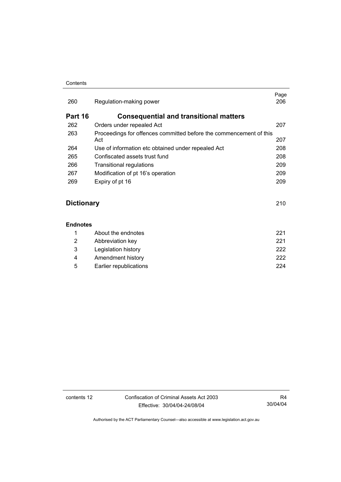### **Contents**

| Page<br>206                                                               |
|---------------------------------------------------------------------------|
|                                                                           |
| 207                                                                       |
| Proceedings for offences committed before the commencement of this<br>207 |
| 208                                                                       |
| 208                                                                       |
| 209                                                                       |
| 209                                                                       |
| 209                                                                       |
|                                                                           |
|                                                                           |

## **Dictionary** 210

### **Endnotes**

|   | About the endnotes     | 221 |
|---|------------------------|-----|
| 2 | Abbreviation key       | 221 |
| 3 | Legislation history    | 222 |
| 4 | Amendment history      | 222 |
| 5 | Earlier republications | 224 |

contents 12 Confiscation of Criminal Assets Act 2003 Effective: 30/04/04-24/08/04

R4 30/04/04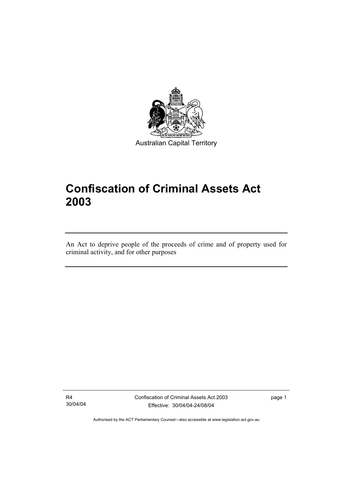

Australian Capital Territory

# **Confiscation of Criminal Assets Act 2003**

An Act to deprive people of the proceeds of crime and of property used for criminal activity, and for other purposes

R4 30/04/04

I

Confiscation of Criminal Assets Act 2003 Effective: 30/04/04-24/08/04

page 1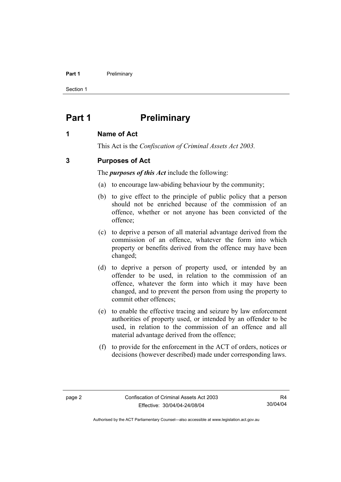### **Part 1** Preliminary

Section 1

## **Part 1** Preliminary

## **1 Name of Act**

This Act is the *Confiscation of Criminal Assets Act 2003.*

## **3 Purposes of Act**

The *purposes of this Act* include the following:

- (a) to encourage law-abiding behaviour by the community;
- (b) to give effect to the principle of public policy that a person should not be enriched because of the commission of an offence, whether or not anyone has been convicted of the offence;
- (c) to deprive a person of all material advantage derived from the commission of an offence, whatever the form into which property or benefits derived from the offence may have been changed;
- (d) to deprive a person of property used, or intended by an offender to be used, in relation to the commission of an offence, whatever the form into which it may have been changed, and to prevent the person from using the property to commit other offences;
- (e) to enable the effective tracing and seizure by law enforcement authorities of property used, or intended by an offender to be used, in relation to the commission of an offence and all material advantage derived from the offence;
- (f) to provide for the enforcement in the ACT of orders, notices or decisions (however described) made under corresponding laws.

R4 30/04/04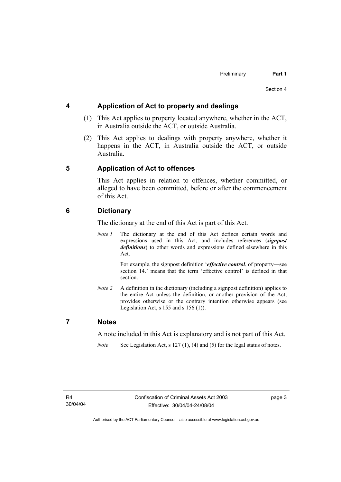## **4 Application of Act to property and dealings**

- (1) This Act applies to property located anywhere, whether in the ACT, in Australia outside the ACT, or outside Australia.
- (2) This Act applies to dealings with property anywhere, whether it happens in the ACT, in Australia outside the ACT, or outside Australia.

## **5 Application of Act to offences**

This Act applies in relation to offences, whether committed, or alleged to have been committed, before or after the commencement of this Act.

## **6 Dictionary**

The dictionary at the end of this Act is part of this Act.

*Note 1* The dictionary at the end of this Act defines certain words and expressions used in this Act, and includes references (*signpost definitions*) to other words and expressions defined elsewhere in this Act.

> For example, the signpost definition '*effective control*, of property—see section 14.' means that the term 'effective control' is defined in that section.

*Note 2* A definition in the dictionary (including a signpost definition) applies to the entire Act unless the definition, or another provision of the Act, provides otherwise or the contrary intention otherwise appears (see Legislation Act,  $s$  155 and  $s$  156 (1)).

## **7 Notes**

A note included in this Act is explanatory and is not part of this Act.

*Note* See Legislation Act, s 127 (1), (4) and (5) for the legal status of notes.

page 3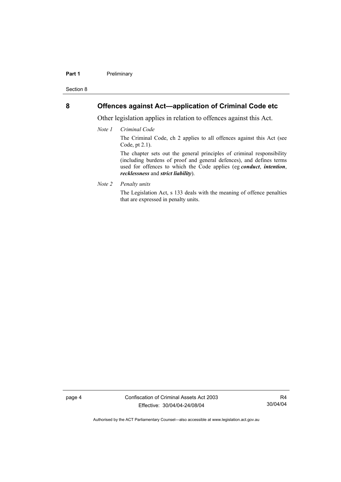### **Part 1** Preliminary

Section 8

## **8 Offences against Act—application of Criminal Code etc**

Other legislation applies in relation to offences against this Act.

*Note 1 Criminal Code*

The Criminal Code, ch 2 applies to all offences against this Act (see Code, pt 2.1).

The chapter sets out the general principles of criminal responsibility (including burdens of proof and general defences), and defines terms used for offences to which the Code applies (eg *conduct*, *intention*, *recklessness* and *strict liability*).

*Note 2 Penalty units* 

The Legislation Act, s 133 deals with the meaning of offence penalties that are expressed in penalty units.

page 4 Confiscation of Criminal Assets Act 2003 Effective: 30/04/04-24/08/04

R4 30/04/04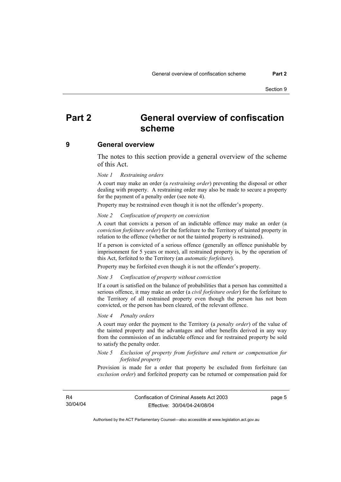## **Part 2 General overview of confiscation scheme**

### **9 General overview**

The notes to this section provide a general overview of the scheme of this Act.

#### *Note 1 Restraining orders*

A court may make an order (a *restraining order*) preventing the disposal or other dealing with property. A restraining order may also be made to secure a property for the payment of a penalty order (see note 4).

Property may be restrained even though it is not the offender's property.

### *Note 2 Confiscation of property on conviction*

A court that convicts a person of an indictable offence may make an order (a *conviction forfeiture order*) for the forfeiture to the Territory of tainted property in relation to the offence (whether or not the tainted property is restrained).

If a person is convicted of a serious offence (generally an offence punishable by imprisonment for 5 years or more), all restrained property is, by the operation of this Act, forfeited to the Territory (an *automatic forfeiture*).

Property may be forfeited even though it is not the offender's property.

#### *Note 3 Confiscation of property without conviction*

If a court is satisfied on the balance of probabilities that a person has committed a serious offence, it may make an order (a *civil forfeiture order*) for the forfeiture to the Territory of all restrained property even though the person has not been convicted, or the person has been cleared, of the relevant offence.

#### *Note 4 Penalty orders*

A court may order the payment to the Territory (a *penalty order*) of the value of the tainted property and the advantages and other benefits derived in any way from the commission of an indictable offence and for restrained property be sold to satisfy the penalty order.

### *Note 5 Exclusion of property from forfeiture and return or compensation for forfeited property*

Provision is made for a order that property be excluded from forfeiture (an *exclusion order*) and forfeited property can be returned or compensation paid for

R4 30/04/04 page 5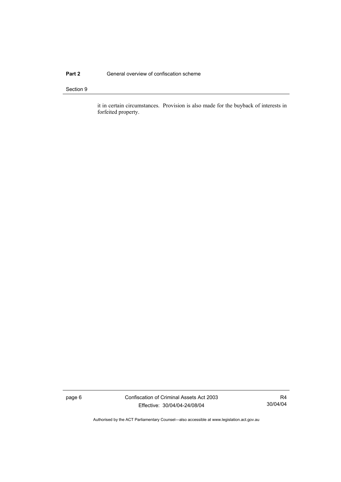### **Part 2 General overview of confiscation scheme**

### Section 9

it in certain circumstances. Provision is also made for the buyback of interests in forfeited property.

page 6 Confiscation of Criminal Assets Act 2003 Effective: 30/04/04-24/08/04

R4 30/04/04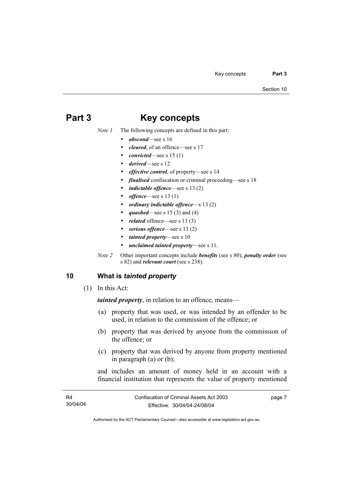## **Part 3 Key concepts**

*Note 1* The following concepts are defined in this part:

- *abscond*—see s 16
- *cleared*, of an offence—see s 17
- *convicted*—see s 15 (1)
- *derived*—see s 12
- *effective control*, of property—see s 14
- *finalised* confiscation or criminal proceeding—see s 18
- *indictable offence*—see s 13 (2)
- *offence*—see s 13 (1)
- *ordinary indictable offence*—s 13 (2)
- *quashed*—see s 15 (3) and (4)
- related offence—see s 13 (3)
- serious offence—see s 13 (2)
- *tainted property*—see s 10
- *unclaimed tainted property*—see s 11.
- *Note 2* Other important concepts include *benefits* (see s 80), *penalty order* (see s 82) and *relevant court* (see s 238).

## **10 What is** *tainted property*

(1) In this Act:

*tainted property*, in relation to an offence, means—

- (a) property that was used, or was intended by an offender to be used, in relation to the commission of the offence; or
- (b) property that was derived by anyone from the commission of the offence; or
- (c) property that was derived by anyone from property mentioned in paragraph (a) or (b);

and includes an amount of money held in an account with a financial institution that represents the value of property mentioned

| R4       | Confiscation of Criminal Assets Act 2003 | page 7 |
|----------|------------------------------------------|--------|
| 30/04/04 | Effective: 30/04/04-24/08/04             |        |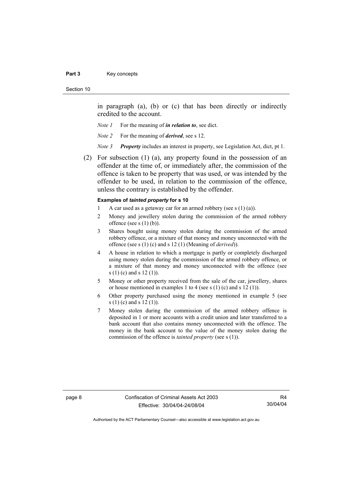#### Part 3 **Key concepts**

#### Section 10

in paragraph (a), (b) or (c) that has been directly or indirectly credited to the account.

- *Note 1* For the meaning of *in relation to*, see dict.
- *Note 2* For the meaning of *derived*, see s 12.
- *Note 3 Property* includes an interest in property, see Legislation Act, dict, pt 1.
- (2) For subsection (1) (a), any property found in the possession of an offender at the time of, or immediately after, the commission of the offence is taken to be property that was used, or was intended by the offender to be used, in relation to the commission of the offence, unless the contrary is established by the offender.

### **Examples of** *tainted property* **for s 10**

- 1 A car used as a getaway car for an armed robbery (see s  $(1)$  (a)).
- 2 Money and jewellery stolen during the commission of the armed robbery offence (see s  $(1)$  (b)).
- 3 Shares bought using money stolen during the commission of the armed robbery offence, or a mixture of that money and money unconnected with the offence (see s (1) (c) and s 12 (1) (Meaning of *derived*)).
- 4 A house in relation to which a mortgage is partly or completely discharged using money stolen during the commission of the armed robbery offence, or a mixture of that money and money unconnected with the offence (see s (1) (c) and s 12 (1)).
- 5 Money or other property received from the sale of the car, jewellery, shares or house mentioned in examples 1 to 4 (see s  $(1)$  (c) and s  $12$   $(1)$ ).
- 6 Other property purchased using the money mentioned in example 5 (see s (1) (c) and s 12 (1)).
- 7 Money stolen during the commission of the armed robbery offence is deposited in 1 or more accounts with a credit union and later transferred to a bank account that also contains money unconnected with the offence. The money in the bank account to the value of the money stolen during the commission of the offence is *tainted property* (see s (1)).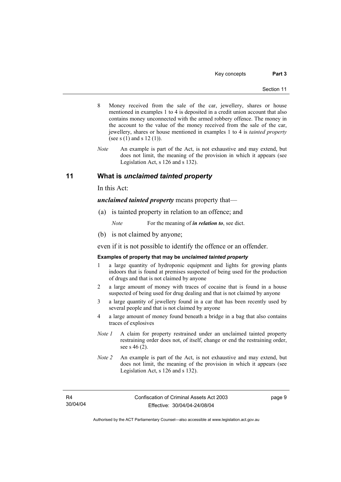- 8 Money received from the sale of the car, jewellery, shares or house mentioned in examples 1 to 4 is deposited in a credit union account that also contains money unconnected with the armed robbery offence. The money in the account to the value of the money received from the sale of the car, jewellery, shares or house mentioned in examples 1 to 4 is *tainted property* (see s (1) and s 12 (1)).
- *Note* An example is part of the Act, is not exhaustive and may extend, but does not limit, the meaning of the provision in which it appears (see Legislation Act, s 126 and s 132).

## **11 What is** *unclaimed tainted property*

In this Act:

*unclaimed tainted property* means property that—

(a) is tainted property in relation to an offence; and

*Note* For the meaning of *in relation to*, see dict.

(b) is not claimed by anyone;

even if it is not possible to identify the offence or an offender.

### **Examples of property that may be** *unclaimed tainted property*

- 1 a large quantity of hydroponic equipment and lights for growing plants indoors that is found at premises suspected of being used for the production of drugs and that is not claimed by anyone
- 2 a large amount of money with traces of cocaine that is found in a house suspected of being used for drug dealing and that is not claimed by anyone
- 3 a large quantity of jewellery found in a car that has been recently used by several people and that is not claimed by anyone
- 4 a large amount of money found beneath a bridge in a bag that also contains traces of explosives
- *Note 1* A claim for property restrained under an unclaimed tainted property restraining order does not, of itself, change or end the restraining order, see s 46 (2).
- *Note 2* An example is part of the Act, is not exhaustive and may extend, but does not limit, the meaning of the provision in which it appears (see Legislation Act, s 126 and s 132).

R4 30/04/04 page 9

Authorised by the ACT Parliamentary Counsel—also accessible at www.legislation.act.gov.au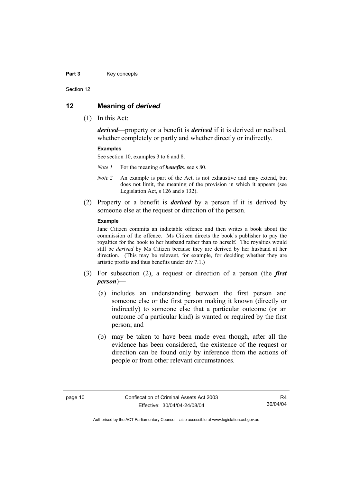#### Part 3 **Key concepts**

Section 12

### **12 Meaning of** *derived*

(1) In this Act:

*derived*—property or a benefit is *derived* if it is derived or realised, whether completely or partly and whether directly or indirectly.

### **Examples**

See section 10, examples 3 to 6 and 8.

*Note 1* For the meaning of *benefits*, see s 80.

- *Note 2* An example is part of the Act, is not exhaustive and may extend, but does not limit, the meaning of the provision in which it appears (see Legislation Act, s 126 and s 132).
- (2) Property or a benefit is *derived* by a person if it is derived by someone else at the request or direction of the person.

### **Example**

Jane Citizen commits an indictable offence and then writes a book about the commission of the offence. Ms Citizen directs the book's publisher to pay the royalties for the book to her husband rather than to herself. The royalties would still be *derived* by Ms Citizen because they are derived by her husband at her direction. (This may be relevant, for example, for deciding whether they are artistic profits and thus benefits under div 7.1.)

- (3) For subsection (2), a request or direction of a person (the *first person*)—
	- (a) includes an understanding between the first person and someone else or the first person making it known (directly or indirectly) to someone else that a particular outcome (or an outcome of a particular kind) is wanted or required by the first person; and
	- (b) may be taken to have been made even though, after all the evidence has been considered, the existence of the request or direction can be found only by inference from the actions of people or from other relevant circumstances.

R4 30/04/04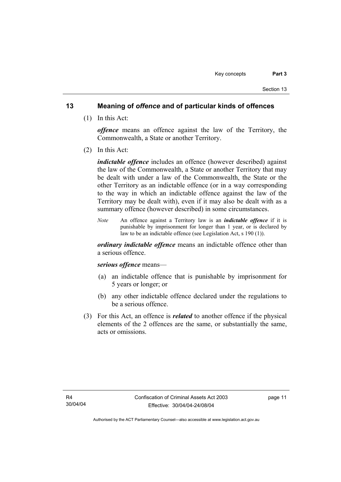## **13 Meaning of** *offence* **and of particular kinds of offences**

(1) In this Act:

*offence* means an offence against the law of the Territory, the Commonwealth, a State or another Territory.

(2) In this Act:

*indictable offence* includes an offence (however described) against the law of the Commonwealth, a State or another Territory that may be dealt with under a law of the Commonwealth, the State or the other Territory as an indictable offence (or in a way corresponding to the way in which an indictable offence against the law of the Territory may be dealt with), even if it may also be dealt with as a summary offence (however described) in some circumstances.

*Note* An offence against a Territory law is an *indictable offence* if it is punishable by imprisonment for longer than 1 year, or is declared by law to be an indictable offence (see Legislation Act, s 190 (1)).

*ordinary indictable offence* means an indictable offence other than a serious offence.

### *serious offence* means—

- (a) an indictable offence that is punishable by imprisonment for 5 years or longer; or
- (b) any other indictable offence declared under the regulations to be a serious offence.
- (3) For this Act, an offence is *related* to another offence if the physical elements of the 2 offences are the same, or substantially the same, acts or omissions.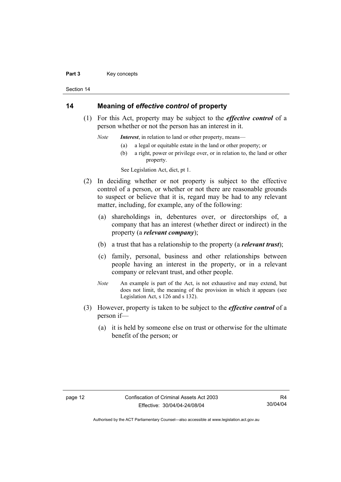#### Part 3 **Key concepts**

Section 14

## **14 Meaning of** *effective control* **of property**

 (1) For this Act, property may be subject to the *effective control* of a person whether or not the person has an interest in it.

*Note Interest*, in relation to land or other property, means—

- (a) a legal or equitable estate in the land or other property; or
- (b) a right, power or privilege over, or in relation to, the land or other property.

See Legislation Act, dict, pt 1.

- (2) In deciding whether or not property is subject to the effective control of a person, or whether or not there are reasonable grounds to suspect or believe that it is, regard may be had to any relevant matter, including, for example, any of the following:
	- (a) shareholdings in, debentures over, or directorships of, a company that has an interest (whether direct or indirect) in the property (a *relevant company*);
	- (b) a trust that has a relationship to the property (a *relevant trust*);
	- (c) family, personal, business and other relationships between people having an interest in the property, or in a relevant company or relevant trust, and other people.
	- *Note* An example is part of the Act, is not exhaustive and may extend, but does not limit, the meaning of the provision in which it appears (see Legislation Act, s 126 and s 132).
- (3) However, property is taken to be subject to the *effective control* of a person if—
	- (a) it is held by someone else on trust or otherwise for the ultimate benefit of the person; or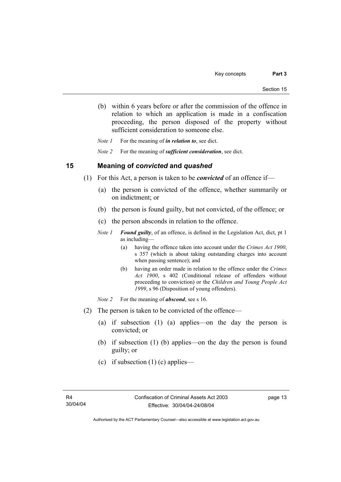(b) within 6 years before or after the commission of the offence in relation to which an application is made in a confiscation proceeding, the person disposed of the property without sufficient consideration to someone else.

*Note 1* For the meaning of *in relation to*, see dict.

*Note 2* For the meaning of *sufficient consideration*, see dict.

### **15 Meaning of** *convicted* **and** *quashed*

- (1) For this Act, a person is taken to be *convicted* of an offence if—
	- (a) the person is convicted of the offence, whether summarily or on indictment; or
	- (b) the person is found guilty, but not convicted, of the offence; or
	- (c) the person absconds in relation to the offence.
	- *Note 1 Found guilty*, of an offence, is defined in the Legislation Act, dict, pt 1 as including—
		- (a) having the offence taken into account under the *Crimes Act 1900*, s 357 (which is about taking outstanding charges into account when passing sentence); and
		- (b) having an order made in relation to the offence under the *Crimes Act 1900*, s 402 (Conditional release of offenders without proceeding to conviction) or the *Children and Young People Act 1999*, s 96 (Disposition of young offenders).
	- *Note 2* For the meaning of *abscond*, see s 16.
- (2) The person is taken to be convicted of the offence—
	- (a) if subsection (1) (a) applies—on the day the person is convicted; or
	- (b) if subsection (1) (b) applies—on the day the person is found guilty; or
	- (c) if subsection  $(1)$  (c) applies—

page 13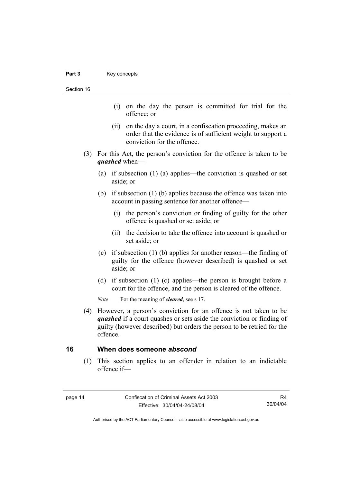Section 16

- (i) on the day the person is committed for trial for the offence; or
- (ii) on the day a court, in a confiscation proceeding, makes an order that the evidence is of sufficient weight to support a conviction for the offence.
- (3) For this Act, the person's conviction for the offence is taken to be *quashed* when—
	- (a) if subsection (1) (a) applies—the conviction is quashed or set aside; or
	- (b) if subsection (1) (b) applies because the offence was taken into account in passing sentence for another offence—
		- (i) the person's conviction or finding of guilty for the other offence is quashed or set aside; or
		- (ii) the decision to take the offence into account is quashed or set aside; or
	- (c) if subsection (1) (b) applies for another reason—the finding of guilty for the offence (however described) is quashed or set aside; or
	- (d) if subsection (1) (c) applies—the person is brought before a court for the offence, and the person is cleared of the offence.

*Note* For the meaning of *cleared*, see s 17.

 (4) However, a person's conviction for an offence is not taken to be *quashed* if a court quashes or sets aside the conviction or finding of guilty (however described) but orders the person to be retried for the offence.

### **16 When does someone** *abscond*

 (1) This section applies to an offender in relation to an indictable offence if—

R4 30/04/04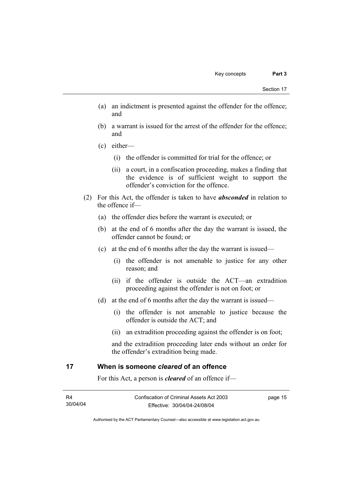- (a) an indictment is presented against the offender for the offence; and
- (b) a warrant is issued for the arrest of the offender for the offence; and
- (c) either—
	- (i) the offender is committed for trial for the offence; or
	- (ii) a court, in a confiscation proceeding, makes a finding that the evidence is of sufficient weight to support the offender's conviction for the offence.
- (2) For this Act, the offender is taken to have *absconded* in relation to the offence if—
	- (a) the offender dies before the warrant is executed; or
	- (b) at the end of 6 months after the day the warrant is issued, the offender cannot be found; or
	- (c) at the end of 6 months after the day the warrant is issued—
		- (i) the offender is not amenable to justice for any other reason; and
		- (ii) if the offender is outside the ACT—an extradition proceeding against the offender is not on foot; or
	- (d) at the end of 6 months after the day the warrant is issued—
		- (i) the offender is not amenable to justice because the offender is outside the ACT; and
		- (ii) an extradition proceeding against the offender is on foot;

and the extradition proceeding later ends without an order for the offender's extradition being made.

## **17 When is someone** *cleared* **of an offence**

For this Act, a person is *cleared* of an offence if—

| - R4     | Confiscation of Criminal Assets Act 2003 | page 15 |
|----------|------------------------------------------|---------|
| 30/04/04 | Effective: 30/04/04-24/08/04             |         |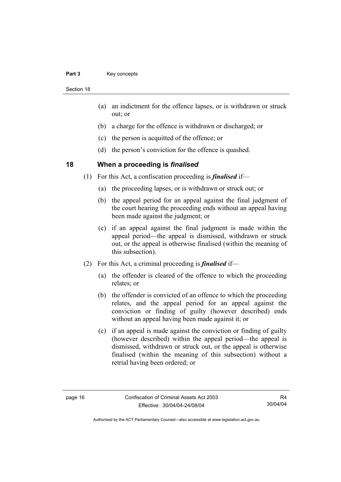### Part 3 **Key concepts**

Section 18

- (a) an indictment for the offence lapses, or is withdrawn or struck out; or
- (b) a charge for the offence is withdrawn or discharged; or
- (c) the person is acquitted of the offence; or
- (d) the person's conviction for the offence is quashed.

## **18 When a proceeding is** *finalised*

- (1) For this Act, a confiscation proceeding is *finalised* if—
	- (a) the proceeding lapses, or is withdrawn or struck out; or
	- (b) the appeal period for an appeal against the final judgment of the court hearing the proceeding ends without an appeal having been made against the judgment; or
	- (c) if an appeal against the final judgment is made within the appeal period—the appeal is dismissed, withdrawn or struck out, or the appeal is otherwise finalised (within the meaning of this subsection).
- (2) For this Act, a criminal proceeding is *finalised* if—
	- (a) the offender is cleared of the offence to which the proceeding relates; or
	- (b) the offender is convicted of an offence to which the proceeding relates, and the appeal period for an appeal against the conviction or finding of guilty (however described) ends without an appeal having been made against it; or
	- (c) if an appeal is made against the conviction or finding of guilty (however described) within the appeal period—the appeal is dismissed, withdrawn or struck out, or the appeal is otherwise finalised (within the meaning of this subsection) without a retrial having been ordered; or

R4 30/04/04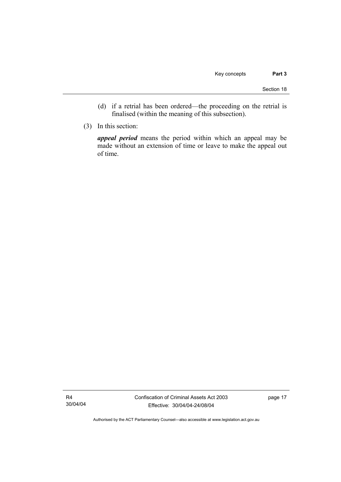- (d) if a retrial has been ordered—the proceeding on the retrial is finalised (within the meaning of this subsection).
- (3) In this section:

*appeal period* means the period within which an appeal may be made without an extension of time or leave to make the appeal out of time.

R4 30/04/04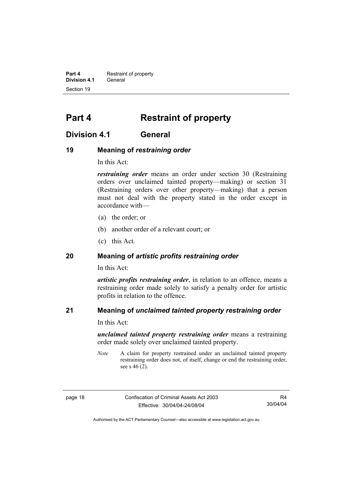**Part 4 Restraint of property Division 4.1** General Section 19

## **Part 4 Restraint of property**

## **Division 4.1 General**

## **19 Meaning of** *restraining order*

In this Act:

*restraining order* means an order under section 30 (Restraining orders over unclaimed tainted property—making) or section 31 (Restraining orders over other property—making) that a person must not deal with the property stated in the order except in accordance with—

- (a) the order; or
- (b) another order of a relevant court; or
- (c) this Act.

## **20 Meaning of** *artistic profits restraining order*

In this Act:

*artistic profits restraining order*, in relation to an offence, means a restraining order made solely to satisfy a penalty order for artistic profits in relation to the offence.

## **21 Meaning of** *unclaimed tainted property restraining order*

In this Act:

*unclaimed tainted property restraining order* means a restraining order made solely over unclaimed tainted property.

*Note* A claim for property restrained under an unclaimed tainted property restraining order does not, of itself, change or end the restraining order, see s 46 (2).

page 18 Confiscation of Criminal Assets Act 2003 Effective: 30/04/04-24/08/04

R4 30/04/04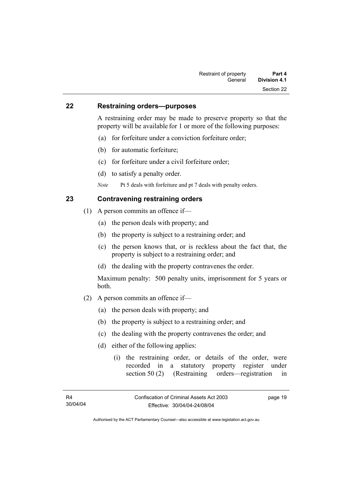### **22 Restraining orders—purposes**

A restraining order may be made to preserve property so that the property will be available for 1 or more of the following purposes:

- (a) for forfeiture under a conviction forfeiture order;
- (b) for automatic forfeiture;
- (c) for forfeiture under a civil forfeiture order;
- (d) to satisfy a penalty order.
- *Note* Pt 5 deals with forfeiture and pt 7 deals with penalty orders.

## **23 Contravening restraining orders**

- (1) A person commits an offence if—
	- (a) the person deals with property; and
	- (b) the property is subject to a restraining order; and
	- (c) the person knows that, or is reckless about the fact that, the property is subject to a restraining order; and
	- (d) the dealing with the property contravenes the order.

Maximum penalty: 500 penalty units, imprisonment for 5 years or both.

- (2) A person commits an offence if—
	- (a) the person deals with property; and
	- (b) the property is subject to a restraining order; and
	- (c) the dealing with the property contravenes the order; and
	- (d) either of the following applies:
		- (i) the restraining order, or details of the order, were recorded in a statutory property register under section 50 (2) (Restraining orders—registration in

page 19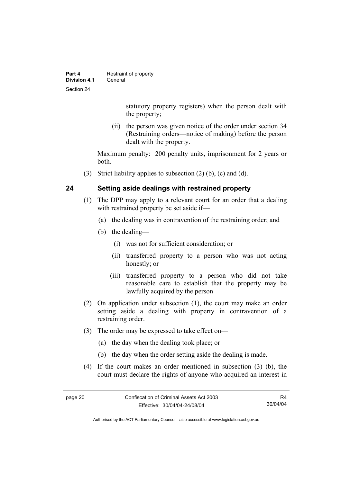| Part 4       | Restraint of property |
|--------------|-----------------------|
| Division 4.1 | General               |
| Section 24   |                       |

statutory property registers) when the person dealt with the property;

 (ii) the person was given notice of the order under section 34 (Restraining orders—notice of making) before the person dealt with the property.

Maximum penalty: 200 penalty units, imprisonment for 2 years or both.

(3) Strict liability applies to subsection (2) (b), (c) and (d).

## **24 Setting aside dealings with restrained property**

- (1) The DPP may apply to a relevant court for an order that a dealing with restrained property be set aside if—
	- (a) the dealing was in contravention of the restraining order; and
	- (b) the dealing—
		- (i) was not for sufficient consideration; or
		- (ii) transferred property to a person who was not acting honestly; or
		- (iii) transferred property to a person who did not take reasonable care to establish that the property may be lawfully acquired by the person
- (2) On application under subsection (1), the court may make an order setting aside a dealing with property in contravention of a restraining order.
- (3) The order may be expressed to take effect on—
	- (a) the day when the dealing took place; or
	- (b) the day when the order setting aside the dealing is made.
- (4) If the court makes an order mentioned in subsection (3) (b), the court must declare the rights of anyone who acquired an interest in

R4 30/04/04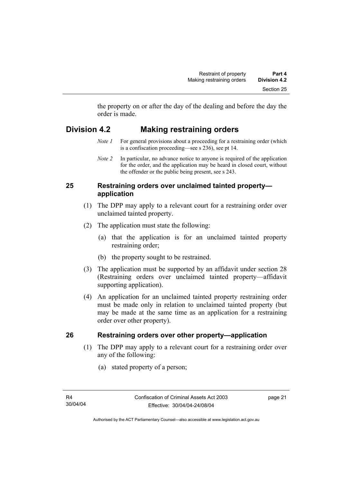the property on or after the day of the dealing and before the day the order is made.

## **Division 4.2 Making restraining orders**

- *Note 1* For general provisions about a proceeding for a restraining order (which is a confiscation proceeding—see s 236), see pt 14.
- *Note 2* In particular, no advance notice to anyone is required of the application for the order, and the application may be heard in closed court, without the offender or the public being present, see s 243.

## **25 Restraining orders over unclaimed tainted property application**

- (1) The DPP may apply to a relevant court for a restraining order over unclaimed tainted property.
- (2) The application must state the following:
	- (a) that the application is for an unclaimed tainted property restraining order;
	- (b) the property sought to be restrained.
- (3) The application must be supported by an affidavit under section 28 (Restraining orders over unclaimed tainted property—affidavit supporting application).
- (4) An application for an unclaimed tainted property restraining order must be made only in relation to unclaimed tainted property (but may be made at the same time as an application for a restraining order over other property).

## **26 Restraining orders over other property—application**

- (1) The DPP may apply to a relevant court for a restraining order over any of the following:
	- (a) stated property of a person;

page 21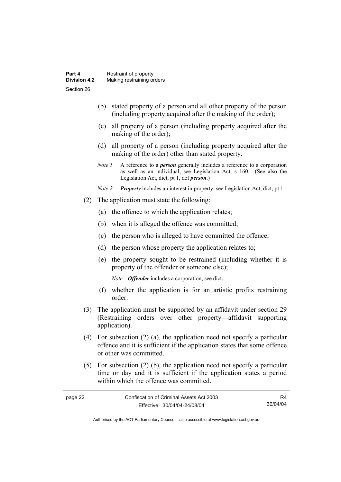- (b) stated property of a person and all other property of the person (including property acquired after the making of the order);
- (c) all property of a person (including property acquired after the making of the order);
- (d) all property of a person (including property acquired after the making of the order) other than stated property.
- *Note 1* A reference to a *person* generally includes a reference to a corporation as well as an individual, see Legislation Act, s 160. (See also the Legislation Act, dict, pt 1, def *person*.)
- *Note 2 Property* includes an interest in property, see Legislation Act, dict, pt 1.
- (2) The application must state the following:
	- (a) the offence to which the application relates;
	- (b) when it is alleged the offence was committed;
	- (c) the person who is alleged to have committed the offence;
	- (d) the person whose property the application relates to;
	- (e) the property sought to be restrained (including whether it is property of the offender or someone else);

*Note Offender* includes a corporation, see dict.

- (f) whether the application is for an artistic profits restraining order.
- (3) The application must be supported by an affidavit under section 29 (Restraining orders over other property—affidavit supporting application).
- (4) For subsection (2) (a), the application need not specify a particular offence and it is sufficient if the application states that some offence or other was committed.
- (5) For subsection (2) (b), the application need not specify a particular time or day and it is sufficient if the application states a period within which the offence was committed.

| page 22 | Confiscation of Criminal Assets Act 2003 |          |
|---------|------------------------------------------|----------|
|         | Effective: 30/04/04-24/08/04             | 30/04/04 |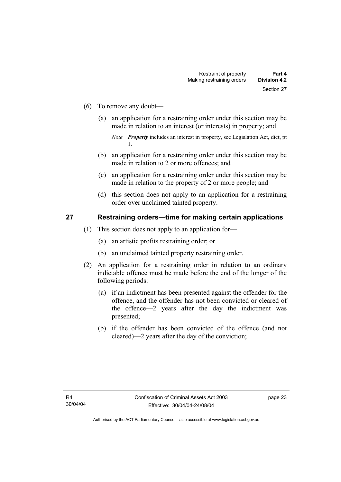- (6) To remove any doubt—
	- (a) an application for a restraining order under this section may be made in relation to an interest (or interests) in property; and

- (b) an application for a restraining order under this section may be made in relation to 2 or more offences; and
- (c) an application for a restraining order under this section may be made in relation to the property of 2 or more people; and
- (d) this section does not apply to an application for a restraining order over unclaimed tainted property.

# **27 Restraining orders—time for making certain applications**

- (1) This section does not apply to an application for—
	- (a) an artistic profits restraining order; or
	- (b) an unclaimed tainted property restraining order.
- (2) An application for a restraining order in relation to an ordinary indictable offence must be made before the end of the longer of the following periods:
	- (a) if an indictment has been presented against the offender for the offence, and the offender has not been convicted or cleared of the offence—2 years after the day the indictment was presented;
	- (b) if the offender has been convicted of the offence (and not cleared)—2 years after the day of the conviction;

*Note Property* includes an interest in property, see Legislation Act, dict, pt 1.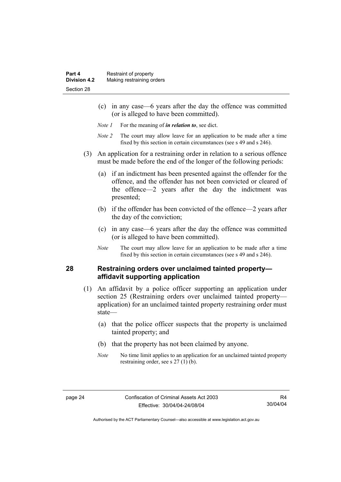- (c) in any case—6 years after the day the offence was committed (or is alleged to have been committed).
- *Note 1* For the meaning of *in relation to*, see dict.
- *Note 2* The court may allow leave for an application to be made after a time fixed by this section in certain circumstances (see s 49 and s 246).
- (3) An application for a restraining order in relation to a serious offence must be made before the end of the longer of the following periods:
	- (a) if an indictment has been presented against the offender for the offence, and the offender has not been convicted or cleared of the offence—2 years after the day the indictment was presented;
	- (b) if the offender has been convicted of the offence—2 years after the day of the conviction;
	- (c) in any case—6 years after the day the offence was committed (or is alleged to have been committed).
	- *Note* The court may allow leave for an application to be made after a time fixed by this section in certain circumstances (see s 49 and s 246).

# **28 Restraining orders over unclaimed tainted property affidavit supporting application**

- (1) An affidavit by a police officer supporting an application under section 25 (Restraining orders over unclaimed tainted property application) for an unclaimed tainted property restraining order must state—
	- (a) that the police officer suspects that the property is unclaimed tainted property; and
	- (b) that the property has not been claimed by anyone.
	- *Note* No time limit applies to an application for an unclaimed tainted property restraining order, see s 27 (1) (b).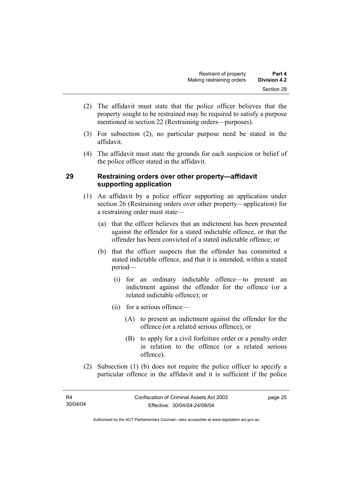- (2) The affidavit must state that the police officer believes that the property sought to be restrained may be required to satisfy a purpose mentioned in section 22 (Restraining orders—purposes).
- (3) For subsection (2), no particular purpose need be stated in the affidavit.
- (4) The affidavit must state the grounds for each suspicion or belief of the police officer stated in the affidavit.

# **29 Restraining orders over other property—affidavit supporting application**

- (1) An affidavit by a police officer supporting an application under section 26 (Restraining orders over other property—application) for a restraining order must state—
	- (a) that the officer believes that an indictment has been presented against the offender for a stated indictable offence, or that the offender has been convicted of a stated indictable offence; or
	- (b) that the officer suspects that the offender has committed a stated indictable offence, and that it is intended, within a stated period—
		- (i) for an ordinary indictable offence—to present an indictment against the offender for the offence (or a related indictable offence); or
		- (ii) for a serious offence—
			- (A) to present an indictment against the offender for the offence (or a related serious offence); or
			- (B) to apply for a civil forfeiture order or a penalty order in relation to the offence (or a related serious offence).
- (2) Subsection (1) (b) does not require the police officer to specify a particular offence in the affidavit and it is sufficient if the police

page 25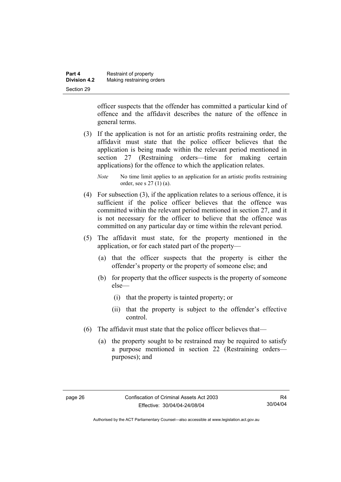| Part 4              | Restraint of property     |
|---------------------|---------------------------|
| <b>Division 4.2</b> | Making restraining orders |
| Section 29          |                           |

officer suspects that the offender has committed a particular kind of offence and the affidavit describes the nature of the offence in general terms.

- (3) If the application is not for an artistic profits restraining order, the affidavit must state that the police officer believes that the application is being made within the relevant period mentioned in section 27 (Restraining orders—time for making certain applications) for the offence to which the application relates.
	- *Note* No time limit applies to an application for an artistic profits restraining order, see s 27 (1) (a).
- (4) For subsection (3), if the application relates to a serious offence, it is sufficient if the police officer believes that the offence was committed within the relevant period mentioned in section 27, and it is not necessary for the officer to believe that the offence was committed on any particular day or time within the relevant period.
- (5) The affidavit must state, for the property mentioned in the application, or for each stated part of the property—
	- (a) that the officer suspects that the property is either the offender's property or the property of someone else; and
	- (b) for property that the officer suspects is the property of someone else—
		- (i) that the property is tainted property; or
		- (ii) that the property is subject to the offender's effective control.
- (6) The affidavit must state that the police officer believes that—
	- (a) the property sought to be restrained may be required to satisfy a purpose mentioned in section 22 (Restraining orders purposes); and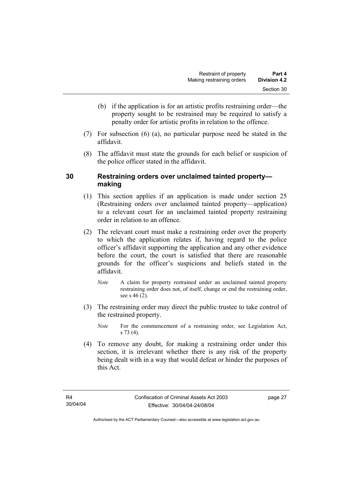- (b) if the application is for an artistic profits restraining order—the property sought to be restrained may be required to satisfy a penalty order for artistic profits in relation to the offence.
- (7) For subsection (6) (a), no particular purpose need be stated in the affidavit.
- (8) The affidavit must state the grounds for each belief or suspicion of the police officer stated in the affidavit.

# **30 Restraining orders over unclaimed tainted property making**

- (1) This section applies if an application is made under section 25 (Restraining orders over unclaimed tainted property—application) to a relevant court for an unclaimed tainted property restraining order in relation to an offence.
- (2) The relevant court must make a restraining order over the property to which the application relates if, having regard to the police officer's affidavit supporting the application and any other evidence before the court, the court is satisfied that there are reasonable grounds for the officer's suspicions and beliefs stated in the affidavit.
	- *Note* A claim for property restrained under an unclaimed tainted property restraining order does not, of itself, change or end the restraining order, see s 46 (2).
- (3) The restraining order may direct the public trustee to take control of the restrained property.
	- *Note* For the commencement of a restraining order, see Legislation Act, s 73 (4).
- (4) To remove any doubt, for making a restraining order under this section, it is irrelevant whether there is any risk of the property being dealt with in a way that would defeat or hinder the purposes of this Act.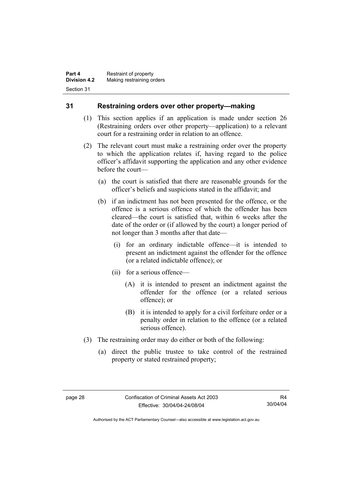# **31 Restraining orders over other property—making**

- (1) This section applies if an application is made under section 26 (Restraining orders over other property—application) to a relevant court for a restraining order in relation to an offence.
- (2) The relevant court must make a restraining order over the property to which the application relates if, having regard to the police officer's affidavit supporting the application and any other evidence before the court—
	- (a) the court is satisfied that there are reasonable grounds for the officer's beliefs and suspicions stated in the affidavit; and
	- (b) if an indictment has not been presented for the offence, or the offence is a serious offence of which the offender has been cleared—the court is satisfied that, within 6 weeks after the date of the order or (if allowed by the court) a longer period of not longer than 3 months after that date—
		- (i) for an ordinary indictable offence—it is intended to present an indictment against the offender for the offence (or a related indictable offence); or
		- (ii) for a serious offence—
			- (A) it is intended to present an indictment against the offender for the offence (or a related serious offence); or
			- (B) it is intended to apply for a civil forfeiture order or a penalty order in relation to the offence (or a related serious offence).
- (3) The restraining order may do either or both of the following:
	- (a) direct the public trustee to take control of the restrained property or stated restrained property;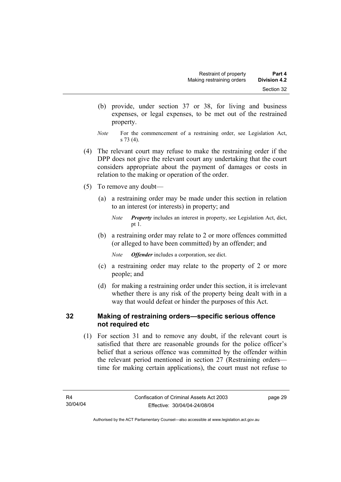- (b) provide, under section 37 or 38, for living and business expenses, or legal expenses, to be met out of the restrained property.
- *Note* For the commencement of a restraining order, see Legislation Act, s 73 (4).
- (4) The relevant court may refuse to make the restraining order if the DPP does not give the relevant court any undertaking that the court considers appropriate about the payment of damages or costs in relation to the making or operation of the order.
- (5) To remove any doubt—
	- (a) a restraining order may be made under this section in relation to an interest (or interests) in property; and

 (b) a restraining order may relate to 2 or more offences committed (or alleged to have been committed) by an offender; and

*Note Offender* includes a corporation, see dict.

- (c) a restraining order may relate to the property of 2 or more people; and
- (d) for making a restraining order under this section, it is irrelevant whether there is any risk of the property being dealt with in a way that would defeat or hinder the purposes of this Act.

# **32 Making of restraining orders—specific serious offence not required etc**

 (1) For section 31 and to remove any doubt, if the relevant court is satisfied that there are reasonable grounds for the police officer's belief that a serious offence was committed by the offender within the relevant period mentioned in section 27 (Restraining orders time for making certain applications), the court must not refuse to

page 29

*Note Property* includes an interest in property, see Legislation Act, dict, pt 1.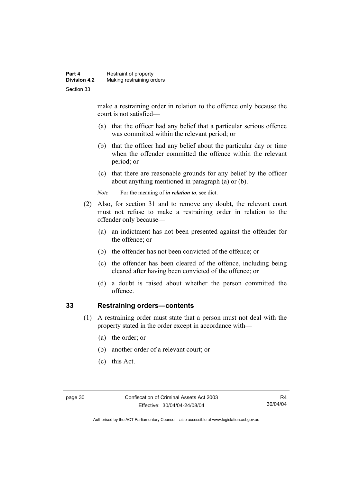make a restraining order in relation to the offence only because the court is not satisfied—

- (a) that the officer had any belief that a particular serious offence was committed within the relevant period; or
- (b) that the officer had any belief about the particular day or time when the offender committed the offence within the relevant period; or
- (c) that there are reasonable grounds for any belief by the officer about anything mentioned in paragraph (a) or (b).

*Note* For the meaning of *in relation to*, see dict.

- (2) Also, for section 31 and to remove any doubt, the relevant court must not refuse to make a restraining order in relation to the offender only because—
	- (a) an indictment has not been presented against the offender for the offence; or
	- (b) the offender has not been convicted of the offence; or
	- (c) the offender has been cleared of the offence, including being cleared after having been convicted of the offence; or
	- (d) a doubt is raised about whether the person committed the offence.

# **33 Restraining orders—contents**

- (1) A restraining order must state that a person must not deal with the property stated in the order except in accordance with—
	- (a) the order; or
	- (b) another order of a relevant court; or
	- (c) this Act.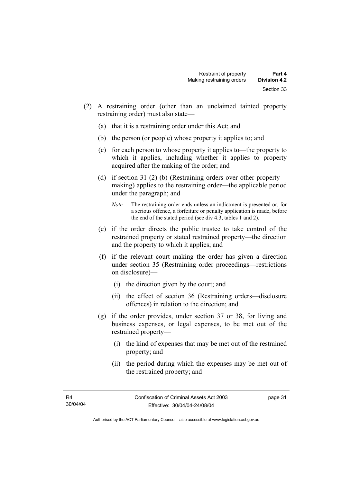- (2) A restraining order (other than an unclaimed tainted property restraining order) must also state—
	- (a) that it is a restraining order under this Act; and
	- (b) the person (or people) whose property it applies to; and
	- (c) for each person to whose property it applies to—the property to which it applies, including whether it applies to property acquired after the making of the order; and
	- (d) if section 31 (2) (b) (Restraining orders over other property making) applies to the restraining order—the applicable period under the paragraph; and
		- *Note* The restraining order ends unless an indictment is presented or, for a serious offence, a forfeiture or penalty application is made, before the end of the stated period (see div 4.3, tables 1 and 2).
	- (e) if the order directs the public trustee to take control of the restrained property or stated restrained property—the direction and the property to which it applies; and
	- (f) if the relevant court making the order has given a direction under section 35 (Restraining order proceedings—restrictions on disclosure)—
		- (i) the direction given by the court; and
		- (ii) the effect of section 36 (Restraining orders—disclosure offences) in relation to the direction; and
	- (g) if the order provides, under section 37 or 38, for living and business expenses, or legal expenses, to be met out of the restrained property—
		- (i) the kind of expenses that may be met out of the restrained property; and
		- (ii) the period during which the expenses may be met out of the restrained property; and

page 31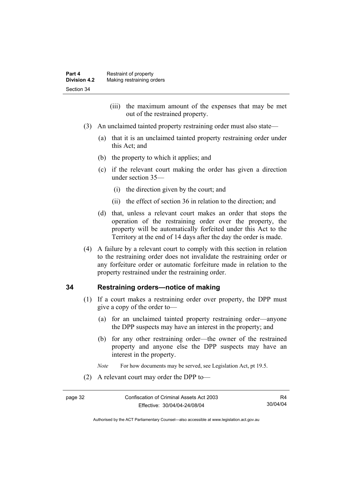- (iii) the maximum amount of the expenses that may be met out of the restrained property.
- (3) An unclaimed tainted property restraining order must also state—
	- (a) that it is an unclaimed tainted property restraining order under this Act; and
	- (b) the property to which it applies; and
	- (c) if the relevant court making the order has given a direction under section 35—
		- (i) the direction given by the court; and
		- (ii) the effect of section 36 in relation to the direction; and
	- (d) that, unless a relevant court makes an order that stops the operation of the restraining order over the property, the property will be automatically forfeited under this Act to the Territory at the end of 14 days after the day the order is made.
- (4) A failure by a relevant court to comply with this section in relation to the restraining order does not invalidate the restraining order or any forfeiture order or automatic forfeiture made in relation to the property restrained under the restraining order.

# **34 Restraining orders—notice of making**

- (1) If a court makes a restraining order over property, the DPP must give a copy of the order to—
	- (a) for an unclaimed tainted property restraining order—anyone the DPP suspects may have an interest in the property; and
	- (b) for any other restraining order—the owner of the restrained property and anyone else the DPP suspects may have an interest in the property.
	- *Note* For how documents may be served, see Legislation Act, pt 19.5.
- (2) A relevant court may order the DPP to—

R4 30/04/04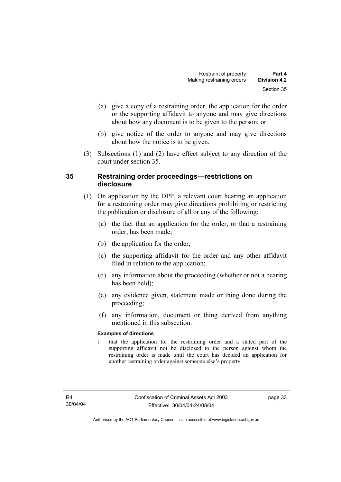- (a) give a copy of a restraining order, the application for the order or the supporting affidavit to anyone and may give directions about how any document is to be given to the person; or
- (b) give notice of the order to anyone and may give directions about how the notice is to be given.
- (3) Subsections (1) and (2) have effect subject to any direction of the court under section 35.

# **35 Restraining order proceedings—restrictions on disclosure**

- (1) On application by the DPP, a relevant court hearing an application for a restraining order may give directions prohibiting or restricting the publication or disclosure of all or any of the following:
	- (a) the fact that an application for the order, or that a restraining order, has been made;
	- (b) the application for the order;
	- (c) the supporting affidavit for the order and any other affidavit filed in relation to the application;
	- (d) any information about the proceeding (whether or not a hearing has been held);
	- (e) any evidence given, statement made or thing done during the proceeding;
	- (f) any information, document or thing derived from anything mentioned in this subsection.

#### **Examples of directions**

1 that the application for the restraining order and a stated part of the supporting affidavit not be disclosed to the person against whom the restraining order is made until the court has decided an application for another restraining order against someone else's property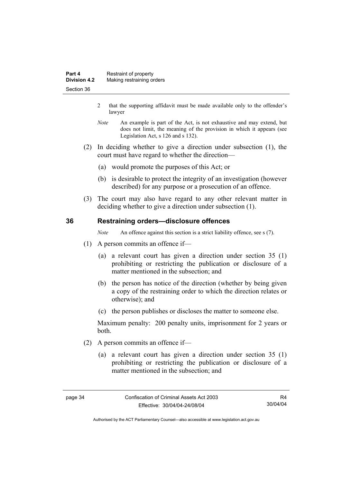- 2 that the supporting affidavit must be made available only to the offender's lawyer
- *Note* An example is part of the Act, is not exhaustive and may extend, but does not limit, the meaning of the provision in which it appears (see Legislation Act, s 126 and s 132).
- (2) In deciding whether to give a direction under subsection (1), the court must have regard to whether the direction—
	- (a) would promote the purposes of this Act; or
	- (b) is desirable to protect the integrity of an investigation (however described) for any purpose or a prosecution of an offence.
- (3) The court may also have regard to any other relevant matter in deciding whether to give a direction under subsection (1).

# **36 Restraining orders—disclosure offences**

*Note* An offence against this section is a strict liability offence, see s (7).

- (1) A person commits an offence if—
	- (a) a relevant court has given a direction under section 35 (1) prohibiting or restricting the publication or disclosure of a matter mentioned in the subsection; and
	- (b) the person has notice of the direction (whether by being given a copy of the restraining order to which the direction relates or otherwise); and
	- (c) the person publishes or discloses the matter to someone else.

Maximum penalty: 200 penalty units, imprisonment for 2 years or both.

- (2) A person commits an offence if—
	- (a) a relevant court has given a direction under section 35 (1) prohibiting or restricting the publication or disclosure of a matter mentioned in the subsection; and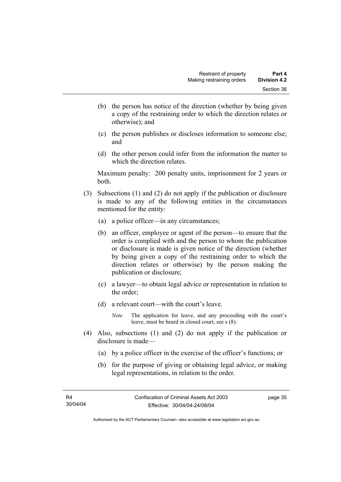- (b) the person has notice of the direction (whether by being given a copy of the restraining order to which the direction relates or otherwise); and
- (c) the person publishes or discloses information to someone else; and
- (d) the other person could infer from the information the matter to which the direction relates.

Maximum penalty: 200 penalty units, imprisonment for 2 years or both.

- (3) Subsections (1) and (2) do not apply if the publication or disclosure is made to any of the following entities in the circumstances mentioned for the entity:
	- (a) a police officer—in any circumstances;
	- (b) an officer, employee or agent of the person—to ensure that the order is complied with and the person to whom the publication or disclosure is made is given notice of the direction (whether by being given a copy of the restraining order to which the direction relates or otherwise) by the person making the publication or disclosure;
	- (c) a lawyer—to obtain legal advice or representation in relation to the order;
	- (d) a relevant court—with the court's leave.
		- *Note* The application for leave, and any proceeding with the court's leave, must be heard in closed court, see s (8).
- (4) Also, subsections (1) and (2) do not apply if the publication or disclosure is made—
	- (a) by a police officer in the exercise of the officer's functions; or
	- (b) for the purpose of giving or obtaining legal advice, or making legal representations, in relation to the order.

page 35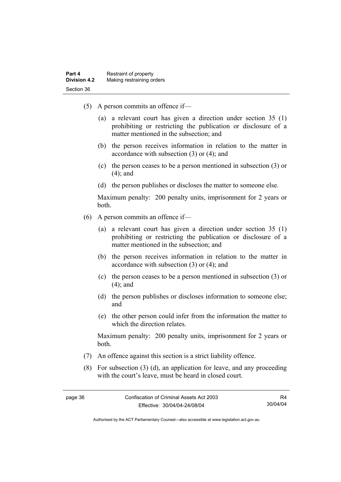- (5) A person commits an offence if—
	- (a) a relevant court has given a direction under section 35 (1) prohibiting or restricting the publication or disclosure of a matter mentioned in the subsection; and
	- (b) the person receives information in relation to the matter in accordance with subsection (3) or (4); and
	- (c) the person ceases to be a person mentioned in subsection (3) or (4); and
	- (d) the person publishes or discloses the matter to someone else.

Maximum penalty: 200 penalty units, imprisonment for 2 years or both.

- (6) A person commits an offence if—
	- (a) a relevant court has given a direction under section 35 (1) prohibiting or restricting the publication or disclosure of a matter mentioned in the subsection; and
	- (b) the person receives information in relation to the matter in accordance with subsection (3) or (4); and
	- (c) the person ceases to be a person mentioned in subsection (3) or (4); and
	- (d) the person publishes or discloses information to someone else; and
	- (e) the other person could infer from the information the matter to which the direction relates.

Maximum penalty: 200 penalty units, imprisonment for 2 years or both.

- (7) An offence against this section is a strict liability offence.
- (8) For subsection (3) (d), an application for leave, and any proceeding with the court's leave, must be heard in closed court.

Authorised by the ACT Parliamentary Counsel—also accessible at www.legislation.act.gov.au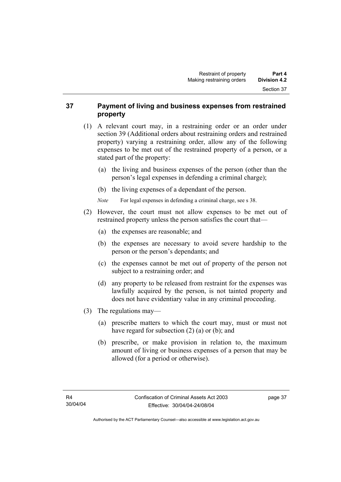# **37 Payment of living and business expenses from restrained property**

- (1) A relevant court may, in a restraining order or an order under section 39 (Additional orders about restraining orders and restrained property) varying a restraining order, allow any of the following expenses to be met out of the restrained property of a person, or a stated part of the property:
	- (a) the living and business expenses of the person (other than the person's legal expenses in defending a criminal charge);
	- (b) the living expenses of a dependant of the person.
	- *Note* For legal expenses in defending a criminal charge, see s 38.
- (2) However, the court must not allow expenses to be met out of restrained property unless the person satisfies the court that—
	- (a) the expenses are reasonable; and
	- (b) the expenses are necessary to avoid severe hardship to the person or the person's dependants; and
	- (c) the expenses cannot be met out of property of the person not subject to a restraining order; and
	- (d) any property to be released from restraint for the expenses was lawfully acquired by the person, is not tainted property and does not have evidentiary value in any criminal proceeding.
- (3) The regulations may—
	- (a) prescribe matters to which the court may, must or must not have regard for subsection (2) (a) or (b); and
	- (b) prescribe, or make provision in relation to, the maximum amount of living or business expenses of a person that may be allowed (for a period or otherwise).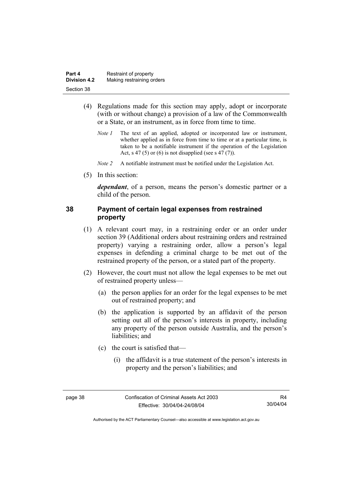| Part 4              | Restraint of property     |
|---------------------|---------------------------|
| <b>Division 4.2</b> | Making restraining orders |
| Section 38          |                           |

- (4) Regulations made for this section may apply, adopt or incorporate (with or without change) a provision of a law of the Commonwealth or a State, or an instrument, as in force from time to time.
	- *Note 1* The text of an applied, adopted or incorporated law or instrument, whether applied as in force from time to time or at a particular time, is taken to be a notifiable instrument if the operation of the Legislation Act, s 47 (5) or (6) is not disapplied (see s 47 (7)).
	- *Note 2* A notifiable instrument must be notified under the Legislation Act.
- (5) In this section:

*dependant*, of a person, means the person's domestic partner or a child of the person.

# **38 Payment of certain legal expenses from restrained property**

- (1) A relevant court may, in a restraining order or an order under section 39 (Additional orders about restraining orders and restrained property) varying a restraining order, allow a person's legal expenses in defending a criminal charge to be met out of the restrained property of the person, or a stated part of the property.
- (2) However, the court must not allow the legal expenses to be met out of restrained property unless—
	- (a) the person applies for an order for the legal expenses to be met out of restrained property; and
	- (b) the application is supported by an affidavit of the person setting out all of the person's interests in property, including any property of the person outside Australia, and the person's liabilities; and
	- (c) the court is satisfied that—
		- (i) the affidavit is a true statement of the person's interests in property and the person's liabilities; and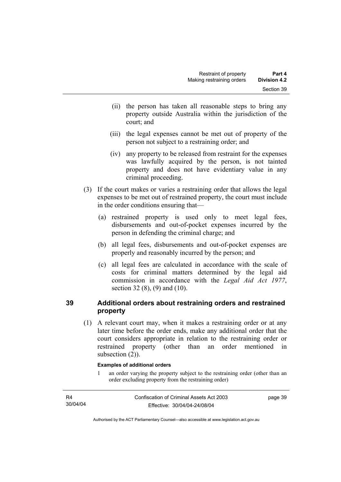- (ii) the person has taken all reasonable steps to bring any property outside Australia within the jurisdiction of the court; and
- (iii) the legal expenses cannot be met out of property of the person not subject to a restraining order; and
- (iv) any property to be released from restraint for the expenses was lawfully acquired by the person, is not tainted property and does not have evidentiary value in any criminal proceeding.
- (3) If the court makes or varies a restraining order that allows the legal expenses to be met out of restrained property, the court must include in the order conditions ensuring that—
	- (a) restrained property is used only to meet legal fees, disbursements and out-of-pocket expenses incurred by the person in defending the criminal charge; and
	- (b) all legal fees, disbursements and out-of-pocket expenses are properly and reasonably incurred by the person; and
	- (c) all legal fees are calculated in accordance with the scale of costs for criminal matters determined by the legal aid commission in accordance with the *Legal Aid Act 1977*, section 32 (8), (9) and (10).

# **39 Additional orders about restraining orders and restrained property**

 (1) A relevant court may, when it makes a restraining order or at any later time before the order ends, make any additional order that the court considers appropriate in relation to the restraining order or restrained property (other than an order mentioned in subsection  $(2)$ ).

#### **Examples of additional orders**

1 an order varying the property subject to the restraining order (other than an order excluding property from the restraining order)

| R4       | Confiscation of Criminal Assets Act 2003 | page 39 |
|----------|------------------------------------------|---------|
| 30/04/04 | Effective: 30/04/04-24/08/04             |         |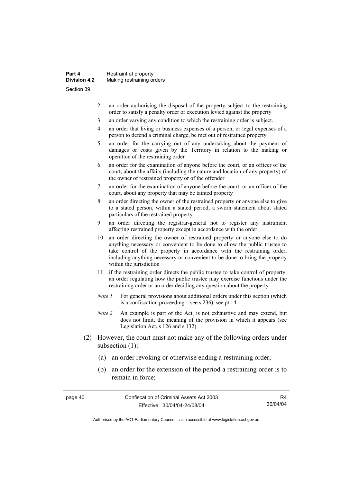| Part 4<br><b>Division 4.2</b> | Restraint of property     |
|-------------------------------|---------------------------|
|                               | Making restraining orders |
| Section 39                    |                           |

- 2 an order authorising the disposal of the property subject to the restraining order to satisfy a penalty order or execution levied against the property
- 3 an order varying any condition to which the restraining order is subject.
- 4 an order that living or business expenses of a person, or legal expenses of a person to defend a criminal charge, be met out of restrained property
- 5 an order for the carrying out of any undertaking about the payment of damages or costs given by the Territory in relation to the making or operation of the restraining order
- 6 an order for the examination of anyone before the court, or an officer of the court, about the affairs (including the nature and location of any property) of the owner of restrained property or of the offender
- 7 an order for the examination of anyone before the court, or an officer of the court, about any property that may be tainted property
- 8 an order directing the owner of the restrained property or anyone else to give to a stated person, within a stated period, a sworn statement about stated particulars of the restrained property
- 9 an order directing the registrar-general not to register any instrument affecting restrained property except in accordance with the order
- 10 an order directing the owner of restrained property or anyone else to do anything necessary or convenient to be done to allow the public trustee to take control of the property in accordance with the restraining order, including anything necessary or convenient to be done to bring the property within the jurisdiction
- 11 if the restraining order directs the public trustee to take control of property, an order regulating how the public trustee may exercise functions under the restraining order or an order deciding any question about the property
- *Note 1* For general provisions about additional orders under this section (which is a confiscation proceeding—see s 236), see pt 14.
- *Note 2* An example is part of the Act, is not exhaustive and may extend, but does not limit, the meaning of the provision in which it appears (see Legislation Act, s 126 and s 132).
- (2) However, the court must not make any of the following orders under subsection (1):
	- (a) an order revoking or otherwise ending a restraining order;
	- (b) an order for the extension of the period a restraining order is to remain in force;

page 40 Confiscation of Criminal Assets Act 2003 Effective: 30/04/04-24/08/04

R4 30/04/04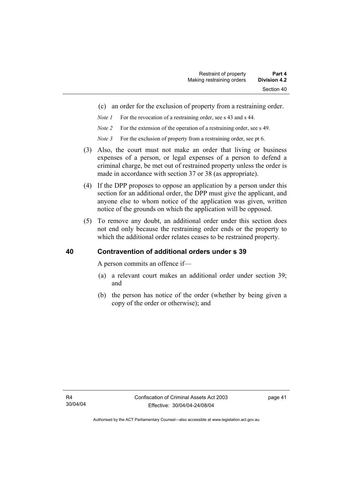- (c) an order for the exclusion of property from a restraining order.
- *Note 1* For the revocation of a restraining order, see s 43 and s 44.
- *Note 2* For the extension of the operation of a restraining order, see s 49.
- *Note 3* For the exclusion of property from a restraining order, see pt 6.
- (3) Also, the court must not make an order that living or business expenses of a person, or legal expenses of a person to defend a criminal charge, be met out of restrained property unless the order is made in accordance with section 37 or 38 (as appropriate).
- (4) If the DPP proposes to oppose an application by a person under this section for an additional order, the DPP must give the applicant, and anyone else to whom notice of the application was given, written notice of the grounds on which the application will be opposed.
- (5) To remove any doubt, an additional order under this section does not end only because the restraining order ends or the property to which the additional order relates ceases to be restrained property.

# **40 Contravention of additional orders under s 39**

A person commits an offence if—

- (a) a relevant court makes an additional order under section 39; and
- (b) the person has notice of the order (whether by being given a copy of the order or otherwise); and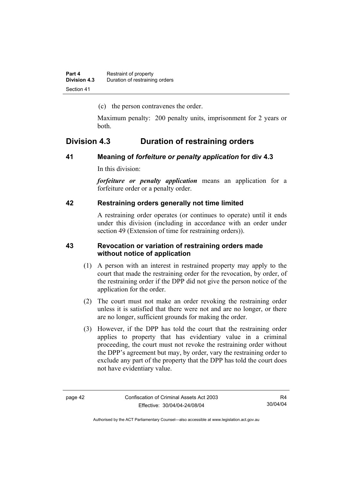(c) the person contravenes the order.

Maximum penalty: 200 penalty units, imprisonment for 2 years or both.

# **Division 4.3 Duration of restraining orders**

# **41 Meaning of** *forfeiture or penalty application* **for div 4.3**

In this division:

*forfeiture or penalty application* means an application for a forfeiture order or a penalty order.

#### **42 Restraining orders generally not time limited**

A restraining order operates (or continues to operate) until it ends under this division (including in accordance with an order under section 49 (Extension of time for restraining orders)).

# **43 Revocation or variation of restraining orders made without notice of application**

- (1) A person with an interest in restrained property may apply to the court that made the restraining order for the revocation, by order, of the restraining order if the DPP did not give the person notice of the application for the order.
- (2) The court must not make an order revoking the restraining order unless it is satisfied that there were not and are no longer, or there are no longer, sufficient grounds for making the order.
- (3) However, if the DPP has told the court that the restraining order applies to property that has evidentiary value in a criminal proceeding, the court must not revoke the restraining order without the DPP's agreement but may, by order, vary the restraining order to exclude any part of the property that the DPP has told the court does not have evidentiary value.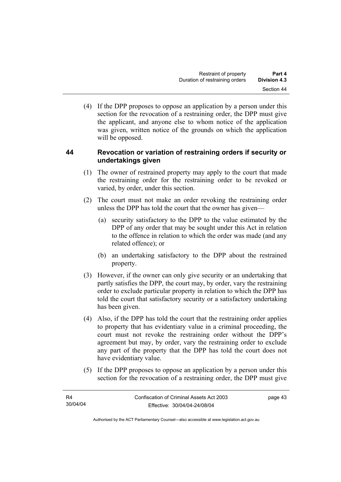(4) If the DPP proposes to oppose an application by a person under this section for the revocation of a restraining order, the DPP must give the applicant, and anyone else to whom notice of the application was given, written notice of the grounds on which the application will be opposed.

# **44 Revocation or variation of restraining orders if security or undertakings given**

- (1) The owner of restrained property may apply to the court that made the restraining order for the restraining order to be revoked or varied, by order, under this section.
- (2) The court must not make an order revoking the restraining order unless the DPP has told the court that the owner has given—
	- (a) security satisfactory to the DPP to the value estimated by the DPP of any order that may be sought under this Act in relation to the offence in relation to which the order was made (and any related offence); or
	- (b) an undertaking satisfactory to the DPP about the restrained property.
- (3) However, if the owner can only give security or an undertaking that partly satisfies the DPP, the court may, by order, vary the restraining order to exclude particular property in relation to which the DPP has told the court that satisfactory security or a satisfactory undertaking has been given.
- (4) Also, if the DPP has told the court that the restraining order applies to property that has evidentiary value in a criminal proceeding, the court must not revoke the restraining order without the DPP's agreement but may, by order, vary the restraining order to exclude any part of the property that the DPP has told the court does not have evidentiary value.
- (5) If the DPP proposes to oppose an application by a person under this section for the revocation of a restraining order, the DPP must give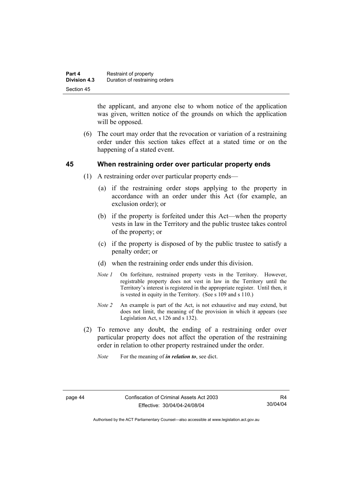| Part 4              | Restraint of property          |
|---------------------|--------------------------------|
| <b>Division 4.3</b> | Duration of restraining orders |
| Section 45          |                                |

the applicant, and anyone else to whom notice of the application was given, written notice of the grounds on which the application will be opposed.

 (6) The court may order that the revocation or variation of a restraining order under this section takes effect at a stated time or on the happening of a stated event.

# **45 When restraining order over particular property ends**

- (1) A restraining order over particular property ends—
	- (a) if the restraining order stops applying to the property in accordance with an order under this Act (for example, an exclusion order); or
	- (b) if the property is forfeited under this Act—when the property vests in law in the Territory and the public trustee takes control of the property; or
	- (c) if the property is disposed of by the public trustee to satisfy a penalty order; or
	- (d) when the restraining order ends under this division.
	- *Note 1* On forfeiture, restrained property vests in the Territory. However, registrable property does not vest in law in the Territory until the Territory's interest is registered in the appropriate register. Until then, it is vested in equity in the Territory. (See s 109 and s 110.)
	- *Note 2* An example is part of the Act, is not exhaustive and may extend, but does not limit, the meaning of the provision in which it appears (see Legislation Act, s 126 and s 132).
- (2) To remove any doubt, the ending of a restraining order over particular property does not affect the operation of the restraining order in relation to other property restrained under the order.
	- *Note* For the meaning of *in relation to*, see dict.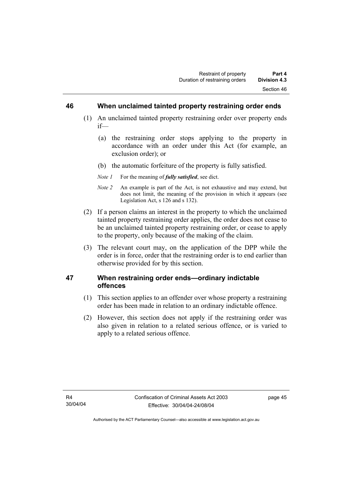# **46 When unclaimed tainted property restraining order ends**

- (1) An unclaimed tainted property restraining order over property ends if—
	- (a) the restraining order stops applying to the property in accordance with an order under this Act (for example, an exclusion order); or
	- (b) the automatic forfeiture of the property is fully satisfied.
	- *Note 1* For the meaning of *fully satisfied*, see dict.
	- *Note 2* An example is part of the Act, is not exhaustive and may extend, but does not limit, the meaning of the provision in which it appears (see Legislation Act, s 126 and s 132).
- (2) If a person claims an interest in the property to which the unclaimed tainted property restraining order applies, the order does not cease to be an unclaimed tainted property restraining order, or cease to apply to the property, only because of the making of the claim.
- (3) The relevant court may, on the application of the DPP while the order is in force, order that the restraining order is to end earlier than otherwise provided for by this section.

# **47 When restraining order ends—ordinary indictable offences**

- (1) This section applies to an offender over whose property a restraining order has been made in relation to an ordinary indictable offence.
- (2) However, this section does not apply if the restraining order was also given in relation to a related serious offence, or is varied to apply to a related serious offence.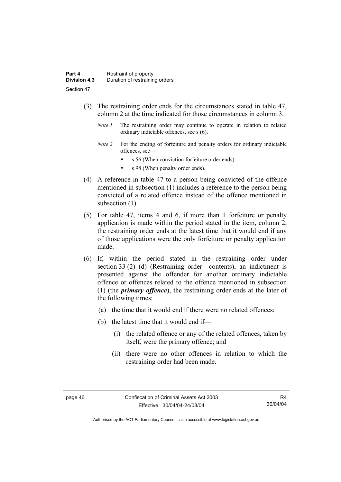- (3) The restraining order ends for the circumstances stated in table 47, column 2 at the time indicated for those circumstances in column 3.
	- *Note 1* The restraining order may continue to operate in relation to related ordinary indictable offences, see s (6).
	- *Note 2* For the ending of forfeiture and penalty orders for ordinary indictable offences, see
		- s 56 (When conviction forfeiture order ends)
		- s 98 (When penalty order ends).
- (4) A reference in table 47 to a person being convicted of the offence mentioned in subsection (1) includes a reference to the person being convicted of a related offence instead of the offence mentioned in subsection  $(1)$ .
- (5) For table 47, items 4 and 6, if more than 1 forfeiture or penalty application is made within the period stated in the item, column 2, the restraining order ends at the latest time that it would end if any of those applications were the only forfeiture or penalty application made.
- (6) If, within the period stated in the restraining order under section 33 (2) (d) (Restraining order—contents), an indictment is presented against the offender for another ordinary indictable offence or offences related to the offence mentioned in subsection (1) (the *primary offence*), the restraining order ends at the later of the following times:
	- (a) the time that it would end if there were no related offences;
	- (b) the latest time that it would end if—
		- (i) the related offence or any of the related offences, taken by itself, were the primary offence; and
		- (ii) there were no other offences in relation to which the restraining order had been made.

Authorised by the ACT Parliamentary Counsel—also accessible at www.legislation.act.gov.au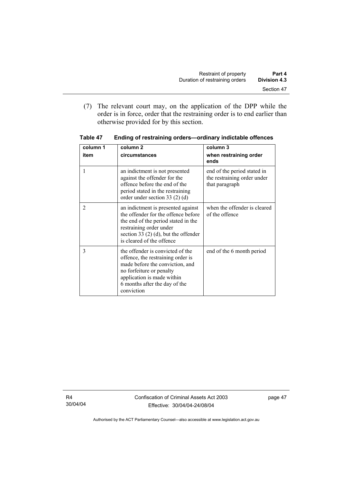(7) The relevant court may, on the application of the DPP while the order is in force, order that the restraining order is to end earlier than otherwise provided for by this section.

| column 1       | column <sub>2</sub>                                                                                                                                                                                                | column 3                                                                     |
|----------------|--------------------------------------------------------------------------------------------------------------------------------------------------------------------------------------------------------------------|------------------------------------------------------------------------------|
| item           | circumstances                                                                                                                                                                                                      | when restraining order<br>ends                                               |
|                | an indictment is not presented<br>against the offender for the<br>offence before the end of the<br>period stated in the restraining<br>order under section 33 $(2)$ $(d)$                                          | end of the period stated in<br>the restraining order under<br>that paragraph |
| $\overline{2}$ | an indictment is presented against<br>the offender for the offence before<br>the end of the period stated in the<br>restraining order under<br>section 33 $(2)$ (d), but the offender<br>is cleared of the offence | when the offender is cleared<br>of the offence                               |
| 3              | the offender is convicted of the<br>offence, the restraining order is<br>made before the conviction, and<br>no forfeiture or penalty<br>application is made within<br>6 months after the day of the<br>conviction  | end of the 6 month period                                                    |

**Table 47 Ending of restraining orders—ordinary indictable offences**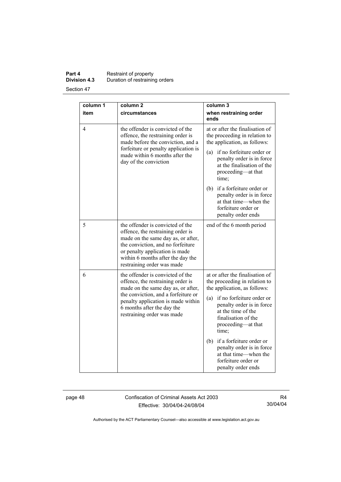# **Part 4 Restraint of property Division 4.3** Duration of restraining orders

Section 47

| column 1<br>item | column <sub>2</sub><br>circumstances                                                                                                                                                                                                                  | column 3<br>when restraining order<br>ends                                                                                                                                                                                                                                                                                                                                    |
|------------------|-------------------------------------------------------------------------------------------------------------------------------------------------------------------------------------------------------------------------------------------------------|-------------------------------------------------------------------------------------------------------------------------------------------------------------------------------------------------------------------------------------------------------------------------------------------------------------------------------------------------------------------------------|
| 4                | the offender is convicted of the<br>offence, the restraining order is<br>made before the conviction, and a<br>forfeiture or penalty application is<br>made within 6 months after the<br>day of the conviction                                         | at or after the finalisation of<br>the proceeding in relation to<br>the application, as follows:<br>if no forfeiture order or<br>(a)<br>penalty order is in force<br>at the finalisation of the<br>proceeding-at that<br>time;<br>(b) if a forfeiture order or<br>penalty order is in force<br>at that time—when the<br>forfeiture order or<br>penalty order ends             |
| 5                | the offender is convicted of the<br>offence, the restraining order is<br>made on the same day as, or after,<br>the conviction, and no forfeiture<br>or penalty application is made<br>within 6 months after the day the<br>restraining order was made | end of the 6 month period                                                                                                                                                                                                                                                                                                                                                     |
| 6                | the offender is convicted of the<br>offence, the restraining order is<br>made on the same day as, or after,<br>the conviction, and a forfeiture or<br>penalty application is made within<br>6 months after the day the<br>restraining order was made  | at or after the finalisation of<br>the proceeding in relation to<br>the application, as follows:<br>(a) if no forfeiture order or<br>penalty order is in force<br>at the time of the<br>finalisation of the<br>proceeding—at that<br>time:<br>(b) if a forfeiture order or<br>penalty order is in force<br>at that time—when the<br>forfeiture order or<br>penalty order ends |

page 48 Confiscation of Criminal Assets Act 2003 Effective: 30/04/04-24/08/04

R4 30/04/04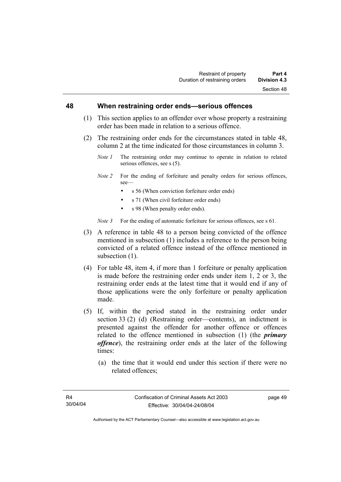#### **48 When restraining order ends—serious offences**

- (1) This section applies to an offender over whose property a restraining order has been made in relation to a serious offence.
- (2) The restraining order ends for the circumstances stated in table 48, column 2 at the time indicated for those circumstances in column 3.
	- *Note 1* The restraining order may continue to operate in relation to related serious offences, see s (5).
	- *Note 2* For the ending of forfeiture and penalty orders for serious offences, see—
		- s 56 (When conviction forfeiture order ends)
		- s 71 (When civil forfeiture order ends)
		- s 98 (When penalty order ends).

*Note 3* For the ending of automatic forfeiture for serious offences, see s 61.

- (3) A reference in table 48 to a person being convicted of the offence mentioned in subsection (1) includes a reference to the person being convicted of a related offence instead of the offence mentioned in subsection  $(1)$ .
- (4) For table 48, item 4, if more than 1 forfeiture or penalty application is made before the restraining order ends under item 1, 2 or 3, the restraining order ends at the latest time that it would end if any of those applications were the only forfeiture or penalty application made.
- (5) If, within the period stated in the restraining order under section 33 (2) (d) (Restraining order—contents), an indictment is presented against the offender for another offence or offences related to the offence mentioned in subsection (1) (the *primary offence*), the restraining order ends at the later of the following times:
	- (a) the time that it would end under this section if there were no related offences;

page 49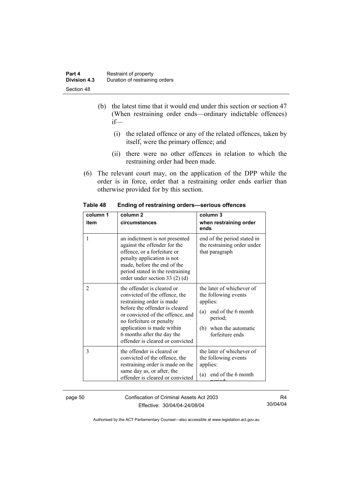| Part 4              | Restraint of property          |
|---------------------|--------------------------------|
| <b>Division 4.3</b> | Duration of restraining orders |
| Section 48          |                                |

- (b) the latest time that it would end under this section or section 47 (When restraining order ends—ordinary indictable offences) if—
	- (i) the related offence or any of the related offences, taken by itself, were the primary offence; and
	- (ii) there were no other offences in relation to which the restraining order had been made.
- (6) The relevant court may, on the application of the DPP while the order is in force, order that a restraining order ends earlier than otherwise provided for by this section.

| column 1<br>item | column <sub>2</sub><br>circumstances                                                                                                                                                                                                                                                       | column 3<br>when restraining order<br>ends                                                                                                         |
|------------------|--------------------------------------------------------------------------------------------------------------------------------------------------------------------------------------------------------------------------------------------------------------------------------------------|----------------------------------------------------------------------------------------------------------------------------------------------------|
| 1                | an indictment is not presented<br>against the offender for the<br>offence, or a forfeiture or<br>penalty application is not<br>made, before the end of the<br>period stated in the restraining<br>order under section 33 $(2)$ $(d)$                                                       | end of the period stated in<br>the restraining order under<br>that paragraph                                                                       |
| $\overline{c}$   | the offender is cleared or<br>convicted of the offence, the<br>restraining order is made<br>before the offender is cleared<br>or convicted of the offence, and<br>no forfeiture or penalty<br>application is made within<br>6 months after the day the<br>offender is cleared or convicted | the later of whichever of<br>the following events<br>applies:<br>(a) end of the 6 month<br>period;<br>when the automatic<br>(b)<br>forfeiture ends |
| 3                | the offender is cleared or<br>convicted of the offence, the<br>restraining order is made on the<br>same day as, or after, the<br>offender is cleared or convicted                                                                                                                          | the later of whichever of<br>the following events<br>applies:<br>end of the 6 month<br>(a)                                                         |

**Table 48 Ending of restraining orders—serious offences** 

page 50 Confiscation of Criminal Assets Act 2003 Effective: 30/04/04-24/08/04

R4 30/04/04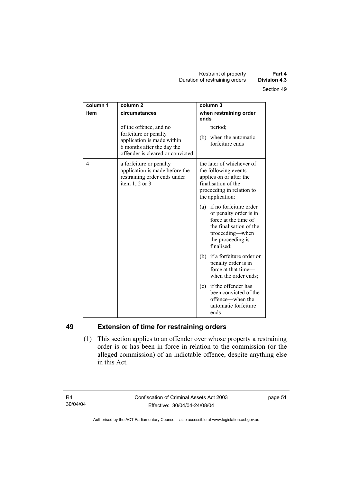| column 1 | column <sub>2</sub>                                                                                                                             | column 3                                                                                                                                                         |
|----------|-------------------------------------------------------------------------------------------------------------------------------------------------|------------------------------------------------------------------------------------------------------------------------------------------------------------------|
| item     | circumstances                                                                                                                                   | when restraining order<br>ends                                                                                                                                   |
|          | of the offence, and no<br>forfeiture or penalty<br>application is made within<br>6 months after the day the<br>offender is cleared or convicted | period;<br>(b) when the automatic<br>forfeiture ends                                                                                                             |
| 4        | a forfeiture or penalty<br>application is made before the<br>restraining order ends under<br>item $1, 2$ or $3$                                 | the later of whichever of<br>the following events<br>applies on or after the<br>finalisation of the<br>proceeding in relation to<br>the application:             |
|          |                                                                                                                                                 | if no forfeiture order<br>(a)<br>or penalty order is in<br>force at the time of<br>the finalisation of the<br>proceeding—when<br>the proceeding is<br>finalised; |
|          |                                                                                                                                                 | (b) if a forfeiture order or<br>penalty order is in<br>force at that time-<br>when the order ends;                                                               |
|          |                                                                                                                                                 | if the offender has<br>(c)<br>been convicted of the<br>offence—when the<br>automatic forfeiture<br>ends                                                          |

# **49 Extension of time for restraining orders**

 (1) This section applies to an offender over whose property a restraining order is or has been in force in relation to the commission (or the alleged commission) of an indictable offence, despite anything else in this Act.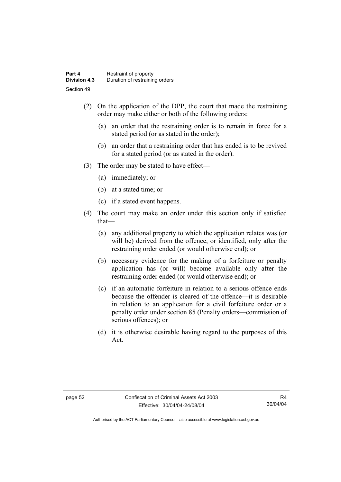- (2) On the application of the DPP, the court that made the restraining order may make either or both of the following orders:
	- (a) an order that the restraining order is to remain in force for a stated period (or as stated in the order);
	- (b) an order that a restraining order that has ended is to be revived for a stated period (or as stated in the order).
- (3) The order may be stated to have effect—
	- (a) immediately; or
	- (b) at a stated time; or
	- (c) if a stated event happens.
- (4) The court may make an order under this section only if satisfied that—
	- (a) any additional property to which the application relates was (or will be) derived from the offence, or identified, only after the restraining order ended (or would otherwise end); or
	- (b) necessary evidence for the making of a forfeiture or penalty application has (or will) become available only after the restraining order ended (or would otherwise end); or
	- (c) if an automatic forfeiture in relation to a serious offence ends because the offender is cleared of the offence—it is desirable in relation to an application for a civil forfeiture order or a penalty order under section 85 (Penalty orders—commission of serious offences); or
	- (d) it is otherwise desirable having regard to the purposes of this Act.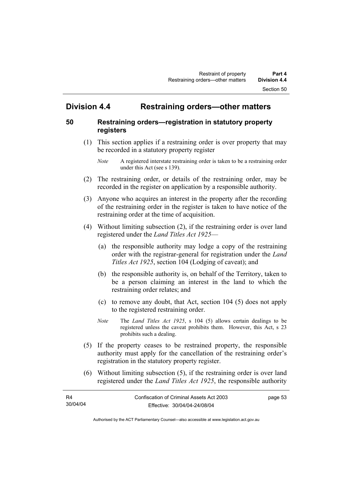# **Division 4.4 Restraining orders—other matters**

# **50 Restraining orders—registration in statutory property registers**

 (1) This section applies if a restraining order is over property that may be recorded in a statutory property register

- (2) The restraining order, or details of the restraining order, may be recorded in the register on application by a responsible authority.
- (3) Anyone who acquires an interest in the property after the recording of the restraining order in the register is taken to have notice of the restraining order at the time of acquisition.
- (4) Without limiting subsection (2), if the restraining order is over land registered under the *Land Titles Act 1925*—
	- (a) the responsible authority may lodge a copy of the restraining order with the registrar-general for registration under the *Land Titles Act 1925*, section 104 (Lodging of caveat); and
	- (b) the responsible authority is, on behalf of the Territory, taken to be a person claiming an interest in the land to which the restraining order relates; and
	- (c) to remove any doubt, that Act, section 104 (5) does not apply to the registered restraining order.
	- *Note* The *Land Titles Act 1925*, s 104 (5) allows certain dealings to be registered unless the caveat prohibits them. However, this Act, s 23 prohibits such a dealing.
- (5) If the property ceases to be restrained property, the responsible authority must apply for the cancellation of the restraining order's registration in the statutory property register.
- (6) Without limiting subsection (5), if the restraining order is over land registered under the *Land Titles Act 1925*, the responsible authority

| R4       | Confiscation of Criminal Assets Act 2003 | page 53 |
|----------|------------------------------------------|---------|
| 30/04/04 | Effective: 30/04/04-24/08/04             |         |

*Note* A registered interstate restraining order is taken to be a restraining order under this Act (see s 139).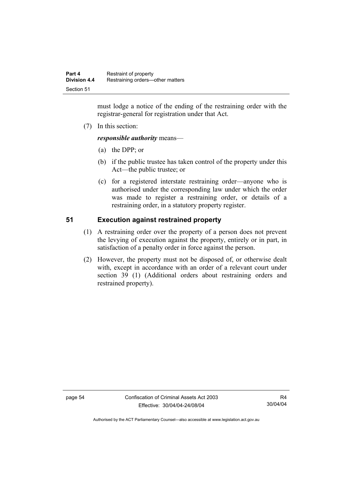must lodge a notice of the ending of the restraining order with the registrar-general for registration under that Act.

(7) In this section:

*responsible authority* means—

- (a) the DPP; or
- (b) if the public trustee has taken control of the property under this Act—the public trustee; or
- (c) for a registered interstate restraining order—anyone who is authorised under the corresponding law under which the order was made to register a restraining order, or details of a restraining order, in a statutory property register.

# **51 Execution against restrained property**

- (1) A restraining order over the property of a person does not prevent the levying of execution against the property, entirely or in part, in satisfaction of a penalty order in force against the person.
- (2) However, the property must not be disposed of, or otherwise dealt with, except in accordance with an order of a relevant court under section 39 (1) (Additional orders about restraining orders and restrained property).

page 54 Confiscation of Criminal Assets Act 2003 Effective: 30/04/04-24/08/04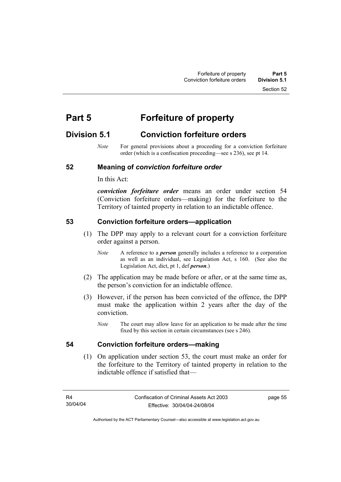Section 52

# **Part 5 Forfeiture of property**

# **Division 5.1 Conviction forfeiture orders**

*Note* For general provisions about a proceeding for a conviction forfeiture order (which is a confiscation proceeding—see s 236), see pt 14.

# **52 Meaning of** *conviction forfeiture order*

In this Act:

*conviction forfeiture order* means an order under section 54 (Conviction forfeiture orders—making) for the forfeiture to the Territory of tainted property in relation to an indictable offence.

# **53 Conviction forfeiture orders—application**

- (1) The DPP may apply to a relevant court for a conviction forfeiture order against a person.
	- *Note* A reference to a *person* generally includes a reference to a corporation as well as an individual, see Legislation Act, s 160. (See also the Legislation Act, dict, pt 1, def *person*.)
- (2) The application may be made before or after, or at the same time as, the person's conviction for an indictable offence.
- (3) However, if the person has been convicted of the offence, the DPP must make the application within 2 years after the day of the conviction.
	- *Note* The court may allow leave for an application to be made after the time fixed by this section in certain circumstances (see s 246).

#### **54 Conviction forfeiture orders—making**

 (1) On application under section 53, the court must make an order for the forfeiture to the Territory of tainted property in relation to the indictable offence if satisfied that—

page 55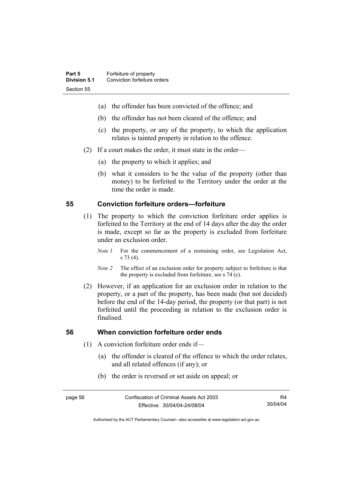- (a) the offender has been convicted of the offence; and
- (b) the offender has not been cleared of the offence; and
- (c) the property, or any of the property, to which the application relates is tainted property in relation to the offence.
- (2) If a court makes the order, it must state in the order—
	- (a) the property to which it applies; and
	- (b) what it considers to be the value of the property (other than money) to be forfeited to the Territory under the order at the time the order is made.

# **55 Conviction forfeiture orders—forfeiture**

- (1) The property to which the conviction forfeiture order applies is forfeited to the Territory at the end of 14 days after the day the order is made, except so far as the property is excluded from forfeiture under an exclusion order.
	- *Note 1* For the commencement of a restraining order, see Legislation Act, s 73 (4).
	- *Note 2* The effect of an exclusion order for property subject to forfeiture is that the property is excluded from forfeiture, see s 74 (c).
- (2) However, if an application for an exclusion order in relation to the property, or a part of the property, has been made (but not decided) before the end of the 14-day period, the property (or that part) is not forfeited until the proceeding in relation to the exclusion order is finalised.

#### **56 When conviction forfeiture order ends**

- (1) A conviction forfeiture order ends if—
	- (a) the offender is cleared of the offence to which the order relates, and all related offences (if any); or
	- (b) the order is reversed or set aside on appeal; or

R4 30/04/04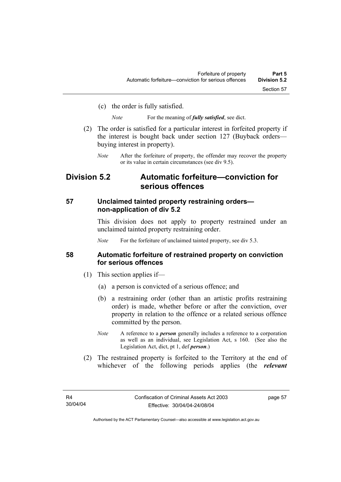(c) the order is fully satisfied.

*Note* For the meaning of *fully satisfied*, see dict.

- (2) The order is satisfied for a particular interest in forfeited property if the interest is bought back under section 127 (Buyback orders buying interest in property).
	- *Note* After the forfeiture of property, the offender may recover the property or its value in certain circumstances (see div 9.5).

# **Division 5.2 Automatic forfeiture—conviction for serious offences**

# **57 Unclaimed tainted property restraining orders non-application of div 5.2**

This division does not apply to property restrained under an unclaimed tainted property restraining order.

*Note* For the forfeiture of unclaimed tainted property, see div 5.3.

# **58 Automatic forfeiture of restrained property on conviction for serious offences**

- (1) This section applies if—
	- (a) a person is convicted of a serious offence; and
	- (b) a restraining order (other than an artistic profits restraining order) is made, whether before or after the conviction, over property in relation to the offence or a related serious offence committed by the person.
	- *Note* A reference to a *person* generally includes a reference to a corporation as well as an individual, see Legislation Act, s 160. (See also the Legislation Act, dict, pt 1, def *person*.)
- (2) The restrained property is forfeited to the Territory at the end of whichever of the following periods applies (the *relevant*

page 57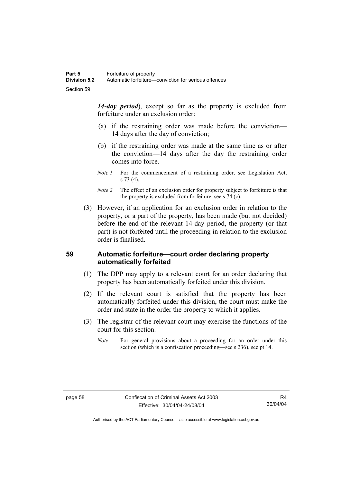*14-day period*), except so far as the property is excluded from forfeiture under an exclusion order:

- (a) if the restraining order was made before the conviction— 14 days after the day of conviction;
- (b) if the restraining order was made at the same time as or after the conviction—14 days after the day the restraining order comes into force.
- *Note 1* For the commencement of a restraining order, see Legislation Act, s 73 (4).
- *Note 2* The effect of an exclusion order for property subject to forfeiture is that the property is excluded from forfeiture, see s 74 (c).
- (3) However, if an application for an exclusion order in relation to the property, or a part of the property, has been made (but not decided) before the end of the relevant 14-day period, the property (or that part) is not forfeited until the proceeding in relation to the exclusion order is finalised.

# **59 Automatic forfeiture—court order declaring property automatically forfeited**

- (1) The DPP may apply to a relevant court for an order declaring that property has been automatically forfeited under this division.
- (2) If the relevant court is satisfied that the property has been automatically forfeited under this division, the court must make the order and state in the order the property to which it applies.
- (3) The registrar of the relevant court may exercise the functions of the court for this section.
	- *Note* For general provisions about a proceeding for an order under this section (which is a confiscation proceeding—see s 236), see pt 14.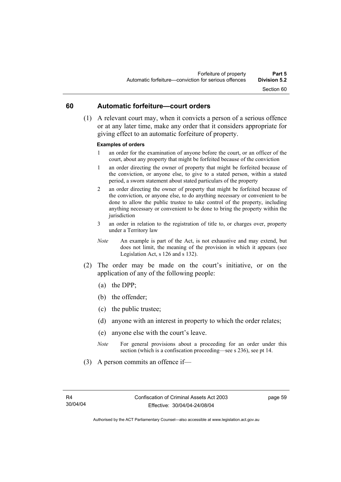#### **60 Automatic forfeiture—court orders**

 (1) A relevant court may, when it convicts a person of a serious offence or at any later time, make any order that it considers appropriate for giving effect to an automatic forfeiture of property.

#### **Examples of orders**

- 1 an order for the examination of anyone before the court, or an officer of the court, about any property that might be forfeited because of the conviction
- 1 an order directing the owner of property that might be forfeited because of the conviction, or anyone else, to give to a stated person, within a stated period, a sworn statement about stated particulars of the property
- 2 an order directing the owner of property that might be forfeited because of the conviction, or anyone else, to do anything necessary or convenient to be done to allow the public trustee to take control of the property, including anything necessary or convenient to be done to bring the property within the jurisdiction
- 3 an order in relation to the registration of title to, or charges over, property under a Territory law
- *Note* An example is part of the Act, is not exhaustive and may extend, but does not limit, the meaning of the provision in which it appears (see Legislation Act, s 126 and s 132).
- (2) The order may be made on the court's initiative, or on the application of any of the following people:
	- (a) the DPP;
	- (b) the offender;
	- (c) the public trustee;
	- (d) anyone with an interest in property to which the order relates;
	- (e) anyone else with the court's leave.
	- *Note* For general provisions about a proceeding for an order under this section (which is a confiscation proceeding—see s 236), see pt 14.
- (3) A person commits an offence if—

page 59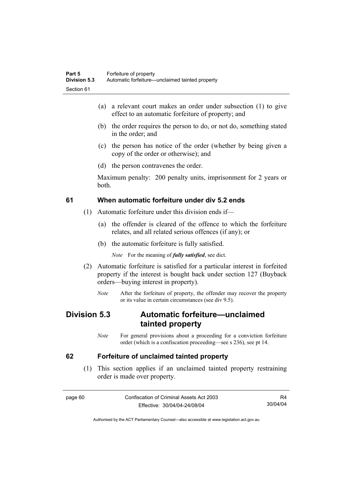- (a) a relevant court makes an order under subsection (1) to give effect to an automatic forfeiture of property; and
- (b) the order requires the person to do, or not do, something stated in the order; and
- (c) the person has notice of the order (whether by being given a copy of the order or otherwise); and
- (d) the person contravenes the order.

Maximum penalty: 200 penalty units, imprisonment for 2 years or both.

### **61 When automatic forfeiture under div 5.2 ends**

- (1) Automatic forfeiture under this division ends if—
	- (a) the offender is cleared of the offence to which the forfeiture relates, and all related serious offences (if any); or
	- (b) the automatic forfeiture is fully satisfied.

*Note* For the meaning of *fully satisfied*, see dict.

- (2) Automatic forfeiture is satisfied for a particular interest in forfeited property if the interest is bought back under section 127 (Buyback orders—buying interest in property).
	- *Note* After the forfeiture of property, the offender may recover the property or its value in certain circumstances (see div 9.5).

# **Division 5.3 Automatic forfeiture—unclaimed tainted property**

*Note* For general provisions about a proceeding for a conviction forfeiture order (which is a confiscation proceeding—see s 236), see pt 14.

#### **62 Forfeiture of unclaimed tainted property**

 (1) This section applies if an unclaimed tainted property restraining order is made over property.

page 60 Confiscation of Criminal Assets Act 2003 Effective: 30/04/04-24/08/04

R4 30/04/04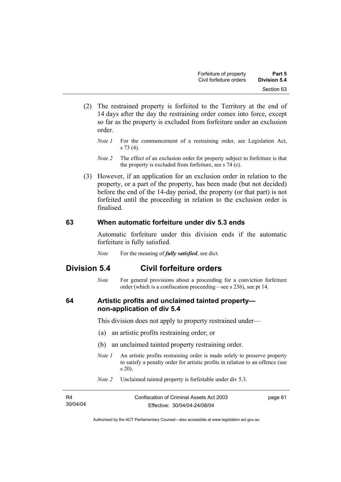- (2) The restrained property is forfeited to the Territory at the end of 14 days after the day the restraining order comes into force, except so far as the property is excluded from forfeiture under an exclusion order.
	- *Note 1* For the commencement of a restraining order, see Legislation Act, s 73 (4).
	- *Note 2* The effect of an exclusion order for property subject to forfeiture is that the property is excluded from forfeiture, see s 74 (c).
- (3) However, if an application for an exclusion order in relation to the property, or a part of the property, has been made (but not decided) before the end of the 14-day period, the property (or that part) is not forfeited until the proceeding in relation to the exclusion order is finalised.

#### **63 When automatic forfeiture under div 5.3 ends**

Automatic forfeiture under this division ends if the automatic forfeiture is fully satisfied.

*Note* For the meaning of *fully satisfied*, see dict.

## **Division 5.4 Civil forfeiture orders**

*Note* For general provisions about a proceeding for a conviction forfeiture order (which is a confiscation proceeding—see s 236), see pt 14.

### **64 Artistic profits and unclaimed tainted property non-application of div 5.4**

This division does not apply to property restrained under—

- (a) an artistic profits restraining order; or
- (b) an unclaimed tainted property restraining order.
- *Note 1* An artistic profits restraining order is made solely to preserve property to satisfy a penalty order for artistic profits in relation to an offence (see s 20).
- *Note 2* Unclaimed tainted property is forfeitable under div 5.3.

| R4       | Confiscation of Criminal Assets Act 2003 | page 61 |
|----------|------------------------------------------|---------|
| 30/04/04 | Effective: 30/04/04-24/08/04             |         |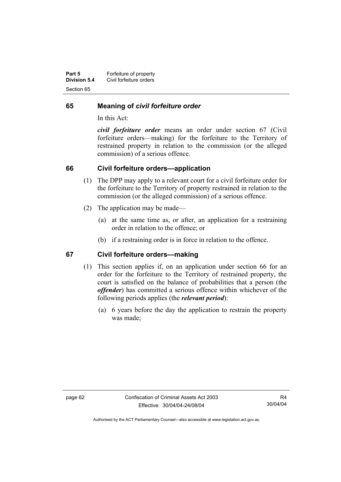| Part 5       | Forfeiture of property  |
|--------------|-------------------------|
| Division 5.4 | Civil forfeiture orders |
| Section 65   |                         |

#### **65 Meaning of** *civil forfeiture order*

In this Act:

*civil forfeiture order* means an order under section 67 (Civil forfeiture orders—making) for the forfeiture to the Territory of restrained property in relation to the commission (or the alleged commission) of a serious offence.

#### **66 Civil forfeiture orders—application**

- (1) The DPP may apply to a relevant court for a civil forfeiture order for the forfeiture to the Territory of property restrained in relation to the commission (or the alleged commission) of a serious offence.
- (2) The application may be made—
	- (a) at the same time as, or after, an application for a restraining order in relation to the offence; or
	- (b) if a restraining order is in force in relation to the offence.

#### **67 Civil forfeiture orders—making**

- (1) This section applies if, on an application under section 66 for an order for the forfeiture to the Territory of restrained property, the court is satisfied on the balance of probabilities that a person (the *offender*) has committed a serious offence within whichever of the following periods applies (the *relevant period*):
	- (a) 6 years before the day the application to restrain the property was made;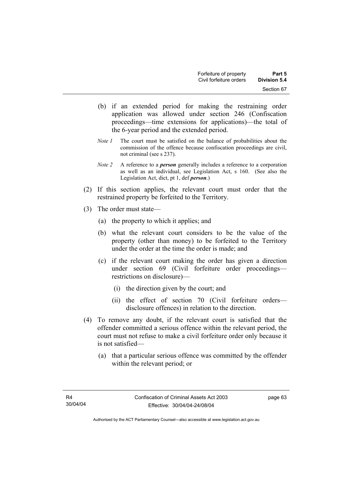- (b) if an extended period for making the restraining order application was allowed under section 246 (Confiscation proceedings—time extensions for applications)—the total of the 6-year period and the extended period.
- *Note 1* The court must be satisfied on the balance of probabilities about the commission of the offence because confiscation proceedings are civil, not criminal (see s 237).
- *Note 2* A reference to a *person* generally includes a reference to a corporation as well as an individual, see Legislation Act, s 160. (See also the Legislation Act, dict, pt 1, def *person*.)
- (2) If this section applies, the relevant court must order that the restrained property be forfeited to the Territory.
- (3) The order must state—
	- (a) the property to which it applies; and
	- (b) what the relevant court considers to be the value of the property (other than money) to be forfeited to the Territory under the order at the time the order is made; and
	- (c) if the relevant court making the order has given a direction under section 69 (Civil forfeiture order proceedings restrictions on disclosure)—
		- (i) the direction given by the court; and
		- (ii) the effect of section 70 (Civil forfeiture orders disclosure offences) in relation to the direction.
- (4) To remove any doubt, if the relevant court is satisfied that the offender committed a serious offence within the relevant period, the court must not refuse to make a civil forfeiture order only because it is not satisfied—
	- (a) that a particular serious offence was committed by the offender within the relevant period; or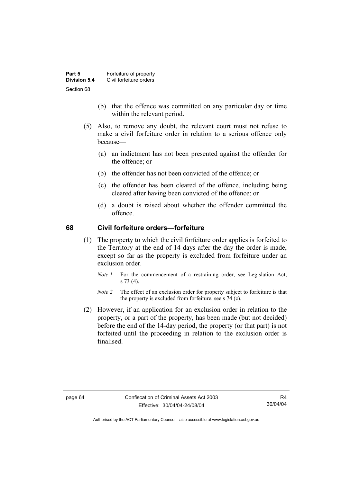| Part 5       | Forfeiture of property  |
|--------------|-------------------------|
| Division 5.4 | Civil forfeiture orders |
| Section 68   |                         |

- (b) that the offence was committed on any particular day or time within the relevant period.
- (5) Also, to remove any doubt, the relevant court must not refuse to make a civil forfeiture order in relation to a serious offence only because—
	- (a) an indictment has not been presented against the offender for the offence; or
	- (b) the offender has not been convicted of the offence; or
	- (c) the offender has been cleared of the offence, including being cleared after having been convicted of the offence; or
	- (d) a doubt is raised about whether the offender committed the offence.

#### **68 Civil forfeiture orders—forfeiture**

- (1) The property to which the civil forfeiture order applies is forfeited to the Territory at the end of 14 days after the day the order is made, except so far as the property is excluded from forfeiture under an exclusion order.
	- *Note 1* For the commencement of a restraining order, see Legislation Act, s 73 (4).
	- *Note 2* The effect of an exclusion order for property subject to forfeiture is that the property is excluded from forfeiture, see s 74 (c).
- (2) However, if an application for an exclusion order in relation to the property, or a part of the property, has been made (but not decided) before the end of the 14-day period, the property (or that part) is not forfeited until the proceeding in relation to the exclusion order is finalised.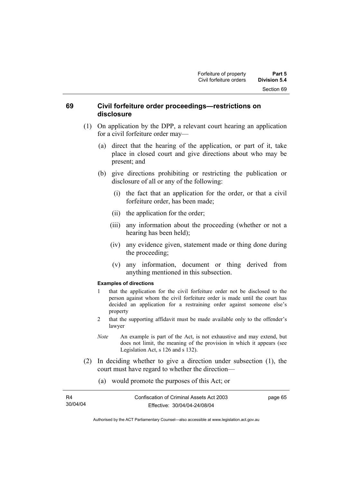#### **69 Civil forfeiture order proceedings—restrictions on disclosure**

- (1) On application by the DPP, a relevant court hearing an application for a civil forfeiture order may—
	- (a) direct that the hearing of the application, or part of it, take place in closed court and give directions about who may be present; and
	- (b) give directions prohibiting or restricting the publication or disclosure of all or any of the following:
		- (i) the fact that an application for the order, or that a civil forfeiture order, has been made;
		- (ii) the application for the order;
		- (iii) any information about the proceeding (whether or not a hearing has been held);
		- (iv) any evidence given, statement made or thing done during the proceeding;
		- (v) any information, document or thing derived from anything mentioned in this subsection.

#### **Examples of directions**

- 1 that the application for the civil forfeiture order not be disclosed to the person against whom the civil forfeiture order is made until the court has decided an application for a restraining order against someone else's property
- 2 that the supporting affidavit must be made available only to the offender's lawyer
- *Note* An example is part of the Act, is not exhaustive and may extend, but does not limit, the meaning of the provision in which it appears (see Legislation Act, s 126 and s 132).

65

- (2) In deciding whether to give a direction under subsection (1), the court must have regard to whether the direction—
	- (a) would promote the purposes of this Act; or

| R4       | Confiscation of Criminal Assets Act 2003 | page |
|----------|------------------------------------------|------|
| 30/04/04 | Effective: 30/04/04-24/08/04             |      |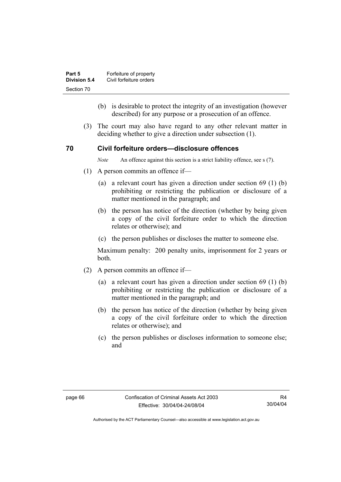| Part 5       | Forfeiture of property  |
|--------------|-------------------------|
| Division 5.4 | Civil forfeiture orders |
| Section 70   |                         |

- (b) is desirable to protect the integrity of an investigation (however described) for any purpose or a prosecution of an offence.
- (3) The court may also have regard to any other relevant matter in deciding whether to give a direction under subsection (1).

#### **70 Civil forfeiture orders—disclosure offences**

*Note* An offence against this section is a strict liability offence, see s (7).

- (1) A person commits an offence if—
	- (a) a relevant court has given a direction under section 69 (1) (b) prohibiting or restricting the publication or disclosure of a matter mentioned in the paragraph; and
	- (b) the person has notice of the direction (whether by being given a copy of the civil forfeiture order to which the direction relates or otherwise); and
	- (c) the person publishes or discloses the matter to someone else.

Maximum penalty: 200 penalty units, imprisonment for 2 years or both.

- (2) A person commits an offence if—
	- (a) a relevant court has given a direction under section 69 (1) (b) prohibiting or restricting the publication or disclosure of a matter mentioned in the paragraph; and
	- (b) the person has notice of the direction (whether by being given a copy of the civil forfeiture order to which the direction relates or otherwise); and
	- (c) the person publishes or discloses information to someone else; and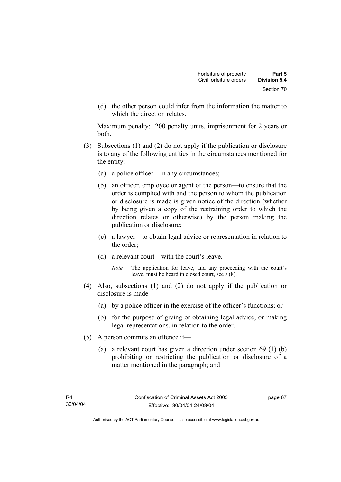(d) the other person could infer from the information the matter to which the direction relates.

Maximum penalty: 200 penalty units, imprisonment for 2 years or both.

- (3) Subsections (1) and (2) do not apply if the publication or disclosure is to any of the following entities in the circumstances mentioned for the entity:
	- (a) a police officer—in any circumstances;
	- (b) an officer, employee or agent of the person—to ensure that the order is complied with and the person to whom the publication or disclosure is made is given notice of the direction (whether by being given a copy of the restraining order to which the direction relates or otherwise) by the person making the publication or disclosure;
	- (c) a lawyer—to obtain legal advice or representation in relation to the order;
	- (d) a relevant court—with the court's leave.
		- *Note* The application for leave, and any proceeding with the court's leave, must be heard in closed court, see s (8).
- (4) Also, subsections (1) and (2) do not apply if the publication or disclosure is made—
	- (a) by a police officer in the exercise of the officer's functions; or
	- (b) for the purpose of giving or obtaining legal advice, or making legal representations, in relation to the order.
- (5) A person commits an offence if—
	- (a) a relevant court has given a direction under section 69 (1) (b) prohibiting or restricting the publication or disclosure of a matter mentioned in the paragraph; and

page 67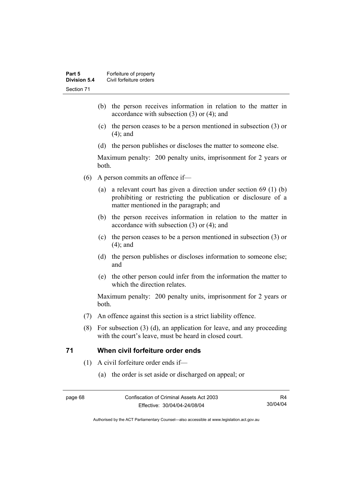- (b) the person receives information in relation to the matter in accordance with subsection (3) or (4); and
- (c) the person ceases to be a person mentioned in subsection (3) or (4); and
- (d) the person publishes or discloses the matter to someone else.

Maximum penalty: 200 penalty units, imprisonment for 2 years or both.

- (6) A person commits an offence if—
	- (a) a relevant court has given a direction under section 69 (1) (b) prohibiting or restricting the publication or disclosure of a matter mentioned in the paragraph; and
	- (b) the person receives information in relation to the matter in accordance with subsection (3) or (4); and
	- (c) the person ceases to be a person mentioned in subsection (3) or (4); and
	- (d) the person publishes or discloses information to someone else; and
	- (e) the other person could infer from the information the matter to which the direction relates.

Maximum penalty: 200 penalty units, imprisonment for 2 years or both.

- (7) An offence against this section is a strict liability offence.
- (8) For subsection (3) (d), an application for leave, and any proceeding with the court's leave, must be heard in closed court.

#### **71 When civil forfeiture order ends**

- (1) A civil forfeiture order ends if—
	- (a) the order is set aside or discharged on appeal; or

R4 30/04/04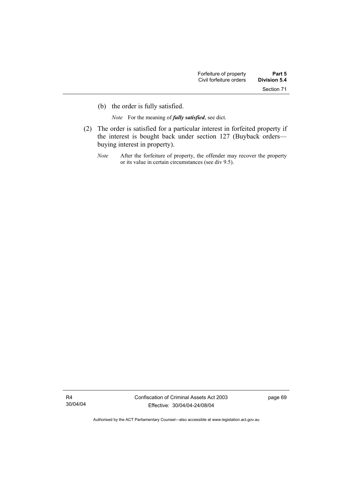(b) the order is fully satisfied.

*Note* For the meaning of *fully satisfied*, see dict.

- (2) The order is satisfied for a particular interest in forfeited property if the interest is bought back under section 127 (Buyback orders buying interest in property).
	- *Note* After the forfeiture of property, the offender may recover the property or its value in certain circumstances (see div 9.5).

R4 30/04/04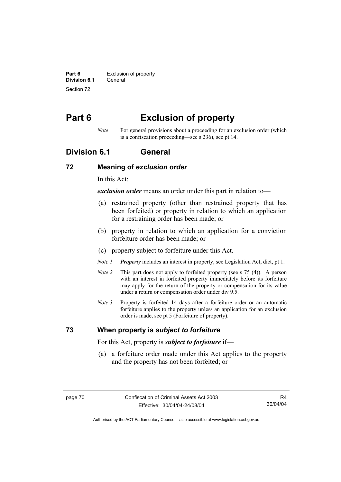**Part 6 Exclusion of property Division 6.1** General Section 72

# **Part 6 Exclusion of property**

*Note* For general provisions about a proceeding for an exclusion order (which is a confiscation proceeding—see s 236), see pt 14.

### **Division 6.1 General**

#### **72 Meaning of** *exclusion order*

In this Act:

*exclusion order* means an order under this part in relation to—

- (a) restrained property (other than restrained property that has been forfeited) or property in relation to which an application for a restraining order has been made; or
- (b) property in relation to which an application for a conviction forfeiture order has been made; or
- (c) property subject to forfeiture under this Act.
- *Note 1 Property* includes an interest in property, see Legislation Act, dict, pt 1.
- *Note 2* This part does not apply to forfeited property (see s 75 (4)). A person with an interest in forfeited property immediately before its forfeiture may apply for the return of the property or compensation for its value under a return or compensation order under div 9.5.
- *Note 3* Property is forfeited 14 days after a forfeiture order or an automatic forfeiture applies to the property unless an application for an exclusion order is made, see pt 5 (Forfeiture of property).

#### **73 When property is** *subject to forfeiture*

For this Act, property is *subject to forfeiture* if—

 (a) a forfeiture order made under this Act applies to the property and the property has not been forfeited; or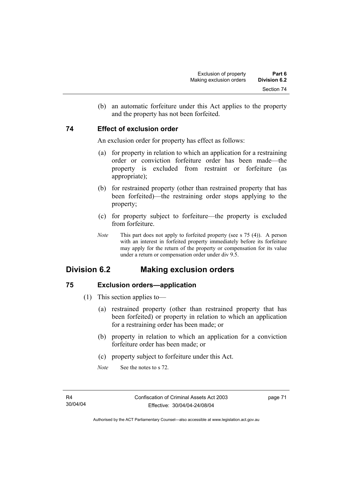(b) an automatic forfeiture under this Act applies to the property and the property has not been forfeited.

#### **74 Effect of exclusion order**

An exclusion order for property has effect as follows:

- (a) for property in relation to which an application for a restraining order or conviction forfeiture order has been made—the property is excluded from restraint or forfeiture (as appropriate);
- (b) for restrained property (other than restrained property that has been forfeited)—the restraining order stops applying to the property;
- (c) for property subject to forfeiture—the property is excluded from forfeiture.
- *Note* This part does not apply to forfeited property (see s 75 (4)). A person with an interest in forfeited property immediately before its forfeiture may apply for the return of the property or compensation for its value under a return or compensation order under div 9.5.

## **Division 6.2 Making exclusion orders**

### **75 Exclusion orders—application**

- (1) This section applies to—
	- (a) restrained property (other than restrained property that has been forfeited) or property in relation to which an application for a restraining order has been made; or
	- (b) property in relation to which an application for a conviction forfeiture order has been made; or
	- (c) property subject to forfeiture under this Act.
	- *Note* See the notes to s 72.

page 71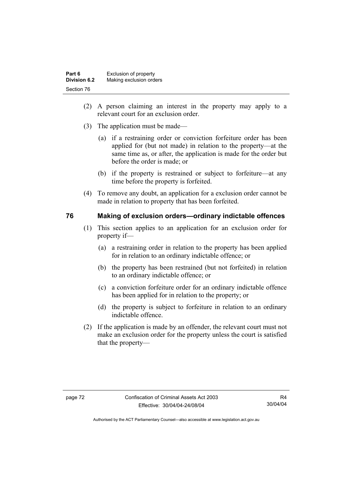| Part 6       | Exclusion of property   |
|--------------|-------------------------|
| Division 6.2 | Making exclusion orders |
| Section 76   |                         |

- (2) A person claiming an interest in the property may apply to a relevant court for an exclusion order.
- (3) The application must be made—
	- (a) if a restraining order or conviction forfeiture order has been applied for (but not made) in relation to the property—at the same time as, or after, the application is made for the order but before the order is made; or
	- (b) if the property is restrained or subject to forfeiture—at any time before the property is forfeited.
- (4) To remove any doubt, an application for a exclusion order cannot be made in relation to property that has been forfeited.

#### **76 Making of exclusion orders—ordinary indictable offences**

- (1) This section applies to an application for an exclusion order for property if—
	- (a) a restraining order in relation to the property has been applied for in relation to an ordinary indictable offence; or
	- (b) the property has been restrained (but not forfeited) in relation to an ordinary indictable offence; or
	- (c) a conviction forfeiture order for an ordinary indictable offence has been applied for in relation to the property; or
	- (d) the property is subject to forfeiture in relation to an ordinary indictable offence.
- (2) If the application is made by an offender, the relevant court must not make an exclusion order for the property unless the court is satisfied that the property—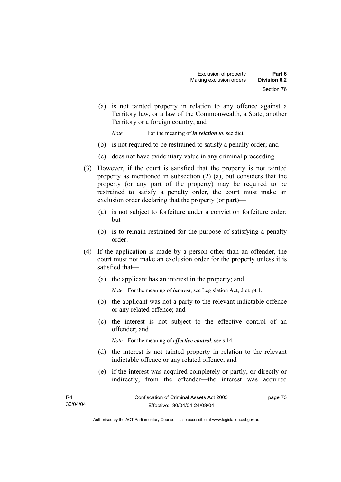(a) is not tainted property in relation to any offence against a Territory law, or a law of the Commonwealth, a State, another Territory or a foreign country; and

*Note* For the meaning of *in relation to*, see dict.

- (b) is not required to be restrained to satisfy a penalty order; and
- (c) does not have evidentiary value in any criminal proceeding.
- (3) However, if the court is satisfied that the property is not tainted property as mentioned in subsection (2) (a), but considers that the property (or any part of the property) may be required to be restrained to satisfy a penalty order, the court must make an exclusion order declaring that the property (or part)—
	- (a) is not subject to forfeiture under a conviction forfeiture order; but
	- (b) is to remain restrained for the purpose of satisfying a penalty order.
- (4) If the application is made by a person other than an offender, the court must not make an exclusion order for the property unless it is satisfied that—
	- (a) the applicant has an interest in the property; and

*Note* For the meaning of *interest*, see Legislation Act, dict, pt 1.

- (b) the applicant was not a party to the relevant indictable offence or any related offence; and
- (c) the interest is not subject to the effective control of an offender; and

*Note* For the meaning of *effective control*, see s 14.

- (d) the interest is not tainted property in relation to the relevant indictable offence or any related offence; and
- (e) if the interest was acquired completely or partly, or directly or indirectly, from the offender—the interest was acquired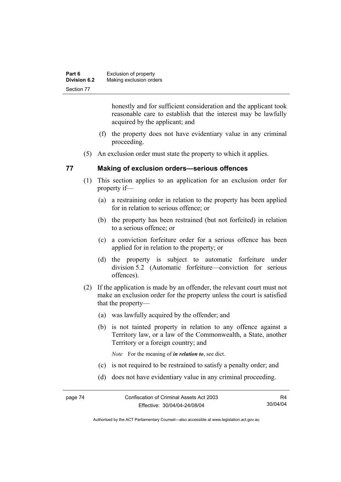| Part 6              | Exclusion of property   |
|---------------------|-------------------------|
| <b>Division 6.2</b> | Making exclusion orders |
| Section 77          |                         |

honestly and for sufficient consideration and the applicant took reasonable care to establish that the interest may be lawfully acquired by the applicant; and

- (f) the property does not have evidentiary value in any criminal proceeding.
- (5) An exclusion order must state the property to which it applies.

#### **77 Making of exclusion orders—serious offences**

- (1) This section applies to an application for an exclusion order for property if—
	- (a) a restraining order in relation to the property has been applied for in relation to serious offence; or
	- (b) the property has been restrained (but not forfeited) in relation to a serious offence; or
	- (c) a conviction forfeiture order for a serious offence has been applied for in relation to the property; or
	- (d) the property is subject to automatic forfeiture under division 5.2 (Automatic forfeiture—conviction for serious offences).
- (2) If the application is made by an offender, the relevant court must not make an exclusion order for the property unless the court is satisfied that the property—
	- (a) was lawfully acquired by the offender; and
	- (b) is not tainted property in relation to any offence against a Territory law, or a law of the Commonwealth, a State, another Territory or a foreign country; and

*Note* For the meaning of *in relation to*, see dict.

- (c) is not required to be restrained to satisfy a penalty order; and
- (d) does not have evidentiary value in any criminal proceeding.

R4 30/04/04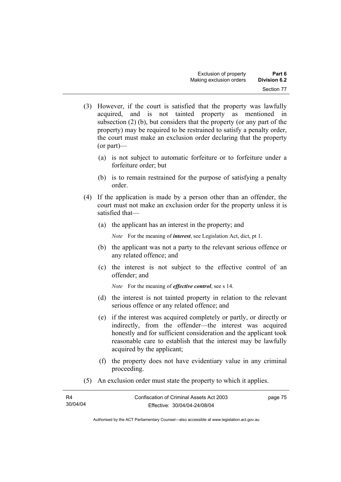- (3) However, if the court is satisfied that the property was lawfully acquired, and is not tainted property as mentioned in subsection (2) (b), but considers that the property (or any part of the property) may be required to be restrained to satisfy a penalty order, the court must make an exclusion order declaring that the property (or part)—
	- (a) is not subject to automatic forfeiture or to forfeiture under a forfeiture order; but
	- (b) is to remain restrained for the purpose of satisfying a penalty order.
- (4) If the application is made by a person other than an offender, the court must not make an exclusion order for the property unless it is satisfied that—
	- (a) the applicant has an interest in the property; and

*Note* For the meaning of *interest*, see Legislation Act, dict, pt 1.

- (b) the applicant was not a party to the relevant serious offence or any related offence; and
- (c) the interest is not subject to the effective control of an offender; and

*Note* For the meaning of *effective control*, see s 14.

- (d) the interest is not tainted property in relation to the relevant serious offence or any related offence; and
- (e) if the interest was acquired completely or partly, or directly or indirectly, from the offender—the interest was acquired honestly and for sufficient consideration and the applicant took reasonable care to establish that the interest may be lawfully acquired by the applicant;
- (f) the property does not have evidentiary value in any criminal proceeding.
- (5) An exclusion order must state the property to which it applies.

| R4       | Confiscation of Criminal Assets Act 2003 | page 75 |
|----------|------------------------------------------|---------|
| 30/04/04 | Effective: 30/04/04-24/08/04             |         |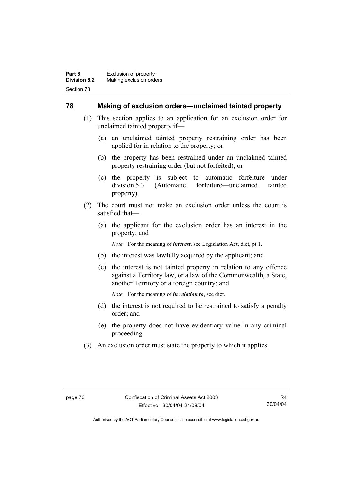#### **78 Making of exclusion orders—unclaimed tainted property**

- (1) This section applies to an application for an exclusion order for unclaimed tainted property if—
	- (a) an unclaimed tainted property restraining order has been applied for in relation to the property; or
	- (b) the property has been restrained under an unclaimed tainted property restraining order (but not forfeited); or
	- (c) the property is subject to automatic forfeiture under division 5.3 (Automatic forfeiture—unclaimed tainted property).
- (2) The court must not make an exclusion order unless the court is satisfied that—
	- (a) the applicant for the exclusion order has an interest in the property; and

*Note* For the meaning of *interest*, see Legislation Act, dict, pt 1.

- (b) the interest was lawfully acquired by the applicant; and
- (c) the interest is not tainted property in relation to any offence against a Territory law, or a law of the Commonwealth, a State, another Territory or a foreign country; and

*Note* For the meaning of *in relation to*, see dict.

- (d) the interest is not required to be restrained to satisfy a penalty order; and
- (e) the property does not have evidentiary value in any criminal proceeding.
- (3) An exclusion order must state the property to which it applies.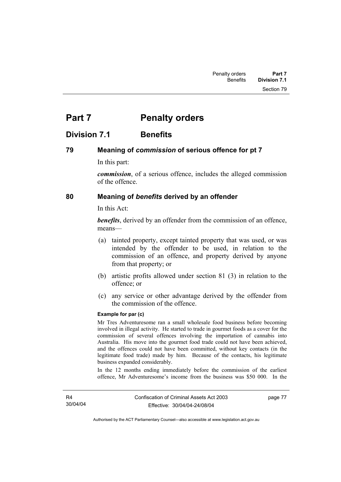# **Part 7** Penalty orders

### **Division 7.1 Benefits**

#### **79 Meaning of** *commission* **of serious offence for pt 7**

In this part:

*commission*, of a serious offence, includes the alleged commission of the offence.

#### **80 Meaning of** *benefits* **derived by an offender**

In this Act:

*benefits*, derived by an offender from the commission of an offence, means—

- (a) tainted property, except tainted property that was used, or was intended by the offender to be used, in relation to the commission of an offence, and property derived by anyone from that property; or
- (b) artistic profits allowed under section 81 (3) in relation to the offence; or
- (c) any service or other advantage derived by the offender from the commission of the offence.

#### **Example for par (c)**

Mr Tres Adventuresome ran a small wholesale food business before becoming involved in illegal activity. He started to trade in gourmet foods as a cover for the commission of several offences involving the importation of cannabis into Australia. His move into the gourmet food trade could not have been achieved, and the offences could not have been committed, without key contacts (in the legitimate food trade) made by him. Because of the contacts, his legitimate business expanded considerably.

In the 12 months ending immediately before the commission of the earliest offence, Mr Adventuresome's income from the business was \$50 000. In the

R4 30/04/04 page 77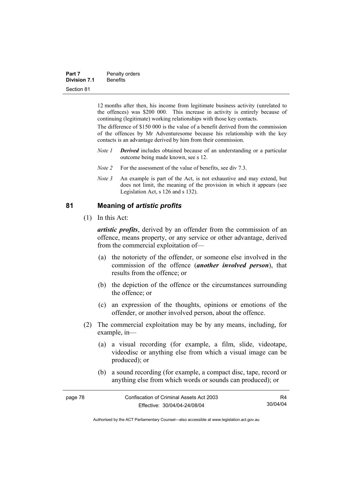| Part 7              | Penalty orders  |
|---------------------|-----------------|
| <b>Division 7.1</b> | <b>Benefits</b> |
| Section 81          |                 |

12 months after then, his income from legitimate business activity (unrelated to the offences) was \$200 000. This increase in activity is entirely because of continuing (legitimate) working relationships with those key contacts.

The difference of \$150 000 is the value of a benefit derived from the commission of the offences by Mr Adventuresome because his relationship with the key contacts is an advantage derived by him from their commission.

- *Note 1 Derived* includes obtained because of an understanding or a particular outcome being made known, see s 12.
- *Note 2* For the assessment of the value of benefits, see div 7.3.
- *Note 3* An example is part of the Act, is not exhaustive and may extend, but does not limit, the meaning of the provision in which it appears (see Legislation Act, s 126 and s 132).

#### **81 Meaning of** *artistic profits*

(1) In this Act:

*artistic profits*, derived by an offender from the commission of an offence, means property, or any service or other advantage, derived from the commercial exploitation of—

- (a) the notoriety of the offender, or someone else involved in the commission of the offence (*another involved person*), that results from the offence; or
- (b) the depiction of the offence or the circumstances surrounding the offence; or
- (c) an expression of the thoughts, opinions or emotions of the offender, or another involved person, about the offence.
- (2) The commercial exploitation may be by any means, including, for example, in—
	- (a) a visual recording (for example, a film, slide, videotape, videodisc or anything else from which a visual image can be produced); or
	- (b) a sound recording (for example, a compact disc, tape, record or anything else from which words or sounds can produced); or

| page 78 | Confiscation of Criminal Assets Act 2003 | R4       |
|---------|------------------------------------------|----------|
|         | Effective: 30/04/04-24/08/04             | 30/04/04 |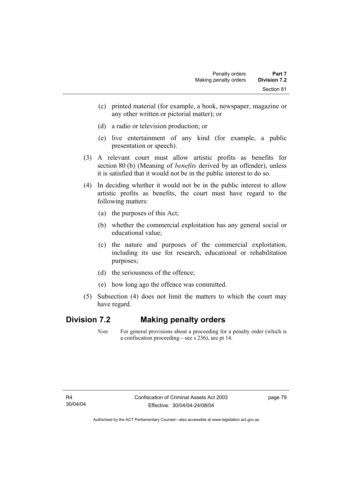- (c) printed material (for example, a book, newspaper, magazine or any other written or pictorial matter); or
- (d) a radio or television production; or
- (e) live entertainment of any kind (for example, a public presentation or speech).
- (3) A relevant court must allow artistic profits as benefits for section 80 (b) (Meaning of *benefits* derived by an offender), unless it is satisfied that it would not be in the public interest to do so.
- (4) In deciding whether it would not be in the public interest to allow artistic profits as benefits, the court must have regard to the following matters:
	- (a) the purposes of this Act;
	- (b) whether the commercial exploitation has any general social or educational value;
	- (c) the nature and purposes of the commercial exploitation, including its use for research, educational or rehabilitation purposes;
	- (d) the seriousness of the offence;
	- (e) how long ago the offence was committed.
- (5) Subsection (4) does not limit the matters to which the court may have regard.

### **Division 7.2 Making penalty orders**

*Note* For general provisions about a proceeding for a penalty order (which is a confiscation proceeding—see s 236), see pt 14.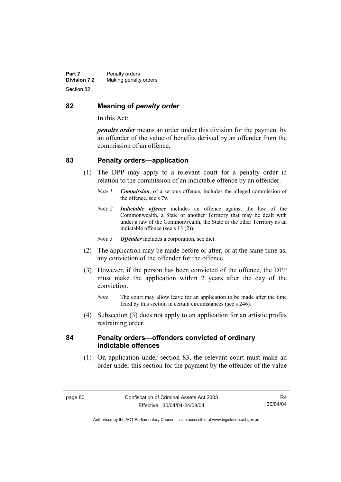#### **82 Meaning of** *penalty order*

In this Act:

*penalty order* means an order under this division for the payment by an offender of the value of benefits derived by an offender from the commission of an offence.

#### **83 Penalty orders—application**

- (1) The DPP may apply to a relevant court for a penalty order in relation to the commission of an indictable offence by an offender.
	- *Note 1 Commission*, of a serious offence, includes the alleged commission of the offence, see s 79.
	- *Note 2 Indictable offence* includes an offence against the law of the Commonwealth, a State or another Territory that may be dealt with under a law of the Commonwealth, the State or the other Territory as an indictable offence (see s 13 (2)).
	- *Note 3 Offender* includes a corporation, see dict.
- (2) The application may be made before or after, or at the same time as, any conviction of the offender for the offence.
- (3) However, if the person has been convicted of the offence, the DPP must make the application within 2 years after the day of the conviction.
	- *Note* The court may allow leave for an application to be made after the time fixed by this section in certain circumstances (see s 246).
- (4) Subsection (3) does not apply to an application for an artistic profits restraining order.

#### **84 Penalty orders—offenders convicted of ordinary indictable offences**

 (1) On application under section 83, the relevant court must make an order under this section for the payment by the offender of the value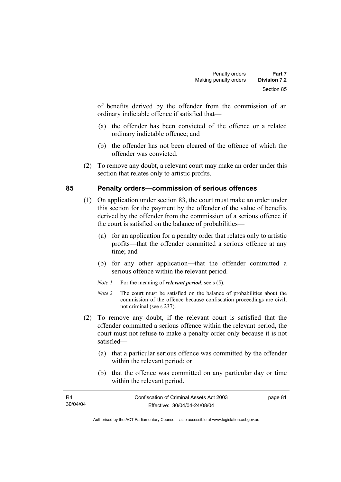of benefits derived by the offender from the commission of an ordinary indictable offence if satisfied that—

- (a) the offender has been convicted of the offence or a related ordinary indictable offence; and
- (b) the offender has not been cleared of the offence of which the offender was convicted.
- (2) To remove any doubt, a relevant court may make an order under this section that relates only to artistic profits.

### **85 Penalty orders—commission of serious offences**

- (1) On application under section 83, the court must make an order under this section for the payment by the offender of the value of benefits derived by the offender from the commission of a serious offence if the court is satisfied on the balance of probabilities—
	- (a) for an application for a penalty order that relates only to artistic profits—that the offender committed a serious offence at any time; and
	- (b) for any other application—that the offender committed a serious offence within the relevant period.
	- *Note 1* For the meaning of *relevant period*, see s (5).
	- *Note 2* The court must be satisfied on the balance of probabilities about the commission of the offence because confiscation proceedings are civil, not criminal (see s 237).
- (2) To remove any doubt, if the relevant court is satisfied that the offender committed a serious offence within the relevant period, the court must not refuse to make a penalty order only because it is not satisfied—
	- (a) that a particular serious offence was committed by the offender within the relevant period; or
	- (b) that the offence was committed on any particular day or time within the relevant period.

| R4       | Confiscation of Criminal Assets Act 2003 | page 81 |
|----------|------------------------------------------|---------|
| 30/04/04 | Effective: 30/04/04-24/08/04             |         |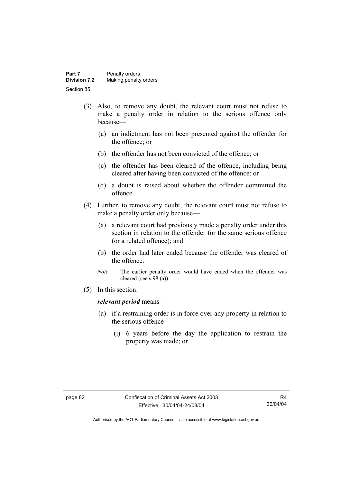| Part 7              | Penalty orders        |
|---------------------|-----------------------|
| <b>Division 7.2</b> | Making penalty orders |
| Section 85          |                       |

- (3) Also, to remove any doubt, the relevant court must not refuse to make a penalty order in relation to the serious offence only because—
	- (a) an indictment has not been presented against the offender for the offence; or
	- (b) the offender has not been convicted of the offence; or
	- (c) the offender has been cleared of the offence, including being cleared after having been convicted of the offence; or
	- (d) a doubt is raised about whether the offender committed the offence.
- (4) Further, to remove any doubt, the relevant court must not refuse to make a penalty order only because—
	- (a) a relevant court had previously made a penalty order under this section in relation to the offender for the same serious offence (or a related offence); and
	- (b) the order had later ended because the offender was cleared of the offence.
	- *Note* The earlier penalty order would have ended when the offender was cleared (see s 98 (a)).
- (5) In this section:

#### *relevant period* means—

- (a) if a restraining order is in force over any property in relation to the serious offence—
	- (i) 6 years before the day the application to restrain the property was made; or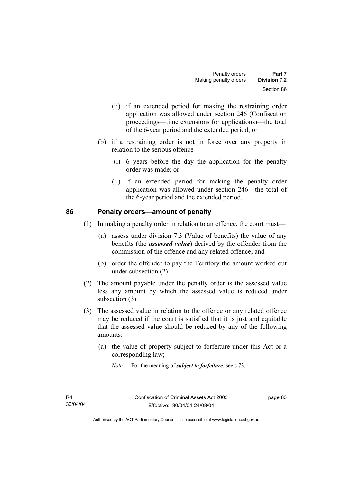- (ii) if an extended period for making the restraining order application was allowed under section 246 (Confiscation proceedings—time extensions for applications)—the total of the 6-year period and the extended period; or
- (b) if a restraining order is not in force over any property in relation to the serious offence—
	- (i) 6 years before the day the application for the penalty order was made; or
	- (ii) if an extended period for making the penalty order application was allowed under section 246—the total of the 6-year period and the extended period.

#### **86 Penalty orders—amount of penalty**

- (1) In making a penalty order in relation to an offence, the court must—
	- (a) assess under division 7.3 (Value of benefits) the value of any benefits (the *assessed value*) derived by the offender from the commission of the offence and any related offence; and
	- (b) order the offender to pay the Territory the amount worked out under subsection (2).
- (2) The amount payable under the penalty order is the assessed value less any amount by which the assessed value is reduced under subsection (3).
- (3) The assessed value in relation to the offence or any related offence may be reduced if the court is satisfied that it is just and equitable that the assessed value should be reduced by any of the following amounts:
	- (a) the value of property subject to forfeiture under this Act or a corresponding law;
		- *Note* For the meaning of *subject to forfeiture*, see s 73.

page 83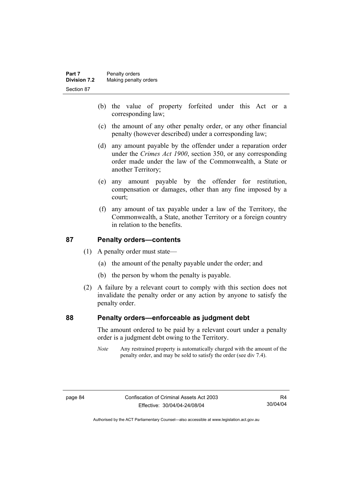- (b) the value of property forfeited under this Act or a corresponding law;
- (c) the amount of any other penalty order, or any other financial penalty (however described) under a corresponding law;
- (d) any amount payable by the offender under a reparation order under the *Crimes Act 1900*, section 350, or any corresponding order made under the law of the Commonwealth, a State or another Territory;
- (e) any amount payable by the offender for restitution, compensation or damages, other than any fine imposed by a court;
- (f) any amount of tax payable under a law of the Territory, the Commonwealth, a State, another Territory or a foreign country in relation to the benefits.

### **87 Penalty orders—contents**

- (1) A penalty order must state—
	- (a) the amount of the penalty payable under the order; and
	- (b) the person by whom the penalty is payable.
- (2) A failure by a relevant court to comply with this section does not invalidate the penalty order or any action by anyone to satisfy the penalty order.

#### **88 Penalty orders—enforceable as judgment debt**

The amount ordered to be paid by a relevant court under a penalty order is a judgment debt owing to the Territory.

*Note* Any restrained property is automatically charged with the amount of the penalty order, and may be sold to satisfy the order (see div 7.4).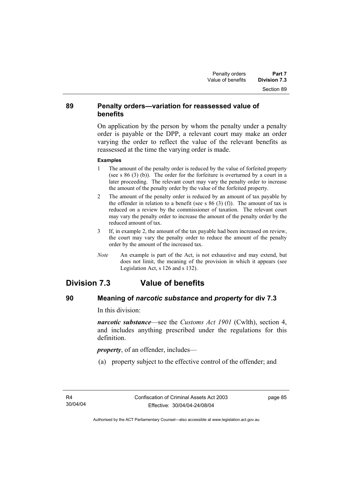#### **89 Penalty orders—variation for reassessed value of benefits**

On application by the person by whom the penalty under a penalty order is payable or the DPP, a relevant court may make an order varying the order to reflect the value of the relevant benefits as reassessed at the time the varying order is made.

#### **Examples**

- 1 The amount of the penalty order is reduced by the value of forfeited property (see s 86 (3) (b)). The order for the forfeiture is overturned by a court in a later proceeding. The relevant court may vary the penalty order to increase the amount of the penalty order by the value of the forfeited property.
- 2 The amount of the penalty order is reduced by an amount of tax payable by the offender in relation to a benefit (see s  $86$  (3) (f)). The amount of tax is reduced on a review by the commissioner of taxation. The relevant court may vary the penalty order to increase the amount of the penalty order by the reduced amount of tax.
- 3 If, in example 2, the amount of the tax payable had been increased on review, the court may vary the penalty order to reduce the amount of the penalty order by the amount of the increased tax.
- *Note* An example is part of the Act, is not exhaustive and may extend, but does not limit, the meaning of the provision in which it appears (see Legislation Act, s 126 and s 132).

# **Division 7.3 Value of benefits**

### **90 Meaning of** *narcotic substance* **and** *property* **for div 7.3**

In this division:

*narcotic substance*—see the *Customs Act 1901* (Cwlth), section 4, and includes anything prescribed under the regulations for this definition.

*property*, of an offender, includes—

(a) property subject to the effective control of the offender; and

page 85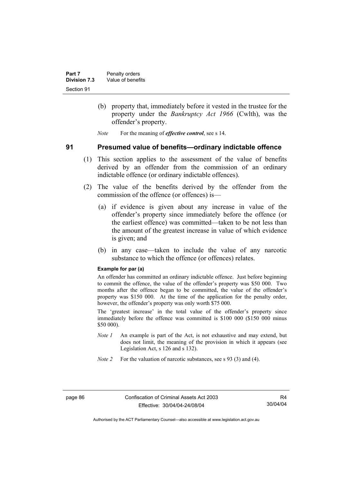- (b) property that, immediately before it vested in the trustee for the property under the *Bankruptcy Act 1966* (Cwlth), was the offender's property.
- *Note* For the meaning of *effective control*, see s 14.

#### **91 Presumed value of benefits—ordinary indictable offence**

- (1) This section applies to the assessment of the value of benefits derived by an offender from the commission of an ordinary indictable offence (or ordinary indictable offences).
- (2) The value of the benefits derived by the offender from the commission of the offence (or offences) is—
	- (a) if evidence is given about any increase in value of the offender's property since immediately before the offence (or the earliest offence) was committed—taken to be not less than the amount of the greatest increase in value of which evidence is given; and
	- (b) in any case—taken to include the value of any narcotic substance to which the offence (or offences) relates.

#### **Example for par (a)**

An offender has committed an ordinary indictable offence. Just before beginning to commit the offence, the value of the offender's property was \$50 000. Two months after the offence began to be committed, the value of the offender's property was \$150 000. At the time of the application for the penalty order, however, the offender's property was only worth \$75 000.

The 'greatest increase' in the total value of the offender's property since immediately before the offence was committed is \$100 000 (\$150 000 minus \$50 000).

- *Note 1* An example is part of the Act, is not exhaustive and may extend, but does not limit, the meaning of the provision in which it appears (see Legislation Act, s 126 and s 132).
- *Note 2* For the valuation of narcotic substances, see s 93 (3) and (4).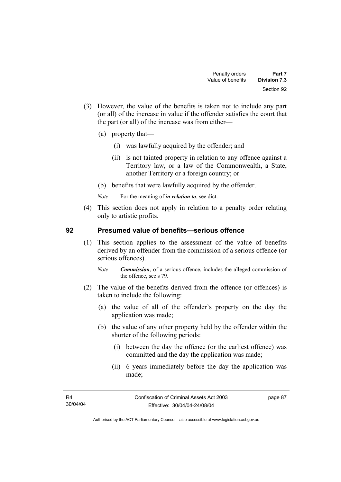- (3) However, the value of the benefits is taken not to include any part (or all) of the increase in value if the offender satisfies the court that the part (or all) of the increase was from either—
	- (a) property that—
		- (i) was lawfully acquired by the offender; and
		- (ii) is not tainted property in relation to any offence against a Territory law, or a law of the Commonwealth, a State, another Territory or a foreign country; or
	- (b) benefits that were lawfully acquired by the offender.
	- *Note* For the meaning of *in relation to*, see dict.
- (4) This section does not apply in relation to a penalty order relating only to artistic profits.

#### **92 Presumed value of benefits—serious offence**

- (1) This section applies to the assessment of the value of benefits derived by an offender from the commission of a serious offence (or serious offences).
	- *Note Commission*, of a serious offence, includes the alleged commission of the offence, see s 79.
- (2) The value of the benefits derived from the offence (or offences) is taken to include the following:
	- (a) the value of all of the offender's property on the day the application was made;
	- (b) the value of any other property held by the offender within the shorter of the following periods:
		- (i) between the day the offence (or the earliest offence) was committed and the day the application was made;
		- (ii) 6 years immediately before the day the application was made;

page 87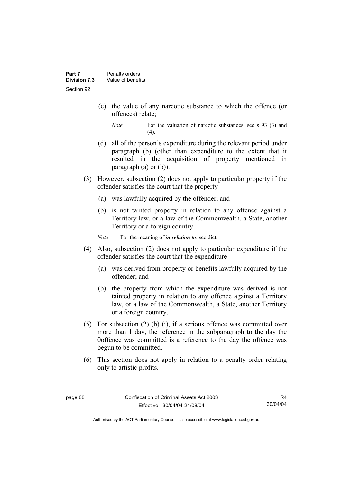- (c) the value of any narcotic substance to which the offence (or offences) relate;
	- *Note* For the valuation of narcotic substances, see s 93 (3) and  $(4)$ .
- (d) all of the person's expenditure during the relevant period under paragraph (b) (other than expenditure to the extent that it resulted in the acquisition of property mentioned in paragraph (a) or (b)).
- (3) However, subsection (2) does not apply to particular property if the offender satisfies the court that the property—
	- (a) was lawfully acquired by the offender; and
	- (b) is not tainted property in relation to any offence against a Territory law, or a law of the Commonwealth, a State, another Territory or a foreign country.

*Note* For the meaning of *in relation to*, see dict.

- (4) Also, subsection (2) does not apply to particular expenditure if the offender satisfies the court that the expenditure—
	- (a) was derived from property or benefits lawfully acquired by the offender; and
	- (b) the property from which the expenditure was derived is not tainted property in relation to any offence against a Territory law, or a law of the Commonwealth, a State, another Territory or a foreign country.
- (5) For subsection (2) (b) (i), if a serious offence was committed over more than 1 day, the reference in the subparagraph to the day the 0offence was committed is a reference to the day the offence was begun to be committed.
- (6) This section does not apply in relation to a penalty order relating only to artistic profits.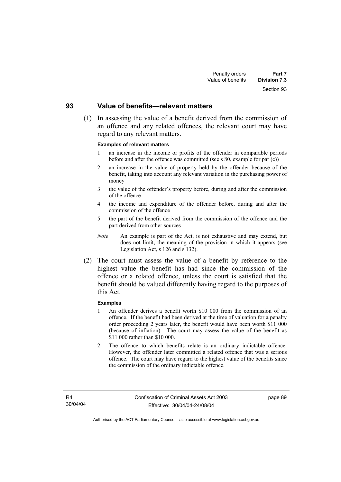# Section 93

#### **93 Value of benefits—relevant matters**

 (1) In assessing the value of a benefit derived from the commission of an offence and any related offences, the relevant court may have regard to any relevant matters.

#### **Examples of relevant matters**

- 1 an increase in the income or profits of the offender in comparable periods before and after the offence was committed (see s 80, example for par (c))
- 2 an increase in the value of property held by the offender because of the benefit, taking into account any relevant variation in the purchasing power of money
- 3 the value of the offender's property before, during and after the commission of the offence
- 4 the income and expenditure of the offender before, during and after the commission of the offence
- 5 the part of the benefit derived from the commission of the offence and the part derived from other sources
- *Note* An example is part of the Act, is not exhaustive and may extend, but does not limit, the meaning of the provision in which it appears (see Legislation Act, s 126 and s 132).
- (2) The court must assess the value of a benefit by reference to the highest value the benefit has had since the commission of the offence or a related offence, unless the court is satisfied that the benefit should be valued differently having regard to the purposes of this Act.

#### **Examples**

- 1 An offender derives a benefit worth \$10 000 from the commission of an offence. If the benefit had been derived at the time of valuation for a penalty order proceeding 2 years later, the benefit would have been worth \$11 000 (because of inflation). The court may assess the value of the benefit as \$11 000 rather than \$10 000.
- 2 The offence to which benefits relate is an ordinary indictable offence. However, the offender later committed a related offence that was a serious offence. The court may have regard to the highest value of the benefits since the commission of the ordinary indictable offence.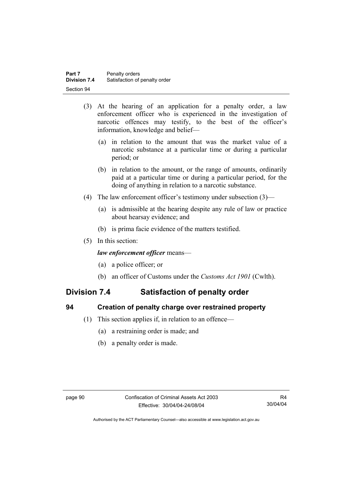- (3) At the hearing of an application for a penalty order, a law enforcement officer who is experienced in the investigation of narcotic offences may testify, to the best of the officer's information, knowledge and belief—
	- (a) in relation to the amount that was the market value of a narcotic substance at a particular time or during a particular period; or
	- (b) in relation to the amount, or the range of amounts, ordinarily paid at a particular time or during a particular period, for the doing of anything in relation to a narcotic substance.
- (4) The law enforcement officer's testimony under subsection (3)—
	- (a) is admissible at the hearing despite any rule of law or practice about hearsay evidence; and
	- (b) is prima facie evidence of the matters testified.
- (5) In this section:

#### *law enforcement officer* means—

- (a) a police officer; or
- (b) an officer of Customs under the *Customs Act 1901* (Cwlth).

## **Division 7.4 Satisfaction of penalty order**

#### **94 Creation of penalty charge over restrained property**

- (1) This section applies if, in relation to an offence—
	- (a) a restraining order is made; and
	- (b) a penalty order is made.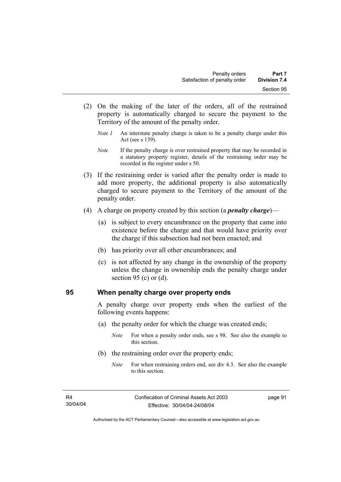- (2) On the making of the later of the orders, all of the restrained property is automatically charged to secure the payment to the Territory of the amount of the penalty order.
	- *Note 1* An interstate penalty charge is taken to be a penalty charge under this Act (see s 139).
	- *Note* If the penalty charge is over restrained property that may be recorded in a statutory property register, details of the restraining order may be recorded in the register under s 50.
- (3) If the restraining order is varied after the penalty order is made to add more property, the additional property is also automatically charged to secure payment to the Territory of the amount of the penalty order.
- (4) A charge on property created by this section (a *penalty charge*)—
	- (a) is subject to every encumbrance on the property that came into existence before the charge and that would have priority over the charge if this subsection had not been enacted; and
	- (b) has priority over all other encumbrances; and
	- (c) is not affected by any change in the ownership of the property unless the change in ownership ends the penalty charge under section 95 (c) or  $(d)$ .

#### **95 When penalty charge over property ends**

A penalty charge over property ends when the earliest of the following events happens:

- (a) the penalty order for which the charge was created ends;
	- *Note* For when a penalty order ends, see s 98. See also the example to this section.
- (b) the restraining order over the property ends;
	- *Note* For when restraining orders end, see div 4.3. See also the example to this section.

page 91

Authorised by the ACT Parliamentary Counsel—also accessible at www.legislation.act.gov.au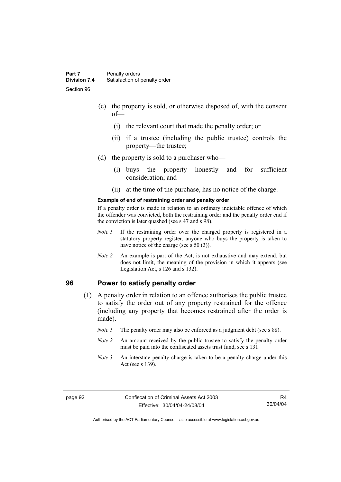- (c) the property is sold, or otherwise disposed of, with the consent of—
	- (i) the relevant court that made the penalty order; or
	- (ii) if a trustee (including the public trustee) controls the property—the trustee;
- (d) the property is sold to a purchaser who—
	- (i) buys the property honestly and for sufficient consideration; and
	- (ii) at the time of the purchase, has no notice of the charge.

#### **Example of end of restraining order and penalty order**

If a penalty order is made in relation to an ordinary indictable offence of which the offender was convicted, both the restraining order and the penalty order end if the conviction is later quashed (see s 47 and s 98).

- *Note 1* If the restraining order over the charged property is registered in a statutory property register, anyone who buys the property is taken to have notice of the charge (see s 50 (3)).
- *Note* 2 An example is part of the Act, is not exhaustive and may extend, but does not limit, the meaning of the provision in which it appears (see Legislation Act, s 126 and s 132).

#### **96 Power to satisfy penalty order**

- (1) A penalty order in relation to an offence authorises the public trustee to satisfy the order out of any property restrained for the offence (including any property that becomes restrained after the order is made).
	- *Note 1* The penalty order may also be enforced as a judgment debt (see s 88).
	- *Note 2* An amount received by the public trustee to satisfy the penalty order must be paid into the confiscated assets trust fund, see s 131.
	- *Note 3* An interstate penalty charge is taken to be a penalty charge under this Act (see s 139).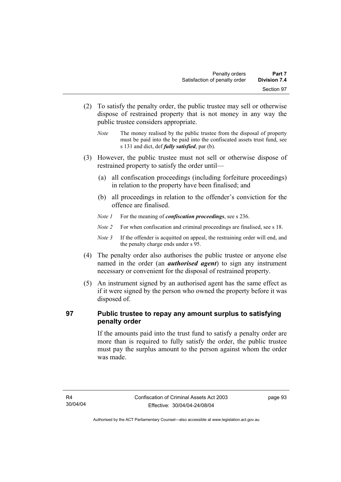- (2) To satisfy the penalty order, the public trustee may sell or otherwise dispose of restrained property that is not money in any way the public trustee considers appropriate.
	- *Note* The money realised by the public trustee from the disposal of property must be paid into the be paid into the confiscated assets trust fund, see s 131 and dict, def *fully satisfied*, par (b).
- (3) However, the public trustee must not sell or otherwise dispose of restrained property to satisfy the order until—
	- (a) all confiscation proceedings (including forfeiture proceedings) in relation to the property have been finalised; and
	- (b) all proceedings in relation to the offender's conviction for the offence are finalised.
	- *Note 1* For the meaning of *confiscation proceedings*, see s 236.
	- *Note 2* For when confiscation and criminal proceedings are finalised, see s 18.
	- *Note 3* If the offender is acquitted on appeal, the restraining order will end, and the penalty charge ends under s 95.
- (4) The penalty order also authorises the public trustee or anyone else named in the order (an *authorised agent*) to sign any instrument necessary or convenient for the disposal of restrained property.
- (5) An instrument signed by an authorised agent has the same effect as if it were signed by the person who owned the property before it was disposed of.

### **97 Public trustee to repay any amount surplus to satisfying penalty order**

If the amounts paid into the trust fund to satisfy a penalty order are more than is required to fully satisfy the order, the public trustee must pay the surplus amount to the person against whom the order was made.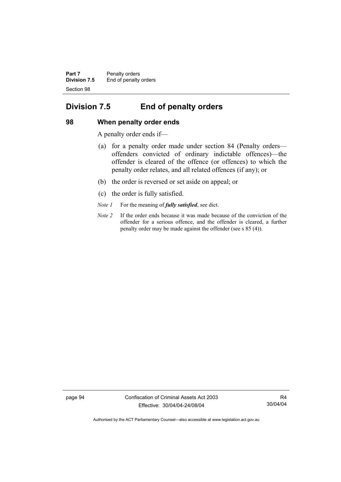**Part 7** Penalty orders **Division 7.5** End of penalty orders Section 98

# **Division 7.5 End of penalty orders**

### **98 When penalty order ends**

A penalty order ends if—

- (a) for a penalty order made under section 84 (Penalty orders offenders convicted of ordinary indictable offences)—the offender is cleared of the offence (or offences) to which the penalty order relates, and all related offences (if any); or
- (b) the order is reversed or set aside on appeal; or
- (c) the order is fully satisfied.
- *Note 1* For the meaning of *fully satisfied*, see dict.
- *Note 2* If the order ends because it was made because of the conviction of the offender for a serious offence, and the offender is cleared, a further penalty order may be made against the offender (see s 85 (4)).

page 94 Confiscation of Criminal Assets Act 2003 Effective: 30/04/04-24/08/04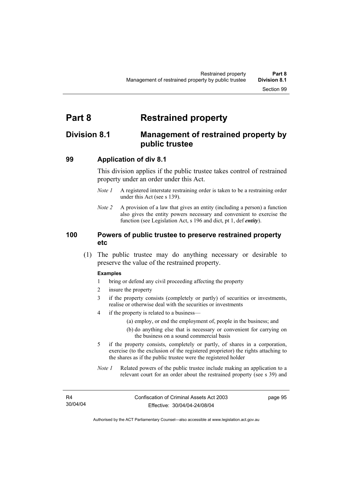# **Part 8 Restrained property**

# **Division 8.1 Management of restrained property by public trustee**

### **99 Application of div 8.1**

This division applies if the public trustee takes control of restrained property under an order under this Act.

- *Note 1* A registered interstate restraining order is taken to be a restraining order under this Act (see s 139).
- *Note 2* A provision of a law that gives an entity (including a person) a function also gives the entity powers necessary and convenient to exercise the function (see Legislation Act, s 196 and dict, pt 1, def *entity*).

### **100 Powers of public trustee to preserve restrained property etc**

 (1) The public trustee may do anything necessary or desirable to preserve the value of the restrained property.

#### **Examples**

- 1 bring or defend any civil proceeding affecting the property
- 2 insure the property
- 3 if the property consists (completely or partly) of securities or investments, realise or otherwise deal with the securities or investments
- 4 if the property is related to a business—
	- (a) employ, or end the employment of, people in the business; and
	- (b) do anything else that is necessary or convenient for carrying on the business on a sound commercial basis
- 5 if the property consists, completely or partly, of shares in a corporation, exercise (to the exclusion of the registered proprietor) the rights attaching to the shares as if the public trustee were the registered holder
- *Note 1* Related powers of the public trustee include making an application to a relevant court for an order about the restrained property (see s 39) and

page 95

Authorised by the ACT Parliamentary Counsel—also accessible at www.legislation.act.gov.au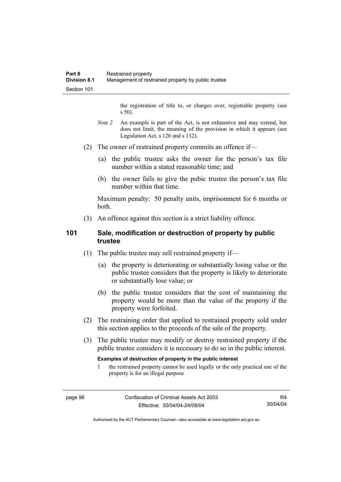the registration of title to, or charges over, registrable property (see s 50).

- *Note* 2 An example is part of the Act, is not exhaustive and may extend, but does not limit, the meaning of the provision in which it appears (see Legislation Act, s 126 and s 132).
- (2) The owner of restrained property commits an offence if—
	- (a) the public trustee asks the owner for the person's tax file number within a stated reasonable time; and
	- (b) the owner fails to give the pubic trustee the person's tax file number within that time.

Maximum penalty: 50 penalty units, imprisonment for 6 months or both.

(3) An offence against this section is a strict liability offence.

## **101 Sale, modification or destruction of property by public trustee**

- (1) The public trustee may sell restrained property if—
	- (a) the property is deteriorating or substantially losing value or the public trustee considers that the property is likely to deteriorate or substantially lose value; or
	- (b) the public trustee considers that the cost of maintaining the property would be more than the value of the property if the property were forfeited.
- (2) The restraining order that applied to restrained property sold under this section applies to the proceeds of the sale of the property.
- (3) The public trustee may modify or destroy restrained property if the public trustee considers it is necessary to do so in the public interest.

#### **Examples of destruction of property in the public interest**

1 the restrained property cannot be used legally or the only practical use of the property is for an illegal purpose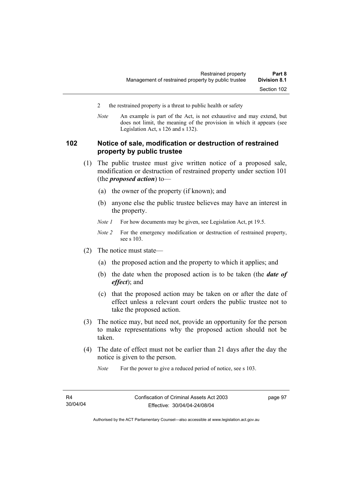- 2 the restrained property is a threat to public health or safety
- *Note* An example is part of the Act, is not exhaustive and may extend, but does not limit, the meaning of the provision in which it appears (see Legislation Act, s 126 and s 132).

## **102 Notice of sale, modification or destruction of restrained property by public trustee**

- (1) The public trustee must give written notice of a proposed sale, modification or destruction of restrained property under section 101 (the *proposed action*) to—
	- (a) the owner of the property (if known); and
	- (b) anyone else the public trustee believes may have an interest in the property.
	- *Note 1* For how documents may be given, see Legislation Act, pt 19.5.
	- *Note 2* For the emergency modification or destruction of restrained property, see s 103.
- (2) The notice must state—
	- (a) the proposed action and the property to which it applies; and
	- (b) the date when the proposed action is to be taken (the *date of effect*); and
	- (c) that the proposed action may be taken on or after the date of effect unless a relevant court orders the public trustee not to take the proposed action.
- (3) The notice may, but need not, provide an opportunity for the person to make representations why the proposed action should not be taken.
- (4) The date of effect must not be earlier than 21 days after the day the notice is given to the person.

*Note* For the power to give a reduced period of notice, see s 103.

page 97

Authorised by the ACT Parliamentary Counsel—also accessible at www.legislation.act.gov.au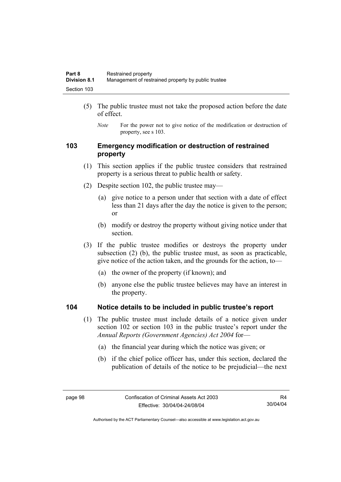- (5) The public trustee must not take the proposed action before the date of effect.
	- *Note* For the power not to give notice of the modification or destruction of property, see s 103.

## **103 Emergency modification or destruction of restrained property**

- (1) This section applies if the public trustee considers that restrained property is a serious threat to public health or safety.
- (2) Despite section 102, the public trustee may—
	- (a) give notice to a person under that section with a date of effect less than 21 days after the day the notice is given to the person; or
	- (b) modify or destroy the property without giving notice under that section.
- (3) If the public trustee modifies or destroys the property under subsection (2) (b), the public trustee must, as soon as practicable, give notice of the action taken, and the grounds for the action, to—
	- (a) the owner of the property (if known); and
	- (b) anyone else the public trustee believes may have an interest in the property.

### **104 Notice details to be included in public trustee's report**

- (1) The public trustee must include details of a notice given under section 102 or section 103 in the public trustee's report under the *Annual Reports (Government Agencies) Act 2004* for—
	- (a) the financial year during which the notice was given; or
	- (b) if the chief police officer has, under this section, declared the publication of details of the notice to be prejudicial—the next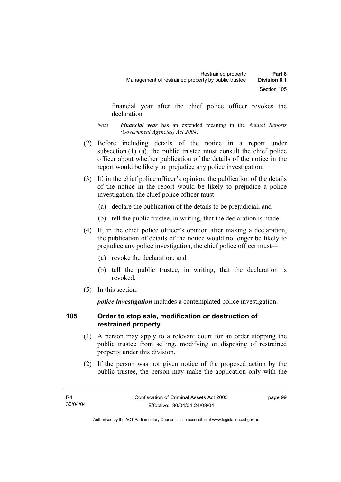financial year after the chief police officer revokes the declaration.

- *Note Financial year* has an extended meaning in the *Annual Reports (Government Agencies) Act 2004*.
- (2) Before including details of the notice in a report under subsection (1) (a), the public trustee must consult the chief police officer about whether publication of the details of the notice in the report would be likely to prejudice any police investigation.
- (3) If, in the chief police officer's opinion, the publication of the details of the notice in the report would be likely to prejudice a police investigation, the chief police officer must—
	- (a) declare the publication of the details to be prejudicial; and
	- (b) tell the public trustee, in writing, that the declaration is made.
- (4) If, in the chief police officer's opinion after making a declaration, the publication of details of the notice would no longer be likely to prejudice any police investigation, the chief police officer must—
	- (a) revoke the declaration; and
	- (b) tell the public trustee, in writing, that the declaration is revoked.
- (5) In this section:

*police investigation* includes a contemplated police investigation.

## **105 Order to stop sale, modification or destruction of restrained property**

- (1) A person may apply to a relevant court for an order stopping the public trustee from selling, modifying or disposing of restrained property under this division.
- (2) If the person was not given notice of the proposed action by the public trustee, the person may make the application only with the

page 99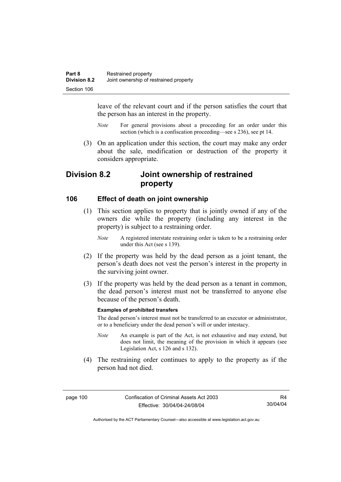leave of the relevant court and if the person satisfies the court that the person has an interest in the property.

- *Note* For general provisions about a proceeding for an order under this section (which is a confiscation proceeding—see s 236), see pt 14.
- (3) On an application under this section, the court may make any order about the sale, modification or destruction of the property it considers appropriate.

# **Division 8.2 Joint ownership of restrained property**

### **106 Effect of death on joint ownership**

- (1) This section applies to property that is jointly owned if any of the owners die while the property (including any interest in the property) is subject to a restraining order.
	- *Note* A registered interstate restraining order is taken to be a restraining order under this Act (see s 139).
- (2) If the property was held by the dead person as a joint tenant, the person's death does not vest the person's interest in the property in the surviving joint owner.
- (3) If the property was held by the dead person as a tenant in common, the dead person's interest must not be transferred to anyone else because of the person's death.

#### **Examples of prohibited transfers**

The dead person's interest must not be transferred to an executor or administrator, or to a beneficiary under the dead person's will or under intestacy.

- *Note* An example is part of the Act, is not exhaustive and may extend, but does not limit, the meaning of the provision in which it appears (see Legislation Act, s 126 and s 132).
- (4) The restraining order continues to apply to the property as if the person had not died.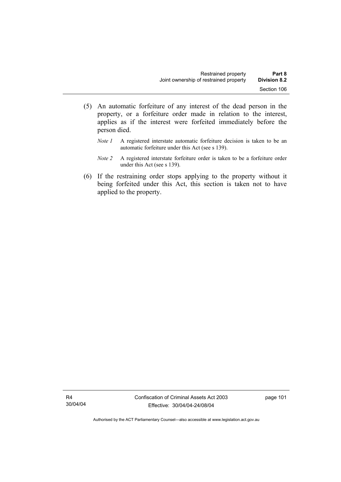- (5) An automatic forfeiture of any interest of the dead person in the property, or a forfeiture order made in relation to the interest, applies as if the interest were forfeited immediately before the person died.
	- *Note 1* A registered interstate automatic forfeiture decision is taken to be an automatic forfeiture under this Act (see s 139).
	- *Note 2* A registered interstate forfeiture order is taken to be a forfeiture order under this Act (see s 139).
- (6) If the restraining order stops applying to the property without it being forfeited under this Act, this section is taken not to have applied to the property.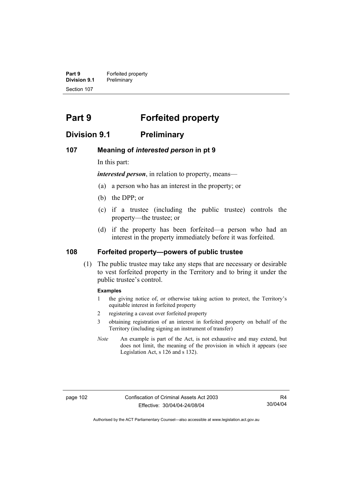**Part 9 Forfeited property Division 9.1** Preliminary Section 107

# **Part 9 Forfeited property**

# **Division 9.1 Preliminary**

### **107 Meaning of** *interested person* **in pt 9**

In this part:

*interested person*, in relation to property, means—

- (a) a person who has an interest in the property; or
- (b) the DPP; or
- (c) if a trustee (including the public trustee) controls the property—the trustee; or
- (d) if the property has been forfeited—a person who had an interest in the property immediately before it was forfeited.

### **108 Forfeited property—powers of public trustee**

 (1) The public trustee may take any steps that are necessary or desirable to vest forfeited property in the Territory and to bring it under the public trustee's control.

#### **Examples**

- 1 the giving notice of, or otherwise taking action to protect, the Territory's equitable interest in forfeited property
- 2 registering a caveat over forfeited property
- 3 obtaining registration of an interest in forfeited property on behalf of the Territory (including signing an instrument of transfer)
- *Note* An example is part of the Act, is not exhaustive and may extend, but does not limit, the meaning of the provision in which it appears (see Legislation Act, s 126 and s 132).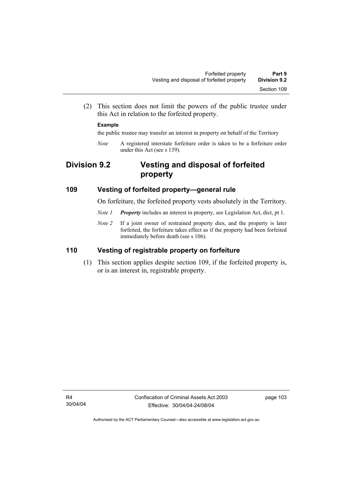(2) This section does not limit the powers of the public trustee under this Act in relation to the forfeited property.

### **Example**

the public trustee may transfer an interest in property on behalf of the Territory

*Note* A registered interstate forfeiture order is taken to be a forfeiture order under this Act (see s 139).

# **Division 9.2 Vesting and disposal of forfeited property**

### **109 Vesting of forfeited property—general rule**

On forfeiture, the forfeited property vests absolutely in the Territory.

- *Note 1 Property* includes an interest in property, see Legislation Act, dict, pt 1.
- *Note 2* If a joint owner of restrained property dies, and the property is later forfeited, the forfeiture takes effect as if the property had been forfeited immediately before death (see s 106).

# **110 Vesting of registrable property on forfeiture**

 (1) This section applies despite section 109, if the forfeited property is, or is an interest in, registrable property.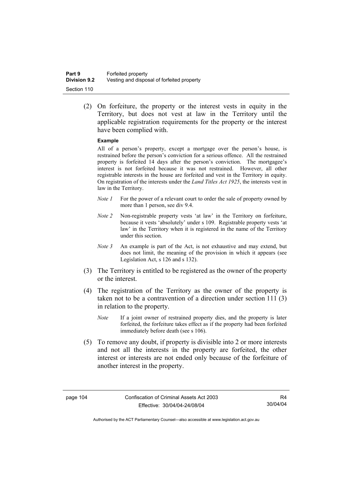(2) On forfeiture, the property or the interest vests in equity in the Territory, but does not vest at law in the Territory until the applicable registration requirements for the property or the interest have been complied with.

### **Example**

All of a person's property, except a mortgage over the person's house, is restrained before the person's conviction for a serious offence. All the restrained property is forfeited 14 days after the person's conviction. The mortgagee's interest is not forfeited because it was not restrained. However, all other registrable interests in the house are forfeited and vest in the Territory in equity. On registration of the interests under the *Land Titles Act 1925*, the interests vest in law in the Territory.

- *Note 1* For the power of a relevant court to order the sale of property owned by more than 1 person, see div 9.4.
- *Note 2* Non-registrable property vests 'at law' in the Territory on forfeiture, because it vests 'absolutely' under s 109. Registrable property vests 'at law' in the Territory when it is registered in the name of the Territory under this section.
- *Note 3* An example is part of the Act, is not exhaustive and may extend, but does not limit, the meaning of the provision in which it appears (see Legislation Act, s 126 and s 132).
- (3) The Territory is entitled to be registered as the owner of the property or the interest.
- (4) The registration of the Territory as the owner of the property is taken not to be a contravention of a direction under section 111 (3) in relation to the property.
	- *Note* If a joint owner of restrained property dies, and the property is later forfeited, the forfeiture takes effect as if the property had been forfeited immediately before death (see s 106).
- (5) To remove any doubt, if property is divisible into 2 or more interests and not all the interests in the property are forfeited, the other interest or interests are not ended only because of the forfeiture of another interest in the property.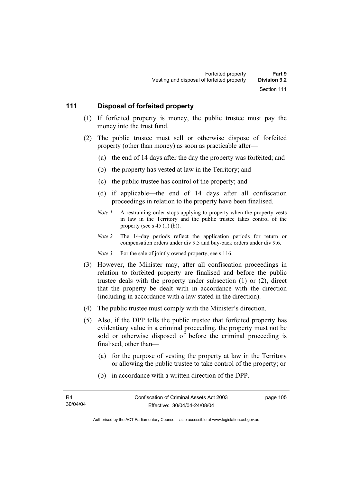### **111 Disposal of forfeited property**

- (1) If forfeited property is money, the public trustee must pay the money into the trust fund.
- (2) The public trustee must sell or otherwise dispose of forfeited property (other than money) as soon as practicable after—
	- (a) the end of 14 days after the day the property was forfeited; and
	- (b) the property has vested at law in the Territory; and
	- (c) the public trustee has control of the property; and
	- (d) if applicable—the end of 14 days after all confiscation proceedings in relation to the property have been finalised.
	- *Note 1* A restraining order stops applying to property when the property vests in law in the Territory and the public trustee takes control of the property (see s  $45$  (1) (b)).
	- *Note 2* The 14-day periods reflect the application periods for return or compensation orders under div 9.5 and buy-back orders under div 9.6.
	- *Note 3* For the sale of jointly owned property, see s 116.
- (3) However, the Minister may, after all confiscation proceedings in relation to forfeited property are finalised and before the public trustee deals with the property under subsection (1) or (2), direct that the property be dealt with in accordance with the direction (including in accordance with a law stated in the direction).
- (4) The public trustee must comply with the Minister's direction.
- (5) Also, if the DPP tells the public trustee that forfeited property has evidentiary value in a criminal proceeding, the property must not be sold or otherwise disposed of before the criminal proceeding is finalised, other than—
	- (a) for the purpose of vesting the property at law in the Territory or allowing the public trustee to take control of the property; or
	- (b) in accordance with a written direction of the DPP.

page 105

Authorised by the ACT Parliamentary Counsel—also accessible at www.legislation.act.gov.au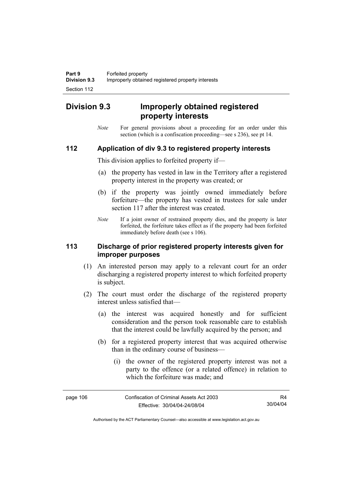# **Division 9.3 Improperly obtained registered property interests**

*Note* For general provisions about a proceeding for an order under this section (which is a confiscation proceeding—see s 236), see pt 14.

### **112 Application of div 9.3 to registered property interests**

This division applies to forfeited property if—

- (a) the property has vested in law in the Territory after a registered property interest in the property was created; or
- (b) if the property was jointly owned immediately before forfeiture—the property has vested in trustees for sale under section 117 after the interest was created.
- *Note* If a joint owner of restrained property dies, and the property is later forfeited, the forfeiture takes effect as if the property had been forfeited immediately before death (see s 106).

### **113 Discharge of prior registered property interests given for improper purposes**

- (1) An interested person may apply to a relevant court for an order discharging a registered property interest to which forfeited property is subject.
- (2) The court must order the discharge of the registered property interest unless satisfied that—
	- (a) the interest was acquired honestly and for sufficient consideration and the person took reasonable care to establish that the interest could be lawfully acquired by the person; and
	- (b) for a registered property interest that was acquired otherwise than in the ordinary course of business—
		- (i) the owner of the registered property interest was not a party to the offence (or a related offence) in relation to which the forfeiture was made; and

| page 106 | Confiscation of Criminal Assets Act 2003 | R4       |
|----------|------------------------------------------|----------|
|          | Effective: 30/04/04-24/08/04             | 30/04/04 |

Authorised by the ACT Parliamentary Counsel—also accessible at www.legislation.act.gov.au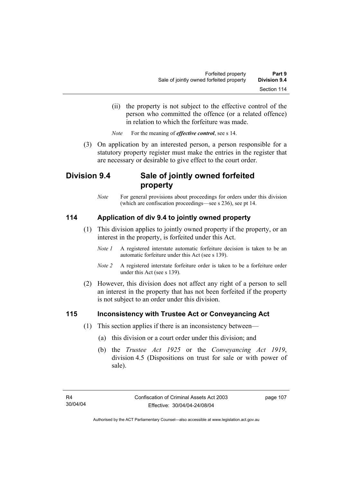(ii) the property is not subject to the effective control of the person who committed the offence (or a related offence) in relation to which the forfeiture was made.

*Note* For the meaning of *effective control*, see s 14.

 (3) On application by an interested person, a person responsible for a statutory property register must make the entries in the register that are necessary or desirable to give effect to the court order.

# **Division 9.4 Sale of jointly owned forfeited property**

*Note* For general provisions about proceedings for orders under this division (which are confiscation proceedings—see s 236), see pt 14.

# **114 Application of div 9.4 to jointly owned property**

- (1) This division applies to jointly owned property if the property, or an interest in the property, is forfeited under this Act.
	- *Note 1* A registered interstate automatic forfeiture decision is taken to be an automatic forfeiture under this Act (see s 139).
	- *Note 2* A registered interstate forfeiture order is taken to be a forfeiture order under this Act (see s 139).
- (2) However, this division does not affect any right of a person to sell an interest in the property that has not been forfeited if the property is not subject to an order under this division.

## **115 Inconsistency with Trustee Act or Conveyancing Act**

- (1) This section applies if there is an inconsistency between—
	- (a) this division or a court order under this division; and
	- (b) the *Trustee Act 1925* or the *Conveyancing Act 1919*, division 4.5 (Dispositions on trust for sale or with power of sale).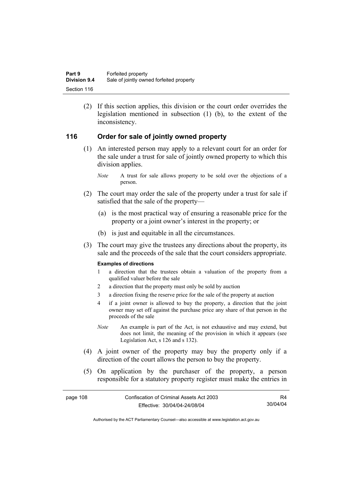(2) If this section applies, this division or the court order overrides the legislation mentioned in subsection (1) (b), to the extent of the inconsistency.

## **116 Order for sale of jointly owned property**

- (1) An interested person may apply to a relevant court for an order for the sale under a trust for sale of jointly owned property to which this division applies.
	- *Note* A trust for sale allows property to be sold over the objections of a person.
- (2) The court may order the sale of the property under a trust for sale if satisfied that the sale of the property—
	- (a) is the most practical way of ensuring a reasonable price for the property or a joint owner's interest in the property; or
	- (b) is just and equitable in all the circumstances.
- (3) The court may give the trustees any directions about the property, its sale and the proceeds of the sale that the court considers appropriate.

### **Examples of directions**

- 1 a direction that the trustees obtain a valuation of the property from a qualified valuer before the sale
- 2 a direction that the property must only be sold by auction
- 3 a direction fixing the reserve price for the sale of the property at auction
- 4 if a joint owner is allowed to buy the property, a direction that the joint owner may set off against the purchase price any share of that person in the proceeds of the sale
- *Note* An example is part of the Act, is not exhaustive and may extend, but does not limit, the meaning of the provision in which it appears (see Legislation Act, s 126 and s 132).
- (4) A joint owner of the property may buy the property only if a direction of the court allows the person to buy the property.
- (5) On application by the purchaser of the property, a person responsible for a statutory property register must make the entries in

page 108 Confiscation of Criminal Assets Act 2003 Effective: 30/04/04-24/08/04 R4 30/04/04

Authorised by the ACT Parliamentary Counsel—also accessible at www.legislation.act.gov.au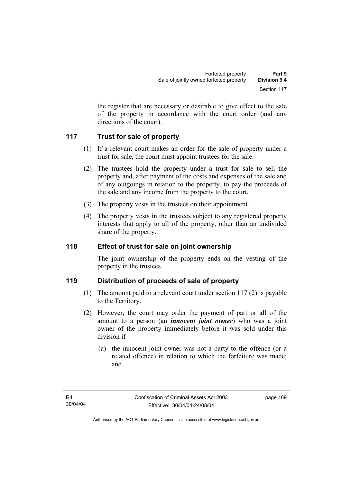the register that are necessary or desirable to give effect to the sale of the property in accordance with the court order (and any directions of the court).

# **117 Trust for sale of property**

- (1) If a relevant court makes an order for the sale of property under a trust for sale, the court must appoint trustees for the sale.
- (2) The trustees hold the property under a trust for sale to sell the property and, after payment of the costs and expenses of the sale and of any outgoings in relation to the property, to pay the proceeds of the sale and any income from the property to the court.
- (3) The property vests in the trustees on their appointment.
- (4) The property vests in the trustees subject to any registered property interests that apply to all of the property, other than an undivided share of the property.

## **118 Effect of trust for sale on joint ownership**

The joint ownership of the property ends on the vesting of the property in the trustees.

## **119 Distribution of proceeds of sale of property**

- (1) The amount paid to a relevant court under section 117 (2) is payable to the Territory.
- (2) However, the court may order the payment of part or all of the amount to a person (an *innocent joint owner*) who was a joint owner of the property immediately before it was sold under this division if—
	- (a) the innocent joint owner was not a party to the offence (or a related offence) in relation to which the forfeiture was made; and

page 109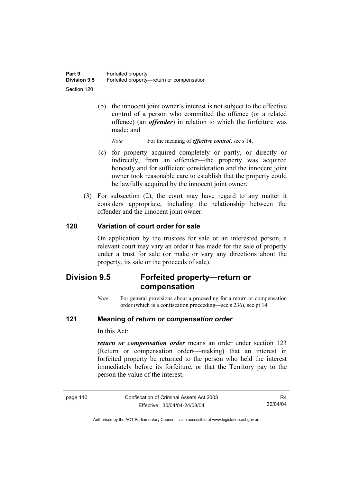(b) the innocent joint owner's interest is not subject to the effective control of a person who committed the offence (or a related offence) (an *offender*) in relation to which the forfeiture was made; and

*Note* For the meaning of *effective control*, see s 14.

- (c) for property acquired completely or partly, or directly or indirectly, from an offender—the property was acquired honestly and for sufficient consideration and the innocent joint owner took reasonable care to establish that the property could be lawfully acquired by the innocent joint owner.
- (3) For subsection (2), the court may have regard to any matter it considers appropriate, including the relationship between the offender and the innocent joint owner.

## **120 Variation of court order for sale**

On application by the trustees for sale or an interested person, a relevant court may vary an order it has made for the sale of property under a trust for sale (or make or vary any directions about the property, its sale or the proceeds of sale).

# **Division 9.5 Forfeited property—return or compensation**

*Note* For general provisions about a proceeding for a return or compensation order (which is a confiscation proceeding—see s 236), see pt 14.

### **121 Meaning of** *return or compensation order*

In this Act:

*return or compensation order* means an order under section 123 (Return or compensation orders—making) that an interest in forfeited property be returned to the person who held the interest immediately before its forfeiture, or that the Territory pay to the person the value of the interest.

| page 110 | Confiscation of Criminal Assets Act 2003 |
|----------|------------------------------------------|
|          | Effective: 30/04/04-24/08/04             |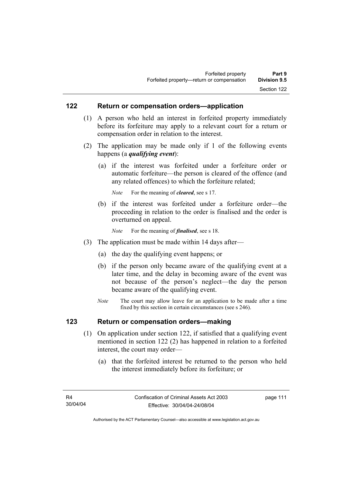### **122 Return or compensation orders—application**

- (1) A person who held an interest in forfeited property immediately before its forfeiture may apply to a relevant court for a return or compensation order in relation to the interest.
- (2) The application may be made only if 1 of the following events happens (a *qualifying event*):
	- (a) if the interest was forfeited under a forfeiture order or automatic forfeiture—the person is cleared of the offence (and any related offences) to which the forfeiture related;

*Note* For the meaning of *cleared*, see s 17.

- (b) if the interest was forfeited under a forfeiture order—the proceeding in relation to the order is finalised and the order is overturned on appeal.
	- *Note* For the meaning of *finalised*, see s 18.
- (3) The application must be made within 14 days after—
	- (a) the day the qualifying event happens; or
	- (b) if the person only became aware of the qualifying event at a later time, and the delay in becoming aware of the event was not because of the person's neglect—the day the person became aware of the qualifying event.
	- *Note* The court may allow leave for an application to be made after a time fixed by this section in certain circumstances (see s 246).

### **123 Return or compensation orders—making**

- (1) On application under section 122, if satisfied that a qualifying event mentioned in section 122 (2) has happened in relation to a forfeited interest, the court may order—
	- (a) that the forfeited interest be returned to the person who held the interest immediately before its forfeiture; or

page 111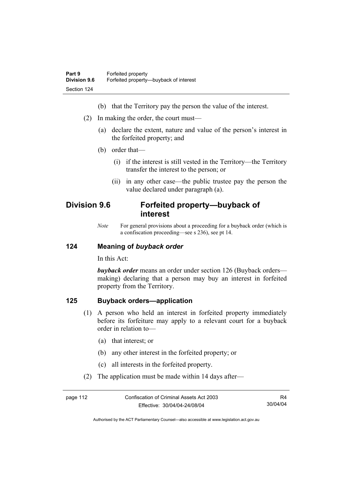- (b) that the Territory pay the person the value of the interest.
- (2) In making the order, the court must—
	- (a) declare the extent, nature and value of the person's interest in the forfeited property; and
	- (b) order that—
		- (i) if the interest is still vested in the Territory—the Territory transfer the interest to the person; or
		- (ii) in any other case—the public trustee pay the person the value declared under paragraph (a).

# **Division 9.6 Forfeited property—buyback of interest**

*Note* For general provisions about a proceeding for a buyback order (which is a confiscation proceeding—see s 236), see pt 14.

### **124 Meaning of** *buyback order*

In this Act:

*buyback order* means an order under section 126 (Buyback orders making) declaring that a person may buy an interest in forfeited property from the Territory.

### **125 Buyback orders—application**

- (1) A person who held an interest in forfeited property immediately before its forfeiture may apply to a relevant court for a buyback order in relation to—
	- (a) that interest; or
	- (b) any other interest in the forfeited property; or
	- (c) all interests in the forfeited property.
- (2) The application must be made within 14 days after—

| page 112 | Confiscation of Criminal Assets Act 2003 | R4       |
|----------|------------------------------------------|----------|
|          | Effective: 30/04/04-24/08/04             | 30/04/04 |

Authorised by the ACT Parliamentary Counsel—also accessible at www.legislation.act.gov.au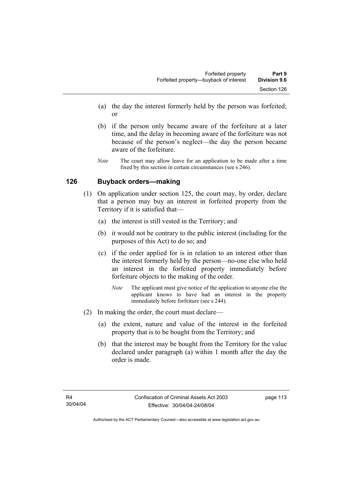- (a) the day the interest formerly held by the person was forfeited; or
- (b) if the person only became aware of the forfeiture at a later time, and the delay in becoming aware of the forfeiture was not because of the person's neglect—the day the person became aware of the forfeiture.
- *Note* The court may allow leave for an application to be made after a time fixed by this section in certain circumstances (see s 246).

## **126 Buyback orders—making**

- (1) On application under section 125, the court may, by order, declare that a person may buy an interest in forfeited property from the Territory if it is satisfied that—
	- (a) the interest is still vested in the Territory; and
	- (b) it would not be contrary to the public interest (including for the purposes of this Act) to do so; and
	- (c) if the order applied for is in relation to an interest other than the interest formerly held by the person—no-one else who held an interest in the forfeited property immediately before forfeiture objects to the making of the order.
		- *Note* The applicant must give notice of the application to anyone else the applicant knows to have had an interest in the property immediately before forfeiture (see s 244).
- (2) In making the order, the court must declare—
	- (a) the extent, nature and value of the interest in the forfeited property that is to be bought from the Territory; and
	- (b) that the interest may be bought from the Territory for the value declared under paragraph (a) within 1 month after the day the order is made.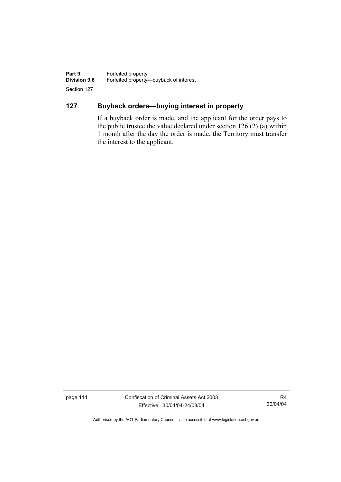**Part 9 Forfeited property**<br>**Division 9.6 Forfeited property-Division 9.6** Forfeited property—buyback of interest Section 127

# **127 Buyback orders—buying interest in property**

If a buyback order is made, and the applicant for the order pays to the public trustee the value declared under section 126 (2) (a) within 1 month after the day the order is made, the Territory must transfer the interest to the applicant.

page 114 Confiscation of Criminal Assets Act 2003 Effective: 30/04/04-24/08/04

R4 30/04/04

Authorised by the ACT Parliamentary Counsel—also accessible at www.legislation.act.gov.au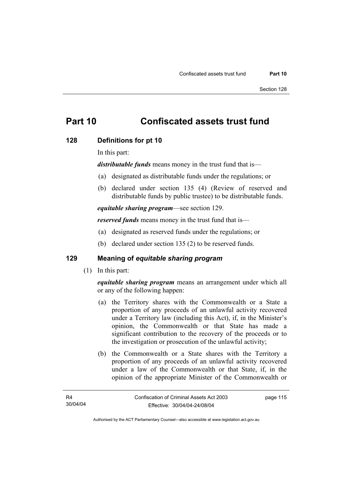# **Part 10 Confiscated assets trust fund**

### **128 Definitions for pt 10**

In this part:

*distributable funds* means money in the trust fund that is—

- (a) designated as distributable funds under the regulations; or
- (b) declared under section 135 (4) (Review of reserved and distributable funds by public trustee) to be distributable funds.

*equitable sharing program*—see section 129.

*reserved funds* means money in the trust fund that is—

- (a) designated as reserved funds under the regulations; or
- (b) declared under section 135 (2) to be reserved funds.

## **129 Meaning of** *equitable sharing program*

(1) In this part:

*equitable sharing program* means an arrangement under which all or any of the following happen:

- (a) the Territory shares with the Commonwealth or a State a proportion of any proceeds of an unlawful activity recovered under a Territory law (including this Act), if, in the Minister's opinion, the Commonwealth or that State has made a significant contribution to the recovery of the proceeds or to the investigation or prosecution of the unlawful activity;
- (b) the Commonwealth or a State shares with the Territory a proportion of any proceeds of an unlawful activity recovered under a law of the Commonwealth or that State, if, in the opinion of the appropriate Minister of the Commonwealth or

page 115

Authorised by the ACT Parliamentary Counsel—also accessible at www.legislation.act.gov.au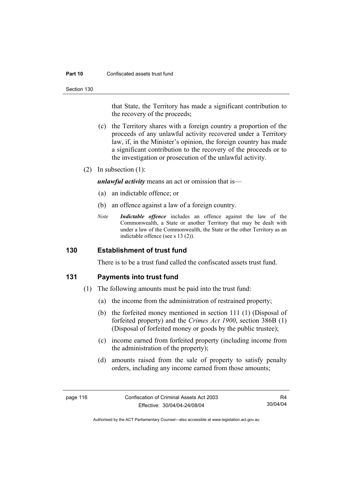#### **Part 10** Confiscated assets trust fund

Section 130

that State, the Territory has made a significant contribution to the recovery of the proceeds;

- (c) the Territory shares with a foreign country a proportion of the proceeds of any unlawful activity recovered under a Territory law, if, in the Minister's opinion, the foreign country has made a significant contribution to the recovery of the proceeds or to the investigation or prosecution of the unlawful activity.
- (2) In subsection (1):

*unlawful activity* means an act or omission that is—

- (a) an indictable offence; or
- (b) an offence against a law of a foreign country.
- *Note Indictable offence* includes an offence against the law of the Commonwealth, a State or another Territory that may be dealt with under a law of the Commonwealth, the State or the other Territory as an indictable offence (see s 13 (2)).

### **130 Establishment of trust fund**

There is to be a trust fund called the confiscated assets trust fund.

### **131 Payments into trust fund**

- (1) The following amounts must be paid into the trust fund:
	- (a) the income from the administration of restrained property;
	- (b) the forfeited money mentioned in section 111 (1) (Disposal of forfeited property) and the *Crimes Act 1900*, section 386B (1) (Disposal of forfeited money or goods by the public trustee);
	- (c) income earned from forfeited property (including income from the administration of the property);
	- (d) amounts raised from the sale of property to satisfy penalty orders, including any income earned from those amounts;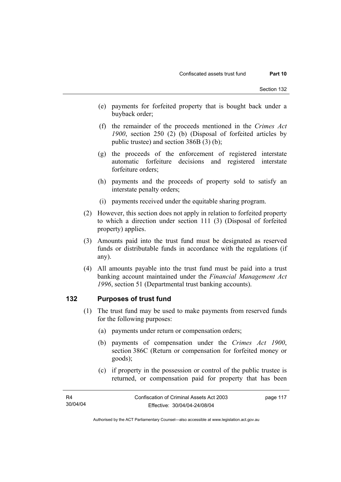- (e) payments for forfeited property that is bought back under a buyback order;
- (f) the remainder of the proceeds mentioned in the *Crimes Act 1900*, section 250 (2) (b) (Disposal of forfeited articles by public trustee) and section 386B (3) (b);
- (g) the proceeds of the enforcement of registered interstate automatic forfeiture decisions and registered interstate forfeiture orders;
- (h) payments and the proceeds of property sold to satisfy an interstate penalty orders;
- (i) payments received under the equitable sharing program.
- (2) However, this section does not apply in relation to forfeited property to which a direction under section 111 (3) (Disposal of forfeited property) applies.
- (3) Amounts paid into the trust fund must be designated as reserved funds or distributable funds in accordance with the regulations (if any).
- (4) All amounts payable into the trust fund must be paid into a trust banking account maintained under the *Financial Management Act 1996*, section 51 (Departmental trust banking accounts).

## **132 Purposes of trust fund**

- (1) The trust fund may be used to make payments from reserved funds for the following purposes:
	- (a) payments under return or compensation orders;
	- (b) payments of compensation under the *Crimes Act 1900*, section 386C (Return or compensation for forfeited money or goods);
	- (c) if property in the possession or control of the public trustee is returned, or compensation paid for property that has been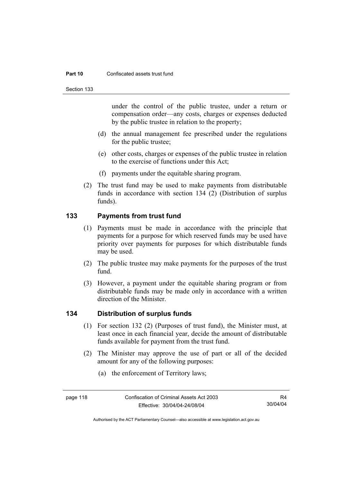#### **Part 10** Confiscated assets trust fund

Section 133

under the control of the public trustee, under a return or compensation order—any costs, charges or expenses deducted by the public trustee in relation to the property;

- (d) the annual management fee prescribed under the regulations for the public trustee;
- (e) other costs, charges or expenses of the public trustee in relation to the exercise of functions under this Act;
- (f) payments under the equitable sharing program.
- (2) The trust fund may be used to make payments from distributable funds in accordance with section 134 (2) (Distribution of surplus funds).

## **133 Payments from trust fund**

- (1) Payments must be made in accordance with the principle that payments for a purpose for which reserved funds may be used have priority over payments for purposes for which distributable funds may be used.
- (2) The public trustee may make payments for the purposes of the trust fund.
- (3) However, a payment under the equitable sharing program or from distributable funds may be made only in accordance with a written direction of the Minister.

### **134 Distribution of surplus funds**

- (1) For section 132 (2) (Purposes of trust fund), the Minister must, at least once in each financial year, decide the amount of distributable funds available for payment from the trust fund.
- (2) The Minister may approve the use of part or all of the decided amount for any of the following purposes:
	- (a) the enforcement of Territory laws;

Authorised by the ACT Parliamentary Counsel—also accessible at www.legislation.act.gov.au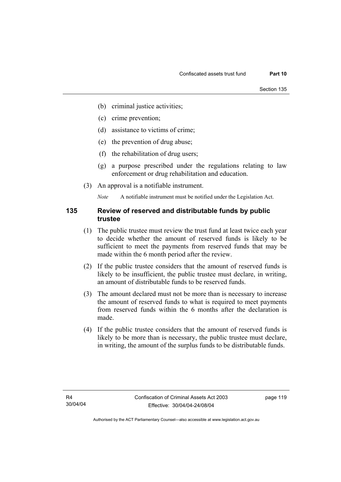- (b) criminal justice activities;
- (c) crime prevention;
- (d) assistance to victims of crime;
- (e) the prevention of drug abuse;
- (f) the rehabilitation of drug users;
- (g) a purpose prescribed under the regulations relating to law enforcement or drug rehabilitation and education.
- (3) An approval is a notifiable instrument.

*Note* A notifiable instrument must be notified under the Legislation Act.

### **135 Review of reserved and distributable funds by public trustee**

- (1) The public trustee must review the trust fund at least twice each year to decide whether the amount of reserved funds is likely to be sufficient to meet the payments from reserved funds that may be made within the 6 month period after the review.
- (2) If the public trustee considers that the amount of reserved funds is likely to be insufficient, the public trustee must declare, in writing, an amount of distributable funds to be reserved funds.
- (3) The amount declared must not be more than is necessary to increase the amount of reserved funds to what is required to meet payments from reserved funds within the 6 months after the declaration is made.
- (4) If the public trustee considers that the amount of reserved funds is likely to be more than is necessary, the public trustee must declare, in writing, the amount of the surplus funds to be distributable funds.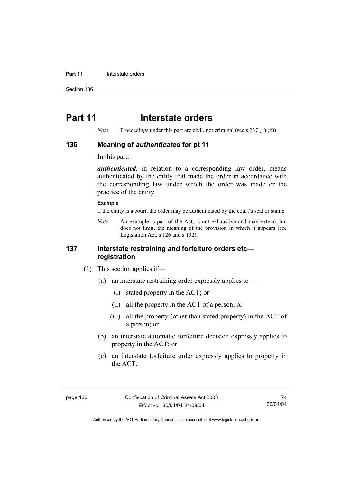#### **Part 11 Interstate orders**

Section 136

# **Part 11** Interstate orders

*Note* Proceedings under this part are civil, not criminal (see s 237 (1) (b)).

### **136 Meaning of** *authenticated* **for pt 11**

In this part:

*authenticated*, in relation to a corresponding law order, means authenticated by the entity that made the order in accordance with the corresponding law under which the order was made or the practice of the entity.

#### **Example**

if the entity is a court, the order may be authenticated by the court's seal or stamp

*Note* An example is part of the Act, is not exhaustive and may extend, but does not limit, the meaning of the provision in which it appears (see Legislation Act, s 126 and s 132).

### **137 Interstate restraining and forfeiture orders etc registration**

- (1) This section applies if—
	- (a) an interstate restraining order expressly applies to—
		- (i) stated property in the ACT; or
		- (ii) all the property in the ACT of a person; or
		- (iii) all the property (other than stated property) in the ACT of a person; or
	- (b) an interstate automatic forfeiture decision expressly applies to property in the ACT; or
	- (c) an interstate forfeiture order expressly applies to property in the ACT.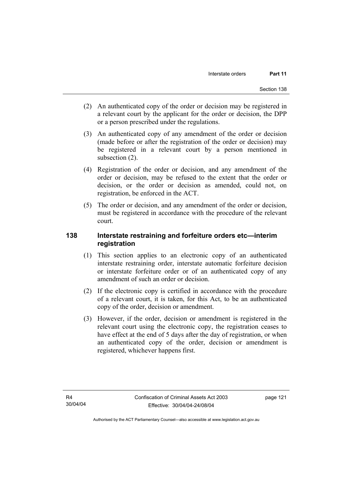- (2) An authenticated copy of the order or decision may be registered in a relevant court by the applicant for the order or decision, the DPP or a person prescribed under the regulations.
- (3) An authenticated copy of any amendment of the order or decision (made before or after the registration of the order or decision) may be registered in a relevant court by a person mentioned in subsection (2).
- (4) Registration of the order or decision, and any amendment of the order or decision, may be refused to the extent that the order or decision, or the order or decision as amended, could not, on registration, be enforced in the ACT.
- (5) The order or decision, and any amendment of the order or decision, must be registered in accordance with the procedure of the relevant court.

## **138 Interstate restraining and forfeiture orders etc—interim registration**

- (1) This section applies to an electronic copy of an authenticated interstate restraining order, interstate automatic forfeiture decision or interstate forfeiture order or of an authenticated copy of any amendment of such an order or decision.
- (2) If the electronic copy is certified in accordance with the procedure of a relevant court, it is taken, for this Act, to be an authenticated copy of the order, decision or amendment.
- (3) However, if the order, decision or amendment is registered in the relevant court using the electronic copy, the registration ceases to have effect at the end of 5 days after the day of registration, or when an authenticated copy of the order, decision or amendment is registered, whichever happens first.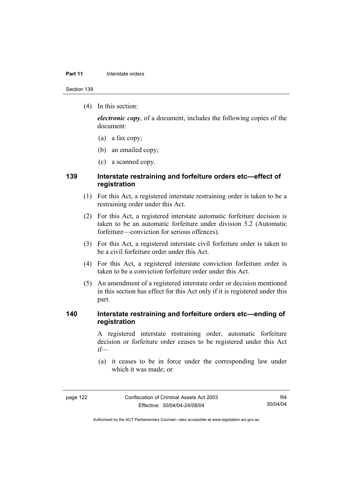#### **Part 11 Interstate orders**

Section 139

(4) In this section:

*electronic copy*, of a document, includes the following copies of the document:

- (a) a fax copy;
- (b) an emailed copy;
- (c) a scanned copy.

### **139 Interstate restraining and forfeiture orders etc—effect of registration**

- (1) For this Act, a registered interstate restraining order is taken to be a restraining order under this Act.
- (2) For this Act, a registered interstate automatic forfeiture decision is taken to be an automatic forfeiture under division 5.2 (Automatic forfeiture—conviction for serious offences).
- (3) For this Act, a registered interstate civil forfeiture order is taken to be a civil forfeiture order under this Act.
- (4) For this Act, a registered interstate conviction forfeiture order is taken to be a conviction forfeiture order under this Act.
- (5) An amendment of a registered interstate order or decision mentioned in this section has effect for this Act only if it is registered under this part.

### **140 Interstate restraining and forfeiture orders etc—ending of registration**

A registered interstate restraining order, automatic forfeiture decision or forfeiture order ceases to be registered under this Act if—

 (a) it ceases to be in force under the corresponding law under which it was made; or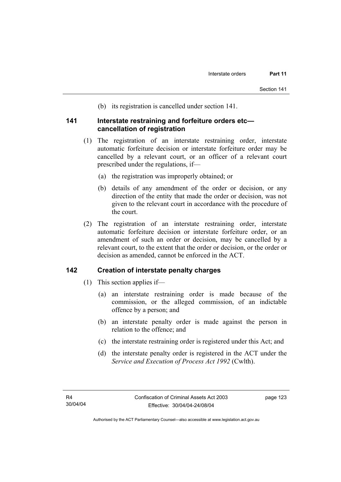(b) its registration is cancelled under section 141.

### **141 Interstate restraining and forfeiture orders etc cancellation of registration**

- (1) The registration of an interstate restraining order, interstate automatic forfeiture decision or interstate forfeiture order may be cancelled by a relevant court, or an officer of a relevant court prescribed under the regulations, if—
	- (a) the registration was improperly obtained; or
	- (b) details of any amendment of the order or decision, or any direction of the entity that made the order or decision, was not given to the relevant court in accordance with the procedure of the court.
- (2) The registration of an interstate restraining order, interstate automatic forfeiture decision or interstate forfeiture order, or an amendment of such an order or decision, may be cancelled by a relevant court, to the extent that the order or decision, or the order or decision as amended, cannot be enforced in the ACT.

### **142 Creation of interstate penalty charges**

- (1) This section applies if—
	- (a) an interstate restraining order is made because of the commission, or the alleged commission, of an indictable offence by a person; and
	- (b) an interstate penalty order is made against the person in relation to the offence; and
	- (c) the interstate restraining order is registered under this Act; and
	- (d) the interstate penalty order is registered in the ACT under the *Service and Execution of Process Act 1992* (Cwlth).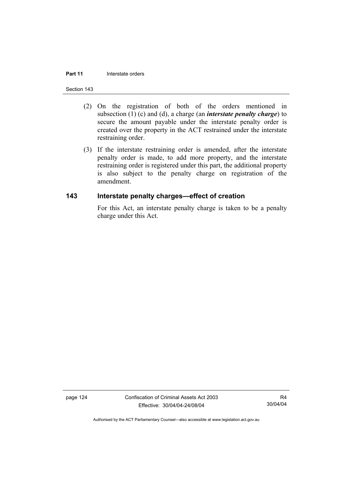#### **Part 11 Interstate orders**

#### Section 143

- (2) On the registration of both of the orders mentioned in subsection (1) (c) and (d), a charge (an *interstate penalty charge*) to secure the amount payable under the interstate penalty order is created over the property in the ACT restrained under the interstate restraining order.
- (3) If the interstate restraining order is amended, after the interstate penalty order is made, to add more property, and the interstate restraining order is registered under this part, the additional property is also subject to the penalty charge on registration of the amendment.

### **143 Interstate penalty charges—effect of creation**

For this Act, an interstate penalty charge is taken to be a penalty charge under this Act.

page 124 Confiscation of Criminal Assets Act 2003 Effective: 30/04/04-24/08/04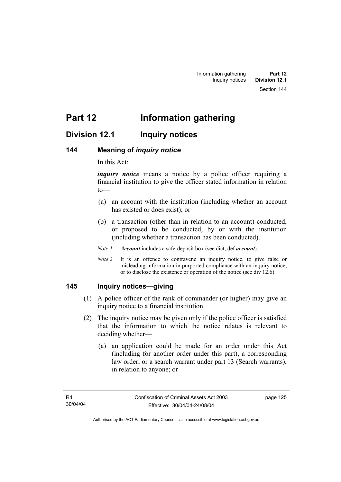# **Division 12.1 Inquiry notices**

## **144 Meaning of** *inquiry notice*

In this Act:

*inquiry notice* means a notice by a police officer requiring a financial institution to give the officer stated information in relation to—

- (a) an account with the institution (including whether an account has existed or does exist); or
- (b) a transaction (other than in relation to an account) conducted, or proposed to be conducted, by or with the institution (including whether a transaction has been conducted).

*Note 1 Account* includes a safe-deposit box (see dict, def *account*).

*Note 2* It is an offence to contravene an inquiry notice, to give false or misleading information in purported compliance with an inquiry notice, or to disclose the existence or operation of the notice (see div 12.6).

### **145 Inquiry notices—giving**

- (1) A police officer of the rank of commander (or higher) may give an inquiry notice to a financial institution.
- (2) The inquiry notice may be given only if the police officer is satisfied that the information to which the notice relates is relevant to deciding whether—
	- (a) an application could be made for an order under this Act (including for another order under this part), a corresponding law order, or a search warrant under part 13 (Search warrants), in relation to anyone; or

page 125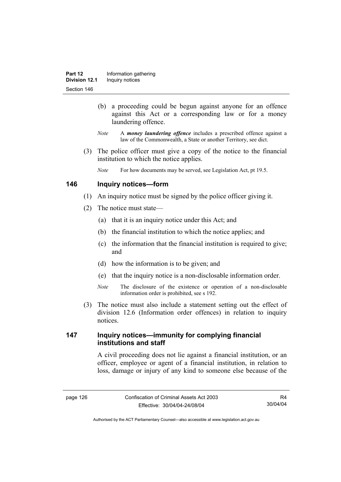- (b) a proceeding could be begun against anyone for an offence against this Act or a corresponding law or for a money laundering offence.
- *Note* A *money laundering offence* includes a prescribed offence against a law of the Commonwealth, a State or another Territory, see dict.
- (3) The police officer must give a copy of the notice to the financial institution to which the notice applies.
	- *Note* For how documents may be served, see Legislation Act, pt 19.5.

### **146 Inquiry notices—form**

- (1) An inquiry notice must be signed by the police officer giving it.
- (2) The notice must state—
	- (a) that it is an inquiry notice under this Act; and
	- (b) the financial institution to which the notice applies; and
	- (c) the information that the financial institution is required to give; and
	- (d) how the information is to be given; and
	- (e) that the inquiry notice is a non-disclosable information order.
	- *Note* The disclosure of the existence or operation of a non-disclosable information order is prohibited, see s 192.
- (3) The notice must also include a statement setting out the effect of division 12.6 (Information order offences) in relation to inquiry notices.

## **147 Inquiry notices—immunity for complying financial institutions and staff**

A civil proceeding does not lie against a financial institution, or an officer, employee or agent of a financial institution, in relation to loss, damage or injury of any kind to someone else because of the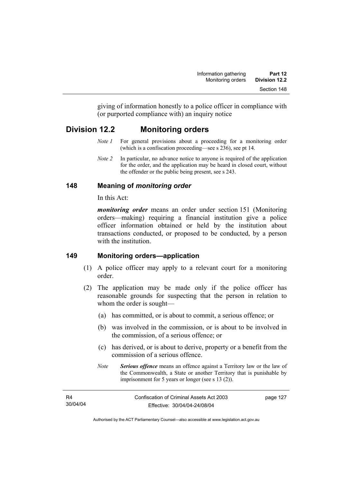giving of information honestly to a police officer in compliance with (or purported compliance with) an inquiry notice

# **Division 12.2 Monitoring orders**

- *Note 1* For general provisions about a proceeding for a monitoring order (which is a confiscation proceeding—see s 236), see pt 14.
- *Note 2* In particular, no advance notice to anyone is required of the application for the order, and the application may be heard in closed court, without the offender or the public being present, see s 243.

## **148 Meaning of** *monitoring order*

In this Act:

*monitoring order* means an order under section 151 (Monitoring orders—making) requiring a financial institution give a police officer information obtained or held by the institution about transactions conducted, or proposed to be conducted, by a person with the institution

## **149 Monitoring orders—application**

- (1) A police officer may apply to a relevant court for a monitoring order.
- (2) The application may be made only if the police officer has reasonable grounds for suspecting that the person in relation to whom the order is sought—
	- (a) has committed, or is about to commit, a serious offence; or
	- (b) was involved in the commission, or is about to be involved in the commission, of a serious offence; or
	- (c) has derived, or is about to derive, property or a benefit from the commission of a serious offence.
	- *Note Serious offence* means an offence against a Territory law or the law of the Commonwealth, a State or another Territory that is punishable by imprisonment for 5 years or longer (see s 13 (2)).

| R4       | Confiscation of Criminal Assets Act 2003 | page 127 |
|----------|------------------------------------------|----------|
| 30/04/04 | Effective: 30/04/04-24/08/04             |          |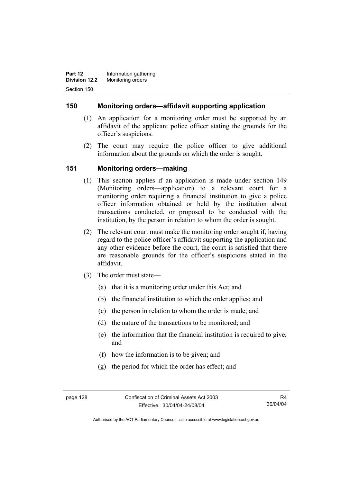**Part 12 Information gathering Division 12.2** Monitoring orders Section 150

### **150 Monitoring orders—affidavit supporting application**

- (1) An application for a monitoring order must be supported by an affidavit of the applicant police officer stating the grounds for the officer's suspicions.
- (2) The court may require the police officer to give additional information about the grounds on which the order is sought.

## **151 Monitoring orders—making**

- (1) This section applies if an application is made under section 149 (Monitoring orders—application) to a relevant court for a monitoring order requiring a financial institution to give a police officer information obtained or held by the institution about transactions conducted, or proposed to be conducted with the institution, by the person in relation to whom the order is sought.
- (2) The relevant court must make the monitoring order sought if, having regard to the police officer's affidavit supporting the application and any other evidence before the court, the court is satisfied that there are reasonable grounds for the officer's suspicions stated in the affidavit.
- (3) The order must state—
	- (a) that it is a monitoring order under this Act; and
	- (b) the financial institution to which the order applies; and
	- (c) the person in relation to whom the order is made; and
	- (d) the nature of the transactions to be monitored; and
	- (e) the information that the financial institution is required to give; and
	- (f) how the information is to be given; and
	- (g) the period for which the order has effect; and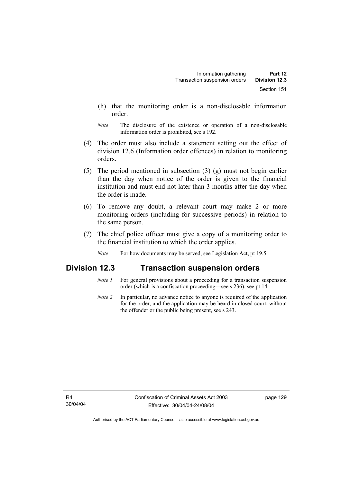- (h) that the monitoring order is a non-disclosable information order.
- *Note* The disclosure of the existence or operation of a non-disclosable information order is prohibited, see s 192.
- (4) The order must also include a statement setting out the effect of division 12.6 (Information order offences) in relation to monitoring orders.
- (5) The period mentioned in subsection (3) (g) must not begin earlier than the day when notice of the order is given to the financial institution and must end not later than 3 months after the day when the order is made.
- (6) To remove any doubt, a relevant court may make 2 or more monitoring orders (including for successive periods) in relation to the same person.
- (7) The chief police officer must give a copy of a monitoring order to the financial institution to which the order applies.
	- *Note* For how documents may be served, see Legislation Act, pt 19.5.

# **Division 12.3 Transaction suspension orders**

- *Note 1* For general provisions about a proceeding for a transaction suspension order (which is a confiscation proceeding—see s 236), see pt 14.
- *Note 2* In particular, no advance notice to anyone is required of the application for the order, and the application may be heard in closed court, without the offender or the public being present, see s 243.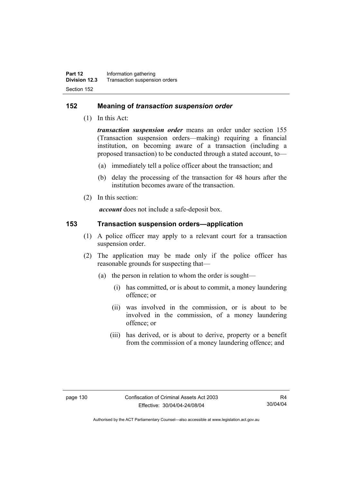## **152 Meaning of** *transaction suspension order*

(1) In this Act:

*transaction suspension order* means an order under section 155 (Transaction suspension orders—making) requiring a financial institution, on becoming aware of a transaction (including a proposed transaction) to be conducted through a stated account, to—

- (a) immediately tell a police officer about the transaction; and
- (b) delay the processing of the transaction for 48 hours after the institution becomes aware of the transaction.
- (2) In this section:

*account* does not include a safe-deposit box.

### **153 Transaction suspension orders—application**

- (1) A police officer may apply to a relevant court for a transaction suspension order.
- (2) The application may be made only if the police officer has reasonable grounds for suspecting that—
	- (a) the person in relation to whom the order is sought—
		- (i) has committed, or is about to commit, a money laundering offence; or
		- (ii) was involved in the commission, or is about to be involved in the commission, of a money laundering offence; or
		- (iii) has derived, or is about to derive, property or a benefit from the commission of a money laundering offence; and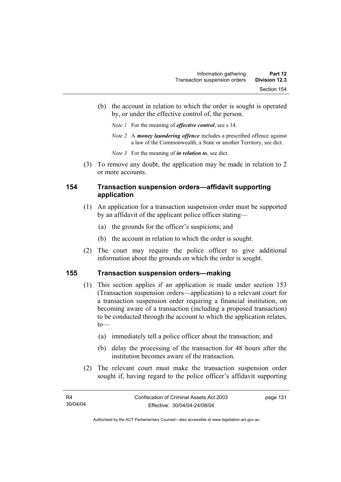- (b) the account in relation to which the order is sought is operated by, or under the effective control of, the person.
	- *Note 1* For the meaning of *effective control*, see s 14.
	- *Note 2* A *money laundering offence* includes a prescribed offence against a law of the Commonwealth, a State or another Territory, see dict.
	- *Note 3* For the meaning of *in relation to*, see dict.
- (3) To remove any doubt, the application may be made in relation to 2 or more accounts.

## **154 Transaction suspension orders—affidavit supporting application**

- (1) An application for a transaction suspension order must be supported by an affidavit of the applicant police officer stating—
	- (a) the grounds for the officer's suspicions; and
	- (b) the account in relation to which the order is sought.
- (2) The court may require the police officer to give additional information about the grounds on which the order is sought.

#### **155 Transaction suspension orders—making**

- (1) This section applies if an application is made under section 153 (Transaction suspension orders—application) to a relevant court for a transaction suspension order requiring a financial institution, on becoming aware of a transaction (including a proposed transaction) to be conducted through the account to which the application relates,  $to$ —
	- (a) immediately tell a police officer about the transaction; and
	- (b) delay the processing of the transaction for 48 hours after the institution becomes aware of the transaction.
- (2) The relevant court must make the transaction suspension order sought if, having regard to the police officer's affidavit supporting

page 131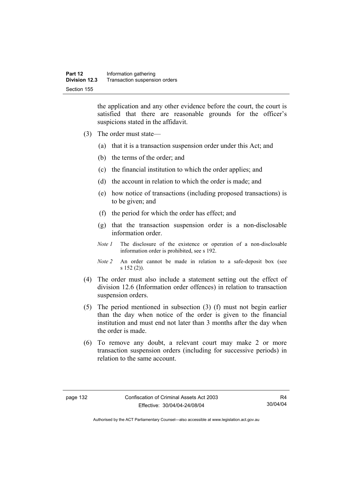the application and any other evidence before the court, the court is satisfied that there are reasonable grounds for the officer's suspicions stated in the affidavit.

- (3) The order must state—
	- (a) that it is a transaction suspension order under this Act; and
	- (b) the terms of the order; and
	- (c) the financial institution to which the order applies; and
	- (d) the account in relation to which the order is made; and
	- (e) how notice of transactions (including proposed transactions) is to be given; and
	- (f) the period for which the order has effect; and
	- (g) that the transaction suspension order is a non-disclosable information order.
	- *Note 1* The disclosure of the existence or operation of a non-disclosable information order is prohibited, see s 192.
	- *Note 2* An order cannot be made in relation to a safe-deposit box (see s 152 (2)).
- (4) The order must also include a statement setting out the effect of division 12.6 (Information order offences) in relation to transaction suspension orders.
- (5) The period mentioned in subsection (3) (f) must not begin earlier than the day when notice of the order is given to the financial institution and must end not later than 3 months after the day when the order is made.
- (6) To remove any doubt, a relevant court may make 2 or more transaction suspension orders (including for successive periods) in relation to the same account.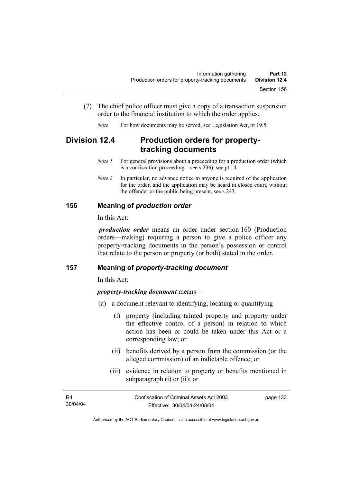- (7) The chief police officer must give a copy of a transaction suspension order to the financial institution to which the order applies.
	- *Note* For how documents may be served, see Legislation Act, pt 19.5.

# **Division 12.4 Production orders for propertytracking documents**

- *Note 1* For general provisions about a proceeding for a production order (which is a confiscation proceeding—see s 236), see pt 14.
- *Note 2* In particular, no advance notice to anyone is required of the application for the order, and the application may be heard in closed court, without the offender or the public being present, see s 243.

## **156 Meaning of** *production order*

In this Act:

*production order* means an order under section 160 (Production orders—making) requiring a person to give a police officer any property-tracking documents in the person's possession or control that relate to the person or property (or both) stated in the order.

#### **157 Meaning of** *property-tracking document*

In this Act:

#### *property-tracking document* means—

- (a) a document relevant to identifying, locating or quantifying—
	- (i) property (including tainted property and property under the effective control of a person) in relation to which action has been or could be taken under this Act or a corresponding law; or
	- (ii) benefits derived by a person from the commission (or the alleged commission) of an indictable offence; or
	- (iii) evidence in relation to property or benefits mentioned in subparagraph (i) or (ii); or

| R4       | Confiscation of Criminal Assets Act 2003 | page 133 |
|----------|------------------------------------------|----------|
| 30/04/04 | Effective: 30/04/04-24/08/04             |          |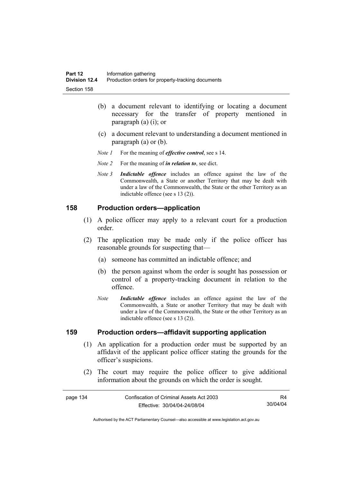- (b) a document relevant to identifying or locating a document necessary for the transfer of property mentioned in paragraph (a) (i); or
- (c) a document relevant to understanding a document mentioned in paragraph (a) or (b).
- *Note 1* For the meaning of *effective control*, see s 14.
- *Note 2* For the meaning of *in relation to*, see dict.
- *Note 3 Indictable offence* includes an offence against the law of the Commonwealth, a State or another Territory that may be dealt with under a law of the Commonwealth, the State or the other Territory as an indictable offence (see s 13 (2)).

#### **158 Production orders—application**

- (1) A police officer may apply to a relevant court for a production order.
- (2) The application may be made only if the police officer has reasonable grounds for suspecting that—
	- (a) someone has committed an indictable offence; and
	- (b) the person against whom the order is sought has possession or control of a property-tracking document in relation to the offence.
	- *Note Indictable offence* includes an offence against the law of the Commonwealth, a State or another Territory that may be dealt with under a law of the Commonwealth, the State or the other Territory as an indictable offence (see s 13 (2)).

#### **159 Production orders—affidavit supporting application**

- (1) An application for a production order must be supported by an affidavit of the applicant police officer stating the grounds for the officer's suspicions.
- (2) The court may require the police officer to give additional information about the grounds on which the order is sought.

| page 134 | Confiscation of Criminal Assets Act 2003 | R4       |
|----------|------------------------------------------|----------|
|          | Effective: 30/04/04-24/08/04             | 30/04/04 |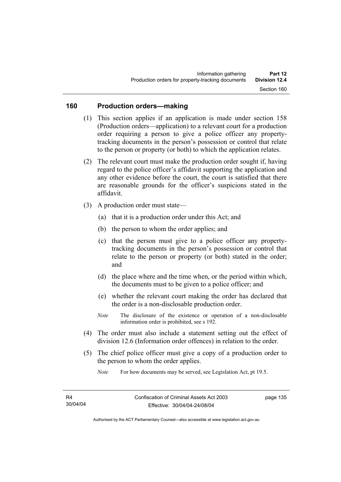## **160 Production orders—making**

- (1) This section applies if an application is made under section 158 (Production orders—application) to a relevant court for a production order requiring a person to give a police officer any propertytracking documents in the person's possession or control that relate to the person or property (or both) to which the application relates.
- (2) The relevant court must make the production order sought if, having regard to the police officer's affidavit supporting the application and any other evidence before the court, the court is satisfied that there are reasonable grounds for the officer's suspicions stated in the affidavit.
- (3) A production order must state—
	- (a) that it is a production order under this Act; and
	- (b) the person to whom the order applies; and
	- (c) that the person must give to a police officer any propertytracking documents in the person's possession or control that relate to the person or property (or both) stated in the order; and
	- (d) the place where and the time when, or the period within which, the documents must to be given to a police officer; and
	- (e) whether the relevant court making the order has declared that the order is a non-disclosable production order.
	- *Note* The disclosure of the existence or operation of a non-disclosable information order is prohibited, see s 192.
- (4) The order must also include a statement setting out the effect of division 12.6 (Information order offences) in relation to the order.
- (5) The chief police officer must give a copy of a production order to the person to whom the order applies.

*Note* For how documents may be served, see Legislation Act, pt 19.5.

page 135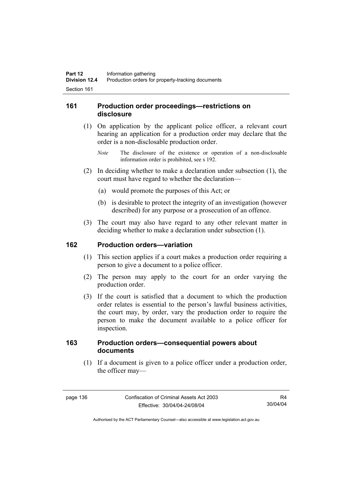## **161 Production order proceedings—restrictions on disclosure**

- (1) On application by the applicant police officer, a relevant court hearing an application for a production order may declare that the order is a non-disclosable production order.
	- *Note* The disclosure of the existence or operation of a non-disclosable information order is prohibited, see s 192.
- (2) In deciding whether to make a declaration under subsection (1), the court must have regard to whether the declaration—
	- (a) would promote the purposes of this Act; or
	- (b) is desirable to protect the integrity of an investigation (however described) for any purpose or a prosecution of an offence.
- (3) The court may also have regard to any other relevant matter in deciding whether to make a declaration under subsection (1).

#### **162 Production orders—variation**

- (1) This section applies if a court makes a production order requiring a person to give a document to a police officer.
- (2) The person may apply to the court for an order varying the production order.
- (3) If the court is satisfied that a document to which the production order relates is essential to the person's lawful business activities, the court may, by order, vary the production order to require the person to make the document available to a police officer for inspection.

## **163 Production orders—consequential powers about documents**

 (1) If a document is given to a police officer under a production order, the officer may—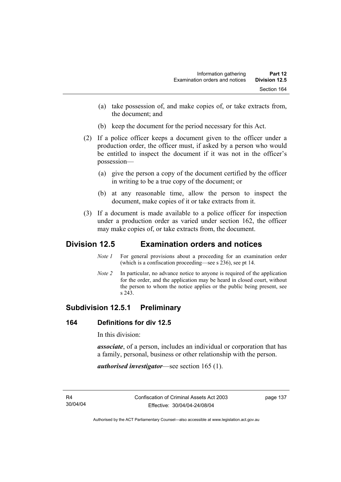- (a) take possession of, and make copies of, or take extracts from, the document; and
- (b) keep the document for the period necessary for this Act.
- (2) If a police officer keeps a document given to the officer under a production order, the officer must, if asked by a person who would be entitled to inspect the document if it was not in the officer's possession—
	- (a) give the person a copy of the document certified by the officer in writing to be a true copy of the document; or
	- (b) at any reasonable time, allow the person to inspect the document, make copies of it or take extracts from it.
- (3) If a document is made available to a police officer for inspection under a production order as varied under section 162, the officer may make copies of, or take extracts from, the document.

# **Division 12.5 Examination orders and notices**

- *Note 1* For general provisions about a proceeding for an examination order (which is a confiscation proceeding—see s 236), see pt 14.
- *Note 2* In particular, no advance notice to anyone is required of the application for the order, and the application may be heard in closed court, without the person to whom the notice applies or the public being present, see s 243.

# **Subdivision 12.5.1 Preliminary**

## **164 Definitions for div 12.5**

In this division:

*associate*, of a person, includes an individual or corporation that has a family, personal, business or other relationship with the person.

*authorised investigator*—see section 165 (1).

R4 30/04/04 page 137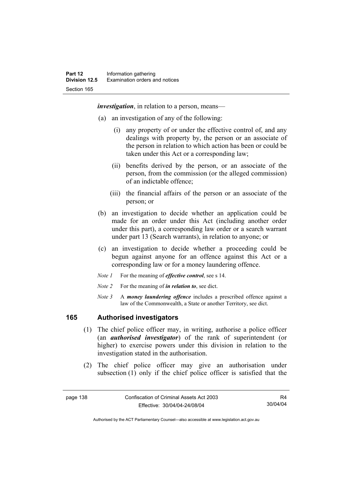*investigation*, in relation to a person, means—

- (a) an investigation of any of the following:
	- (i) any property of or under the effective control of, and any dealings with property by, the person or an associate of the person in relation to which action has been or could be taken under this Act or a corresponding law;
	- (ii) benefits derived by the person, or an associate of the person, from the commission (or the alleged commission) of an indictable offence;
	- (iii) the financial affairs of the person or an associate of the person; or
- (b) an investigation to decide whether an application could be made for an order under this Act (including another order under this part), a corresponding law order or a search warrant under part 13 (Search warrants), in relation to anyone; or
- (c) an investigation to decide whether a proceeding could be begun against anyone for an offence against this Act or a corresponding law or for a money laundering offence.
- *Note 1* For the meaning of *effective control*, see s 14.
- *Note 2* For the meaning of *in relation to*, see dict.
- *Note 3* A *money laundering offence* includes a prescribed offence against a law of the Commonwealth, a State or another Territory, see dict.

## **165 Authorised investigators**

- (1) The chief police officer may, in writing, authorise a police officer (an *authorised investigator*) of the rank of superintendent (or higher) to exercise powers under this division in relation to the investigation stated in the authorisation.
- (2) The chief police officer may give an authorisation under subsection (1) only if the chief police officer is satisfied that the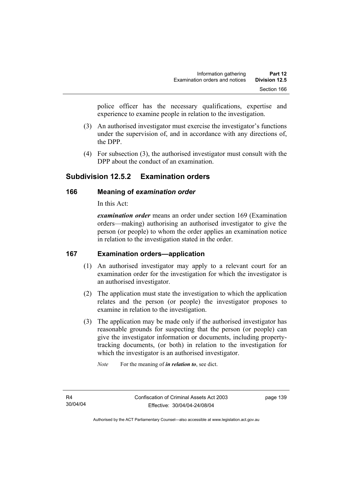police officer has the necessary qualifications, expertise and experience to examine people in relation to the investigation.

- (3) An authorised investigator must exercise the investigator's functions under the supervision of, and in accordance with any directions of, the DPP.
- (4) For subsection (3), the authorised investigator must consult with the DPP about the conduct of an examination.

# **Subdivision 12.5.2 Examination orders**

## **166 Meaning of** *examination order*

In this Act:

*examination order* means an order under section 169 (Examination orders—making) authorising an authorised investigator to give the person (or people) to whom the order applies an examination notice in relation to the investigation stated in the order.

## **167 Examination orders—application**

- (1) An authorised investigator may apply to a relevant court for an examination order for the investigation for which the investigator is an authorised investigator.
- (2) The application must state the investigation to which the application relates and the person (or people) the investigator proposes to examine in relation to the investigation.
- (3) The application may be made only if the authorised investigator has reasonable grounds for suspecting that the person (or people) can give the investigator information or documents, including propertytracking documents, (or both) in relation to the investigation for which the investigator is an authorised investigator.

*Note* For the meaning of *in relation to*, see dict.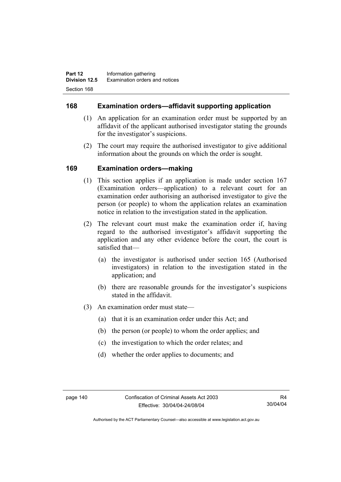## **168 Examination orders—affidavit supporting application**

- (1) An application for an examination order must be supported by an affidavit of the applicant authorised investigator stating the grounds for the investigator's suspicions.
- (2) The court may require the authorised investigator to give additional information about the grounds on which the order is sought.

## **169 Examination orders—making**

- (1) This section applies if an application is made under section 167 (Examination orders—application) to a relevant court for an examination order authorising an authorised investigator to give the person (or people) to whom the application relates an examination notice in relation to the investigation stated in the application.
- (2) The relevant court must make the examination order if, having regard to the authorised investigator's affidavit supporting the application and any other evidence before the court, the court is satisfied that—
	- (a) the investigator is authorised under section 165 (Authorised investigators) in relation to the investigation stated in the application; and
	- (b) there are reasonable grounds for the investigator's suspicions stated in the affidavit.
- (3) An examination order must state—
	- (a) that it is an examination order under this Act; and
	- (b) the person (or people) to whom the order applies; and
	- (c) the investigation to which the order relates; and
	- (d) whether the order applies to documents; and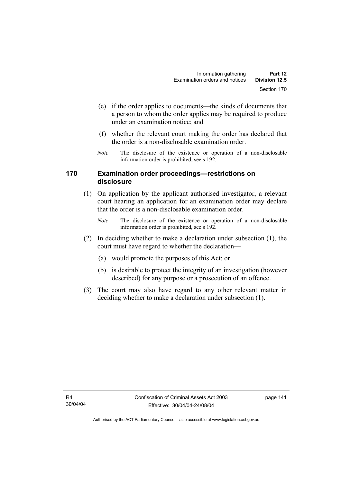- (e) if the order applies to documents—the kinds of documents that a person to whom the order applies may be required to produce under an examination notice; and
- (f) whether the relevant court making the order has declared that the order is a non-disclosable examination order.
- *Note* The disclosure of the existence or operation of a non-disclosable information order is prohibited, see s 192.

## **170 Examination order proceedings—restrictions on disclosure**

- (1) On application by the applicant authorised investigator, a relevant court hearing an application for an examination order may declare that the order is a non-disclosable examination order.
	- *Note* The disclosure of the existence or operation of a non-disclosable information order is prohibited, see s 192.
- (2) In deciding whether to make a declaration under subsection (1), the court must have regard to whether the declaration—
	- (a) would promote the purposes of this Act; or
	- (b) is desirable to protect the integrity of an investigation (however described) for any purpose or a prosecution of an offence.
- (3) The court may also have regard to any other relevant matter in deciding whether to make a declaration under subsection (1).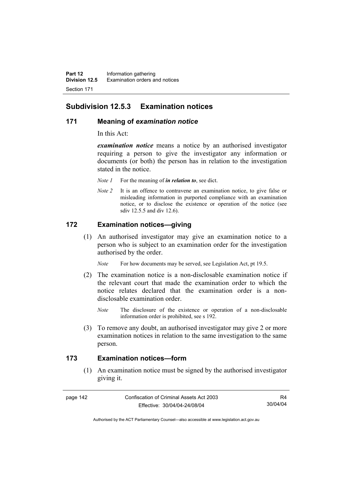## **Subdivision 12.5.3 Examination notices**

#### **171 Meaning of** *examination notice*

In this Act:

*examination notice* means a notice by an authorised investigator requiring a person to give the investigator any information or documents (or both) the person has in relation to the investigation stated in the notice.

- *Note 1* For the meaning of *in relation to*, see dict.
- *Note 2* It is an offence to contravene an examination notice, to give false or misleading information in purported compliance with an examination notice, or to disclose the existence or operation of the notice (see sdiv 12.5.5 and div 12.6).

## **172 Examination notices—giving**

 (1) An authorised investigator may give an examination notice to a person who is subject to an examination order for the investigation authorised by the order.

*Note* For how documents may be served, see Legislation Act, pt 19.5.

- (2) The examination notice is a non-disclosable examination notice if the relevant court that made the examination order to which the notice relates declared that the examination order is a nondisclosable examination order.
	- *Note* The disclosure of the existence or operation of a non-disclosable information order is prohibited, see s 192.
- (3) To remove any doubt, an authorised investigator may give 2 or more examination notices in relation to the same investigation to the same person.

## **173 Examination notices—form**

 (1) An examination notice must be signed by the authorised investigator giving it.

page 142 Confiscation of Criminal Assets Act 2003 Effective: 30/04/04-24/08/04

R4 30/04/04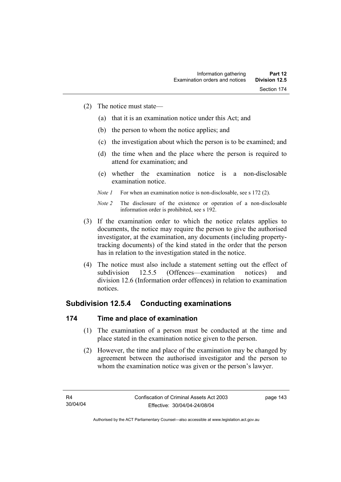- (2) The notice must state—
	- (a) that it is an examination notice under this Act; and
	- (b) the person to whom the notice applies; and
	- (c) the investigation about which the person is to be examined; and
	- (d) the time when and the place where the person is required to attend for examination; and
	- (e) whether the examination notice is a non-disclosable examination notice.
	- *Note 1* For when an examination notice is non-disclosable, see s 172 (2).

- (3) If the examination order to which the notice relates applies to documents, the notice may require the person to give the authorised investigator, at the examination, any documents (including propertytracking documents) of the kind stated in the order that the person has in relation to the investigation stated in the notice.
- (4) The notice must also include a statement setting out the effect of subdivision 12.5.5 (Offences—examination notices) and division 12.6 (Information order offences) in relation to examination notices.

## **Subdivision 12.5.4 Conducting examinations**

## **174 Time and place of examination**

- (1) The examination of a person must be conducted at the time and place stated in the examination notice given to the person.
- (2) However, the time and place of the examination may be changed by agreement between the authorised investigator and the person to whom the examination notice was given or the person's lawyer.

page 143

*Note 2* The disclosure of the existence or operation of a non-disclosable information order is prohibited, see s 192.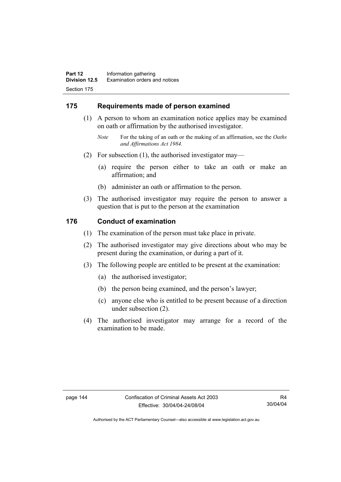## **175 Requirements made of person examined**

- (1) A person to whom an examination notice applies may be examined on oath or affirmation by the authorised investigator.
	- *Note* For the taking of an oath or the making of an affirmation, see the *Oaths and Affirmations Act 1984.*
- (2) For subsection (1), the authorised investigator may—
	- (a) require the person either to take an oath or make an affirmation; and
	- (b) administer an oath or affirmation to the person.
- (3) The authorised investigator may require the person to answer a question that is put to the person at the examination

#### **176 Conduct of examination**

- (1) The examination of the person must take place in private.
- (2) The authorised investigator may give directions about who may be present during the examination, or during a part of it.
- (3) The following people are entitled to be present at the examination:
	- (a) the authorised investigator;
	- (b) the person being examined, and the person's lawyer;
	- (c) anyone else who is entitled to be present because of a direction under subsection (2).
- (4) The authorised investigator may arrange for a record of the examination to be made.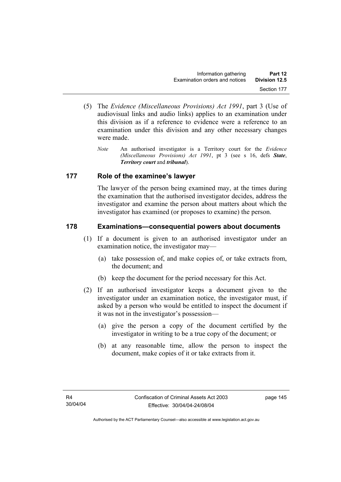- (5) The *Evidence (Miscellaneous Provisions) Act 1991*, part 3 (Use of audiovisual links and audio links) applies to an examination under this division as if a reference to evidence were a reference to an examination under this division and any other necessary changes were made.
	- *Note* An authorised investigator is a Territory court for the *Evidence (Miscellaneous Provisions) Act 1991*, pt 3 (see s 16, defs *State*, *Territory court* and *tribunal*).

## **177 Role of the examinee's lawyer**

The lawyer of the person being examined may, at the times during the examination that the authorised investigator decides, address the investigator and examine the person about matters about which the investigator has examined (or proposes to examine) the person.

## **178 Examinations—consequential powers about documents**

- (1) If a document is given to an authorised investigator under an examination notice, the investigator may—
	- (a) take possession of, and make copies of, or take extracts from, the document; and
	- (b) keep the document for the period necessary for this Act.
- (2) If an authorised investigator keeps a document given to the investigator under an examination notice, the investigator must, if asked by a person who would be entitled to inspect the document if it was not in the investigator's possession—
	- (a) give the person a copy of the document certified by the investigator in writing to be a true copy of the document; or
	- (b) at any reasonable time, allow the person to inspect the document, make copies of it or take extracts from it.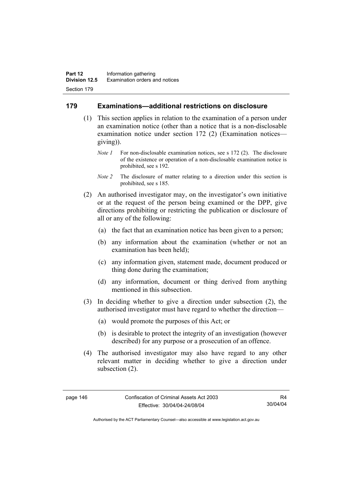## **179 Examinations—additional restrictions on disclosure**

- (1) This section applies in relation to the examination of a person under an examination notice (other than a notice that is a non-disclosable examination notice under section 172 (2) (Examination notices giving)).
	- *Note 1* For non-disclosable examination notices, see s 172 (2). The disclosure of the existence or operation of a non-disclosable examination notice is prohibited, see s 192.
	- *Note 2* The disclosure of matter relating to a direction under this section is prohibited, see s 185.
- (2) An authorised investigator may, on the investigator's own initiative or at the request of the person being examined or the DPP, give directions prohibiting or restricting the publication or disclosure of all or any of the following:
	- (a) the fact that an examination notice has been given to a person;
	- (b) any information about the examination (whether or not an examination has been held);
	- (c) any information given, statement made, document produced or thing done during the examination;
	- (d) any information, document or thing derived from anything mentioned in this subsection.
- (3) In deciding whether to give a direction under subsection (2), the authorised investigator must have regard to whether the direction—
	- (a) would promote the purposes of this Act; or
	- (b) is desirable to protect the integrity of an investigation (however described) for any purpose or a prosecution of an offence.
- (4) The authorised investigator may also have regard to any other relevant matter in deciding whether to give a direction under subsection (2).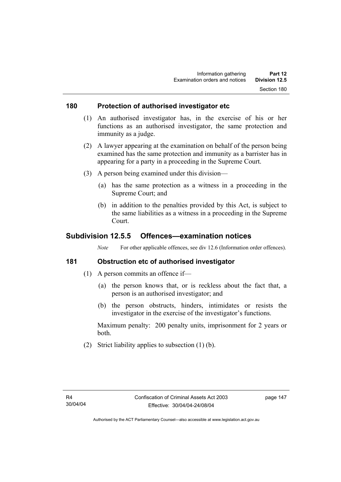#### **180 Protection of authorised investigator etc**

- (1) An authorised investigator has, in the exercise of his or her functions as an authorised investigator, the same protection and immunity as a judge.
- (2) A lawyer appearing at the examination on behalf of the person being examined has the same protection and immunity as a barrister has in appearing for a party in a proceeding in the Supreme Court.
- (3) A person being examined under this division—
	- (a) has the same protection as a witness in a proceeding in the Supreme Court; and
	- (b) in addition to the penalties provided by this Act, is subject to the same liabilities as a witness in a proceeding in the Supreme Court.

## **Subdivision 12.5.5 Offences—examination notices**

*Note* For other applicable offences, see div 12.6 (Information order offences).

## **181 Obstruction etc of authorised investigator**

- (1) A person commits an offence if—
	- (a) the person knows that, or is reckless about the fact that, a person is an authorised investigator; and
	- (b) the person obstructs, hinders, intimidates or resists the investigator in the exercise of the investigator's functions.

Maximum penalty: 200 penalty units, imprisonment for 2 years or both.

(2) Strict liability applies to subsection (1) (b).

page 147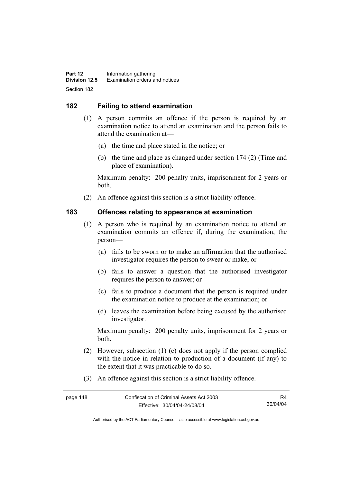## **182 Failing to attend examination**

- (1) A person commits an offence if the person is required by an examination notice to attend an examination and the person fails to attend the examination at—
	- (a) the time and place stated in the notice; or
	- (b) the time and place as changed under section 174 (2) (Time and place of examination).

Maximum penalty: 200 penalty units, imprisonment for 2 years or both.

(2) An offence against this section is a strict liability offence.

## **183 Offences relating to appearance at examination**

- (1) A person who is required by an examination notice to attend an examination commits an offence if, during the examination, the person—
	- (a) fails to be sworn or to make an affirmation that the authorised investigator requires the person to swear or make; or
	- (b) fails to answer a question that the authorised investigator requires the person to answer; or
	- (c) fails to produce a document that the person is required under the examination notice to produce at the examination; or
	- (d) leaves the examination before being excused by the authorised investigator.

Maximum penalty: 200 penalty units, imprisonment for 2 years or both.

- (2) However, subsection (1) (c) does not apply if the person complied with the notice in relation to production of a document (if any) to the extent that it was practicable to do so.
- (3) An offence against this section is a strict liability offence.

| page 148 | Confiscation of Criminal Assets Act 2003 |          |
|----------|------------------------------------------|----------|
|          | Effective: 30/04/04-24/08/04             | 30/04/04 |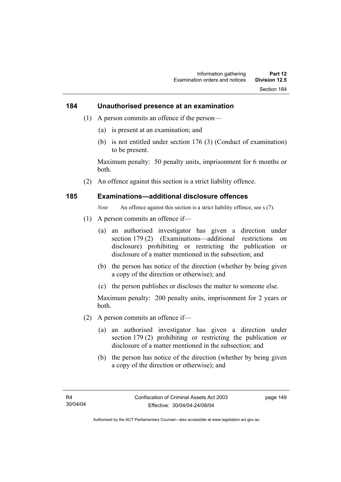#### **184 Unauthorised presence at an examination**

- (1) A person commits an offence if the person—
	- (a) is present at an examination; and
	- (b) is not entitled under section 176 (3) (Conduct of examination) to be present.

Maximum penalty: 50 penalty units, imprisonment for 6 months or both.

(2) An offence against this section is a strict liability offence.

#### **185 Examinations—additional disclosure offences**

*Note* An offence against this section is a strict liability offence, see s (7).

- (1) A person commits an offence if—
	- (a) an authorised investigator has given a direction under section 179 (2) (Examinations—additional restrictions on disclosure) prohibiting or restricting the publication or disclosure of a matter mentioned in the subsection; and
	- (b) the person has notice of the direction (whether by being given a copy of the direction or otherwise); and
	- (c) the person publishes or discloses the matter to someone else.

Maximum penalty: 200 penalty units, imprisonment for 2 years or both.

- (2) A person commits an offence if—
	- (a) an authorised investigator has given a direction under section 179 (2) prohibiting or restricting the publication or disclosure of a matter mentioned in the subsection; and
	- (b) the person has notice of the direction (whether by being given a copy of the direction or otherwise); and

page 149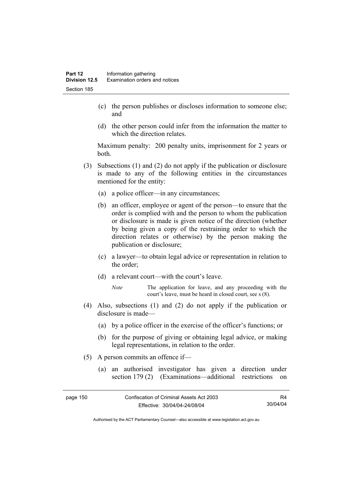- (c) the person publishes or discloses information to someone else; and
- (d) the other person could infer from the information the matter to which the direction relates.

Maximum penalty: 200 penalty units, imprisonment for 2 years or both.

- (3) Subsections (1) and (2) do not apply if the publication or disclosure is made to any of the following entities in the circumstances mentioned for the entity:
	- (a) a police officer—in any circumstances;
	- (b) an officer, employee or agent of the person—to ensure that the order is complied with and the person to whom the publication or disclosure is made is given notice of the direction (whether by being given a copy of the restraining order to which the direction relates or otherwise) by the person making the publication or disclosure;
	- (c) a lawyer—to obtain legal advice or representation in relation to the order;
	- (d) a relevant court—with the court's leave.
		- *Note* The application for leave, and any proceeding with the court's leave, must be heard in closed court, see s (8).
- (4) Also, subsections (1) and (2) do not apply if the publication or disclosure is made—
	- (a) by a police officer in the exercise of the officer's functions; or
	- (b) for the purpose of giving or obtaining legal advice, or making legal representations, in relation to the order.
- (5) A person commits an offence if—
	- (a) an authorised investigator has given a direction under section 179 (2) (Examinations—additional restrictions on

| page 150 | Confiscation of Criminal Assets Act 2003 | R4       |
|----------|------------------------------------------|----------|
|          | Effective: 30/04/04-24/08/04             | 30/04/04 |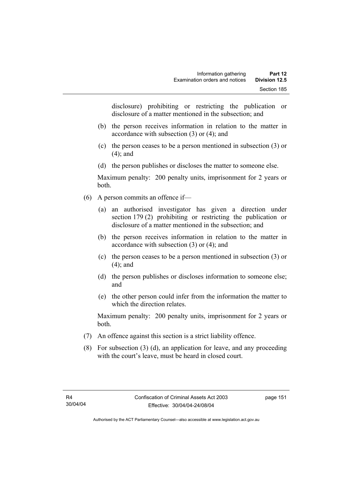disclosure) prohibiting or restricting the publication or disclosure of a matter mentioned in the subsection; and

- (b) the person receives information in relation to the matter in accordance with subsection (3) or (4); and
- (c) the person ceases to be a person mentioned in subsection (3) or (4); and
- (d) the person publishes or discloses the matter to someone else.

Maximum penalty: 200 penalty units, imprisonment for 2 years or both.

- (6) A person commits an offence if—
	- (a) an authorised investigator has given a direction under section 179 (2) prohibiting or restricting the publication or disclosure of a matter mentioned in the subsection; and
	- (b) the person receives information in relation to the matter in accordance with subsection (3) or (4); and
	- (c) the person ceases to be a person mentioned in subsection (3) or (4); and
	- (d) the person publishes or discloses information to someone else; and
	- (e) the other person could infer from the information the matter to which the direction relates.

Maximum penalty: 200 penalty units, imprisonment for 2 years or both.

- (7) An offence against this section is a strict liability offence.
- (8) For subsection (3) (d), an application for leave, and any proceeding with the court's leave, must be heard in closed court.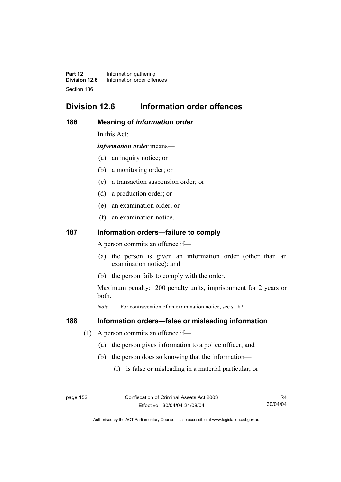**Part 12** Information gathering<br>**Division 12.6** Information order offer **Division 12.6** Information order offences Section 186

# **Division 12.6 Information order offences**

#### **186 Meaning of** *information order*

In this Act:

*information order* means—

- (a) an inquiry notice; or
- (b) a monitoring order; or
- (c) a transaction suspension order; or
- (d) a production order; or
- (e) an examination order; or
- (f) an examination notice.

#### **187 Information orders—failure to comply**

A person commits an offence if—

- (a) the person is given an information order (other than an examination notice); and
- (b) the person fails to comply with the order.

Maximum penalty: 200 penalty units, imprisonment for 2 years or both.

*Note* For contravention of an examination notice, see s 182.

#### **188 Information orders—false or misleading information**

- (1) A person commits an offence if—
	- (a) the person gives information to a police officer; and
	- (b) the person does so knowing that the information—
		- (i) is false or misleading in a material particular; or

page 152 Confiscation of Criminal Assets Act 2003 Effective: 30/04/04-24/08/04

R4 30/04/04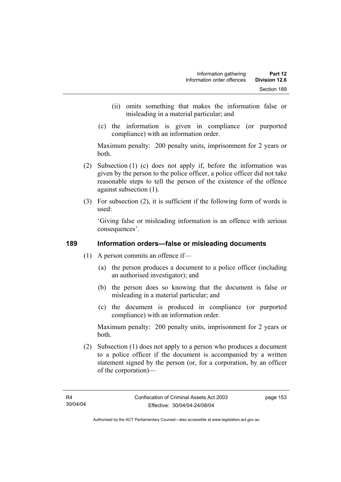- (ii) omits something that makes the information false or misleading in a material particular; and
- (c) the information is given in compliance (or purported compliance) with an information order.

Maximum penalty: 200 penalty units, imprisonment for 2 years or both.

- (2) Subsection (1) (c) does not apply if, before the information was given by the person to the police officer, a police officer did not take reasonable steps to tell the person of the existence of the offence against subsection (1).
- (3) For subsection (2), it is sufficient if the following form of words is used:

'Giving false or misleading information is an offence with serious consequences'.

## **189 Information orders—false or misleading documents**

- (1) A person commits an offence if—
	- (a) the person produces a document to a police officer (including an authorised investigator); and
	- (b) the person does so knowing that the document is false or misleading in a material particular; and
	- (c) the document is produced in compliance (or purported compliance) with an information order.

Maximum penalty: 200 penalty units, imprisonment for 2 years or both.

 (2) Subsection (1) does not apply to a person who produces a document to a police officer if the document is accompanied by a written statement signed by the person (or, for a corporation, by an officer of the corporation)—

page 153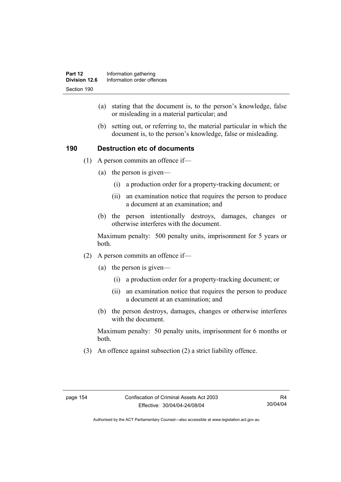- (a) stating that the document is, to the person's knowledge, false or misleading in a material particular; and
- (b) setting out, or referring to, the material particular in which the document is, to the person's knowledge, false or misleading.

## **190 Destruction etc of documents**

- (1) A person commits an offence if—
	- (a) the person is given—
		- (i) a production order for a property-tracking document; or
		- (ii) an examination notice that requires the person to produce a document at an examination; and
	- (b) the person intentionally destroys, damages, changes or otherwise interferes with the document.

Maximum penalty: 500 penalty units, imprisonment for 5 years or both.

- (2) A person commits an offence if—
	- (a) the person is given—
		- (i) a production order for a property-tracking document; or
		- (ii) an examination notice that requires the person to produce a document at an examination; and
	- (b) the person destroys, damages, changes or otherwise interferes with the document.

Maximum penalty: 50 penalty units, imprisonment for 6 months or both.

(3) An offence against subsection (2) a strict liability offence.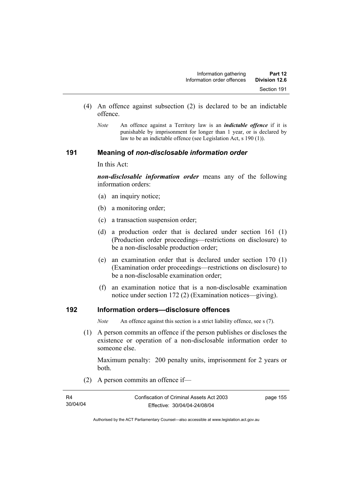- (4) An offence against subsection (2) is declared to be an indictable offence.
	- *Note* An offence against a Territory law is an *indictable offence* if it is punishable by imprisonment for longer than 1 year, or is declared by law to be an indictable offence (see Legislation Act, s 190 (1)).

#### **191 Meaning of** *non-disclosable information order*

In this Act:

*non-disclosable information order* means any of the following information orders:

- (a) an inquiry notice;
- (b) a monitoring order;
- (c) a transaction suspension order;
- (d) a production order that is declared under section 161 (1) (Production order proceedings—restrictions on disclosure) to be a non-disclosable production order;
- (e) an examination order that is declared under section 170 (1) (Examination order proceedings—restrictions on disclosure) to be a non-disclosable examination order;
- (f) an examination notice that is a non-disclosable examination notice under section 172 (2) (Examination notices—giving).

## **192 Information orders—disclosure offences**

*Note* An offence against this section is a strict liability offence, see s (7).

 (1) A person commits an offence if the person publishes or discloses the existence or operation of a non-disclosable information order to someone else.

Maximum penalty: 200 penalty units, imprisonment for 2 years or both.

(2) A person commits an offence if—

| R4       | Confiscation of Criminal Assets Act 2003 | page 155 |
|----------|------------------------------------------|----------|
| 30/04/04 | Effective: 30/04/04-24/08/04             |          |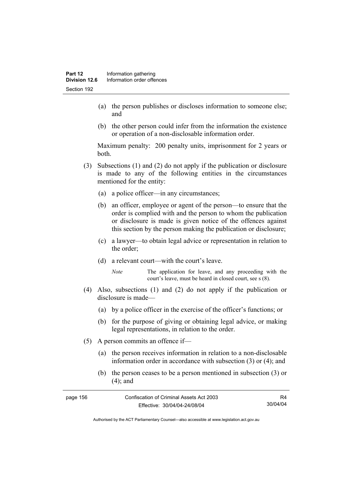- (a) the person publishes or discloses information to someone else; and
- (b) the other person could infer from the information the existence or operation of a non-disclosable information order.

Maximum penalty: 200 penalty units, imprisonment for 2 years or both.

- (3) Subsections (1) and (2) do not apply if the publication or disclosure is made to any of the following entities in the circumstances mentioned for the entity:
	- (a) a police officer—in any circumstances;
	- (b) an officer, employee or agent of the person—to ensure that the order is complied with and the person to whom the publication or disclosure is made is given notice of the offences against this section by the person making the publication or disclosure;
	- (c) a lawyer—to obtain legal advice or representation in relation to the order;
	- (d) a relevant court—with the court's leave.
		- *Note* The application for leave, and any proceeding with the court's leave, must be heard in closed court, see s (8).
- (4) Also, subsections (1) and (2) do not apply if the publication or disclosure is made—
	- (a) by a police officer in the exercise of the officer's functions; or
	- (b) for the purpose of giving or obtaining legal advice, or making legal representations, in relation to the order.
- (5) A person commits an offence if—
	- (a) the person receives information in relation to a non-disclosable information order in accordance with subsection (3) or (4); and
	- (b) the person ceases to be a person mentioned in subsection (3) or (4); and

| page 156 | Confiscation of Criminal Assets Act 2003 | R4       |
|----------|------------------------------------------|----------|
|          | Effective: 30/04/04-24/08/04             | 30/04/04 |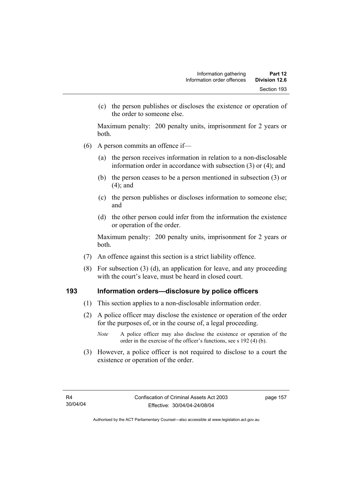(c) the person publishes or discloses the existence or operation of the order to someone else.

Maximum penalty: 200 penalty units, imprisonment for 2 years or both.

- (6) A person commits an offence if—
	- (a) the person receives information in relation to a non-disclosable information order in accordance with subsection (3) or (4); and
	- (b) the person ceases to be a person mentioned in subsection (3) or (4); and
	- (c) the person publishes or discloses information to someone else; and
	- (d) the other person could infer from the information the existence or operation of the order.

Maximum penalty: 200 penalty units, imprisonment for 2 years or both.

- (7) An offence against this section is a strict liability offence.
- (8) For subsection (3) (d), an application for leave, and any proceeding with the court's leave, must be heard in closed court.

#### **193 Information orders—disclosure by police officers**

- (1) This section applies to a non-disclosable information order.
- (2) A police officer may disclose the existence or operation of the order for the purposes of, or in the course of, a legal proceeding.
	- *Note* A police officer may also disclose the existence or operation of the order in the exercise of the officer's functions, see s 192 (4) (b).
- (3) However, a police officer is not required to disclose to a court the existence or operation of the order.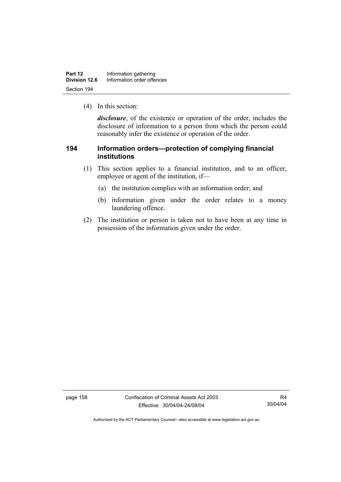| Part 12       | Information gathering      |  |
|---------------|----------------------------|--|
| Division 12.6 | Information order offences |  |
| Section 194   |                            |  |

(4) In this section:

*disclosure*, of the existence or operation of the order, includes the disclosure of information to a person from which the person could reasonably infer the existence or operation of the order.

## **194 Information orders—protection of complying financial institutions**

- (1) This section applies to a financial institution, and to an officer, employee or agent of the institution, if—
	- (a) the institution complies with an information order; and
	- (b) information given under the order relates to a money laundering offence.
- (2) The institution or person is taken not to have been at any time in possession of the information given under the order.

page 158 Confiscation of Criminal Assets Act 2003 Effective: 30/04/04-24/08/04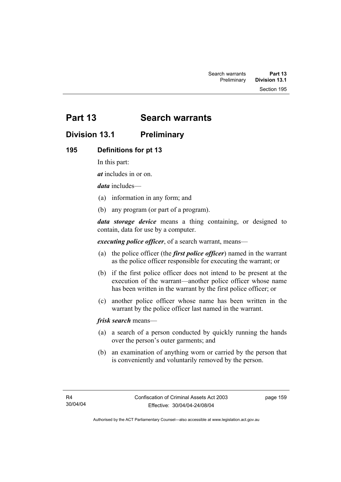Section 195

# **Part 13 Search warrants**

# **Division 13.1 Preliminary**

## **195 Definitions for pt 13**

In this part:

*at* includes in or on.

*data* includes—

- (a) information in any form; and
- (b) any program (or part of a program).

*data storage device* means a thing containing, or designed to contain, data for use by a computer.

*executing police officer*, of a search warrant, means—

- (a) the police officer (the *first police officer*) named in the warrant as the police officer responsible for executing the warrant; or
- (b) if the first police officer does not intend to be present at the execution of the warrant—another police officer whose name has been written in the warrant by the first police officer; or
- (c) another police officer whose name has been written in the warrant by the police officer last named in the warrant.

*frisk search* means—

- (a) a search of a person conducted by quickly running the hands over the person's outer garments; and
- (b) an examination of anything worn or carried by the person that is conveniently and voluntarily removed by the person.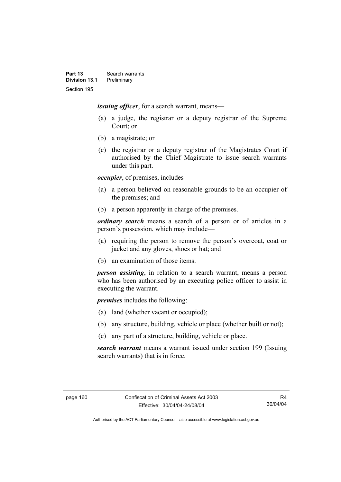*issuing officer*, for a search warrant, means—

- (a) a judge, the registrar or a deputy registrar of the Supreme Court; or
- (b) a magistrate; or
- (c) the registrar or a deputy registrar of the Magistrates Court if authorised by the Chief Magistrate to issue search warrants under this part.

*occupier*, of premises, includes—

- (a) a person believed on reasonable grounds to be an occupier of the premises; and
- (b) a person apparently in charge of the premises.

*ordinary search* means a search of a person or of articles in a person's possession, which may include—

- (a) requiring the person to remove the person's overcoat, coat or jacket and any gloves, shoes or hat; and
- (b) an examination of those items.

*person assisting*, in relation to a search warrant, means a person who has been authorised by an executing police officer to assist in executing the warrant.

*premises* includes the following:

- (a) land (whether vacant or occupied);
- (b) any structure, building, vehicle or place (whether built or not);
- (c) any part of a structure, building, vehicle or place.

*search warrant* means a warrant issued under section 199 (Issuing search warrants) that is in force.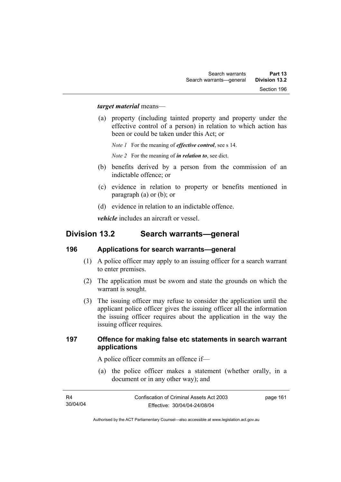#### *target material* means—

 (a) property (including tainted property and property under the effective control of a person) in relation to which action has been or could be taken under this Act; or

*Note 1* For the meaning of *effective control*, see s 14.

*Note 2* For the meaning of *in relation to*, see dict.

- (b) benefits derived by a person from the commission of an indictable offence; or
- (c) evidence in relation to property or benefits mentioned in paragraph (a) or (b); or
- (d) evidence in relation to an indictable offence.

*vehicle* includes an aircraft or vessel.

## **Division 13.2 Search warrants—general**

#### **196 Applications for search warrants—general**

- (1) A police officer may apply to an issuing officer for a search warrant to enter premises.
- (2) The application must be sworn and state the grounds on which the warrant is sought.
- (3) The issuing officer may refuse to consider the application until the applicant police officer gives the issuing officer all the information the issuing officer requires about the application in the way the issuing officer requires.

#### **197 Offence for making false etc statements in search warrant applications**

A police officer commits an offence if—

 (a) the police officer makes a statement (whether orally, in a document or in any other way); and

| - R4     | Confiscation of Criminal Assets Act 2003 | page 161 |
|----------|------------------------------------------|----------|
| 30/04/04 | Effective: 30/04/04-24/08/04             |          |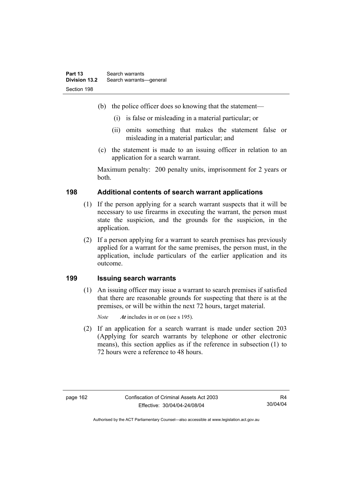- (b) the police officer does so knowing that the statement—
	- (i) is false or misleading in a material particular; or
	- (ii) omits something that makes the statement false or misleading in a material particular; and
- (c) the statement is made to an issuing officer in relation to an application for a search warrant.

Maximum penalty: 200 penalty units, imprisonment for 2 years or both.

## **198 Additional contents of search warrant applications**

- (1) If the person applying for a search warrant suspects that it will be necessary to use firearms in executing the warrant, the person must state the suspicion, and the grounds for the suspicion, in the application.
- (2) If a person applying for a warrant to search premises has previously applied for a warrant for the same premises, the person must, in the application, include particulars of the earlier application and its outcome.

#### **199 Issuing search warrants**

 (1) An issuing officer may issue a warrant to search premises if satisfied that there are reasonable grounds for suspecting that there is at the premises, or will be within the next 72 hours, target material.

*Note At* includes in or on (see s 195).

 (2) If an application for a search warrant is made under section 203 (Applying for search warrants by telephone or other electronic means), this section applies as if the reference in subsection (1) to 72 hours were a reference to 48 hours.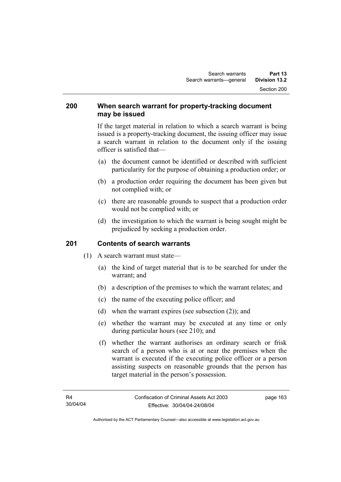#### **200 When search warrant for property-tracking document may be issued**

If the target material in relation to which a search warrant is being issued is a property-tracking document, the issuing officer may issue a search warrant in relation to the document only if the issuing officer is satisfied that—

- (a) the document cannot be identified or described with sufficient particularity for the purpose of obtaining a production order; or
- (b) a production order requiring the document has been given but not complied with; or
- (c) there are reasonable grounds to suspect that a production order would not be complied with; or
- (d) the investigation to which the warrant is being sought might be prejudiced by seeking a production order.

## **201 Contents of search warrants**

- (1) A search warrant must state—
	- (a) the kind of target material that is to be searched for under the warrant; and
	- (b) a description of the premises to which the warrant relates; and
	- (c) the name of the executing police officer; and
	- (d) when the warrant expires (see subsection (2)); and
	- (e) whether the warrant may be executed at any time or only during particular hours (see 210); and
	- (f) whether the warrant authorises an ordinary search or frisk search of a person who is at or near the premises when the warrant is executed if the executing police officer or a person assisting suspects on reasonable grounds that the person has target material in the person's possession.

page 163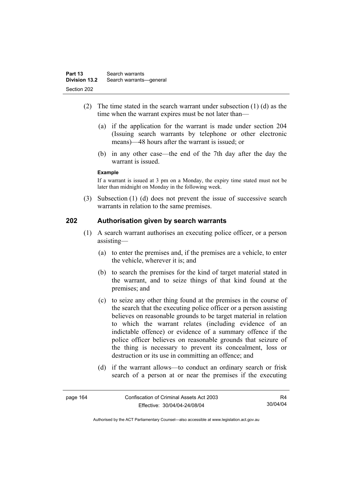- (2) The time stated in the search warrant under subsection (1) (d) as the time when the warrant expires must be not later than—
	- (a) if the application for the warrant is made under section 204 (Issuing search warrants by telephone or other electronic means)—48 hours after the warrant is issued; or
	- (b) in any other case—the end of the 7th day after the day the warrant is issued.

#### **Example**

If a warrant is issued at 3 pm on a Monday, the expiry time stated must not be later than midnight on Monday in the following week.

 (3) Subsection (1) (d) does not prevent the issue of successive search warrants in relation to the same premises.

#### **202 Authorisation given by search warrants**

- (1) A search warrant authorises an executing police officer, or a person assisting—
	- (a) to enter the premises and, if the premises are a vehicle, to enter the vehicle, wherever it is: and
	- (b) to search the premises for the kind of target material stated in the warrant, and to seize things of that kind found at the premises; and
	- (c) to seize any other thing found at the premises in the course of the search that the executing police officer or a person assisting believes on reasonable grounds to be target material in relation to which the warrant relates (including evidence of an indictable offence) or evidence of a summary offence if the police officer believes on reasonable grounds that seizure of the thing is necessary to prevent its concealment, loss or destruction or its use in committing an offence; and
	- (d) if the warrant allows—to conduct an ordinary search or frisk search of a person at or near the premises if the executing

| page 164 | Confiscation of Criminal Assets Act 2003 | R4       |
|----------|------------------------------------------|----------|
|          | Effective: 30/04/04-24/08/04             | 30/04/04 |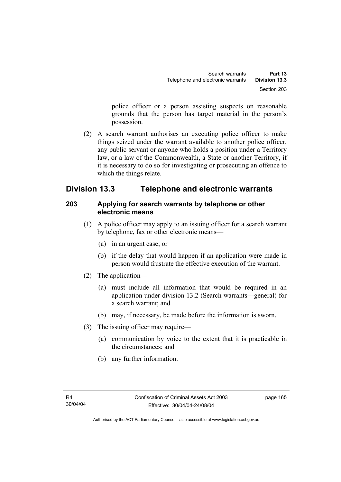police officer or a person assisting suspects on reasonable grounds that the person has target material in the person's possession.

 (2) A search warrant authorises an executing police officer to make things seized under the warrant available to another police officer, any public servant or anyone who holds a position under a Territory law, or a law of the Commonwealth, a State or another Territory, if it is necessary to do so for investigating or prosecuting an offence to which the things relate.

# **Division 13.3 Telephone and electronic warrants**

## **203 Applying for search warrants by telephone or other electronic means**

- (1) A police officer may apply to an issuing officer for a search warrant by telephone, fax or other electronic means—
	- (a) in an urgent case; or
	- (b) if the delay that would happen if an application were made in person would frustrate the effective execution of the warrant.
- (2) The application—
	- (a) must include all information that would be required in an application under division 13.2 (Search warrants—general) for a search warrant; and
	- (b) may, if necessary, be made before the information is sworn.
- (3) The issuing officer may require—
	- (a) communication by voice to the extent that it is practicable in the circumstances; and
	- (b) any further information.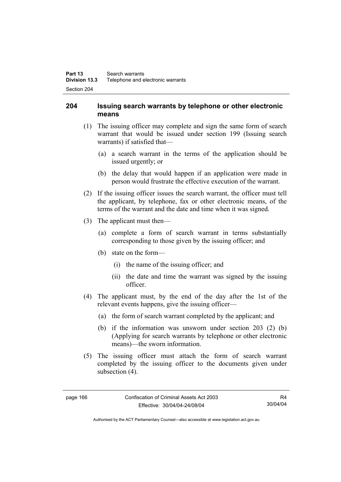## **204 Issuing search warrants by telephone or other electronic means**

- (1) The issuing officer may complete and sign the same form of search warrant that would be issued under section 199 (Issuing search warrants) if satisfied that—
	- (a) a search warrant in the terms of the application should be issued urgently; or
	- (b) the delay that would happen if an application were made in person would frustrate the effective execution of the warrant.
- (2) If the issuing officer issues the search warrant, the officer must tell the applicant, by telephone, fax or other electronic means, of the terms of the warrant and the date and time when it was signed.
- (3) The applicant must then—
	- (a) complete a form of search warrant in terms substantially corresponding to those given by the issuing officer; and
	- (b) state on the form—
		- (i) the name of the issuing officer; and
		- (ii) the date and time the warrant was signed by the issuing officer.
- (4) The applicant must, by the end of the day after the 1st of the relevant events happens, give the issuing officer—
	- (a) the form of search warrant completed by the applicant; and
	- (b) if the information was unsworn under section 203 (2) (b) (Applying for search warrants by telephone or other electronic means)—the sworn information.
- (5) The issuing officer must attach the form of search warrant completed by the issuing officer to the documents given under subsection  $(4)$ .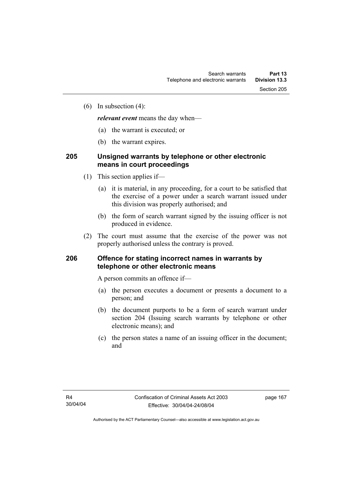(6) In subsection (4):

*relevant event* means the day when—

- (a) the warrant is executed; or
- (b) the warrant expires.

# **205 Unsigned warrants by telephone or other electronic means in court proceedings**

- (1) This section applies if—
	- (a) it is material, in any proceeding, for a court to be satisfied that the exercise of a power under a search warrant issued under this division was properly authorised; and
	- (b) the form of search warrant signed by the issuing officer is not produced in evidence.
- (2) The court must assume that the exercise of the power was not properly authorised unless the contrary is proved.

### **206 Offence for stating incorrect names in warrants by telephone or other electronic means**

A person commits an offence if—

- (a) the person executes a document or presents a document to a person; and
- (b) the document purports to be a form of search warrant under section 204 (Issuing search warrants by telephone or other electronic means); and
- (c) the person states a name of an issuing officer in the document; and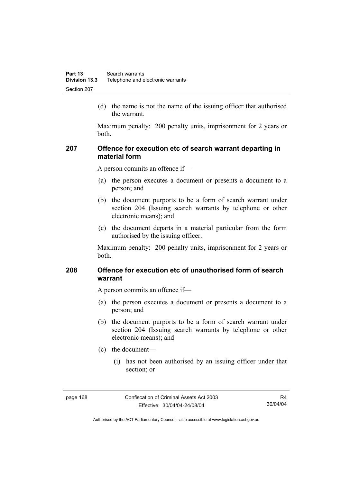(d) the name is not the name of the issuing officer that authorised the warrant.

Maximum penalty: 200 penalty units, imprisonment for 2 years or both.

## **207 Offence for execution etc of search warrant departing in material form**

A person commits an offence if—

- (a) the person executes a document or presents a document to a person; and
- (b) the document purports to be a form of search warrant under section 204 (Issuing search warrants by telephone or other electronic means); and
- (c) the document departs in a material particular from the form authorised by the issuing officer.

Maximum penalty: 200 penalty units, imprisonment for 2 years or both.

## **208 Offence for execution etc of unauthorised form of search warrant**

A person commits an offence if—

- (a) the person executes a document or presents a document to a person; and
- (b) the document purports to be a form of search warrant under section 204 (Issuing search warrants by telephone or other electronic means); and
- (c) the document—
	- (i) has not been authorised by an issuing officer under that section; or

page 168 Confiscation of Criminal Assets Act 2003 Effective: 30/04/04-24/08/04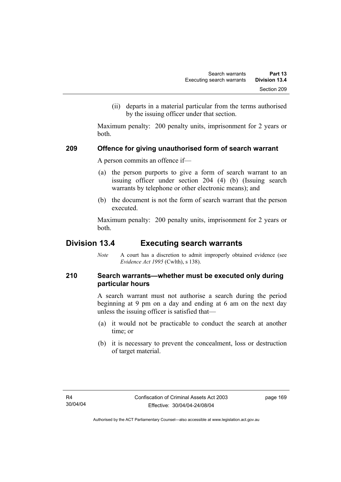(ii) departs in a material particular from the terms authorised by the issuing officer under that section.

Maximum penalty: 200 penalty units, imprisonment for 2 years or both.

### **209 Offence for giving unauthorised form of search warrant**

A person commits an offence if—

- (a) the person purports to give a form of search warrant to an issuing officer under section 204 (4) (b) (Issuing search warrants by telephone or other electronic means); and
- (b) the document is not the form of search warrant that the person executed.

Maximum penalty: 200 penalty units, imprisonment for 2 years or both.

# **Division 13.4 Executing search warrants**

*Note* A court has a discretion to admit improperly obtained evidence (see *Evidence Act 1995* (Cwlth), s 138).

# **210 Search warrants—whether must be executed only during particular hours**

A search warrant must not authorise a search during the period beginning at 9 pm on a day and ending at 6 am on the next day unless the issuing officer is satisfied that—

- (a) it would not be practicable to conduct the search at another time; or
- (b) it is necessary to prevent the concealment, loss or destruction of target material.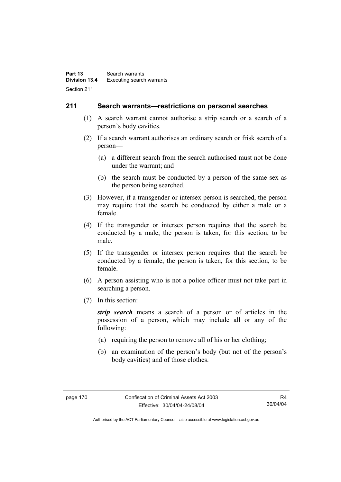### **211 Search warrants—restrictions on personal searches**

- (1) A search warrant cannot authorise a strip search or a search of a person's body cavities.
- (2) If a search warrant authorises an ordinary search or frisk search of a person—
	- (a) a different search from the search authorised must not be done under the warrant; and
	- (b) the search must be conducted by a person of the same sex as the person being searched.
- (3) However, if a transgender or intersex person is searched, the person may require that the search be conducted by either a male or a female.
- (4) If the transgender or intersex person requires that the search be conducted by a male, the person is taken, for this section, to be male.
- (5) If the transgender or intersex person requires that the search be conducted by a female, the person is taken, for this section, to be female.
- (6) A person assisting who is not a police officer must not take part in searching a person.
- (7) In this section:

*strip search* means a search of a person or of articles in the possession of a person, which may include all or any of the following:

- (a) requiring the person to remove all of his or her clothing;
- (b) an examination of the person's body (but not of the person's body cavities) and of those clothes.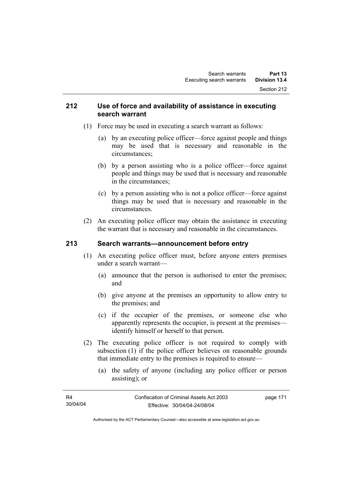### **212 Use of force and availability of assistance in executing search warrant**

- (1) Force may be used in executing a search warrant as follows:
	- (a) by an executing police officer—force against people and things may be used that is necessary and reasonable in the circumstances;
	- (b) by a person assisting who is a police officer—force against people and things may be used that is necessary and reasonable in the circumstances;
	- (c) by a person assisting who is not a police officer—force against things may be used that is necessary and reasonable in the circumstances.
- (2) An executing police officer may obtain the assistance in executing the warrant that is necessary and reasonable in the circumstances.

# **213 Search warrants—announcement before entry**

- (1) An executing police officer must, before anyone enters premises under a search warrant—
	- (a) announce that the person is authorised to enter the premises; and
	- (b) give anyone at the premises an opportunity to allow entry to the premises; and
	- (c) if the occupier of the premises, or someone else who apparently represents the occupier, is present at the premises identify himself or herself to that person.
- (2) The executing police officer is not required to comply with subsection (1) if the police officer believes on reasonable grounds that immediate entry to the premises is required to ensure—
	- (a) the safety of anyone (including any police officer or person assisting); or

| R4       | Confiscation of Criminal Assets Act 2003 | page 171 |
|----------|------------------------------------------|----------|
| 30/04/04 | Effective: 30/04/04-24/08/04             |          |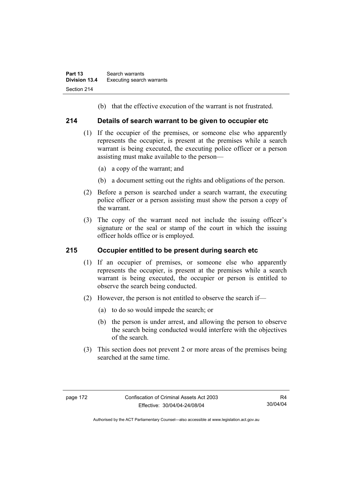(b) that the effective execution of the warrant is not frustrated.

## **214 Details of search warrant to be given to occupier etc**

- (1) If the occupier of the premises, or someone else who apparently represents the occupier, is present at the premises while a search warrant is being executed, the executing police officer or a person assisting must make available to the person—
	- (a) a copy of the warrant; and
	- (b) a document setting out the rights and obligations of the person.
- (2) Before a person is searched under a search warrant, the executing police officer or a person assisting must show the person a copy of the warrant.
- (3) The copy of the warrant need not include the issuing officer's signature or the seal or stamp of the court in which the issuing officer holds office or is employed.

# **215 Occupier entitled to be present during search etc**

- (1) If an occupier of premises, or someone else who apparently represents the occupier, is present at the premises while a search warrant is being executed, the occupier or person is entitled to observe the search being conducted.
- (2) However, the person is not entitled to observe the search if—
	- (a) to do so would impede the search; or
	- (b) the person is under arrest, and allowing the person to observe the search being conducted would interfere with the objectives of the search.
- (3) This section does not prevent 2 or more areas of the premises being searched at the same time.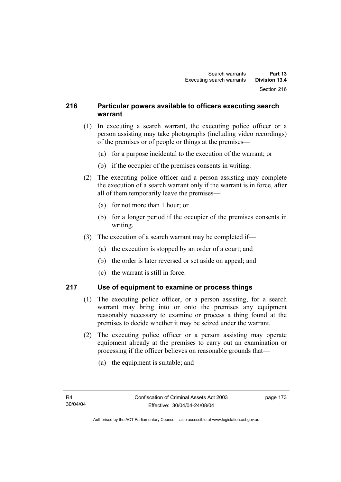## **216 Particular powers available to officers executing search warrant**

- (1) In executing a search warrant, the executing police officer or a person assisting may take photographs (including video recordings) of the premises or of people or things at the premises—
	- (a) for a purpose incidental to the execution of the warrant; or
	- (b) if the occupier of the premises consents in writing.
- (2) The executing police officer and a person assisting may complete the execution of a search warrant only if the warrant is in force, after all of them temporarily leave the premises—
	- (a) for not more than 1 hour; or
	- (b) for a longer period if the occupier of the premises consents in writing.
- (3) The execution of a search warrant may be completed if—
	- (a) the execution is stopped by an order of a court; and
	- (b) the order is later reversed or set aside on appeal; and
	- (c) the warrant is still in force.

# **217 Use of equipment to examine or process things**

- (1) The executing police officer, or a person assisting, for a search warrant may bring into or onto the premises any equipment reasonably necessary to examine or process a thing found at the premises to decide whether it may be seized under the warrant.
- (2) The executing police officer or a person assisting may operate equipment already at the premises to carry out an examination or processing if the officer believes on reasonable grounds that—
	- (a) the equipment is suitable; and

page 173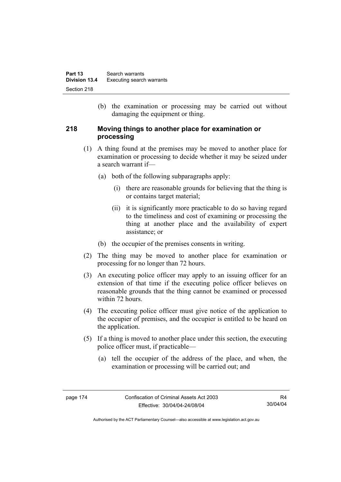(b) the examination or processing may be carried out without damaging the equipment or thing.

## **218 Moving things to another place for examination or processing**

- (1) A thing found at the premises may be moved to another place for examination or processing to decide whether it may be seized under a search warrant if—
	- (a) both of the following subparagraphs apply:
		- (i) there are reasonable grounds for believing that the thing is or contains target material;
		- (ii) it is significantly more practicable to do so having regard to the timeliness and cost of examining or processing the thing at another place and the availability of expert assistance; or
	- (b) the occupier of the premises consents in writing.
- (2) The thing may be moved to another place for examination or processing for no longer than 72 hours.
- (3) An executing police officer may apply to an issuing officer for an extension of that time if the executing police officer believes on reasonable grounds that the thing cannot be examined or processed within 72 hours.
- (4) The executing police officer must give notice of the application to the occupier of premises, and the occupier is entitled to be heard on the application.
- (5) If a thing is moved to another place under this section, the executing police officer must, if practicable—
	- (a) tell the occupier of the address of the place, and when, the examination or processing will be carried out; and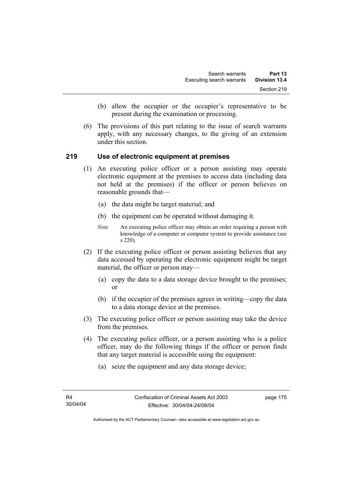- (b) allow the occupier or the occupier's representative to be present during the examination or processing.
- (6) The provisions of this part relating to the issue of search warrants apply, with any necessary changes, to the giving of an extension under this section.

### **219 Use of electronic equipment at premises**

- (1) An executing police officer or a person assisting may operate electronic equipment at the premises to access data (including data not held at the premises) if the officer or person believes on reasonable grounds that—
	- (a) the data might be target material; and
	- (b) the equipment can be operated without damaging it.
	- *Note* An executing police officer may obtain an order requiring a person with knowledge of a computer or computer system to provide assistance (see s 220).
- (2) If the executing police officer or person assisting believes that any data accessed by operating the electronic equipment might be target material, the officer or person may—
	- (a) copy the data to a data storage device brought to the premises; or
	- (b) if the occupier of the premises agrees in writing—copy the data to a data storage device at the premises.
- (3) The executing police officer or person assisting may take the device from the premises.
- (4) The executing police officer, or a person assisting who is a police officer, may do the following things if the officer or person finds that any target material is accessible using the equipment:
	- (a) seize the equipment and any data storage device;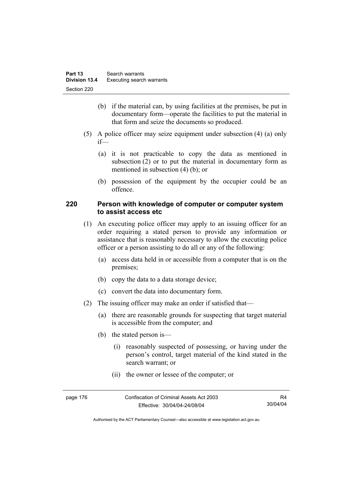- (b) if the material can, by using facilities at the premises, be put in documentary form—operate the facilities to put the material in that form and seize the documents so produced.
- (5) A police officer may seize equipment under subsection (4) (a) only if—
	- (a) it is not practicable to copy the data as mentioned in subsection (2) or to put the material in documentary form as mentioned in subsection (4) (b); or
	- (b) possession of the equipment by the occupier could be an offence.

# **220 Person with knowledge of computer or computer system to assist access etc**

- (1) An executing police officer may apply to an issuing officer for an order requiring a stated person to provide any information or assistance that is reasonably necessary to allow the executing police officer or a person assisting to do all or any of the following:
	- (a) access data held in or accessible from a computer that is on the premises;
	- (b) copy the data to a data storage device;
	- (c) convert the data into documentary form.
- (2) The issuing officer may make an order if satisfied that—
	- (a) there are reasonable grounds for suspecting that target material is accessible from the computer; and
	- (b) the stated person is—
		- (i) reasonably suspected of possessing, or having under the person's control, target material of the kind stated in the search warrant; or
		- (ii) the owner or lessee of the computer; or

| page 176 | Confiscation of Criminal Assets Act 2003 | R4       |
|----------|------------------------------------------|----------|
|          | Effective: 30/04/04-24/08/04             | 30/04/04 |

Authorised by the ACT Parliamentary Counsel—also accessible at www.legislation.act.gov.au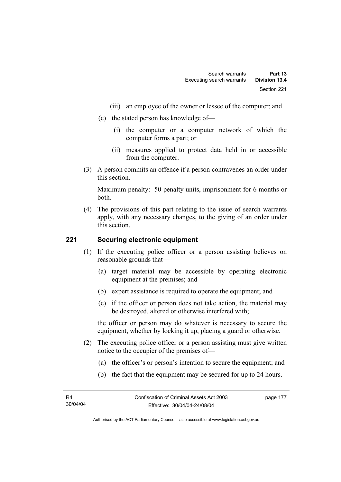- (iii) an employee of the owner or lessee of the computer; and
- (c) the stated person has knowledge of—
	- (i) the computer or a computer network of which the computer forms a part; or
	- (ii) measures applied to protect data held in or accessible from the computer.
- (3) A person commits an offence if a person contravenes an order under this section.

Maximum penalty: 50 penalty units, imprisonment for 6 months or both.

 (4) The provisions of this part relating to the issue of search warrants apply, with any necessary changes, to the giving of an order under this section.

## **221 Securing electronic equipment**

- (1) If the executing police officer or a person assisting believes on reasonable grounds that—
	- (a) target material may be accessible by operating electronic equipment at the premises; and
	- (b) expert assistance is required to operate the equipment; and
	- (c) if the officer or person does not take action, the material may be destroyed, altered or otherwise interfered with;

the officer or person may do whatever is necessary to secure the equipment, whether by locking it up, placing a guard or otherwise.

- (2) The executing police officer or a person assisting must give written notice to the occupier of the premises of—
	- (a) the officer's or person's intention to secure the equipment; and
	- (b) the fact that the equipment may be secured for up to 24 hours.

page 177

Authorised by the ACT Parliamentary Counsel—also accessible at www.legislation.act.gov.au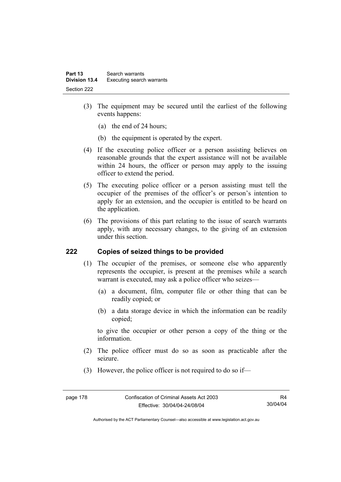- (3) The equipment may be secured until the earliest of the following events happens:
	- (a) the end of 24 hours;
	- (b) the equipment is operated by the expert.
- (4) If the executing police officer or a person assisting believes on reasonable grounds that the expert assistance will not be available within 24 hours, the officer or person may apply to the issuing officer to extend the period.
- (5) The executing police officer or a person assisting must tell the occupier of the premises of the officer's or person's intention to apply for an extension, and the occupier is entitled to be heard on the application.
- (6) The provisions of this part relating to the issue of search warrants apply, with any necessary changes, to the giving of an extension under this section.

### **222 Copies of seized things to be provided**

- (1) The occupier of the premises, or someone else who apparently represents the occupier, is present at the premises while a search warrant is executed, may ask a police officer who seizes—
	- (a) a document, film, computer file or other thing that can be readily copied; or
	- (b) a data storage device in which the information can be readily copied;

to give the occupier or other person a copy of the thing or the information.

- (2) The police officer must do so as soon as practicable after the seizure.
- (3) However, the police officer is not required to do so if—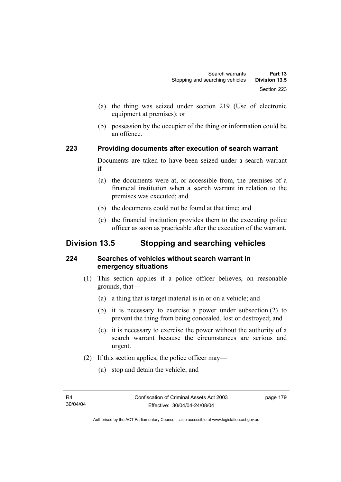- (a) the thing was seized under section 219 (Use of electronic equipment at premises); or
- (b) possession by the occupier of the thing or information could be an offence.

## **223 Providing documents after execution of search warrant**

Documents are taken to have been seized under a search warrant if—

- (a) the documents were at, or accessible from, the premises of a financial institution when a search warrant in relation to the premises was executed; and
- (b) the documents could not be found at that time; and
- (c) the financial institution provides them to the executing police officer as soon as practicable after the execution of the warrant.

# **Division 13.5 Stopping and searching vehicles**

# **224 Searches of vehicles without search warrant in emergency situations**

- (1) This section applies if a police officer believes, on reasonable grounds, that—
	- (a) a thing that is target material is in or on a vehicle; and
	- (b) it is necessary to exercise a power under subsection (2) to prevent the thing from being concealed, lost or destroyed; and
	- (c) it is necessary to exercise the power without the authority of a search warrant because the circumstances are serious and urgent.
- (2) If this section applies, the police officer may—
	- (a) stop and detain the vehicle; and

page 179

Authorised by the ACT Parliamentary Counsel—also accessible at www.legislation.act.gov.au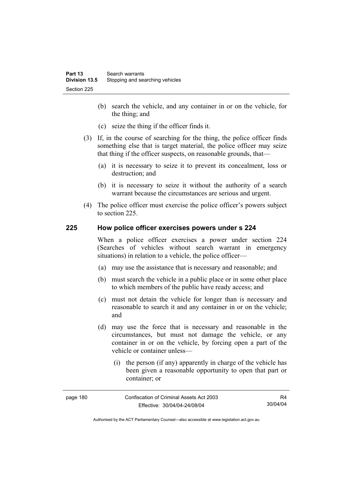- (b) search the vehicle, and any container in or on the vehicle, for the thing; and
- (c) seize the thing if the officer finds it.
- (3) If, in the course of searching for the thing, the police officer finds something else that is target material, the police officer may seize that thing if the officer suspects, on reasonable grounds, that—
	- (a) it is necessary to seize it to prevent its concealment, loss or destruction; and
	- (b) it is necessary to seize it without the authority of a search warrant because the circumstances are serious and urgent.
- (4) The police officer must exercise the police officer's powers subject to section 225.

### **225 How police officer exercises powers under s 224**

When a police officer exercises a power under section 224 (Searches of vehicles without search warrant in emergency situations) in relation to a vehicle, the police officer—

- (a) may use the assistance that is necessary and reasonable; and
- (b) must search the vehicle in a public place or in some other place to which members of the public have ready access; and
- (c) must not detain the vehicle for longer than is necessary and reasonable to search it and any container in or on the vehicle; and
- (d) may use the force that is necessary and reasonable in the circumstances, but must not damage the vehicle, or any container in or on the vehicle, by forcing open a part of the vehicle or container unless—
	- (i) the person (if any) apparently in charge of the vehicle has been given a reasonable opportunity to open that part or container; or

| page 180 | Confiscation of Criminal Assets Act 2003 | R4.      |
|----------|------------------------------------------|----------|
|          | Effective: 30/04/04-24/08/04             | 30/04/04 |

Authorised by the ACT Parliamentary Counsel—also accessible at www.legislation.act.gov.au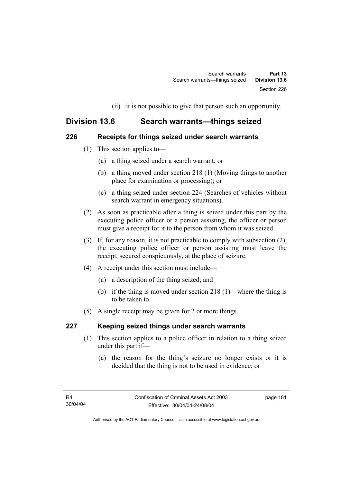(ii) it is not possible to give that person such an opportunity.

# **Division 13.6 Search warrants—things seized**

## **226 Receipts for things seized under search warrants**

- (1) This section applies to—
	- (a) a thing seized under a search warrant; or
	- (b) a thing moved under section 218 (1) (Moving things to another place for examination or processing); or
	- (c) a thing seized under section 224 (Searches of vehicles without search warrant in emergency situations).
- (2) As soon as practicable after a thing is seized under this part by the executing police officer or a person assisting, the officer or person must give a receipt for it to the person from whom it was seized.
- (3) If, for any reason, it is not practicable to comply with subsection (2), the executing police officer or person assisting must leave the receipt, secured conspicuously, at the place of seizure.
- (4) A receipt under this section must include—
	- (a) a description of the thing seized; and
	- (b) if the thing is moved under section 218 (1)—where the thing is to be taken to.
- (5) A single receipt may be given for 2 or more things.

# **227 Keeping seized things under search warrants**

- (1) This section applies to a police officer in relation to a thing seized under this part if—
	- (a) the reason for the thing's seizure no longer exists or it is decided that the thing is not to be used in evidence; or

page 181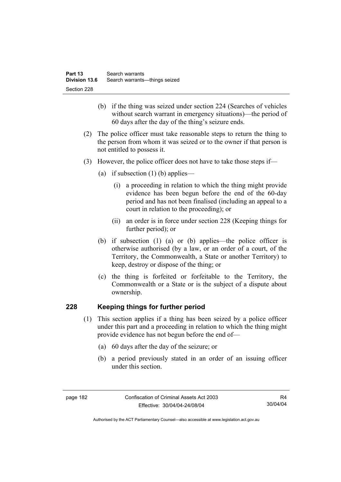- (b) if the thing was seized under section 224 (Searches of vehicles without search warrant in emergency situations)—the period of 60 days after the day of the thing's seizure ends.
- (2) The police officer must take reasonable steps to return the thing to the person from whom it was seized or to the owner if that person is not entitled to possess it.
- (3) However, the police officer does not have to take those steps if—
	- (a) if subsection  $(1)$  (b) applies—
		- (i) a proceeding in relation to which the thing might provide evidence has been begun before the end of the 60-day period and has not been finalised (including an appeal to a court in relation to the proceeding); or
		- (ii) an order is in force under section 228 (Keeping things for further period); or
	- (b) if subsection (1) (a) or (b) applies—the police officer is otherwise authorised (by a law, or an order of a court, of the Territory, the Commonwealth, a State or another Territory) to keep, destroy or dispose of the thing; or
	- (c) the thing is forfeited or forfeitable to the Territory, the Commonwealth or a State or is the subject of a dispute about ownership.

# **228 Keeping things for further period**

- (1) This section applies if a thing has been seized by a police officer under this part and a proceeding in relation to which the thing might provide evidence has not begun before the end of—
	- (a) 60 days after the day of the seizure; or
	- (b) a period previously stated in an order of an issuing officer under this section.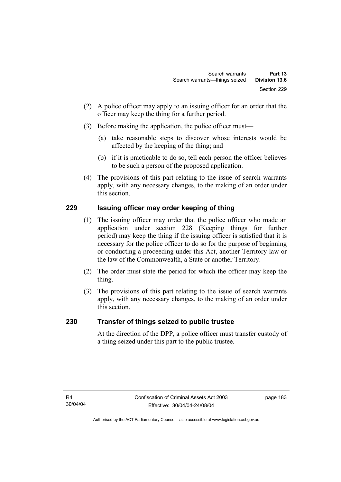- (2) A police officer may apply to an issuing officer for an order that the officer may keep the thing for a further period.
- (3) Before making the application, the police officer must—
	- (a) take reasonable steps to discover whose interests would be affected by the keeping of the thing; and
	- (b) if it is practicable to do so, tell each person the officer believes to be such a person of the proposed application.
- (4) The provisions of this part relating to the issue of search warrants apply, with any necessary changes, to the making of an order under this section.

# **229 Issuing officer may order keeping of thing**

- (1) The issuing officer may order that the police officer who made an application under section 228 (Keeping things for further period) may keep the thing if the issuing officer is satisfied that it is necessary for the police officer to do so for the purpose of beginning or conducting a proceeding under this Act, another Territory law or the law of the Commonwealth, a State or another Territory.
- (2) The order must state the period for which the officer may keep the thing.
- (3) The provisions of this part relating to the issue of search warrants apply, with any necessary changes, to the making of an order under this section.

# **230 Transfer of things seized to public trustee**

At the direction of the DPP, a police officer must transfer custody of a thing seized under this part to the public trustee.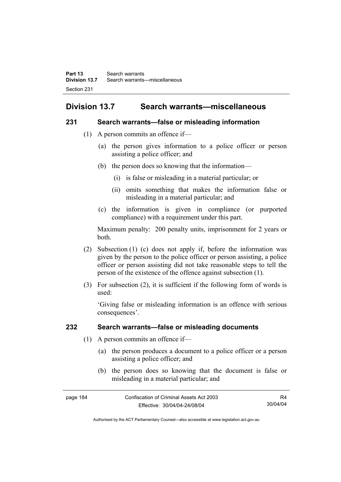# **Division 13.7 Search warrants—miscellaneous**

### **231 Search warrants—false or misleading information**

- (1) A person commits an offence if—
	- (a) the person gives information to a police officer or person assisting a police officer; and
	- (b) the person does so knowing that the information—
		- (i) is false or misleading in a material particular; or
		- (ii) omits something that makes the information false or misleading in a material particular; and
	- (c) the information is given in compliance (or purported compliance) with a requirement under this part.

Maximum penalty: 200 penalty units, imprisonment for 2 years or both.

- (2) Subsection (1) (c) does not apply if, before the information was given by the person to the police officer or person assisting, a police officer or person assisting did not take reasonable steps to tell the person of the existence of the offence against subsection (1).
- (3) For subsection (2), it is sufficient if the following form of words is used:

'Giving false or misleading information is an offence with serious consequences'.

# **232 Search warrants—false or misleading documents**

- (1) A person commits an offence if—
	- (a) the person produces a document to a police officer or a person assisting a police officer; and
	- (b) the person does so knowing that the document is false or misleading in a material particular; and

| page 184 | Confiscation of Criminal Assets Act 2003 | R4       |
|----------|------------------------------------------|----------|
|          | Effective: 30/04/04-24/08/04             | 30/04/04 |

Authorised by the ACT Parliamentary Counsel—also accessible at www.legislation.act.gov.au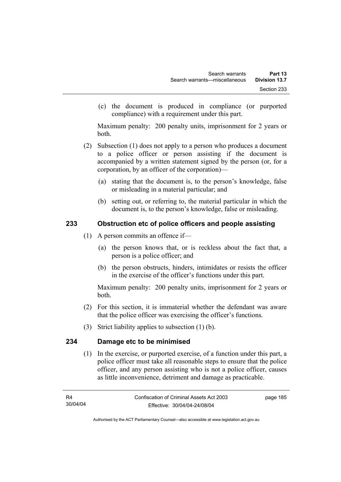(c) the document is produced in compliance (or purported compliance) with a requirement under this part.

Maximum penalty: 200 penalty units, imprisonment for 2 years or both.

- (2) Subsection (1) does not apply to a person who produces a document to a police officer or person assisting if the document is accompanied by a written statement signed by the person (or, for a corporation, by an officer of the corporation)—
	- (a) stating that the document is, to the person's knowledge, false or misleading in a material particular; and
	- (b) setting out, or referring to, the material particular in which the document is, to the person's knowledge, false or misleading.

# **233 Obstruction etc of police officers and people assisting**

- (1) A person commits an offence if—
	- (a) the person knows that, or is reckless about the fact that, a person is a police officer; and
	- (b) the person obstructs, hinders, intimidates or resists the officer in the exercise of the officer's functions under this part.

Maximum penalty: 200 penalty units, imprisonment for 2 years or both.

- (2) For this section, it is immaterial whether the defendant was aware that the police officer was exercising the officer's functions.
- (3) Strict liability applies to subsection (1) (b).

# **234 Damage etc to be minimised**

 (1) In the exercise, or purported exercise, of a function under this part, a police officer must take all reasonable steps to ensure that the police officer, and any person assisting who is not a police officer, causes as little inconvenience, detriment and damage as practicable.

page 185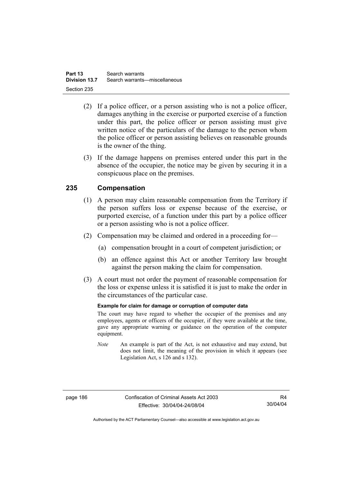- (2) If a police officer, or a person assisting who is not a police officer, damages anything in the exercise or purported exercise of a function under this part, the police officer or person assisting must give written notice of the particulars of the damage to the person whom the police officer or person assisting believes on reasonable grounds is the owner of the thing.
- (3) If the damage happens on premises entered under this part in the absence of the occupier, the notice may be given by securing it in a conspicuous place on the premises.

# **235 Compensation**

- (1) A person may claim reasonable compensation from the Territory if the person suffers loss or expense because of the exercise, or purported exercise, of a function under this part by a police officer or a person assisting who is not a police officer.
- (2) Compensation may be claimed and ordered in a proceeding for—
	- (a) compensation brought in a court of competent jurisdiction; or
	- (b) an offence against this Act or another Territory law brought against the person making the claim for compensation.
- (3) A court must not order the payment of reasonable compensation for the loss or expense unless it is satisfied it is just to make the order in the circumstances of the particular case.

### **Example for claim for damage or corruption of computer data**

The court may have regard to whether the occupier of the premises and any employees, agents or officers of the occupier, if they were available at the time, gave any appropriate warning or guidance on the operation of the computer equipment.

*Note* An example is part of the Act, is not exhaustive and may extend, but does not limit, the meaning of the provision in which it appears (see Legislation Act, s 126 and s 132).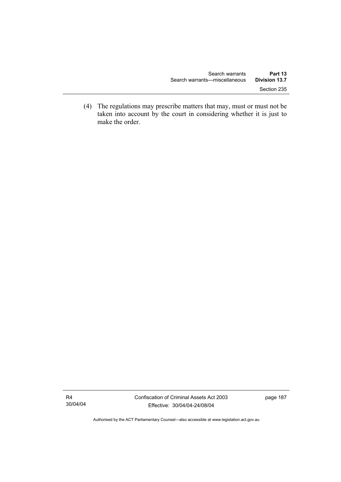(4) The regulations may prescribe matters that may, must or must not be taken into account by the court in considering whether it is just to make the order.

R4 30/04/04

Authorised by the ACT Parliamentary Counsel—also accessible at www.legislation.act.gov.au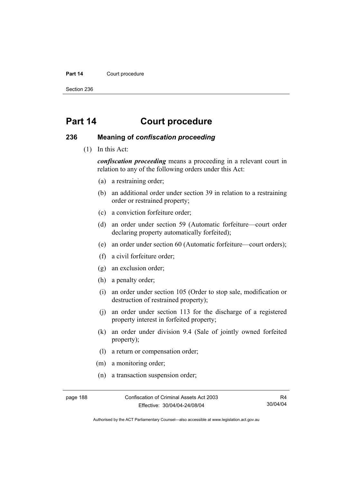#### Part 14 **Court procedure**

Section 236

# **Part 14 Court procedure**

### **236 Meaning of** *confiscation proceeding*

(1) In this Act:

*confiscation proceeding* means a proceeding in a relevant court in relation to any of the following orders under this Act:

- (a) a restraining order;
- (b) an additional order under section 39 in relation to a restraining order or restrained property;
- (c) a conviction forfeiture order;
- (d) an order under section 59 (Automatic forfeiture—court order declaring property automatically forfeited);
- (e) an order under section 60 (Automatic forfeiture—court orders);
- (f) a civil forfeiture order;
- (g) an exclusion order;
- (h) a penalty order;
- (i) an order under section 105 (Order to stop sale, modification or destruction of restrained property);
- (j) an order under section 113 for the discharge of a registered property interest in forfeited property;
- (k) an order under division 9.4 (Sale of jointly owned forfeited property);
- (l) a return or compensation order;
- (m) a monitoring order;
- (n) a transaction suspension order;

page 188 Confiscation of Criminal Assets Act 2003 Effective: 30/04/04-24/08/04

R4 30/04/04

Authorised by the ACT Parliamentary Counsel—also accessible at www.legislation.act.gov.au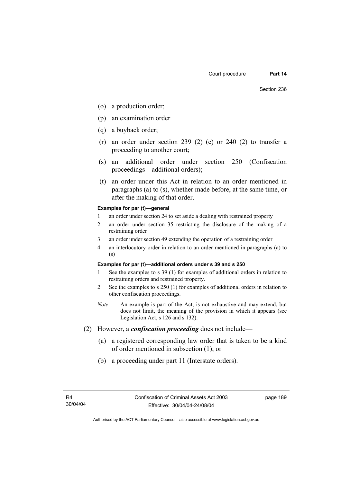- (o) a production order;
- (p) an examination order
- (q) a buyback order;
- (r) an order under section 239 (2) (c) or 240 (2) to transfer a proceeding to another court;
- (s) an additional order under section 250 (Confiscation proceedings—additional orders);
- (t) an order under this Act in relation to an order mentioned in paragraphs (a) to (s), whether made before, at the same time, or after the making of that order.

#### **Examples for par (t)—general**

- 1 an order under section 24 to set aside a dealing with restrained property
- 2 an order under section 35 restricting the disclosure of the making of a restraining order
- 3 an order under section 49 extending the operation of a restraining order
- 4 an interlocutory order in relation to an order mentioned in paragraphs (a) to (s)

#### **Examples for par (t)—additional orders under s 39 and s 250**

- 1 See the examples to s 39 (1) for examples of additional orders in relation to restraining orders and restrained property.
- 2 See the examples to s 250 (1) for examples of additional orders in relation to other confiscation proceedings.
- *Note* An example is part of the Act, is not exhaustive and may extend, but does not limit, the meaning of the provision in which it appears (see Legislation Act, s 126 and s 132).
- (2) However, a *confiscation proceeding* does not include—
	- (a) a registered corresponding law order that is taken to be a kind of order mentioned in subsection (1); or
	- (b) a proceeding under part 11 (Interstate orders).

page 189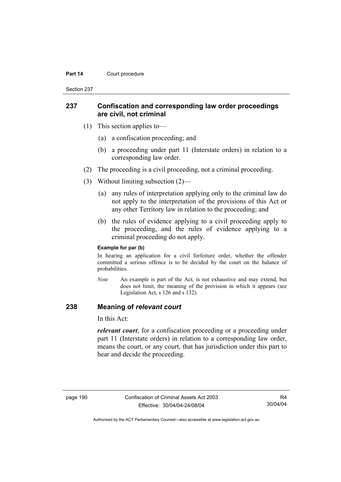#### **Part 14 Court procedure**

Section 237

### **237 Confiscation and corresponding law order proceedings are civil, not criminal**

- (1) This section applies to—
	- (a) a confiscation proceeding; and
	- (b) a proceeding under part 11 (Interstate orders) in relation to a corresponding law order.
- (2) The proceeding is a civil proceeding, not a criminal proceeding.
- (3) Without limiting subsection (2)—
	- (a) any rules of interpretation applying only to the criminal law do not apply to the interpretation of the provisions of this Act or any other Territory law in relation to the proceeding; and
	- (b) the rules of evidence applying to a civil proceeding apply to the proceeding, and the rules of evidence applying to a criminal proceeding do not apply.

#### **Example for par (b)**

In hearing an application for a civil forfeiture order, whether the offender committed a serious offence is to be decided by the court on the balance of probabilities.

*Note* An example is part of the Act, is not exhaustive and may extend, but does not limit, the meaning of the provision in which it appears (see Legislation Act, s 126 and s 132).

### **238 Meaning of** *relevant court*

In this Act:

*relevant court*, for a confiscation proceeding or a proceeding under part 11 (Interstate orders) in relation to a corresponding law order, means the court, or any court, that has jurisdiction under this part to hear and decide the proceeding.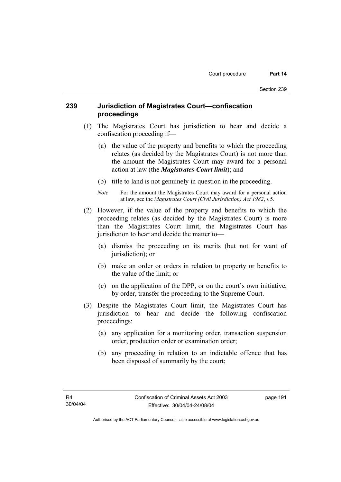# **239 Jurisdiction of Magistrates Court—confiscation proceedings**

- (1) The Magistrates Court has jurisdiction to hear and decide a confiscation proceeding if—
	- (a) the value of the property and benefits to which the proceeding relates (as decided by the Magistrates Court) is not more than the amount the Magistrates Court may award for a personal action at law (the *Magistrates Court limit*); and
	- (b) title to land is not genuinely in question in the proceeding.
	- *Note* For the amount the Magistrates Court may award for a personal action at law, see the *Magistrates Court (Civil Jurisdiction) Act 1982*, s 5.
- (2) However, if the value of the property and benefits to which the proceeding relates (as decided by the Magistrates Court) is more than the Magistrates Court limit, the Magistrates Court has jurisdiction to hear and decide the matter to—
	- (a) dismiss the proceeding on its merits (but not for want of jurisdiction); or
	- (b) make an order or orders in relation to property or benefits to the value of the limit; or
	- (c) on the application of the DPP, or on the court's own initiative, by order, transfer the proceeding to the Supreme Court.
- (3) Despite the Magistrates Court limit, the Magistrates Court has jurisdiction to hear and decide the following confiscation proceedings:
	- (a) any application for a monitoring order, transaction suspension order, production order or examination order;
	- (b) any proceeding in relation to an indictable offence that has been disposed of summarily by the court;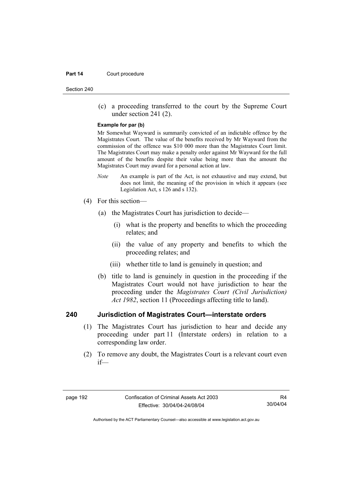#### **Part 14 Court procedure**

Section 240

 (c) a proceeding transferred to the court by the Supreme Court under section 241 (2).

#### **Example for par (b)**

Mr Somewhat Wayward is summarily convicted of an indictable offence by the Magistrates Court. The value of the benefits received by Mr Wayward from the commission of the offence was \$10 000 more than the Magistrates Court limit. The Magistrates Court may make a penalty order against Mr Wayward for the full amount of the benefits despite their value being more than the amount the Magistrates Court may award for a personal action at law.

- *Note* An example is part of the Act, is not exhaustive and may extend, but does not limit, the meaning of the provision in which it appears (see Legislation Act, s 126 and s 132).
- (4) For this section—
	- (a) the Magistrates Court has jurisdiction to decide—
		- (i) what is the property and benefits to which the proceeding relates; and
		- (ii) the value of any property and benefits to which the proceeding relates; and
		- (iii) whether title to land is genuinely in question; and
	- (b) title to land is genuinely in question in the proceeding if the Magistrates Court would not have jurisdiction to hear the proceeding under the *Magistrates Court (Civil Jurisdiction) Act 1982*, section 11 (Proceedings affecting title to land).

### **240 Jurisdiction of Magistrates Court—interstate orders**

- (1) The Magistrates Court has jurisdiction to hear and decide any proceeding under part 11 (Interstate orders) in relation to a corresponding law order.
- (2) To remove any doubt, the Magistrates Court is a relevant court even if—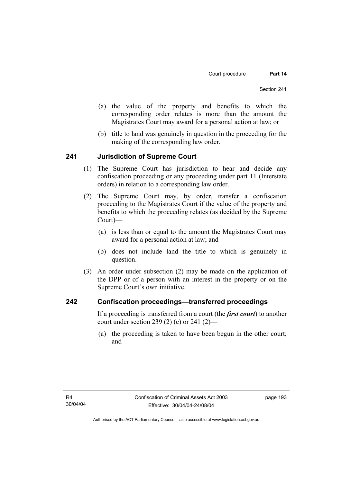- (a) the value of the property and benefits to which the corresponding order relates is more than the amount the Magistrates Court may award for a personal action at law; or
- (b) title to land was genuinely in question in the proceeding for the making of the corresponding law order.

### **241 Jurisdiction of Supreme Court**

- (1) The Supreme Court has jurisdiction to hear and decide any confiscation proceeding or any proceeding under part 11 (Interstate orders) in relation to a corresponding law order.
- (2) The Supreme Court may, by order, transfer a confiscation proceeding to the Magistrates Court if the value of the property and benefits to which the proceeding relates (as decided by the Supreme Court)—
	- (a) is less than or equal to the amount the Magistrates Court may award for a personal action at law; and
	- (b) does not include land the title to which is genuinely in question.
- (3) An order under subsection (2) may be made on the application of the DPP or of a person with an interest in the property or on the Supreme Court's own initiative.

### **242 Confiscation proceedings—transferred proceedings**

If a proceeding is transferred from a court (the *first court*) to another court under section 239 (2) (c) or 241 (2)—

 (a) the proceeding is taken to have been begun in the other court; and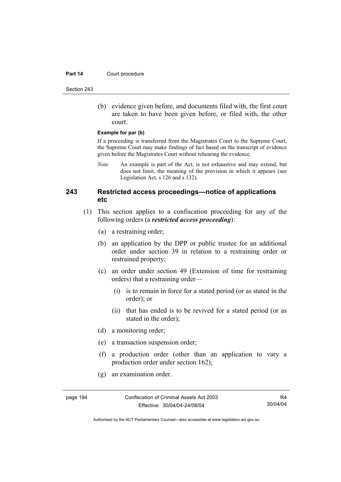#### **Part 14 Court procedure**

Section 243

 (b) evidence given before, and documents filed with, the first court are taken to have been given before, or filed with, the other court.

#### **Example for par (b)**

If a proceeding is transferred from the Magistrates Court to the Supreme Court, the Supreme Court may make findings of fact based on the transcript of evidence given before the Magistrates Court without rehearing the evidence.

*Note* An example is part of the Act, is not exhaustive and may extend, but does not limit, the meaning of the provision in which it appears (see Legislation Act, s 126 and s 132).

# **243 Restricted access proceedings—notice of applications etc**

- (1) This section applies to a confiscation proceeding for any of the following orders (a *restricted access proceeding*):
	- (a) a restraining order;
	- (b) an application by the DPP or public trustee for an additional order under section 39 in relation to a restraining order or restrained property;
	- (c) an order under section 49 (Extension of time for restraining orders) that a restraining order—
		- (i) is to remain in force for a stated period (or as stated in the order); or
		- (ii) that has ended is to be revived for a stated period (or as stated in the order);
	- (d) a monitoring order;
	- (e) a transaction suspension order;
	- (f) a production order (other than an application to vary a production order under section 162);
	- (g) an examination order.

page 194 Confiscation of Criminal Assets Act 2003 Effective: 30/04/04-24/08/04

R4 30/04/04

Authorised by the ACT Parliamentary Counsel—also accessible at www.legislation.act.gov.au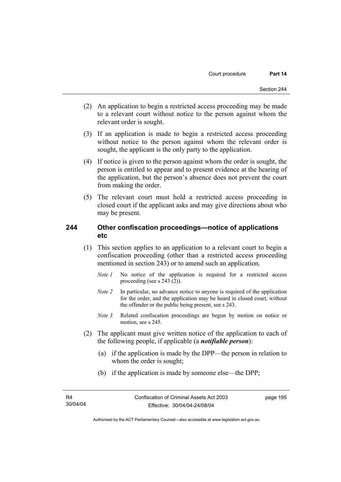- (2) An application to begin a restricted access proceeding may be made to a relevant court without notice to the person against whom the relevant order is sought.
- (3) If an application is made to begin a restricted access proceeding without notice to the person against whom the relevant order is sought, the applicant is the only party to the application.
- (4) If notice is given to the person against whom the order is sought, the person is entitled to appear and to present evidence at the hearing of the application, but the person's absence does not prevent the court from making the order.
- (5) The relevant court must hold a restricted access proceeding in closed court if the applicant asks and may give directions about who may be present.

### **244 Other confiscation proceedings—notice of applications etc**

- (1) This section applies to an application to a relevant court to begin a confiscation proceeding (other than a restricted access proceeding mentioned in section 243) or to amend such an application.
	- *Note 1* No notice of the application is required for a restricted access proceeding (see s 243 (2)).
	- *Note 2* In particular, no advance notice to anyone is required of the application for the order, and the application may be heard in closed court, without the offender or the public being present, see s 243.
	- *Note 3* Related confiscation proceedings are begun by motion on notice or motion, see s 245.
- (2) The applicant must give written notice of the application to each of the following people, if applicable (a *notifiable person*):
	- (a) if the application is made by the DPP—the person in relation to whom the order is sought;
	- (b) if the application is made by someone else—the DPP;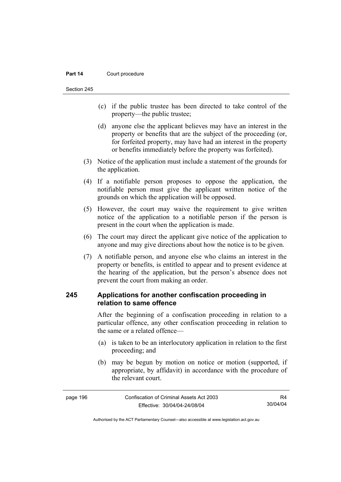#### **Part 14 Court procedure**

Section 245

- (c) if the public trustee has been directed to take control of the property—the public trustee;
- (d) anyone else the applicant believes may have an interest in the property or benefits that are the subject of the proceeding (or, for forfeited property, may have had an interest in the property or benefits immediately before the property was forfeited).
- (3) Notice of the application must include a statement of the grounds for the application.
- (4) If a notifiable person proposes to oppose the application, the notifiable person must give the applicant written notice of the grounds on which the application will be opposed.
- (5) However, the court may waive the requirement to give written notice of the application to a notifiable person if the person is present in the court when the application is made.
- (6) The court may direct the applicant give notice of the application to anyone and may give directions about how the notice is to be given.
- (7) A notifiable person, and anyone else who claims an interest in the property or benefits, is entitled to appear and to present evidence at the hearing of the application, but the person's absence does not prevent the court from making an order.

# **245 Applications for another confiscation proceeding in relation to same offence**

After the beginning of a confiscation proceeding in relation to a particular offence, any other confiscation proceeding in relation to the same or a related offence—

- (a) is taken to be an interlocutory application in relation to the first proceeding; and
- (b) may be begun by motion on notice or motion (supported, if appropriate, by affidavit) in accordance with the procedure of the relevant court.

| page 196 | Confiscation of Criminal Assets Act 2003 | R4       |
|----------|------------------------------------------|----------|
|          | Effective: 30/04/04-24/08/04             | 30/04/04 |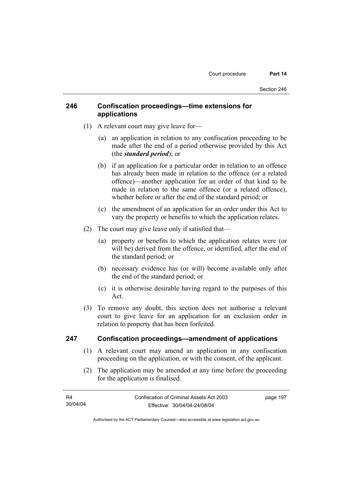# **246 Confiscation proceedings—time extensions for applications**

- (1) A relevant court may give leave for—
	- (a) an application in relation to any confiscation proceeding to be made after the end of a period otherwise provided by this Act (the *standard period*); or
	- (b) if an application for a particular order in relation to an offence has already been made in relation to the offence (or a related offence)—another application for an order of that kind to be made in relation to the same offence (or a related offence), whether before or after the end of the standard period; or
	- (c) the amendment of an application for an order under this Act to vary the property or benefits to which the application relates.
- (2) The court may give leave only if satisfied that—
	- (a) property or benefits to which the application relates were (or will be) derived from the offence, or identified, after the end of the standard period; or
	- (b) necessary evidence has (or will) become available only after the end of the standard period; or
	- (c) it is otherwise desirable having regard to the purposes of this Act.
- (3) To remove any doubt, this section does not authorise a relevant court to give leave for an application for an exclusion order in relation to property that has been forfeited.

### **247 Confiscation proceedings—amendment of applications**

- (1) A relevant court may amend an application in any confiscation proceeding on the application, or with the consent, of the applicant.
- (2) The application may be amended at any time before the proceeding for the application is finalised.

| R4       | Confiscation of Criminal Assets Act 2003 | page 197 |
|----------|------------------------------------------|----------|
| 30/04/04 | Effective: 30/04/04-24/08/04             |          |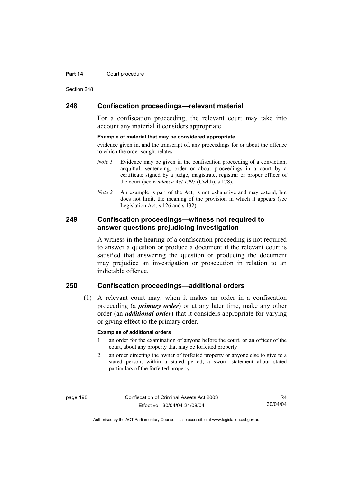#### **Part 14 Court procedure**

Section 248

### **248 Confiscation proceedings—relevant material**

For a confiscation proceeding, the relevant court may take into account any material it considers appropriate.

#### **Example of material that may be considered appropriate**

evidence given in, and the transcript of, any proceedings for or about the offence to which the order sought relates

- *Note 1* Evidence may be given in the confiscation proceeding of a conviction, acquittal, sentencing, order or about proceedings in a court by a certificate signed by a judge, magistrate, registrar or proper officer of the court (see *Evidence Act 1995* (Cwlth), s 178).
- *Note* 2 An example is part of the Act, is not exhaustive and may extend, but does not limit, the meaning of the provision in which it appears (see Legislation Act, s 126 and s 132).

## **249 Confiscation proceedings—witness not required to answer questions prejudicing investigation**

A witness in the hearing of a confiscation proceeding is not required to answer a question or produce a document if the relevant court is satisfied that answering the question or producing the document may prejudice an investigation or prosecution in relation to an indictable offence.

# **250 Confiscation proceedings—additional orders**

 (1) A relevant court may, when it makes an order in a confiscation proceeding (a *primary order*) or at any later time, make any other order (an *additional order*) that it considers appropriate for varying or giving effect to the primary order.

#### **Examples of additional orders**

- 1 an order for the examination of anyone before the court, or an officer of the court, about any property that may be forfeited property
- 2 an order directing the owner of forfeited property or anyone else to give to a stated person, within a stated period, a sworn statement about stated particulars of the forfeited property

page 198 Confiscation of Criminal Assets Act 2003 Effective: 30/04/04-24/08/04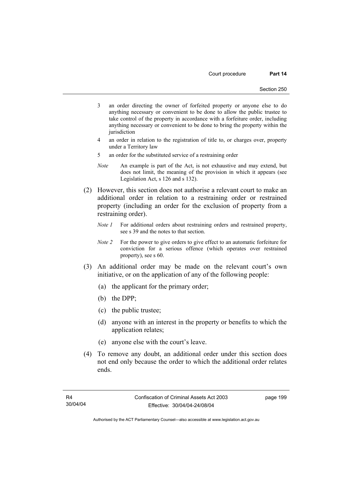- 3 an order directing the owner of forfeited property or anyone else to do anything necessary or convenient to be done to allow the public trustee to take control of the property in accordance with a forfeiture order, including anything necessary or convenient to be done to bring the property within the iurisdiction
- 4 an order in relation to the registration of title to, or charges over, property under a Territory law
- 5 an order for the substituted service of a restraining order
- *Note* An example is part of the Act, is not exhaustive and may extend, but does not limit, the meaning of the provision in which it appears (see Legislation Act, s 126 and s 132).
- (2) However, this section does not authorise a relevant court to make an additional order in relation to a restraining order or restrained property (including an order for the exclusion of property from a restraining order).
	- *Note 1* For additional orders about restraining orders and restrained property, see s 39 and the notes to that section.
	- *Note 2* For the power to give orders to give effect to an automatic forfeiture for conviction for a serious offence (which operates over restrained property), see s 60.
- (3) An additional order may be made on the relevant court's own initiative, or on the application of any of the following people:
	- (a) the applicant for the primary order;
	- (b) the DPP;
	- (c) the public trustee;
	- (d) anyone with an interest in the property or benefits to which the application relates;
	- (e) anyone else with the court's leave.
- (4) To remove any doubt, an additional order under this section does not end only because the order to which the additional order relates ends.

page 199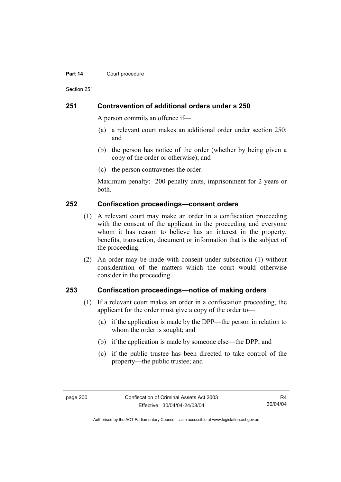#### **Part 14 Court procedure**

Section 251

### **251 Contravention of additional orders under s 250**

A person commits an offence if—

- (a) a relevant court makes an additional order under section 250; and
- (b) the person has notice of the order (whether by being given a copy of the order or otherwise); and
- (c) the person contravenes the order.

Maximum penalty: 200 penalty units, imprisonment for 2 years or both.

### **252 Confiscation proceedings—consent orders**

- (1) A relevant court may make an order in a confiscation proceeding with the consent of the applicant in the proceeding and everyone whom it has reason to believe has an interest in the property, benefits, transaction, document or information that is the subject of the proceeding.
- (2) An order may be made with consent under subsection (1) without consideration of the matters which the court would otherwise consider in the proceeding.

### **253 Confiscation proceedings—notice of making orders**

- (1) If a relevant court makes an order in a confiscation proceeding, the applicant for the order must give a copy of the order to—
	- (a) if the application is made by the DPP—the person in relation to whom the order is sought; and
	- (b) if the application is made by someone else—the DPP; and
	- (c) if the public trustee has been directed to take control of the property—the public trustee; and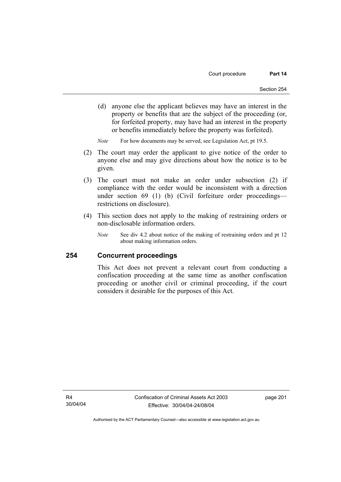(d) anyone else the applicant believes may have an interest in the property or benefits that are the subject of the proceeding (or, for forfeited property, may have had an interest in the property or benefits immediately before the property was forfeited).

*Note* For how documents may be served, see Legislation Act, pt 19.5.

- (2) The court may order the applicant to give notice of the order to anyone else and may give directions about how the notice is to be given.
- (3) The court must not make an order under subsection (2) if compliance with the order would be inconsistent with a direction under section 69 (1) (b) (Civil forfeiture order proceedings restrictions on disclosure).
- (4) This section does not apply to the making of restraining orders or non-disclosable information orders.
	- *Note* See div 4.2 about notice of the making of restraining orders and pt 12 about making information orders.

### **254 Concurrent proceedings**

This Act does not prevent a relevant court from conducting a confiscation proceeding at the same time as another confiscation proceeding or another civil or criminal proceeding, if the court considers it desirable for the purposes of this Act.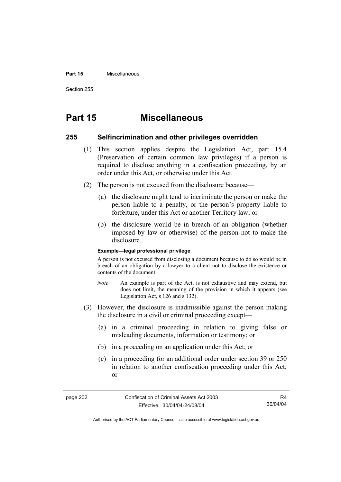#### **Part 15** Miscellaneous

Section 255

# **Part 15 Miscellaneous**

### **255 Selfincrimination and other privileges overridden**

- (1) This section applies despite the Legislation Act, part 15.4 (Preservation of certain common law privileges) if a person is required to disclose anything in a confiscation proceeding, by an order under this Act, or otherwise under this Act.
- (2) The person is not excused from the disclosure because—
	- (a) the disclosure might tend to incriminate the person or make the person liable to a penalty, or the person's property liable to forfeiture, under this Act or another Territory law; or
	- (b) the disclosure would be in breach of an obligation (whether imposed by law or otherwise) of the person not to make the disclosure.

#### **Example—legal professional privilege**

A person is not excused from disclosing a document because to do so would be in breach of an obligation by a lawyer to a client not to disclose the existence or contents of the document.

- *Note* An example is part of the Act, is not exhaustive and may extend, but does not limit, the meaning of the provision in which it appears (see Legislation Act, s 126 and s 132).
- (3) However, the disclosure is inadmissible against the person making the disclosure in a civil or criminal proceeding except—
	- (a) in a criminal proceeding in relation to giving false or misleading documents, information or testimony; or
	- (b) in a proceeding on an application under this Act; or
	- (c) in a proceeding for an additional order under section 39 or 250 in relation to another confiscation proceeding under this Act; or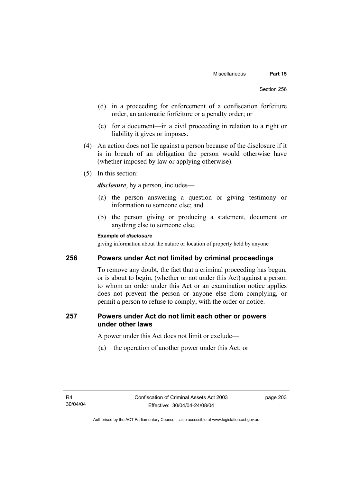- (d) in a proceeding for enforcement of a confiscation forfeiture order, an automatic forfeiture or a penalty order; or
- (e) for a document—in a civil proceeding in relation to a right or liability it gives or imposes.
- (4) An action does not lie against a person because of the disclosure if it is in breach of an obligation the person would otherwise have (whether imposed by law or applying otherwise).
- (5) In this section:

*disclosure*, by a person, includes—

- (a) the person answering a question or giving testimony or information to someone else; and
- (b) the person giving or producing a statement, document or anything else to someone else.

## **Example of** *disclosure*

giving information about the nature or location of property held by anyone

## **256 Powers under Act not limited by criminal proceedings**

To remove any doubt, the fact that a criminal proceeding has begun, or is about to begin, (whether or not under this Act) against a person to whom an order under this Act or an examination notice applies does not prevent the person or anyone else from complying, or permit a person to refuse to comply, with the order or notice.

## **257 Powers under Act do not limit each other or powers under other laws**

A power under this Act does not limit or exclude—

(a) the operation of another power under this Act; or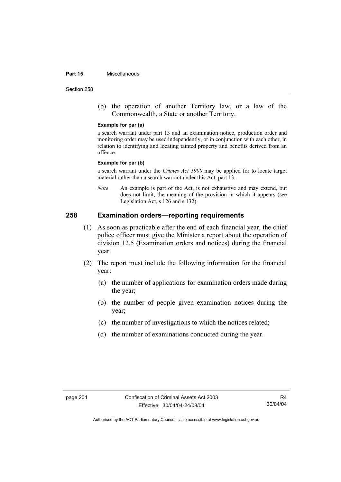#### **Part 15** Miscellaneous

Section 258

 (b) the operation of another Territory law, or a law of the Commonwealth, a State or another Territory.

#### **Example for par (a)**

a search warrant under part 13 and an examination notice, production order and monitoring order may be used independently, or in conjunction with each other, in relation to identifying and locating tainted property and benefits derived from an offence.

#### **Example for par (b)**

a search warrant under the *Crimes Act 1900* may be applied for to locate target material rather than a search warrant under this Act, part 13.

*Note* An example is part of the Act, is not exhaustive and may extend, but does not limit, the meaning of the provision in which it appears (see Legislation Act, s 126 and s 132).

## **258 Examination orders—reporting requirements**

- (1) As soon as practicable after the end of each financial year, the chief police officer must give the Minister a report about the operation of division 12.5 (Examination orders and notices) during the financial year.
- (2) The report must include the following information for the financial year:
	- (a) the number of applications for examination orders made during the year;
	- (b) the number of people given examination notices during the year;
	- (c) the number of investigations to which the notices related;
	- (d) the number of examinations conducted during the year.

R4 30/04/04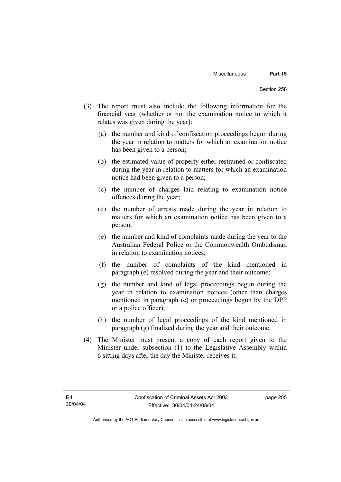- (3) The report must also include the following information for the financial year (whether or not the examination notice to which it relates was given during the year):
	- (a) the number and kind of confiscation proceedings begun during the year in relation to matters for which an examination notice has been given to a person;
	- (b) the estimated value of property either restrained or confiscated during the year in relation to matters for which an examination notice had been given to a person;
	- (c) the number of charges laid relating to examination notice offences during the year;
	- (d) the number of arrests made during the year in relation to matters for which an examination notice has been given to a person;
	- (e) the number and kind of complaints made during the year to the Australian Federal Police or the Commonwealth Ombudsman in relation to examination notices;
	- (f) the number of complaints of the kind mentioned in paragraph (e) resolved during the year and their outcome;
	- (g) the number and kind of legal proceedings begun during the year in relation to examination notices (other than charges mentioned in paragraph (c) or proceedings begun by the DPP or a police officer);
	- (h) the number of legal proceedings of the kind mentioned in paragraph (g) finalised during the year and their outcome.
- (4) The Minister must present a copy of each report given to the Minister under subsection (1) to the Legislative Assembly within 6 sitting days after the day the Minister receives it.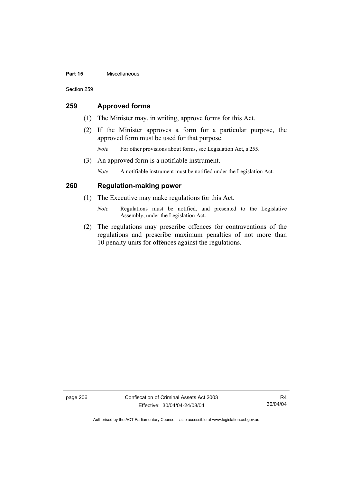#### **Part 15** Miscellaneous

Section 259

## **259 Approved forms**

- (1) The Minister may, in writing, approve forms for this Act.
- (2) If the Minister approves a form for a particular purpose, the approved form must be used for that purpose.
	- *Note* For other provisions about forms, see Legislation Act, s 255.
- (3) An approved form is a notifiable instrument.

*Note* A notifiable instrument must be notified under the Legislation Act.

## **260 Regulation-making power**

- (1) The Executive may make regulations for this Act.
	- *Note* Regulations must be notified, and presented to the Legislative Assembly, under the Legislation Act.
- (2) The regulations may prescribe offences for contraventions of the regulations and prescribe maximum penalties of not more than 10 penalty units for offences against the regulations.

page 206 Confiscation of Criminal Assets Act 2003 Effective: 30/04/04-24/08/04

R4 30/04/04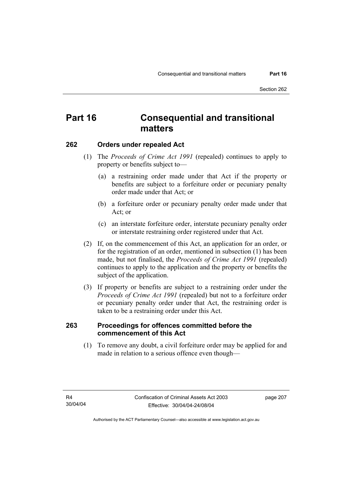## **Part 16 Consequential and transitional matters**

## **262 Orders under repealed Act**

- (1) The *Proceeds of Crime Act 1991* (repealed) continues to apply to property or benefits subject to—
	- (a) a restraining order made under that Act if the property or benefits are subject to a forfeiture order or pecuniary penalty order made under that Act; or
	- (b) a forfeiture order or pecuniary penalty order made under that Act; or
	- (c) an interstate forfeiture order, interstate pecuniary penalty order or interstate restraining order registered under that Act.
- (2) If, on the commencement of this Act, an application for an order, or for the registration of an order, mentioned in subsection (1) has been made, but not finalised, the *Proceeds of Crime Act 1991* (repealed) continues to apply to the application and the property or benefits the subject of the application.
- (3) If property or benefits are subject to a restraining order under the *Proceeds of Crime Act 1991* (repealed) but not to a forfeiture order or pecuniary penalty order under that Act, the restraining order is taken to be a restraining order under this Act.

## **263 Proceedings for offences committed before the commencement of this Act**

 (1) To remove any doubt, a civil forfeiture order may be applied for and made in relation to a serious offence even though—

page 207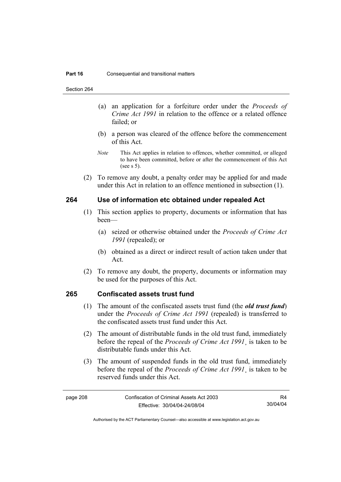Section 264

- (a) an application for a forfeiture order under the *Proceeds of Crime Act 1991* in relation to the offence or a related offence failed; or
- (b) a person was cleared of the offence before the commencement of this Act.
- *Note* This Act applies in relation to offences, whether committed, or alleged to have been committed, before or after the commencement of this Act (see s 5).
- (2) To remove any doubt, a penalty order may be applied for and made under this Act in relation to an offence mentioned in subsection (1).

## **264 Use of information etc obtained under repealed Act**

- (1) This section applies to property, documents or information that has been—
	- (a) seized or otherwise obtained under the *Proceeds of Crime Act 1991* (repealed); or
	- (b) obtained as a direct or indirect result of action taken under that Act.
- (2) To remove any doubt, the property, documents or information may be used for the purposes of this Act.

## **265 Confiscated assets trust fund**

- (1) The amount of the confiscated assets trust fund (the *old trust fund*) under the *Proceeds of Crime Act 1991* (repealed) is transferred to the confiscated assets trust fund under this Act.
- (2) The amount of distributable funds in the old trust fund, immediately before the repeal of the *Proceeds of Crime Act 1991*¸ is taken to be distributable funds under this Act.
- (3) The amount of suspended funds in the old trust fund, immediately before the repeal of the *Proceeds of Crime Act 1991*¸ is taken to be reserved funds under this Act.

R4 30/04/04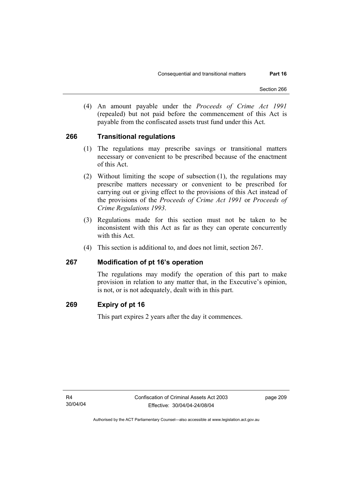(4) An amount payable under the *Proceeds of Crime Act 1991* (repealed) but not paid before the commencement of this Act is payable from the confiscated assets trust fund under this Act.

## **266 Transitional regulations**

- (1) The regulations may prescribe savings or transitional matters necessary or convenient to be prescribed because of the enactment of this Act.
- (2) Without limiting the scope of subsection (1), the regulations may prescribe matters necessary or convenient to be prescribed for carrying out or giving effect to the provisions of this Act instead of the provisions of the *Proceeds of Crime Act 1991* or *Proceeds of Crime Regulations 1993*.
- (3) Regulations made for this section must not be taken to be inconsistent with this Act as far as they can operate concurrently with this Act.
- (4) This section is additional to, and does not limit, section 267.

## **267 Modification of pt 16's operation**

The regulations may modify the operation of this part to make provision in relation to any matter that, in the Executive's opinion, is not, or is not adequately, dealt with in this part.

## **269 Expiry of pt 16**

This part expires 2 years after the day it commences.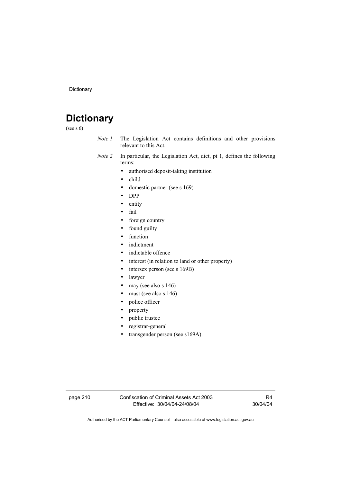# **Dictionary**

(see s 6)

- *Note 1* The Legislation Act contains definitions and other provisions relevant to this Act.
- *Note 2* In particular, the Legislation Act, dict, pt 1, defines the following terms:
	- authorised deposit-taking institution
	- child
	- domestic partner (see s 169)
	- DPP
	- entity
	- fail
	- foreign country
	- found guilty
	- function
	- indictment
	- indictable offence
	- interest (in relation to land or other property)
	- intersex person (see s 169B)
	- lawyer
	- may (see also s 146)
	- must (see also s 146)
	- police officer
	- property
	- public trustee
	- registrar-general
	- transgender person (see s169A).

page 210 Confiscation of Criminal Assets Act 2003 Effective: 30/04/04-24/08/04

R4 30/04/04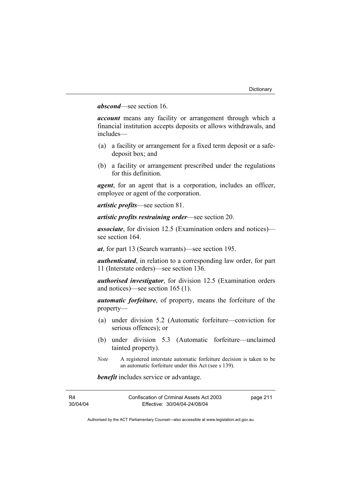## *abscond*—see section 16.

*account* means any facility or arrangement through which a financial institution accepts deposits or allows withdrawals, and includes—

- (a) a facility or arrangement for a fixed term deposit or a safedeposit box; and
- (b) a facility or arrangement prescribed under the regulations for this definition.

*agent*, for an agent that is a corporation, includes an officer, employee or agent of the corporation.

*artistic profits*—see section 81.

*artistic profits restraining order*—see section 20.

*associate*, for division 12.5 (Examination orders and notices) see section 164.

*at*, for part 13 (Search warrants)—see section 195.

*authenticated*, in relation to a corresponding law order, for part 11 (Interstate orders)—see section 136.

*authorised investigator*, for division 12.5 (Examination orders and notices)—see section 165 (1).

*automatic forfeiture*, of property, means the forfeiture of the property—

- (a) under division 5.2 (Automatic forfeiture—conviction for serious offences); or
- (b) under division 5.3 (Automatic forfeiture—unclaimed tainted property).
- *Note* A registered interstate automatic forfeiture decision is taken to be an automatic forfeiture under this Act (see s 139).

*benefit* includes service or advantage.

| R4       | Confiscation of Criminal Assets Act 2003 | page 211 |
|----------|------------------------------------------|----------|
| 30/04/04 | Effective: 30/04/04-24/08/04             |          |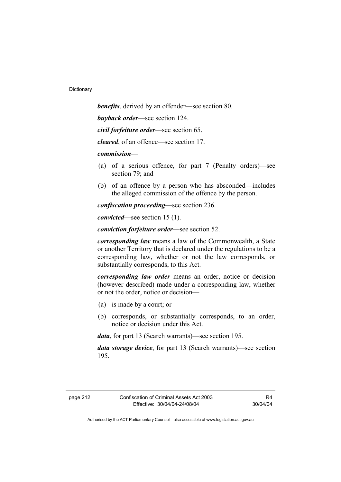*benefits*, derived by an offender—see section 80. *buyback order*—see section 124. *civil forfeiture order*—see section 65.

*cleared*, of an offence—see section 17.

*commission*—

- (a) of a serious offence, for part 7 (Penalty orders)—see section 79; and
- (b) of an offence by a person who has absconded—includes the alleged commission of the offence by the person.

*confiscation proceeding*—see section 236.

*convicted*—see section 15 (1).

*conviction forfeiture order*—see section 52.

*corresponding law* means a law of the Commonwealth, a State or another Territory that is declared under the regulations to be a corresponding law, whether or not the law corresponds, or substantially corresponds, to this Act.

*corresponding law order* means an order, notice or decision (however described) made under a corresponding law, whether or not the order, notice or decision—

- (a) is made by a court; or
- (b) corresponds, or substantially corresponds, to an order, notice or decision under this Act.

*data*, for part 13 (Search warrants)—see section 195.

*data storage device*, for part 13 (Search warrants)—see section 195.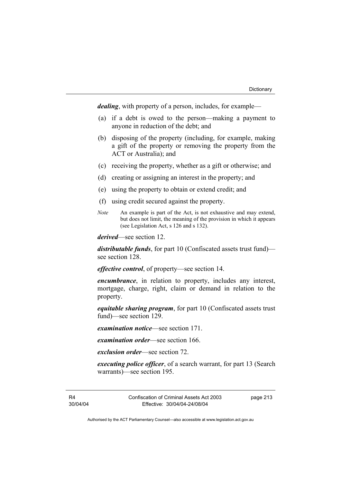*dealing*, with property of a person, includes, for example—

- (a) if a debt is owed to the person—making a payment to anyone in reduction of the debt; and
- (b) disposing of the property (including, for example, making a gift of the property or removing the property from the ACT or Australia); and
- (c) receiving the property, whether as a gift or otherwise; and
- (d) creating or assigning an interest in the property; and
- (e) using the property to obtain or extend credit; and
- (f) using credit secured against the property.
- *Note* An example is part of the Act, is not exhaustive and may extend, but does not limit, the meaning of the provision in which it appears (see Legislation Act, s 126 and s 132).

*derived*—see section 12.

*distributable funds*, for part 10 (Confiscated assets trust fund) see section 128.

*effective control*, of property—see section 14.

*encumbrance*, in relation to property, includes any interest, mortgage, charge, right, claim or demand in relation to the property.

*equitable sharing program*, for part 10 (Confiscated assets trust fund)—see section 129.

*examination notice*—see section 171.

*examination order*—see section 166.

*exclusion order*—see section 72.

*executing police officer*, of a search warrant, for part 13 (Search warrants)—see section 195.

R4 30/04/04 Confiscation of Criminal Assets Act 2003 Effective: 30/04/04-24/08/04

page 213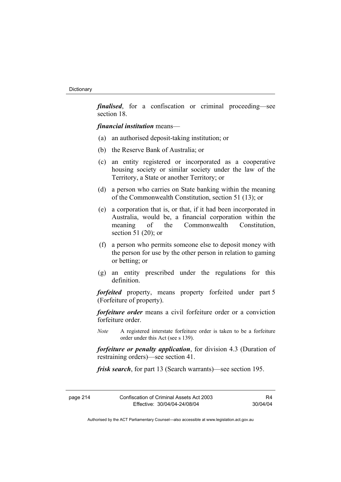*finalised*, for a confiscation or criminal proceeding—see section 18.

*financial institution* means—

- (a) an authorised deposit-taking institution; or
- (b) the Reserve Bank of Australia; or
- (c) an entity registered or incorporated as a cooperative housing society or similar society under the law of the Territory, a State or another Territory; or
- (d) a person who carries on State banking within the meaning of the Commonwealth Constitution, section 51 (13); or
- (e) a corporation that is, or that, if it had been incorporated in Australia, would be, a financial corporation within the meaning of the Commonwealth Constitution section 51 (20); or
- (f) a person who permits someone else to deposit money with the person for use by the other person in relation to gaming or betting; or
- (g) an entity prescribed under the regulations for this definition.

*forfeited* property, means property forfeited under part 5 (Forfeiture of property).

*forfeiture order* means a civil forfeiture order or a conviction forfeiture order.

*Note* A registered interstate forfeiture order is taken to be a forfeiture order under this Act (see s 139).

*forfeiture or penalty application*, for division 4.3 (Duration of restraining orders)—see section 41.

*frisk search*, for part 13 (Search warrants)—see section 195.

| page 214 | Confiscation of Criminal Assets Act 2003 | R4       |
|----------|------------------------------------------|----------|
|          | Effective: 30/04/04-24/08/04             | 30/04/04 |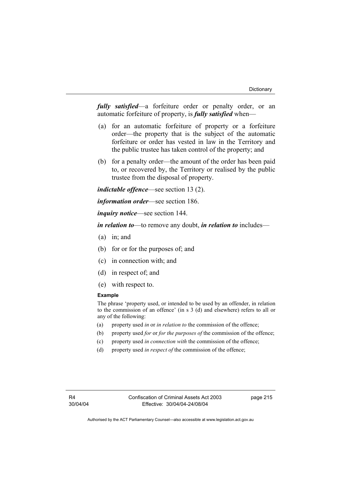*fully satisfied*—a forfeiture order or penalty order, or an automatic forfeiture of property, is *fully satisfied* when—

- (a) for an automatic forfeiture of property or a forfeiture order—the property that is the subject of the automatic forfeiture or order has vested in law in the Territory and the public trustee has taken control of the property; and
- (b) for a penalty order—the amount of the order has been paid to, or recovered by, the Territory or realised by the public trustee from the disposal of property.

*indictable offence*—see section 13 (2).

*information order*—see section 186.

*inquiry notice*—see section 144.

*in relation to*—to remove any doubt, *in relation to* includes—

- (a) in; and
- (b) for or for the purposes of; and
- (c) in connection with; and
- (d) in respect of; and
- (e) with respect to.

#### **Example**

The phrase 'property used, or intended to be used by an offender, in relation to the commission of an offence' (in s 3 (d) and elsewhere) refers to all or any of the following:

- (a) property used *in* or *in relation to* the commission of the offence;
- (b) property used *for* or *for the purposes of* the commission of the offence;
- (c) property used *in connection with* the commission of the offence;
- (d) property used *in respect of* the commission of the offence;

page 215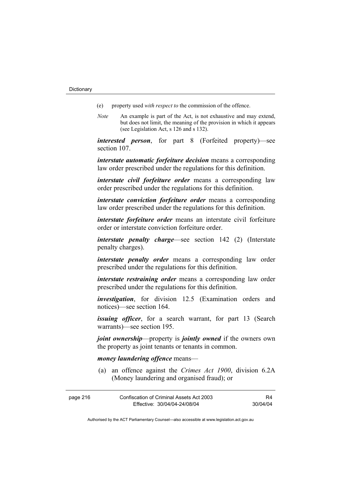- (e) property used *with respect to* the commission of the offence.
- *Note* An example is part of the Act, is not exhaustive and may extend, but does not limit, the meaning of the provision in which it appears (see Legislation Act, s 126 and s 132).

*interested person*, for part 8 (Forfeited property)—see section 107.

*interstate automatic forfeiture decision* means a corresponding law order prescribed under the regulations for this definition.

*interstate civil forfeiture order* means a corresponding law order prescribed under the regulations for this definition.

*interstate conviction forfeiture order* means a corresponding law order prescribed under the regulations for this definition.

*interstate forfeiture order* means an interstate civil forfeiture order or interstate conviction forfeiture order.

*interstate penalty charge*—see section 142 (2) (Interstate penalty charges).

*interstate penalty order* means a corresponding law order prescribed under the regulations for this definition.

*interstate restraining order* means a corresponding law order prescribed under the regulations for this definition.

*investigation*, for division 12.5 (Examination orders and notices)—see section 164.

*issuing officer*, for a search warrant, for part 13 (Search warrants)—see section 195.

*joint ownership*—property is *jointly owned* if the owners own the property as joint tenants or tenants in common.

#### *money laundering offence* means—

 (a) an offence against the *Crimes Act 1900*, division 6.2A (Money laundering and organised fraud); or

| page 216 | Confiscation of Criminal Assets Act 2003 |          |
|----------|------------------------------------------|----------|
|          | Effective: 30/04/04-24/08/04             | 30/04/04 |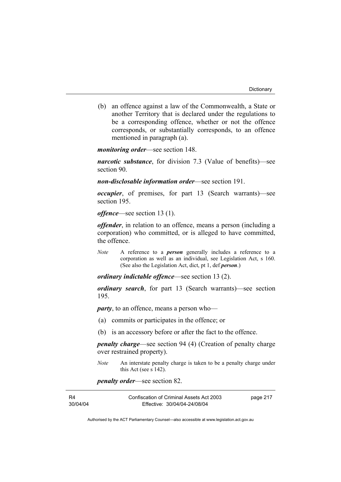(b) an offence against a law of the Commonwealth, a State or another Territory that is declared under the regulations to be a corresponding offence, whether or not the offence corresponds, or substantially corresponds, to an offence mentioned in paragraph (a).

*monitoring order*—see section 148.

*narcotic substance*, for division 7.3 (Value of benefits)—see section 90.

*non-disclosable information order*—see section 191.

*occupier*, of premises, for part 13 (Search warrants)—see section 195.

*offence*—see section 13 (1).

*offender*, in relation to an offence, means a person (including a corporation) who committed, or is alleged to have committed, the offence.

*Note* A reference to a *person* generally includes a reference to a corporation as well as an individual, see Legislation Act, s 160. (See also the Legislation Act, dict, pt 1, def *person*.)

*ordinary indictable offence*—see section 13 (2).

*ordinary search*, for part 13 (Search warrants)—see section 195.

*party*, to an offence, means a person who—

- (a) commits or participates in the offence; or
- (b) is an accessory before or after the fact to the offence.

*penalty charge*—see section 94 (4) (Creation of penalty charge over restrained property).

*Note* An interstate penalty charge is taken to be a penalty charge under this Act (see s 142).

*penalty order*—see section 82.

| R4       | Confiscation of Criminal Assets Act 2003 | page 217 |
|----------|------------------------------------------|----------|
| 30/04/04 | Effective: 30/04/04-24/08/04             |          |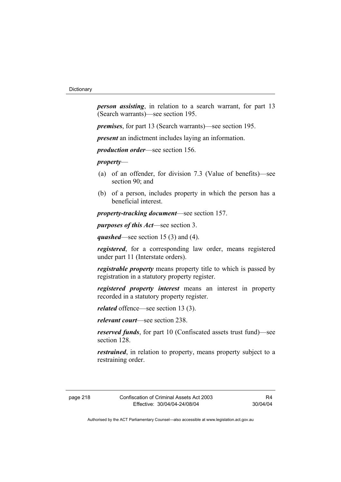*person assisting*, in relation to a search warrant, for part 13 (Search warrants)—see section 195.

*premises*, for part 13 (Search warrants)—see section 195.

*present* an indictment includes laying an information.

*production order*—see section 156.

*property*—

- (a) of an offender, for division 7.3 (Value of benefits)—see section 90; and
- (b) of a person, includes property in which the person has a beneficial interest.

*property-tracking document*—see section 157.

*purposes of this Act*—see section 3.

*quashed*—see section 15 (3) and (4).

*registered*, for a corresponding law order, means registered under part 11 (Interstate orders).

*registrable property* means property title to which is passed by registration in a statutory property register.

*registered property interest* means an interest in property recorded in a statutory property register.

*related* offence—see section 13 (3).

*relevant court*—see section 238.

*reserved funds*, for part 10 (Confiscated assets trust fund)—see section 128.

*restrained*, in relation to property, means property subject to a restraining order.

page 218 Confiscation of Criminal Assets Act 2003 Effective: 30/04/04-24/08/04

R4 30/04/04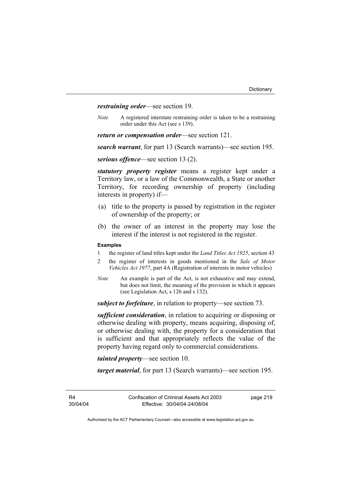*restraining order*—see section 19.

*Note* A registered interstate restraining order is taken to be a restraining order under this Act (see s 139).

*return or compensation order*—see section 121.

*search warrant*, for part 13 (Search warrants)—see section 195.

*serious offence*—see section 13 (2).

*statutory property register* means a register kept under a Territory law, or a law of the Commonwealth, a State or another Territory, for recording ownership of property (including interests in property) if—

- (a) title to the property is passed by registration in the register of ownership of the property; or
- (b) the owner of an interest in the property may lose the interest if the interest is not registered in the register.

#### **Examples**

- 1 the register of land titles kept under the *Land Titles Act 1925*, section 43
- 2 the register of interests in goods mentioned in the *Sale of Motor Vehicles Act 1977*, part 4A (Registration of interests in motor vehicles)
- *Note* An example is part of the Act, is not exhaustive and may extend, but does not limit, the meaning of the provision in which it appears (see Legislation Act, s 126 and s 132).

*subject to forfeiture*, in relation to property—see section 73.

*sufficient consideration*, in relation to acquiring or disposing or otherwise dealing with property, means acquiring, disposing of, or otherwise dealing with, the property for a consideration that is sufficient and that appropriately reflects the value of the property having regard only to commercial considerations.

*tainted property*—see section 10.

*target material*, for part 13 (Search warrants)—see section 195.

R4 30/04/04 page 219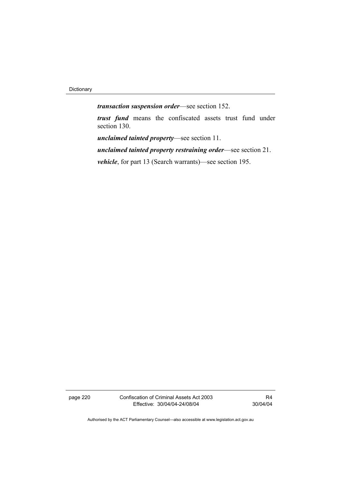Dictionary

*transaction suspension order*—see section 152.

*trust fund* means the confiscated assets trust fund under section 130.

*unclaimed tainted property*—see section 11.

*unclaimed tainted property restraining order*—see section 21.

*vehicle*, for part 13 (Search warrants)—see section 195.

page 220 Confiscation of Criminal Assets Act 2003 Effective: 30/04/04-24/08/04

R4 30/04/04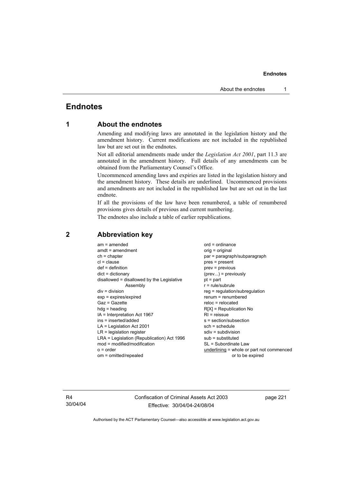## **Endnotes**

## **1 About the endnotes**

Amending and modifying laws are annotated in the legislation history and the amendment history. Current modifications are not included in the republished law but are set out in the endnotes.

Not all editorial amendments made under the *Legislation Act 2001*, part 11.3 are annotated in the amendment history. Full details of any amendments can be obtained from the Parliamentary Counsel's Office.

Uncommenced amending laws and expiries are listed in the legislation history and the amendment history. These details are underlined. Uncommenced provisions and amendments are not included in the republished law but are set out in the last endnote.

If all the provisions of the law have been renumbered, a table of renumbered provisions gives details of previous and current numbering.

The endnotes also include a table of earlier republications.

| $am = amended$                             | $ord = ordinance$                         |
|--------------------------------------------|-------------------------------------------|
| $amdt = amendment$                         | $orig = original$                         |
| $ch = chapter$                             | par = paragraph/subparagraph              |
| $cl = clause$                              | $pres = present$                          |
| $def = definition$                         | $prev = previous$                         |
| $dict = dictionary$                        | $(\text{prev})$ = previously              |
| disallowed = disallowed by the Legislative | $pt = part$                               |
| Assembly                                   | $r = rule/subrule$                        |
| $div = division$                           | reg = regulation/subregulation            |
| $exp = expires/expired$                    | $renum = renumbered$                      |
| $Gaz = Gazette$                            | $reloc = relocated$                       |
| $h dq =$ heading                           | $R[X]$ = Republication No                 |
| $IA = Interpretation Act 1967$             | $RI =$ reissue                            |
| $ins = inserted/added$                     | $s = section/subsection$                  |
| $LA =$ Legislation Act 2001                | $sch = schedule$                          |
| $LR =$ legislation register                | sdiv = subdivision                        |
| LRA = Legislation (Republication) Act 1996 | $sub =$ substituted                       |
| $mod = modified/modification$              | SL = Subordinate Law                      |
|                                            |                                           |
| $o = order$                                | underlining = whole or part not commenced |
| om = omitted/repealed                      | or to be expired                          |
|                                            |                                           |

## **2 Abbreviation key**

R4 30/04/04 Confiscation of Criminal Assets Act 2003 Effective: 30/04/04-24/08/04

page 221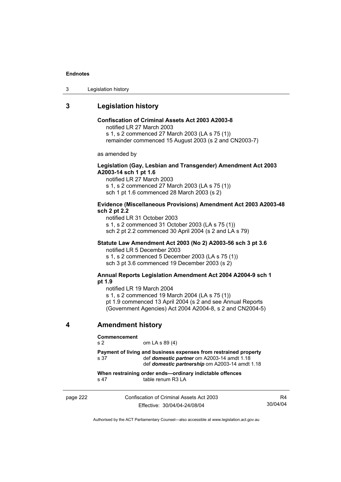3 Legislation history

## **3 Legislation history**

### **Confiscation of Criminal Assets Act 2003 A2003-8**

notified LR 27 March 2003

s 1, s 2 commenced 27 March 2003 (LA s 75 (1))

remainder commenced 15 August 2003 (s 2 and CN2003-7)

as amended by

### **Legislation (Gay, Lesbian and Transgender) Amendment Act 2003 A2003-14 sch 1 pt 1.6**

notified LR 27 March 2003 s 1, s 2 commenced 27 March 2003 (LA s 75 (1)) sch 1 pt 1.6 commenced 28 March 2003 (s 2)

#### **Evidence (Miscellaneous Provisions) Amendment Act 2003 A2003-48 sch 2 pt 2.2**

notified LR 31 October 2003 s 1, s 2 commenced 31 October 2003 (LA s 75 (1)) sch 2 pt 2.2 commenced 30 April 2004 (s 2 and LA s 79)

## **Statute Law Amendment Act 2003 (No 2) A2003-56 sch 3 pt 3.6**

notified LR 5 December 2003 s 1, s 2 commenced 5 December 2003 (LA s 75 (1)) sch 3 pt 3.6 commenced 19 December 2003 (s 2)

#### **Annual Reports Legislation Amendment Act 2004 A2004-9 sch 1 pt 1.9**

notified LR 19 March 2004

s 1, s 2 commenced 19 March 2004 (LA s 75 (1))

pt 1.9 commenced 13 April 2004 (s 2 and see Annual Reports

(Government Agencies) Act 2004 A2004-8, s 2 and CN2004-5)

## **4 Amendment history**

#### **Commencement**

s 2 om LA s 89 (4)

**Payment of living and business expenses from restrained property**  s 37 def *domestic partner* om A2003-14 amdt 1.18 def *domestic partnership* om A2003-14 amdt 1.18

**When restraining order ends—ordinary indictable offences**  s 47 table renum R3 LA

page 222 Confiscation of Criminal Assets Act 2003 Effective: 30/04/04-24/08/04 R4 30/04/04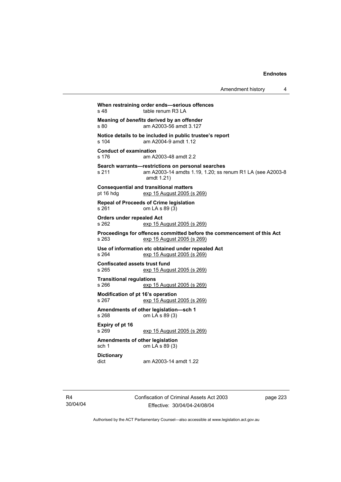| Amendment history |  |
|-------------------|--|
|-------------------|--|

**When restraining order ends—serious offences**  s 48 table renum R3 LA **Meaning of** *benefits* **derived by an offender**<br>s 80 am A2003-56 amdt 3.127 am A2003-56 amdt 3.127 **Notice details to be included in public trustee's report**  s 104 am A2004-9 amdt 1.12 **Conduct of examination**  s 176 am A2003-48 amdt 2.2 **Search warrants—restrictions on personal searches**  s 211 am A2003-14 amdts 1.19, 1.20; ss renum R1 LA (see A2003-8 amdt 1.21) **Consequential and transitional matters**  pt 16 hdg exp 15 August 2005 (s 269) **Repeal of Proceeds of Crime legislation**  s 261 om LA s 89 (3) **Orders under repealed Act**  s 262 exp 15 August 2005 (s 269) **Proceedings for offences committed before the commencement of this Act**  s 263 exp 15 August 2005 (s 269) **Use of information etc obtained under repealed Act**  exp 15 August 2005 (s 269) **Confiscated assets trust fund**  s 265 exp 15 August 2005 (s 269) **Transitional regulations**  exp 15 August 2005 (s 269) **Modification of pt 16's operation**  s 267 exp 15 August 2005 (s 269) **Amendments of other legislation—sch 1**  s 268 om LA s 89 (3) **Expiry of pt 16**  s 269 exp 15 August 2005 (s 269) **Amendments of other legislation**  sch 1 om LA s 89 (3) **Dictionary**  dict am A2003-14 amdt 1.22

R4 30/04/04 Confiscation of Criminal Assets Act 2003 Effective: 30/04/04-24/08/04

page 223